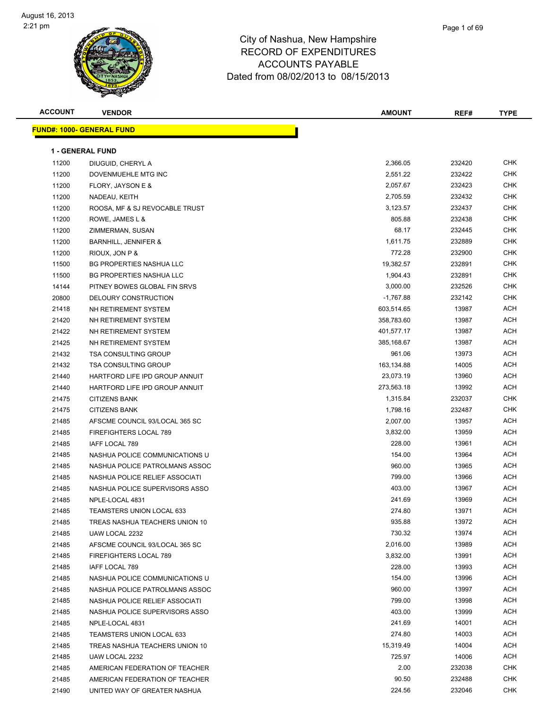

| Page 1 of 69 |  |
|--------------|--|
|              |  |

| <b>ACCOUNT</b> | <b>VENDOR</b>                    | <b>AMOUNT</b> | REF#   | <b>TYPE</b> |
|----------------|----------------------------------|---------------|--------|-------------|
|                | <b>FUND#: 1000- GENERAL FUND</b> |               |        |             |
|                |                                  |               |        |             |
|                | <b>1 - GENERAL FUND</b>          |               |        |             |
| 11200          | DIUGUID, CHERYL A                | 2,366.05      | 232420 | CHK         |
| 11200          | DOVENMUEHLE MTG INC              | 2,551.22      | 232422 | CHK         |
| 11200          | FLORY, JAYSON E &                | 2,057.67      | 232423 | CHK         |
| 11200          | NADEAU, KEITH                    | 2,705.59      | 232432 | CHK         |
| 11200          | ROOSA, MF & SJ REVOCABLE TRUST   | 3,123.57      | 232437 | <b>CHK</b>  |
| 11200          | ROWE, JAMES L &                  | 805.88        | 232438 | <b>CHK</b>  |
| 11200          | ZIMMERMAN, SUSAN                 | 68.17         | 232445 | CHK         |
| 11200          | <b>BARNHILL, JENNIFER &amp;</b>  | 1,611.75      | 232889 | CHK         |
| 11200          | RIOUX, JON P &                   | 772.28        | 232900 | CHK         |
| 11500          | <b>BG PROPERTIES NASHUA LLC</b>  | 19,382.57     | 232891 | CHK         |
| 11500          | BG PROPERTIES NASHUA LLC         | 1,904.43      | 232891 | CHK         |
| 14144          | PITNEY BOWES GLOBAL FIN SRVS     | 3,000.00      | 232526 | CHK         |
| 20800          | DELOURY CONSTRUCTION             | $-1,767.88$   | 232142 | CHK         |
| 21418          | NH RETIREMENT SYSTEM             | 603,514.65    | 13987  | ACH         |
| 21420          | NH RETIREMENT SYSTEM             | 358,783.60    | 13987  | ACH         |
| 21422          | NH RETIREMENT SYSTEM             | 401,577.17    | 13987  | ACH         |
| 21425          | NH RETIREMENT SYSTEM             | 385,168.67    | 13987  | ACH         |
| 21432          | <b>TSA CONSULTING GROUP</b>      | 961.06        | 13973  | ACH         |
| 21432          | <b>TSA CONSULTING GROUP</b>      | 163,134.88    | 14005  | ACH         |
| 21440          | HARTFORD LIFE IPD GROUP ANNUIT   | 23,073.19     | 13960  | ACH         |
| 21440          | HARTFORD LIFE IPD GROUP ANNUIT   | 273,563.18    | 13992  | ACH         |
| 21475          | <b>CITIZENS BANK</b>             | 1,315.84      | 232037 | <b>CHK</b>  |
| 21475          | <b>CITIZENS BANK</b>             | 1,798.16      | 232487 | CHK         |
| 21485          | AFSCME COUNCIL 93/LOCAL 365 SC   | 2,007.00      | 13957  | ACH         |
| 21485          | FIREFIGHTERS LOCAL 789           | 3,832.00      | 13959  | ACH         |
| 21485          | IAFF LOCAL 789                   | 228.00        | 13961  | ACH         |
| 21485          | NASHUA POLICE COMMUNICATIONS U   | 154.00        | 13964  | ACH         |
| 21485          | NASHUA POLICE PATROLMANS ASSOC   | 960.00        | 13965  | ACH         |
| 21485          | NASHUA POLICE RELIEF ASSOCIATI   | 799.00        | 13966  | ACH         |
| 21485          | NASHUA POLICE SUPERVISORS ASSO   | 403.00        | 13967  | ACH         |
| 21485          | NPLE-LOCAL 4831                  | 241.69        | 13969  | ACH         |
| 21485          | TEAMSTERS UNION LOCAL 633        | 274.80        | 13971  | ACH         |
| 21485          | TREAS NASHUA TEACHERS UNION 10   | 935.88        | 13972  | ACH         |
| 21485          | UAW LOCAL 2232                   | 730.32        | 13974  | ACH         |
| 21485          | AFSCME COUNCIL 93/LOCAL 365 SC   | 2,016.00      | 13989  | ACH         |
| 21485          | FIREFIGHTERS LOCAL 789           | 3,832.00      | 13991  | ACH         |
| 21485          | IAFF LOCAL 789                   | 228.00        | 13993  | ACH         |
| 21485          | NASHUA POLICE COMMUNICATIONS U   | 154.00        | 13996  | ACH         |
| 21485          | NASHUA POLICE PATROLMANS ASSOC   | 960.00        | 13997  | ACH         |
| 21485          | NASHUA POLICE RELIEF ASSOCIATI   | 799.00        | 13998  | ACH         |
| 21485          | NASHUA POLICE SUPERVISORS ASSO   | 403.00        | 13999  | ACH         |
| 21485          | NPLE-LOCAL 4831                  | 241.69        | 14001  | ACH         |
| 21485          | <b>TEAMSTERS UNION LOCAL 633</b> | 274.80        | 14003  | ACH         |
| 21485          | TREAS NASHUA TEACHERS UNION 10   | 15,319.49     | 14004  | ACH         |
| 21485          | UAW LOCAL 2232                   | 725.97        | 14006  | ACH         |
| 21485          | AMERICAN FEDERATION OF TEACHER   | 2.00          | 232038 | CHK         |
| 21485          | AMERICAN FEDERATION OF TEACHER   | 90.50         | 232488 | CHK         |
| 21490          | UNITED WAY OF GREATER NASHUA     | 224.56        | 232046 | CHK         |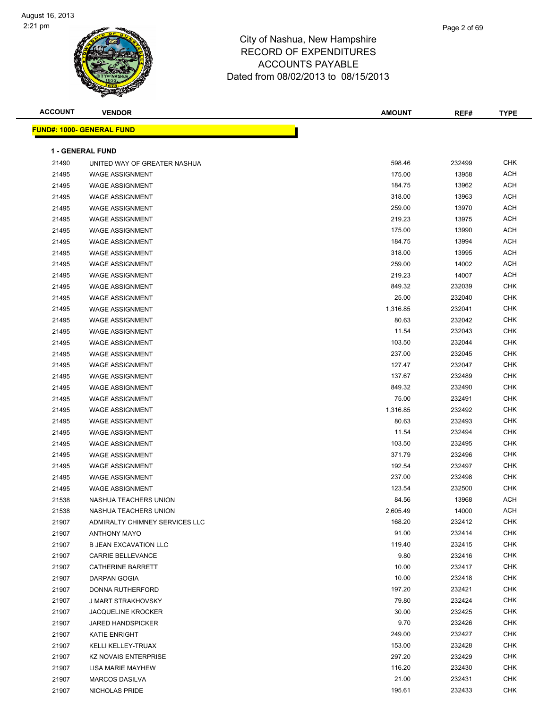

| <b>ACCOUNT</b> | <b>VENDOR</b>                     | <b>AMOUNT</b> | REF#   | <b>TYPE</b> |
|----------------|-----------------------------------|---------------|--------|-------------|
|                | <u> FUND#: 1000- GENERAL FUND</u> |               |        |             |
|                |                                   |               |        |             |
|                | 1 - GENERAL FUND                  |               |        |             |
| 21490          | UNITED WAY OF GREATER NASHUA      | 598.46        | 232499 | <b>CHK</b>  |
| 21495          | <b>WAGE ASSIGNMENT</b>            | 175.00        | 13958  | <b>ACH</b>  |
| 21495          | <b>WAGE ASSIGNMENT</b>            | 184.75        | 13962  | <b>ACH</b>  |
| 21495          | <b>WAGE ASSIGNMENT</b>            | 318.00        | 13963  | <b>ACH</b>  |
| 21495          | <b>WAGE ASSIGNMENT</b>            | 259.00        | 13970  | <b>ACH</b>  |
| 21495          | <b>WAGE ASSIGNMENT</b>            | 219.23        | 13975  | <b>ACH</b>  |
| 21495          | <b>WAGE ASSIGNMENT</b>            | 175.00        | 13990  | <b>ACH</b>  |
| 21495          | <b>WAGE ASSIGNMENT</b>            | 184.75        | 13994  | <b>ACH</b>  |
| 21495          | <b>WAGE ASSIGNMENT</b>            | 318.00        | 13995  | <b>ACH</b>  |
| 21495          | <b>WAGE ASSIGNMENT</b>            | 259.00        | 14002  | <b>ACH</b>  |
| 21495          | <b>WAGE ASSIGNMENT</b>            | 219.23        | 14007  | <b>ACH</b>  |
| 21495          | <b>WAGE ASSIGNMENT</b>            | 849.32        | 232039 | <b>CHK</b>  |
| 21495          | <b>WAGE ASSIGNMENT</b>            | 25.00         | 232040 | <b>CHK</b>  |
| 21495          | <b>WAGE ASSIGNMENT</b>            | 1,316.85      | 232041 | <b>CHK</b>  |
| 21495          | <b>WAGE ASSIGNMENT</b>            | 80.63         | 232042 | <b>CHK</b>  |
| 21495          | <b>WAGE ASSIGNMENT</b>            | 11.54         | 232043 | <b>CHK</b>  |
| 21495          | <b>WAGE ASSIGNMENT</b>            | 103.50        | 232044 | <b>CHK</b>  |
| 21495          | <b>WAGE ASSIGNMENT</b>            | 237.00        | 232045 | <b>CHK</b>  |
| 21495          | <b>WAGE ASSIGNMENT</b>            | 127.47        | 232047 | <b>CHK</b>  |
| 21495          | <b>WAGE ASSIGNMENT</b>            | 137.67        | 232489 | <b>CHK</b>  |
| 21495          | <b>WAGE ASSIGNMENT</b>            | 849.32        | 232490 | <b>CHK</b>  |
| 21495          | <b>WAGE ASSIGNMENT</b>            | 75.00         | 232491 | <b>CHK</b>  |
| 21495          | <b>WAGE ASSIGNMENT</b>            | 1,316.85      | 232492 | <b>CHK</b>  |
| 21495          | <b>WAGE ASSIGNMENT</b>            | 80.63         | 232493 | <b>CHK</b>  |
| 21495          | <b>WAGE ASSIGNMENT</b>            | 11.54         | 232494 | <b>CHK</b>  |
| 21495          | <b>WAGE ASSIGNMENT</b>            | 103.50        | 232495 | <b>CHK</b>  |
| 21495          | <b>WAGE ASSIGNMENT</b>            | 371.79        | 232496 | <b>CHK</b>  |
| 21495          | <b>WAGE ASSIGNMENT</b>            | 192.54        | 232497 | <b>CHK</b>  |
| 21495          | <b>WAGE ASSIGNMENT</b>            | 237.00        | 232498 | <b>CHK</b>  |
| 21495          | <b>WAGE ASSIGNMENT</b>            | 123.54        | 232500 | <b>CHK</b>  |
| 21538          | NASHUA TEACHERS UNION             | 84.56         | 13968  | <b>ACH</b>  |
| 21538          | NASHUA TEACHERS UNION             | 2,605.49      | 14000  | ACH         |
| 21907          | ADMIRALTY CHIMNEY SERVICES LLC    | 168.20        | 232412 | <b>CHK</b>  |
| 21907          | ANTHONY MAYO                      | 91.00         | 232414 | <b>CHK</b>  |
| 21907          | <b>B JEAN EXCAVATION LLC</b>      | 119.40        | 232415 | <b>CHK</b>  |
| 21907          | <b>CARRIE BELLEVANCE</b>          | 9.80          | 232416 | <b>CHK</b>  |
| 21907          | CATHERINE BARRETT                 | 10.00         | 232417 | <b>CHK</b>  |
| 21907          | DARPAN GOGIA                      | 10.00         | 232418 | <b>CHK</b>  |
| 21907          | DONNA RUTHERFORD                  | 197.20        | 232421 | <b>CHK</b>  |
| 21907          | J MART STRAKHOVSKY                | 79.80         | 232424 | <b>CHK</b>  |
| 21907          | <b>JACQUELINE KROCKER</b>         | 30.00         | 232425 | <b>CHK</b>  |
| 21907          | <b>JARED HANDSPICKER</b>          | 9.70          | 232426 | <b>CHK</b>  |
| 21907          | KATIE ENRIGHT                     | 249.00        | 232427 | CHK         |
| 21907          | KELLI KELLEY-TRUAX                | 153.00        | 232428 | <b>CHK</b>  |
| 21907          | <b>KZ NOVAIS ENTERPRISE</b>       | 297.20        | 232429 | <b>CHK</b>  |
| 21907          | LISA MARIE MAYHEW                 | 116.20        | 232430 | <b>CHK</b>  |
| 21907          | <b>MARCOS DASILVA</b>             | 21.00         | 232431 | <b>CHK</b>  |
| 21907          | NICHOLAS PRIDE                    | 195.61        | 232433 | <b>CHK</b>  |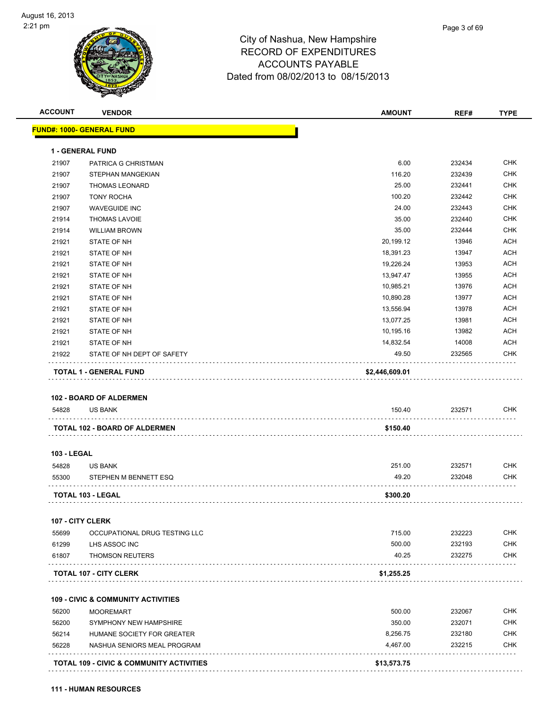# City of Nashua, New Hampshire

| <b>TYPE</b> |
|-------------|
|             |
|             |
|             |

 $R = R$ 

| 54828 | <b>US BANK</b>                 | 150.40         | 232571 | <b>CHK</b> |
|-------|--------------------------------|----------------|--------|------------|
|       | <b>102 - BOARD OF ALDERMEN</b> |                |        |            |
|       | <b>TOTAL 1 - GENERAL FUND</b>  | \$2,446,609.01 |        |            |
| 21922 | STATE OF NH DEPT OF SAFETY     | 49.50          | 232565 | <b>CHK</b> |
| 21921 | STATE OF NH                    | 14,832.54      | 14008  | <b>ACH</b> |
| 21921 | STATE OF NH                    | 10,195.16      | 13982  | <b>ACH</b> |
| 21921 | STATE OF NH                    | 13,077.25      | 13981  | <b>ACH</b> |
| 21921 | <b>STATE OF NH</b>             | 13,556.94      | 13978  | <b>ACH</b> |
| 21921 | <b>STATE OF NH</b>             | 10,890.28      | 13977  | <b>ACH</b> |
| 21921 | STATE OF NH                    | 10,985.21      | 13976  | <b>ACH</b> |
| 21921 | STATE OF NH                    | 13,947.47      | 13955  | <b>ACH</b> |
| 21921 | STATE OF NH                    | 19,226.24      | 13953  | <b>ACH</b> |
| 21921 | <b>STATE OF NH</b>             | 18,391.23      | 13947  | <b>ACH</b> |
| 21921 | <b>STATE OF NH</b>             | 20,199.12      | 13946  | <b>ACH</b> |
| 21914 | <b>WILLIAM BROWN</b>           | 35.00          | 232444 | <b>CHK</b> |
| 21914 | <b>THOMAS LAVOIE</b>           | 35.00          | 232440 | <b>CHK</b> |
| 21907 | <b>WAVEGUIDE INC</b>           | 24.00          | 232443 | <b>CHK</b> |
| 21907 | <b>TONY ROCHA</b>              | 100.20         | 232442 | <b>CHK</b> |
| 21907 | <b>THOMAS LEONARD</b>          | 25.00          | 232441 | <b>CHK</b> |
| 21907 | STEPHAN MANGEKIAN              | 116.20         | 232439 | <b>CHK</b> |
| 21907 | PATRICA G CHRISTMAN            | 6.00           | 232434 | <b>CHK</b> |
|       | <b>1 - GENERAL FUND</b>        |                |        |            |
|       |                                |                |        |            |

#### **103 - LEGAL**

| 54828 | <b>US BANK</b>        | 251.00   | 232571 | СНК        |
|-------|-----------------------|----------|--------|------------|
| 55300 | STEPHEN M BENNETT ESQ | 49.20    | 232048 | <b>CHK</b> |
|       | TOTAL 103 - LEGAL     | \$300.20 |        |            |

#### **107 - CITY CLERK**

|       | <b>TOTAL 107 - CITY CLERK</b> | \$1.255.25 |        |            |
|-------|-------------------------------|------------|--------|------------|
| 61807 | THOMSON REUTERS               | 40.25      | 232275 | <b>CHK</b> |
| 61299 | LHS ASSOC INC                 | 500.00     | 232193 | <b>CHK</b> |
| 55699 | OCCUPATIONAL DRUG TESTING LLC | 715.00     | 232223 | CHK        |

#### **109 - CIVIC & COMMUNITY ACTIVITIES**

|       | <b>TOTAL 109 - CIVIC &amp; COMMUNITY ACTIVITIES</b> | \$13,573.75 |        |     |
|-------|-----------------------------------------------------|-------------|--------|-----|
| 56228 | NASHUA SENIORS MEAL PROGRAM                         | 4.467.00    | 232215 | CHK |
| 56214 | HUMANE SOCIETY FOR GREATER                          | 8.256.75    | 232180 | CHK |
| 56200 | SYMPHONY NEW HAMPSHIRE                              | 350.00      | 232071 | CHK |
| 56200 | <b>MOOREMART</b>                                    | 500.00      | 232067 | CHK |
|       |                                                     |             |        |     |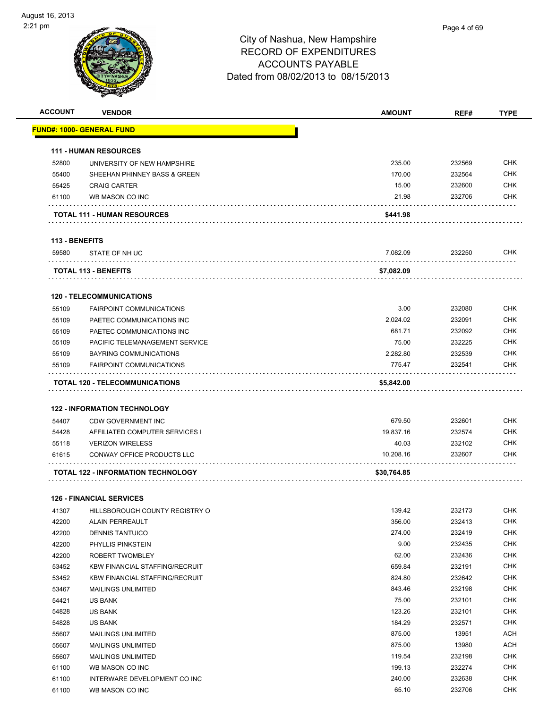| <b>ACCOUNT</b> | <b>VENDOR</b>                             | <b>AMOUNT</b> | REF#   | <b>TYPE</b> |
|----------------|-------------------------------------------|---------------|--------|-------------|
|                | <u> FUND#: 1000- GENERAL FUND</u>         |               |        |             |
|                |                                           |               |        |             |
|                | <b>111 - HUMAN RESOURCES</b>              |               |        |             |
| 52800          | UNIVERSITY OF NEW HAMPSHIRE               | 235.00        | 232569 | <b>CHK</b>  |
| 55400          | SHEEHAN PHINNEY BASS & GREEN              | 170.00        | 232564 | <b>CHK</b>  |
| 55425          | <b>CRAIG CARTER</b>                       | 15.00         | 232600 | <b>CHK</b>  |
| 61100          | WB MASON CO INC                           | 21.98         | 232706 | <b>CHK</b>  |
|                | <b>TOTAL 111 - HUMAN RESOURCES</b>        | \$441.98      |        |             |
| 113 - BENEFITS |                                           |               |        |             |
| 59580          | STATE OF NH UC                            | 7,082.09      | 232250 | CHK         |
|                | <b>TOTAL 113 - BENEFITS</b>               | \$7,082.09    |        |             |
|                |                                           |               |        |             |
|                | <b>120 - TELECOMMUNICATIONS</b>           |               |        | <b>CHK</b>  |
| 55109          | <b>FAIRPOINT COMMUNICATIONS</b>           | 3.00          | 232080 |             |
| 55109          | PAETEC COMMUNICATIONS INC                 | 2,024.02      | 232091 | <b>CHK</b>  |
| 55109          | PAETEC COMMUNICATIONS INC                 | 681.71        | 232092 | <b>CHK</b>  |
| 55109          | PACIFIC TELEMANAGEMENT SERVICE            | 75.00         | 232225 | <b>CHK</b>  |
| 55109          | <b>BAYRING COMMUNICATIONS</b>             | 2,282.80      | 232539 | <b>CHK</b>  |
| 55109          | <b>FAIRPOINT COMMUNICATIONS</b>           | 775.47        | 232541 | <b>CHK</b>  |
|                | TOTAL 120 - TELECOMMUNICATIONS            | \$5,842.00    |        |             |
|                |                                           |               |        |             |
|                | <b>122 - INFORMATION TECHNOLOGY</b>       |               |        |             |
| 54407          | <b>CDW GOVERNMENT INC</b>                 | 679.50        | 232601 | <b>CHK</b>  |
| 54428          | AFFILIATED COMPUTER SERVICES I            | 19,837.16     | 232574 | <b>CHK</b>  |
| 55118          | <b>VERIZON WIRELESS</b>                   | 40.03         | 232102 | <b>CHK</b>  |
| 61615          | <b>CONWAY OFFICE PRODUCTS LLC</b>         | 10,208.16     | 232607 | CHK         |
|                | <b>TOTAL 122 - INFORMATION TECHNOLOGY</b> | \$30,764.85   |        |             |
|                | <b>126 - FINANCIAL SERVICES</b>           |               |        |             |
| 41307          | HILLSBOROUGH COUNTY REGISTRY O            | 139.42        | 232173 | CHK         |
| 42200          | ALAIN PERREAULT                           | 356.00        | 232413 | <b>CHK</b>  |
| 42200          | <b>DENNIS TANTUICO</b>                    | 274.00        | 232419 | <b>CHK</b>  |
| 42200          | PHYLLIS PINKSTEIN                         | 9.00          | 232435 | <b>CHK</b>  |
| 42200          | ROBERT TWOMBLEY                           | 62.00         | 232436 | <b>CHK</b>  |
| 53452          | <b>KBW FINANCIAL STAFFING/RECRUIT</b>     | 659.84        | 232191 | <b>CHK</b>  |
| 53452          | <b>KBW FINANCIAL STAFFING/RECRUIT</b>     | 824.80        | 232642 | <b>CHK</b>  |
| 53467          | <b>MAILINGS UNLIMITED</b>                 | 843.46        | 232198 | <b>CHK</b>  |
| 54421          | US BANK                                   | 75.00         | 232101 | <b>CHK</b>  |
| 54828          | US BANK                                   | 123.26        | 232101 | <b>CHK</b>  |
| 54828          | US BANK                                   | 184.29        | 232571 | <b>CHK</b>  |
| 55607          | <b>MAILINGS UNLIMITED</b>                 | 875.00        | 13951  | <b>ACH</b>  |
| 55607          | <b>MAILINGS UNLIMITED</b>                 | 875.00        | 13980  | <b>ACH</b>  |
| 55607          | <b>MAILINGS UNLIMITED</b>                 | 119.54        | 232198 | <b>CHK</b>  |
| 61100          | WB MASON CO INC                           | 199.13        | 232274 | <b>CHK</b>  |
|                |                                           |               |        | <b>CHK</b>  |
| 61100          | INTERWARE DEVELOPMENT CO INC              | 240.00        | 232638 |             |
| 61100          | WB MASON CO INC                           | 65.10         | 232706 | <b>CHK</b>  |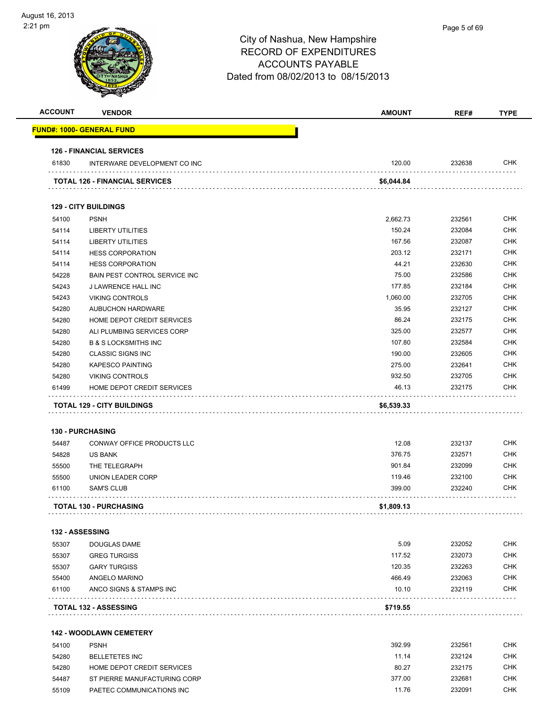| <b>ACCOUNT</b> | <b>VENDOR</b>                         | <b>AMOUNT</b> | REF#   | <b>TYPE</b> |
|----------------|---------------------------------------|---------------|--------|-------------|
|                | <u> FUND#: 1000- GENERAL FUND</u>     |               |        |             |
|                | <b>126 - FINANCIAL SERVICES</b>       |               |        |             |
| 61830          | INTERWARE DEVELOPMENT CO INC          | 120.00        | 232638 | <b>CHK</b>  |
|                | <b>TOTAL 126 - FINANCIAL SERVICES</b> | \$6,044.84    |        |             |
|                | <b>129 - CITY BUILDINGS</b>           |               |        |             |
| 54100          | <b>PSNH</b>                           | 2,662.73      | 232561 | <b>CHK</b>  |
| 54114          | <b>LIBERTY UTILITIES</b>              | 150.24        | 232084 | <b>CHK</b>  |
| 54114          | <b>LIBERTY UTILITIES</b>              | 167.56        | 232087 | <b>CHK</b>  |
| 54114          | <b>HESS CORPORATION</b>               | 203.12        | 232171 | <b>CHK</b>  |
| 54114          | <b>HESS CORPORATION</b>               | 44.21         | 232630 | <b>CHK</b>  |
| 54228          | BAIN PEST CONTROL SERVICE INC         | 75.00         | 232586 | <b>CHK</b>  |
| 54243          | J LAWRENCE HALL INC                   | 177.85        | 232184 | <b>CHK</b>  |
| 54243          | <b>VIKING CONTROLS</b>                | 1,060.00      | 232705 | <b>CHK</b>  |
| 54280          | <b>AUBUCHON HARDWARE</b>              | 35.95         | 232127 | <b>CHK</b>  |
| 54280          | HOME DEPOT CREDIT SERVICES            | 86.24         | 232175 | <b>CHK</b>  |
| 54280          | ALI PLUMBING SERVICES CORP            | 325.00        | 232577 | <b>CHK</b>  |
| 54280          | <b>B &amp; S LOCKSMITHS INC</b>       | 107.80        | 232584 | <b>CHK</b>  |
| 54280          | <b>CLASSIC SIGNS INC</b>              | 190.00        | 232605 | <b>CHK</b>  |
| 54280          | <b>KAPESCO PAINTING</b>               | 275.00        | 232641 | <b>CHK</b>  |
| 54280          | <b>VIKING CONTROLS</b>                | 932.50        | 232705 | <b>CHK</b>  |
| 61499          | HOME DEPOT CREDIT SERVICES            | 46.13         | 232175 | CHK         |
|                | <b>TOTAL 129 - CITY BUILDINGS</b>     | \$6,539.33    |        |             |
|                |                                       |               |        |             |
|                | <b>130 - PURCHASING</b>               |               |        |             |
| 54487          | CONWAY OFFICE PRODUCTS LLC            | 12.08         | 232137 | <b>CHK</b>  |
| 54828          | <b>US BANK</b>                        | 376.75        | 232571 | <b>CHK</b>  |
| 55500          | THE TELEGRAPH                         | 901.84        | 232099 | <b>CHK</b>  |
| 55500          | UNION LEADER CORP                     | 119.46        | 232100 | <b>CHK</b>  |
| 61100          | SAM'S CLUB                            | 399.00        | 232240 | CHK         |
|                | <b>TOTAL 130 - PURCHASING</b>         | \$1,809.13    |        |             |
|                | 132 - ASSESSING                       |               |        |             |
| 55307          | DOUGLAS DAME                          | 5.09          | 232052 | <b>CHK</b>  |
| 55307          | <b>GREG TURGISS</b>                   | 117.52        | 232073 | <b>CHK</b>  |
| 55307          | <b>GARY TURGISS</b>                   | 120.35        | 232263 | <b>CHK</b>  |
| 55400          | ANGELO MARINO                         | 466.49        | 232063 | <b>CHK</b>  |
| 61100          | ANCO SIGNS & STAMPS INC               | 10.10         | 232119 | <b>CHK</b>  |
|                | <b>TOTAL 132 - ASSESSING</b>          | \$719.55      |        |             |
|                |                                       |               |        |             |
|                | <b>142 - WOODLAWN CEMETERY</b>        |               |        |             |
| 54100          | <b>PSNH</b>                           | 392.99        | 232561 | <b>CHK</b>  |
| 54280          | <b>BELLETETES INC</b>                 | 11.14         | 232124 | <b>CHK</b>  |
| 54280          | HOME DEPOT CREDIT SERVICES            | 80.27         | 232175 | CHK         |
| 54487          | ST PIERRE MANUFACTURING CORP          | 377.00        | 232681 | <b>CHK</b>  |
| 55109          | PAETEC COMMUNICATIONS INC             | 11.76         | 232091 | <b>CHK</b>  |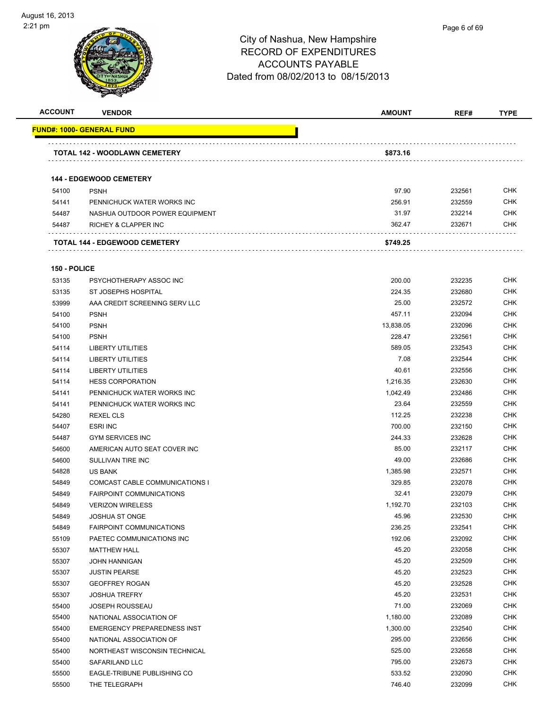

| Page 6 of 69 |
|--------------|
|              |

| <b>ACCOUNT</b> | <b>VENDOR</b>                        | <b>AMOUNT</b> | REF#   | <b>TYPE</b> |
|----------------|--------------------------------------|---------------|--------|-------------|
|                | <b>FUND#: 1000- GENERAL FUND</b>     |               |        |             |
|                | <b>TOTAL 142 - WOODLAWN CEMETERY</b> | \$873.16      |        |             |
|                | <b>144 - EDGEWOOD CEMETERY</b>       |               |        |             |
| 54100          | <b>PSNH</b>                          | 97.90         | 232561 | <b>CHK</b>  |
| 54141          | PENNICHUCK WATER WORKS INC           | 256.91        | 232559 | <b>CHK</b>  |
| 54487          | NASHUA OUTDOOR POWER EQUIPMENT       | 31.97         | 232214 | <b>CHK</b>  |
| 54487          | <b>RICHEY &amp; CLAPPER INC</b>      | 362.47        | 232671 | <b>CHK</b>  |
|                | <b>TOTAL 144 - EDGEWOOD CEMETERY</b> | \$749.25      |        |             |

#### **150 - POLICE**

| 53135 | PSYCHOTHERAPY ASSOC INC            | 200.00    | 232235 | CHK        |
|-------|------------------------------------|-----------|--------|------------|
| 53135 | ST JOSEPHS HOSPITAL                | 224.35    | 232680 | <b>CHK</b> |
| 53999 | AAA CREDIT SCREENING SERV LLC      | 25.00     | 232572 | <b>CHK</b> |
| 54100 | <b>PSNH</b>                        | 457.11    | 232094 | <b>CHK</b> |
| 54100 | <b>PSNH</b>                        | 13,838.05 | 232096 | <b>CHK</b> |
| 54100 | <b>PSNH</b>                        | 228.47    | 232561 | <b>CHK</b> |
| 54114 | <b>LIBERTY UTILITIES</b>           | 589.05    | 232543 | <b>CHK</b> |
| 54114 | <b>LIBERTY UTILITIES</b>           | 7.08      | 232544 | <b>CHK</b> |
| 54114 | <b>LIBERTY UTILITIES</b>           | 40.61     | 232556 | <b>CHK</b> |
| 54114 | <b>HESS CORPORATION</b>            | 1,216.35  | 232630 | <b>CHK</b> |
| 54141 | PENNICHUCK WATER WORKS INC         | 1,042.49  | 232486 | <b>CHK</b> |
| 54141 | PENNICHUCK WATER WORKS INC         | 23.64     | 232559 | <b>CHK</b> |
| 54280 | <b>REXEL CLS</b>                   | 112.25    | 232238 | <b>CHK</b> |
| 54407 | <b>ESRI INC</b>                    | 700.00    | 232150 | <b>CHK</b> |
| 54487 | <b>GYM SERVICES INC</b>            | 244.33    | 232628 | <b>CHK</b> |
| 54600 | AMERICAN AUTO SEAT COVER INC       | 85.00     | 232117 | <b>CHK</b> |
| 54600 | SULLIVAN TIRE INC                  | 49.00     | 232686 | <b>CHK</b> |
| 54828 | <b>US BANK</b>                     | 1,385.98  | 232571 | <b>CHK</b> |
| 54849 | COMCAST CABLE COMMUNICATIONS I     | 329.85    | 232078 | <b>CHK</b> |
| 54849 | <b>FAIRPOINT COMMUNICATIONS</b>    | 32.41     | 232079 | <b>CHK</b> |
| 54849 | <b>VERIZON WIRELESS</b>            | 1,192.70  | 232103 | <b>CHK</b> |
| 54849 | JOSHUA ST ONGE                     | 45.96     | 232530 | <b>CHK</b> |
| 54849 | <b>FAIRPOINT COMMUNICATIONS</b>    | 236.25    | 232541 | CHK        |
| 55109 | PAETEC COMMUNICATIONS INC          | 192.06    | 232092 | <b>CHK</b> |
| 55307 | <b>MATTHEW HALL</b>                | 45.20     | 232058 | <b>CHK</b> |
| 55307 | <b>JOHN HANNIGAN</b>               | 45.20     | 232509 | <b>CHK</b> |
| 55307 | <b>JUSTIN PEARSE</b>               | 45.20     | 232523 | <b>CHK</b> |
| 55307 | <b>GEOFFREY ROGAN</b>              | 45.20     | 232528 | <b>CHK</b> |
| 55307 | <b>JOSHUA TREFRY</b>               | 45.20     | 232531 | <b>CHK</b> |
| 55400 | <b>JOSEPH ROUSSEAU</b>             | 71.00     | 232069 | <b>CHK</b> |
| 55400 | NATIONAL ASSOCIATION OF            | 1,180.00  | 232089 | <b>CHK</b> |
| 55400 | <b>EMERGENCY PREPAREDNESS INST</b> | 1,300.00  | 232540 | <b>CHK</b> |
| 55400 | NATIONAL ASSOCIATION OF            | 295.00    | 232656 | <b>CHK</b> |
| 55400 | NORTHEAST WISCONSIN TECHNICAL      | 525.00    | 232658 | CHK        |
| 55400 | SAFARILAND LLC                     | 795.00    | 232673 | <b>CHK</b> |
| 55500 | EAGLE-TRIBUNE PUBLISHING CO        | 533.52    | 232090 | <b>CHK</b> |
| 55500 | THE TELEGRAPH                      | 746.40    | 232099 | <b>CHK</b> |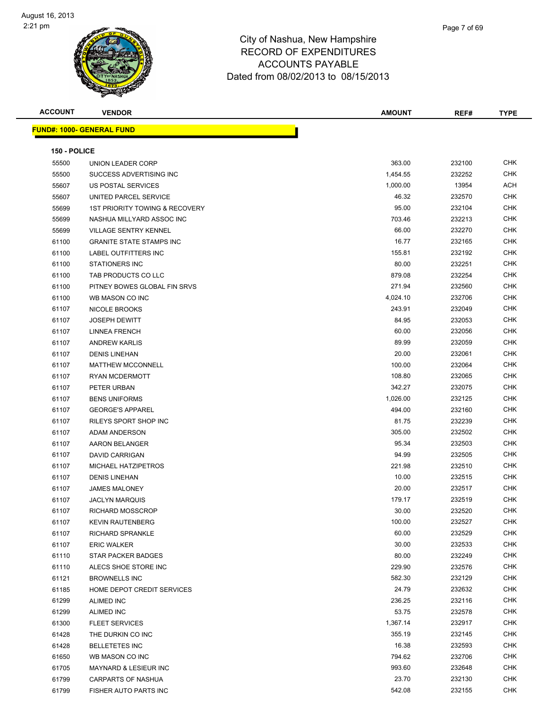

| Page 7 of 69 |
|--------------|
|              |

| <b>ACCOUNT</b> | <b>VENDOR</b>                    | <b>AMOUNT</b> | REF#   | <b>TYPE</b> |
|----------------|----------------------------------|---------------|--------|-------------|
|                | <b>FUND#: 1000- GENERAL FUND</b> |               |        |             |
|                |                                  |               |        |             |
| 150 - POLICE   |                                  |               |        |             |
| 55500          | UNION LEADER CORP                | 363.00        | 232100 | <b>CHK</b>  |
| 55500          | SUCCESS ADVERTISING INC          | 1,454.55      | 232252 | <b>CHK</b>  |
| 55607          | US POSTAL SERVICES               | 1,000.00      | 13954  | <b>ACH</b>  |
| 55607          | UNITED PARCEL SERVICE            | 46.32         | 232570 | <b>CHK</b>  |
| 55699          | 1ST PRIORITY TOWING & RECOVERY   | 95.00         | 232104 | CHK         |
| 55699          | NASHUA MILLYARD ASSOC INC        | 703.46        | 232213 | <b>CHK</b>  |
| 55699          | <b>VILLAGE SENTRY KENNEL</b>     | 66.00         | 232270 | <b>CHK</b>  |
| 61100          | <b>GRANITE STATE STAMPS INC</b>  | 16.77         | 232165 | <b>CHK</b>  |
| 61100          | LABEL OUTFITTERS INC             | 155.81        | 232192 | CHK         |
| 61100          | <b>STATIONERS INC</b>            | 80.00         | 232251 | <b>CHK</b>  |
| 61100          | TAB PRODUCTS CO LLC              | 879.08        | 232254 | <b>CHK</b>  |
| 61100          | PITNEY BOWES GLOBAL FIN SRVS     | 271.94        | 232560 | <b>CHK</b>  |
| 61100          | WB MASON CO INC                  | 4,024.10      | 232706 | <b>CHK</b>  |
| 61107          | <b>NICOLE BROOKS</b>             | 243.91        | 232049 | CHK         |
| 61107          | <b>JOSEPH DEWITT</b>             | 84.95         | 232053 | CHK         |
| 61107          | <b>LINNEA FRENCH</b>             | 60.00         | 232056 | CHK         |
| 61107          | <b>ANDREW KARLIS</b>             | 89.99         | 232059 | CHK         |
| 61107          | <b>DENIS LINEHAN</b>             | 20.00         | 232061 | <b>CHK</b>  |
| 61107          | <b>MATTHEW MCCONNELL</b>         | 100.00        | 232064 | <b>CHK</b>  |
| 61107          | <b>RYAN MCDERMOTT</b>            | 108.80        | 232065 | CHK         |
| 61107          | PETER URBAN                      | 342.27        | 232075 | <b>CHK</b>  |
| 61107          | <b>BENS UNIFORMS</b>             | 1,026.00      | 232125 | <b>CHK</b>  |
| 61107          | <b>GEORGE'S APPAREL</b>          | 494.00        | 232160 | <b>CHK</b>  |
| 61107          | RILEYS SPORT SHOP INC            | 81.75         | 232239 | CHK         |
| 61107          | ADAM ANDERSON                    | 305.00        | 232502 | <b>CHK</b>  |
| 61107          | AARON BELANGER                   | 95.34         | 232503 | <b>CHK</b>  |
| 61107          | DAVID CARRIGAN                   | 94.99         | 232505 | <b>CHK</b>  |
| 61107          | MICHAEL HATZIPETROS              | 221.98        | 232510 | CHK         |
| 61107          | <b>DENIS LINEHAN</b>             | 10.00         | 232515 | <b>CHK</b>  |
| 61107          | <b>JAMES MALONEY</b>             | 20.00         | 232517 | <b>CHK</b>  |
| 61107          | <b>JACLYN MARQUIS</b>            | 179.17        | 232519 | <b>CHK</b>  |
| 61107          | RICHARD MOSSCROP                 | 30.00         | 232520 | CHK         |
| 61107          | <b>KEVIN RAUTENBERG</b>          | 100.00        | 232527 | <b>CHK</b>  |
| 61107          | <b>RICHARD SPRANKLE</b>          | 60.00         | 232529 | <b>CHK</b>  |
| 61107          | <b>ERIC WALKER</b>               | 30.00         | 232533 | CHK         |
| 61110          | STAR PACKER BADGES               | 80.00         | 232249 | <b>CHK</b>  |
| 61110          | ALECS SHOE STORE INC             | 229.90        | 232576 | <b>CHK</b>  |
| 61121          | <b>BROWNELLS INC</b>             | 582.30        | 232129 | <b>CHK</b>  |
| 61185          | HOME DEPOT CREDIT SERVICES       | 24.79         | 232632 | <b>CHK</b>  |
| 61299          | <b>ALIMED INC</b>                | 236.25        | 232116 | <b>CHK</b>  |
| 61299          | <b>ALIMED INC</b>                | 53.75         | 232578 | CHK         |
| 61300          | <b>FLEET SERVICES</b>            | 1,367.14      | 232917 | <b>CHK</b>  |
| 61428          | THE DURKIN CO INC                | 355.19        | 232145 | <b>CHK</b>  |
| 61428          | <b>BELLETETES INC</b>            | 16.38         | 232593 | <b>CHK</b>  |
| 61650          | WB MASON CO INC                  | 794.62        | 232706 | <b>CHK</b>  |
| 61705          | MAYNARD & LESIEUR INC            | 993.60        | 232648 | CHK         |
| 61799          | CARPARTS OF NASHUA               | 23.70         | 232130 | CHK         |
| 61799          | FISHER AUTO PARTS INC            | 542.08        | 232155 | CHK         |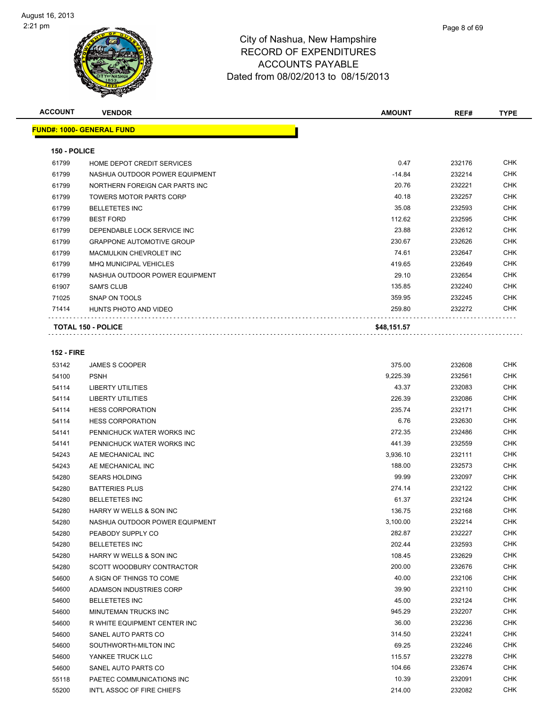| <b>ACCOUNT</b> | <b>VENDOR</b>                    | <b>AMOUNT</b> | REF#   | <b>TYPE</b> |
|----------------|----------------------------------|---------------|--------|-------------|
|                | <b>FUND#: 1000- GENERAL FUND</b> |               |        |             |
| 150 - POLICE   |                                  |               |        |             |
| 61799          | HOME DEPOT CREDIT SERVICES       | 0.47          | 232176 | <b>CHK</b>  |
| 61799          | NASHUA OUTDOOR POWER EQUIPMENT   | $-14.84$      | 232214 | <b>CHK</b>  |
| 61799          | NORTHERN FOREIGN CAR PARTS INC   | 20.76         | 232221 | <b>CHK</b>  |
| 61799          | <b>TOWERS MOTOR PARTS CORP</b>   | 40.18         | 232257 | <b>CHK</b>  |
| 61799          | <b>BELLETETES INC</b>            | 35.08         | 232593 | <b>CHK</b>  |
| 61799          | <b>BEST FORD</b>                 | 112.62        | 232595 | <b>CHK</b>  |
| 61799          | DEPENDABLE LOCK SERVICE INC      | 23.88         | 232612 | <b>CHK</b>  |
| 61799          | <b>GRAPPONE AUTOMOTIVE GROUP</b> | 230.67        | 232626 | <b>CHK</b>  |
| 61799          | MACMULKIN CHEVROLET INC          | 74.61         | 232647 | <b>CHK</b>  |
| 61799          | <b>MHQ MUNICIPAL VEHICLES</b>    | 419.65        | 232649 | <b>CHK</b>  |
| 61799          | NASHUA OUTDOOR POWER EQUIPMENT   | 29.10         | 232654 | <b>CHK</b>  |
| 61907          | <b>SAM'S CLUB</b>                | 135.85        | 232240 | <b>CHK</b>  |
| 71025          | <b>SNAP ON TOOLS</b>             | 359.95        | 232245 | <b>CHK</b>  |
| 71414          | HUNTS PHOTO AND VIDEO            | 259.80        | 232272 | <b>CHK</b>  |
|                | <b>TOTAL 150 - POLICE</b>        | \$48,151.57   |        |             |

#### **152 - FIRE**

| 53142 | <b>JAMES S COOPER</b>          | 375.00   | 232608 | <b>CHK</b> |
|-------|--------------------------------|----------|--------|------------|
| 54100 | <b>PSNH</b>                    | 9,225.39 | 232561 | <b>CHK</b> |
| 54114 | <b>LIBERTY UTILITIES</b>       | 43.37    | 232083 | <b>CHK</b> |
| 54114 | <b>LIBERTY UTILITIES</b>       | 226.39   | 232086 | <b>CHK</b> |
| 54114 | <b>HESS CORPORATION</b>        | 235.74   | 232171 | <b>CHK</b> |
| 54114 | <b>HESS CORPORATION</b>        | 6.76     | 232630 | <b>CHK</b> |
| 54141 | PENNICHUCK WATER WORKS INC     | 272.35   | 232486 | <b>CHK</b> |
| 54141 | PENNICHUCK WATER WORKS INC     | 441.39   | 232559 | <b>CHK</b> |
| 54243 | AE MECHANICAL INC              | 3,936.10 | 232111 | <b>CHK</b> |
| 54243 | AE MECHANICAL INC              | 188.00   | 232573 | <b>CHK</b> |
| 54280 | <b>SEARS HOLDING</b>           | 99.99    | 232097 | <b>CHK</b> |
| 54280 | <b>BATTERIES PLUS</b>          | 274.14   | 232122 | <b>CHK</b> |
| 54280 | <b>BELLETETES INC</b>          | 61.37    | 232124 | <b>CHK</b> |
| 54280 | HARRY W WELLS & SON INC        | 136.75   | 232168 | <b>CHK</b> |
| 54280 | NASHUA OUTDOOR POWER EQUIPMENT | 3,100.00 | 232214 | <b>CHK</b> |
| 54280 | PEABODY SUPPLY CO              | 282.87   | 232227 | <b>CHK</b> |
| 54280 | <b>BELLETETES INC</b>          | 202.44   | 232593 | <b>CHK</b> |
| 54280 | HARRY W WELLS & SON INC        | 108.45   | 232629 | <b>CHK</b> |
| 54280 | SCOTT WOODBURY CONTRACTOR      | 200.00   | 232676 | <b>CHK</b> |
| 54600 | A SIGN OF THINGS TO COME       | 40.00    | 232106 | <b>CHK</b> |
| 54600 | ADAMSON INDUSTRIES CORP        | 39.90    | 232110 | <b>CHK</b> |
| 54600 | <b>BELLETETES INC</b>          | 45.00    | 232124 | <b>CHK</b> |
| 54600 | <b>MINUTEMAN TRUCKS INC</b>    | 945.29   | 232207 | <b>CHK</b> |
| 54600 | R WHITE EQUIPMENT CENTER INC   | 36.00    | 232236 | <b>CHK</b> |
| 54600 | SANEL AUTO PARTS CO            | 314.50   | 232241 | <b>CHK</b> |
| 54600 | SOUTHWORTH-MILTON INC          | 69.25    | 232246 | <b>CHK</b> |
| 54600 | YANKEE TRUCK LLC               | 115.57   | 232278 | <b>CHK</b> |
| 54600 | SANEL AUTO PARTS CO            | 104.66   | 232674 | <b>CHK</b> |
| 55118 | PAETEC COMMUNICATIONS INC      | 10.39    | 232091 | <b>CHK</b> |
| 55200 | INT'L ASSOC OF FIRE CHIEFS     | 214.00   | 232082 | <b>CHK</b> |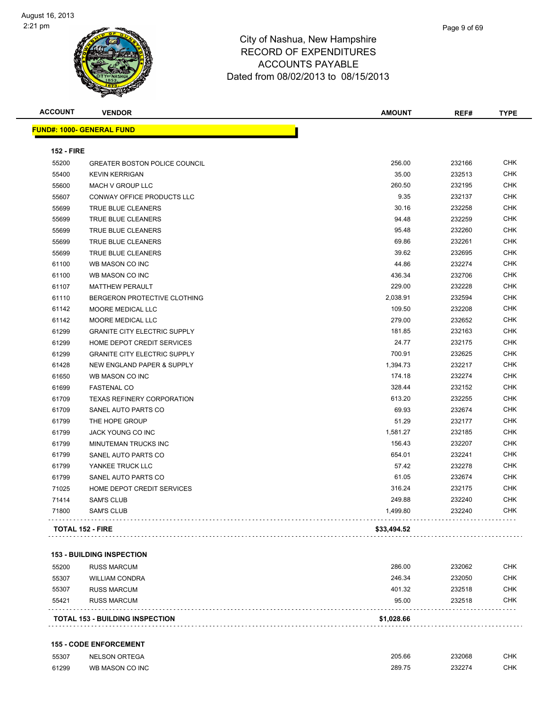

| ampshire       |  |  |
|----------------|--|--|
| <b>DITURES</b> |  |  |

Page 9 of 69

| <b>ACCOUNT</b>    | <b>VENDOR</b>                        | <b>AMOUNT</b> | REF#   | <b>TYPE</b> |
|-------------------|--------------------------------------|---------------|--------|-------------|
|                   | <b>FUND#: 1000- GENERAL FUND</b>     |               |        |             |
| <b>152 - FIRE</b> |                                      |               |        |             |
| 55200             | <b>GREATER BOSTON POLICE COUNCIL</b> | 256.00        | 232166 | <b>CHK</b>  |
| 55400             | <b>KEVIN KERRIGAN</b>                | 35.00         | 232513 | <b>CHK</b>  |
| 55600             | MACH V GROUP LLC                     | 260.50        | 232195 | <b>CHK</b>  |
| 55607             | CONWAY OFFICE PRODUCTS LLC           | 9.35          | 232137 | <b>CHK</b>  |
| 55699             | TRUE BLUE CLEANERS                   | 30.16         | 232258 | <b>CHK</b>  |
| 55699             | TRUE BLUE CLEANERS                   | 94.48         | 232259 | <b>CHK</b>  |
| 55699             | TRUE BLUE CLEANERS                   | 95.48         | 232260 | <b>CHK</b>  |
| 55699             | TRUE BLUE CLEANERS                   | 69.86         | 232261 | <b>CHK</b>  |
| 55699             | TRUE BLUE CLEANERS                   | 39.62         | 232695 | <b>CHK</b>  |
| 61100             | WB MASON CO INC                      | 44.86         | 232274 | <b>CHK</b>  |
| 61100             | WB MASON CO INC                      | 436.34        | 232706 | <b>CHK</b>  |
| 61107             | <b>MATTHEW PERAULT</b>               | 229.00        | 232228 | <b>CHK</b>  |
| 61110             | BERGERON PROTECTIVE CLOTHING         | 2,038.91      | 232594 | <b>CHK</b>  |
| 61142             | MOORE MEDICAL LLC                    | 109.50        | 232208 | <b>CHK</b>  |
| 61142             | MOORE MEDICAL LLC                    | 279.00        | 232652 | <b>CHK</b>  |
| 61299             | <b>GRANITE CITY ELECTRIC SUPPLY</b>  | 181.85        | 232163 | <b>CHK</b>  |
| 61299             | HOME DEPOT CREDIT SERVICES           | 24.77         | 232175 | <b>CHK</b>  |
| 61299             | <b>GRANITE CITY ELECTRIC SUPPLY</b>  | 700.91        | 232625 | <b>CHK</b>  |
| 61428             | NEW ENGLAND PAPER & SUPPLY           | 1,394.73      | 232217 | <b>CHK</b>  |
| 61650             | WB MASON CO INC                      | 174.18        | 232274 | <b>CHK</b>  |
| 61699             | <b>FASTENAL CO</b>                   | 328.44        | 232152 | <b>CHK</b>  |
| 61709             | <b>TEXAS REFINERY CORPORATION</b>    | 613.20        | 232255 | <b>CHK</b>  |
| 61709             | SANEL AUTO PARTS CO                  | 69.93         | 232674 | <b>CHK</b>  |
| 61799             | THE HOPE GROUP                       | 51.29         | 232177 | <b>CHK</b>  |
| 61799             | JACK YOUNG CO INC                    | 1,581.27      | 232185 | <b>CHK</b>  |
| 61799             | MINUTEMAN TRUCKS INC                 | 156.43        | 232207 | <b>CHK</b>  |
| 61799             | SANEL AUTO PARTS CO                  | 654.01        | 232241 | <b>CHK</b>  |
| 61799             | YANKEE TRUCK LLC                     | 57.42         | 232278 | <b>CHK</b>  |
| 61799             | SANEL AUTO PARTS CO                  | 61.05         | 232674 | <b>CHK</b>  |
| 71025             | HOME DEPOT CREDIT SERVICES           | 316.24        | 232175 | <b>CHK</b>  |
| 71414             | <b>SAM'S CLUB</b>                    | 249.88        | 232240 | <b>CHK</b>  |
| 71800             | <b>SAM'S CLUB</b>                    | 1,499.80      | 232240 | <b>CHK</b>  |
|                   | <b>TOTAL 152 - FIRE</b>              | \$33,494.52   |        |             |

#### **153 - BUILDING INSPECTION**

| <b>TOTAL 153 - BUILDING INSPECTION</b> |                       |        |        |            |
|----------------------------------------|-----------------------|--------|--------|------------|
| 55421                                  | <b>RUSS MARCUM</b>    | 95.00  | 232518 | <b>CHK</b> |
| 55307                                  | <b>RUSS MARCUM</b>    | 401.32 | 232518 | <b>CHK</b> |
| 55307                                  | <b>WILLIAM CONDRA</b> | 246.34 | 232050 | CHK        |
| 55200                                  | <b>RUSS MARCUM</b>    | 286.00 | 232062 | <b>CHK</b> |

#### **155 - CODE ENFORCEMENT**

| 55307 | NELSON ORTEGA   | 205.66<br>. | 232068        | $\sim$<br>∪⊓ก             |
|-------|-----------------|-------------|---------------|---------------------------|
| 61299 | WB MASON CO INC | 289.75<br>. | 0002<br>20221 | C <sub>1</sub> 11Z<br>∪⊓ก |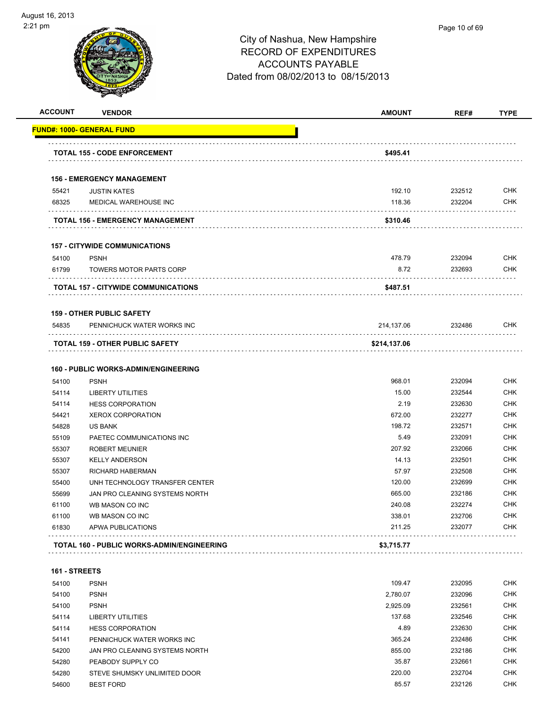

| <b>ACCOUNT</b> | <b>VENDOR</b>                                            | <b>AMOUNT</b> | REF#   | <b>TYPE</b> |
|----------------|----------------------------------------------------------|---------------|--------|-------------|
|                | <u> FUND#: 1000- GENERAL FUND</u>                        |               |        |             |
|                | <b>TOTAL 155 - CODE ENFORCEMENT</b>                      | \$495.41      |        |             |
|                |                                                          |               |        |             |
|                | <b>156 - EMERGENCY MANAGEMENT</b><br><b>JUSTIN KATES</b> | 192.10        | 232512 | <b>CHK</b>  |
| 55421<br>68325 | MEDICAL WAREHOUSE INC                                    | 118.36        | 232204 | <b>CHK</b>  |
|                | <b>TOTAL 156 - EMERGENCY MANAGEMENT</b>                  | \$310.46      |        |             |
|                |                                                          |               |        |             |
|                | <b>157 - CITYWIDE COMMUNICATIONS</b>                     |               |        |             |
| 54100          | <b>PSNH</b>                                              | 478.79        | 232094 | <b>CHK</b>  |
| 61799          | <b>TOWERS MOTOR PARTS CORP</b>                           | 8.72          | 232693 | <b>CHK</b>  |
|                | TOTAL 157 - CITYWIDE COMMUNICATIONS                      | \$487.51      |        |             |
|                | <b>159 - OTHER PUBLIC SAFETY</b>                         |               |        |             |
| 54835          | PENNICHUCK WATER WORKS INC                               | 214,137.06    | 232486 | <b>CHK</b>  |
|                | <b>TOTAL 159 - OTHER PUBLIC SAFETY</b>                   | \$214,137.06  |        |             |
|                |                                                          |               |        |             |
|                | <b>160 - PUBLIC WORKS-ADMIN/ENGINEERING</b>              |               |        |             |
| 54100          | <b>PSNH</b>                                              | 968.01        | 232094 | <b>CHK</b>  |
| 54114          | <b>LIBERTY UTILITIES</b>                                 | 15.00         | 232544 | <b>CHK</b>  |
| 54114          | <b>HESS CORPORATION</b>                                  | 2.19          | 232630 | <b>CHK</b>  |
| 54421          | <b>XEROX CORPORATION</b>                                 | 672.00        | 232277 | <b>CHK</b>  |
| 54828          | US BANK                                                  | 198.72        | 232571 | <b>CHK</b>  |
| 55109          | PAETEC COMMUNICATIONS INC                                | 5.49          | 232091 | <b>CHK</b>  |
| 55307          | <b>ROBERT MEUNIER</b>                                    | 207.92        | 232066 | <b>CHK</b>  |
| 55307          | <b>KELLY ANDERSON</b>                                    | 14.13         | 232501 | <b>CHK</b>  |
| 55307          | RICHARD HABERMAN                                         | 57.97         | 232508 | <b>CHK</b>  |
| 55400          | UNH TECHNOLOGY TRANSFER CENTER                           | 120.00        | 232699 | <b>CHK</b>  |
| 55699          | JAN PRO CLEANING SYSTEMS NORTH                           | 665.00        | 232186 | <b>CHK</b>  |
| 61100          | WB MASON CO INC                                          | 240.08        | 232274 | <b>CHK</b>  |
| 61100          | WB MASON CO INC                                          | 338.01        | 232706 | <b>CHK</b>  |
| 61830          | APWA PUBLICATIONS                                        | 211.25        | 232077 | <b>CHK</b>  |
|                | <b>TOTAL 160 - PUBLIC WORKS-ADMIN/ENGINEERING</b>        | \$3,715.77    |        |             |
|                |                                                          |               |        |             |
| 161 - STREETS  |                                                          |               |        |             |

| 54100 | <b>PSNH</b>                    | 109.47   | 232095 | <b>CHK</b> |
|-------|--------------------------------|----------|--------|------------|
| 54100 | <b>PSNH</b>                    | 2,780.07 | 232096 | <b>CHK</b> |
| 54100 | <b>PSNH</b>                    | 2,925.09 | 232561 | <b>CHK</b> |
| 54114 | LIBERTY UTILITIES              | 137.68   | 232546 | <b>CHK</b> |
| 54114 | <b>HESS CORPORATION</b>        | 4.89     | 232630 | <b>CHK</b> |
| 54141 | PENNICHUCK WATER WORKS INC     | 365.24   | 232486 | <b>CHK</b> |
| 54200 | JAN PRO CLEANING SYSTEMS NORTH | 855.00   | 232186 | <b>CHK</b> |
| 54280 | PEABODY SUPPLY CO              | 35.87    | 232661 | <b>CHK</b> |
| 54280 | STEVE SHUMSKY UNLIMITED DOOR   | 220.00   | 232704 | <b>CHK</b> |
| 54600 | <b>BEST FORD</b>               | 85.57    | 232126 | <b>CHK</b> |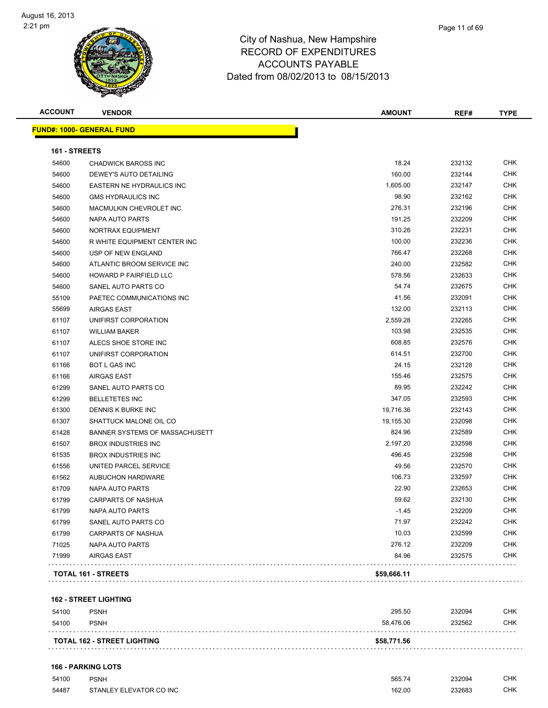| <b>ACCOUNT</b> | <b>VENDOR</b>                    | <b>AMOUNT</b> | REF#   | <b>TYPE</b> |
|----------------|----------------------------------|---------------|--------|-------------|
|                | <b>FUND#: 1000- GENERAL FUND</b> |               |        |             |
| 161 - STREETS  |                                  |               |        |             |
| 54600          | <b>CHADWICK BAROSS INC</b>       | 18.24         | 232132 | <b>CHK</b>  |
| 54600          | DEWEY'S AUTO DETAILING           | 160.00        | 232144 | <b>CHK</b>  |
| 54600          | EASTERN NE HYDRAULICS INC        | 1,605.00      | 232147 | CHK         |
| 54600          | <b>GMS HYDRAULICS INC</b>        | 98.90         | 232162 | <b>CHK</b>  |
| 54600          | MACMULKIN CHEVROLET INC          | 276.31        | 232196 | <b>CHK</b>  |
| 54600          | NAPA AUTO PARTS                  | 191.25        | 232209 | <b>CHK</b>  |
| 54600          | NORTRAX EQUIPMENT                | 310.26        | 232231 | <b>CHK</b>  |
| 54600          | R WHITE EQUIPMENT CENTER INC     | 100.00        | 232236 | CHK         |
| 54600          | USP OF NEW ENGLAND               | 766.47        | 232268 | <b>CHK</b>  |
| 54600          | ATLANTIC BROOM SERVICE INC       | 240.00        | 232582 | <b>CHK</b>  |
| 54600          | HOWARD P FAIRFIELD LLC           | 578.56        | 232633 | <b>CHK</b>  |
| 54600          | SANEL AUTO PARTS CO              | 54.74         | 232675 | <b>CHK</b>  |
| 55109          | PAETEC COMMUNICATIONS INC        | 41.56         | 232091 | <b>CHK</b>  |
| 55699          | <b>AIRGAS EAST</b>               | 132.00        | 232113 | CHK         |
| 61107          | UNIFIRST CORPORATION             | 2,559.28      | 232265 | <b>CHK</b>  |
| 61107          | <b>WILLIAM BAKER</b>             | 103.98        | 232535 | CHK         |
| 61107          | ALECS SHOE STORE INC             | 608.85        | 232576 | CHK         |
| 61107          | UNIFIRST CORPORATION             | 614.51        | 232700 | CHK         |
| 61166          | <b>BOT L GAS INC</b>             | 24.15         | 232128 | CHK         |
| 61166          | <b>AIRGAS EAST</b>               | 155.46        | 232575 | CHK         |
| 61299          | SANEL AUTO PARTS CO              | 89.95         | 232242 | <b>CHK</b>  |
| 61299          | <b>BELLETETES INC</b>            | 347.05        | 232593 | <b>CHK</b>  |
| 61300          | DENNIS K BURKE INC               | 19,716.36     | 232143 | <b>CHK</b>  |
| 61307          | SHATTUCK MALONE OIL CO           | 19,155.30     | 232098 | <b>CHK</b>  |
| 61428          | BANNER SYSTEMS OF MASSACHUSETT   | 824.96        | 232589 | CHK         |
| 61507          | <b>BROX INDUSTRIES INC</b>       | 2,197.20      | 232598 | <b>CHK</b>  |
| 61535          | <b>BROX INDUSTRIES INC</b>       | 496.45        | 232598 | <b>CHK</b>  |
| 61556          | UNITED PARCEL SERVICE            | 49.56         | 232570 | CHK         |
| 61562          | <b>AUBUCHON HARDWARE</b>         | 106.73        | 232597 | <b>CHK</b>  |
| 61709          | NAPA AUTO PARTS                  | 22.90         | 232653 | CHK         |
| 61799          | <b>CARPARTS OF NASHUA</b>        | 59.62         | 232130 | CHK         |
| 61799          | NAPA AUTO PARTS                  | $-1.45$       | 232209 | CHK         |
| 61799          | SANEL AUTO PARTS CO              | 71.97         | 232242 | <b>CHK</b>  |
| 61799          | CARPARTS OF NASHUA               | 10.03         | 232599 | <b>CHK</b>  |
| 71025          | NAPA AUTO PARTS                  | 276.12        | 232209 | <b>CHK</b>  |
| 71999          | <b>AIRGAS EAST</b>               | 84.96         | 232575 | <b>CHK</b>  |
|                | TOTAL 161 - STREETS              | \$59,666.11   |        |             |

#### **162 - STREET LIGHTING**

| 54100 | <b>PSNH</b>                        | 295.50      | 232094 | СНК        |
|-------|------------------------------------|-------------|--------|------------|
| 54100 | <b>PSNH</b>                        | 58.476.06   | 232562 | <b>CHK</b> |
|       | <b>TOTAL 162 - STREET LIGHTING</b> | \$58,771.56 |        |            |

| 54100 | <b>PSNH</b>             | 565.7/<br>- - 200 | 232094      | CHK |
|-------|-------------------------|-------------------|-------------|-----|
| 54487 | STANLEY ELEVATOR CO INC | 162.00<br>.       | 232683<br>. | CHK |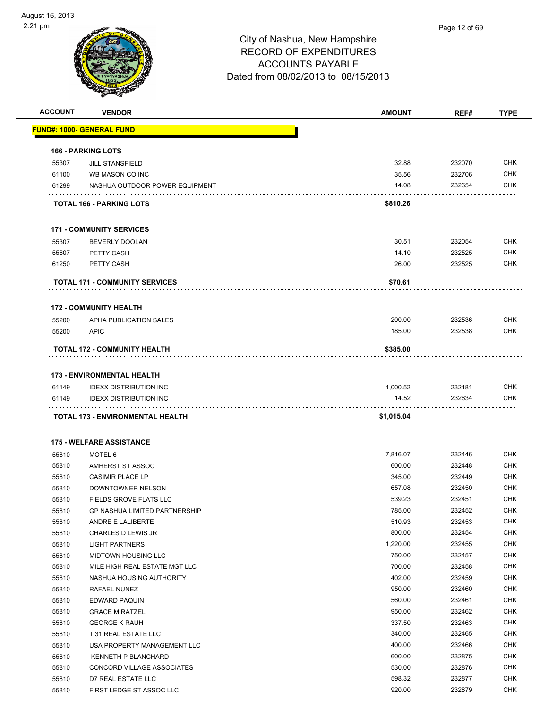| <b>ACCOUNT</b> | <b>VENDOR</b>                         | <b>AMOUNT</b> | REF#   | <b>TYPE</b> |
|----------------|---------------------------------------|---------------|--------|-------------|
|                | <u> FUND#: 1000- GENERAL FUND</u>     |               |        |             |
|                |                                       |               |        |             |
|                | <b>166 - PARKING LOTS</b>             |               |        |             |
| 55307          | <b>JILL STANSFIELD</b>                | 32.88         | 232070 | <b>CHK</b>  |
| 61100          | WB MASON CO INC                       | 35.56         | 232706 | <b>CHK</b>  |
| 61299          | NASHUA OUTDOOR POWER EQUIPMENT        | 14.08         | 232654 | <b>CHK</b>  |
|                | TOTAL 166 - PARKING LOTS              | \$810.26      |        |             |
|                | <b>171 - COMMUNITY SERVICES</b>       |               |        |             |
| 55307          | <b>BEVERLY DOOLAN</b>                 | 30.51         | 232054 | <b>CHK</b>  |
| 55607          | PETTY CASH                            | 14.10         | 232525 | <b>CHK</b>  |
| 61250          | PETTY CASH                            | 26.00         | 232525 | CHK         |
|                |                                       |               |        |             |
|                | <b>TOTAL 171 - COMMUNITY SERVICES</b> | \$70.61       |        |             |
|                | <b>172 - COMMUNITY HEALTH</b>         |               |        |             |
| 55200          | APHA PUBLICATION SALES                | 200.00        | 232536 | <b>CHK</b>  |
| 55200          | <b>APIC</b>                           | 185.00        | 232538 | <b>CHK</b>  |
|                | TOTAL 172 - COMMUNITY HEALTH          | \$385.00      |        |             |
|                |                                       |               |        |             |
|                | <b>173 - ENVIRONMENTAL HEALTH</b>     |               |        |             |
| 61149          | <b>IDEXX DISTRIBUTION INC</b>         | 1,000.52      | 232181 | <b>CHK</b>  |
| 61149          | <b>IDEXX DISTRIBUTION INC</b>         | 14.52         | 232634 | <b>CHK</b>  |
|                | TOTAL 173 - ENVIRONMENTAL HEALTH      | \$1,015.04    |        |             |
|                |                                       |               |        |             |
|                | <b>175 - WELFARE ASSISTANCE</b>       |               |        |             |
| 55810          | <b>MOTEL 6</b>                        | 7,816.07      | 232446 | <b>CHK</b>  |
| 55810          | AMHERST ST ASSOC                      | 600.00        | 232448 | <b>CHK</b>  |
| 55810          | <b>CASIMIR PLACE LP</b>               | 345.00        | 232449 | <b>CHK</b>  |
| 55810          | DOWNTOWNER NELSON                     | 657.08        | 232450 | <b>CHK</b>  |
| 55810          | FIELDS GROVE FLATS LLC                | 539.23        | 232451 | CHK         |
| 55810          | GP NASHUA LIMITED PARTNERSHIP         | 785.00        | 232452 | CHK         |
| 55810          | ANDRE E LALIBERTE                     | 510.93        | 232453 | <b>CHK</b>  |
| 55810          | CHARLES D LEWIS JR                    | 800.00        | 232454 | <b>CHK</b>  |
| 55810          | <b>LIGHT PARTNERS</b>                 | 1,220.00      | 232455 | <b>CHK</b>  |
| 55810          | <b>MIDTOWN HOUSING LLC</b>            | 750.00        | 232457 | <b>CHK</b>  |
| 55810          | MILE HIGH REAL ESTATE MGT LLC         | 700.00        | 232458 | <b>CHK</b>  |
| 55810          | NASHUA HOUSING AUTHORITY              | 402.00        | 232459 | <b>CHK</b>  |
| 55810          | RAFAEL NUNEZ                          | 950.00        | 232460 | <b>CHK</b>  |
| 55810          | EDWARD PAQUIN                         | 560.00        | 232461 | <b>CHK</b>  |
| 55810          | <b>GRACE M RATZEL</b>                 | 950.00        | 232462 | <b>CHK</b>  |
| 55810          | <b>GEORGE K RAUH</b>                  | 337.50        | 232463 | <b>CHK</b>  |
| 55810          | T 31 REAL ESTATE LLC                  | 340.00        | 232465 | <b>CHK</b>  |
| 55810          | USA PROPERTY MANAGEMENT LLC           | 400.00        | 232466 | <b>CHK</b>  |
| 55810          | KENNETH P BLANCHARD                   | 600.00        | 232875 | <b>CHK</b>  |
| 55810          | CONCORD VILLAGE ASSOCIATES            | 530.00        | 232876 | <b>CHK</b>  |
| 55810          | D7 REAL ESTATE LLC                    | 598.32        | 232877 | <b>CHK</b>  |
| 55810          | FIRST LEDGE ST ASSOC LLC              | 920.00        | 232879 | <b>CHK</b>  |
|                |                                       |               |        |             |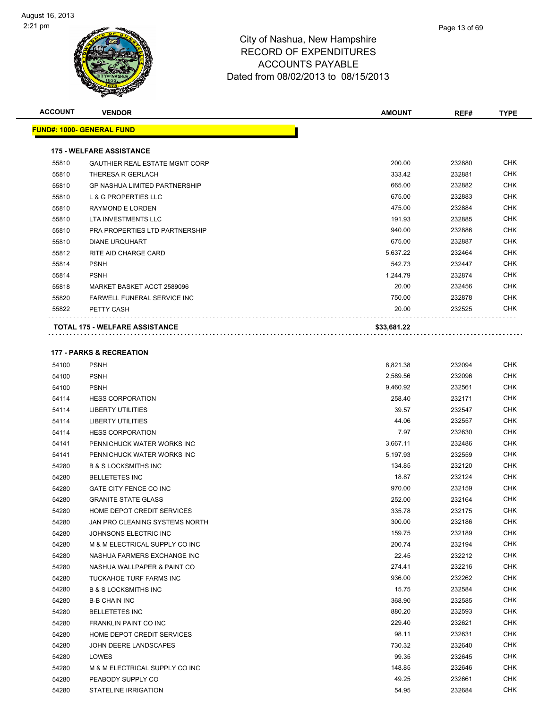| <b>ACCOUNT</b> | <b>VENDOR</b>                         | <b>AMOUNT</b> | REF#   | <b>TYPE</b> |
|----------------|---------------------------------------|---------------|--------|-------------|
|                | <b>FUND#: 1000- GENERAL FUND</b>      |               |        |             |
|                |                                       |               |        |             |
|                | <b>175 - WELFARE ASSISTANCE</b>       |               |        |             |
| 55810          | <b>GAUTHIER REAL ESTATE MGMT CORP</b> | 200.00        | 232880 | <b>CHK</b>  |
| 55810          | THERESA R GERLACH                     | 333.42        | 232881 | <b>CHK</b>  |
| 55810          | <b>GP NASHUA LIMITED PARTNERSHIP</b>  | 665.00        | 232882 | <b>CHK</b>  |
| 55810          | <b>L &amp; G PROPERTIES LLC</b>       | 675.00        | 232883 | <b>CHK</b>  |
| 55810          | <b>RAYMOND E LORDEN</b>               | 475.00        | 232884 | <b>CHK</b>  |
| 55810          | <b>LTA INVESTMENTS LLC</b>            | 191.93        | 232885 | <b>CHK</b>  |
| 55810          | PRA PROPERTIES LTD PARTNERSHIP        | 940.00        | 232886 | <b>CHK</b>  |
| 55810          | <b>DIANE URQUHART</b>                 | 675.00        | 232887 | <b>CHK</b>  |
| 55812          | RITE AID CHARGE CARD                  | 5,637.22      | 232464 | <b>CHK</b>  |
| 55814          | <b>PSNH</b>                           | 542.73        | 232447 | <b>CHK</b>  |
| 55814          | <b>PSNH</b>                           | 1.244.79      | 232874 | <b>CHK</b>  |
| 55818          | MARKET BASKET ACCT 2589096            | 20.00         | 232456 | <b>CHK</b>  |
| 55820          | <b>FARWELL FUNERAL SERVICE INC</b>    | 750.00        | 232878 | <b>CHK</b>  |
| 55822          | PETTY CASH                            | 20.00         | 232525 | <b>CHK</b>  |
|                | <b>TOTAL 175 - WELFARE ASSISTANCE</b> | \$33,681.22   |        |             |
|                | <b>177 - PARKS &amp; RECREATION</b>   |               |        |             |
| 54100          | <b>PSNH</b>                           | 8,821.38      | 232094 | <b>CHK</b>  |
| 54100          | <b>PSNH</b>                           | 2,589.56      | 232096 | <b>CHK</b>  |
| 54100          | <b>PSNH</b>                           | 9,460.92      | 232561 | <b>CHK</b>  |
| 54114          | <b>HESS CORPORATION</b>               | 258.40        | 232171 | <b>CHK</b>  |
| 54114          | <b>LIBERTY UTILITIES</b>              | 39.57         | 232547 | <b>CHK</b>  |
| 54114          | <b>LIBERTY UTILITIES</b>              | 44.06         | 232557 | <b>CHK</b>  |
| 54114          | <b>HESS CORPORATION</b>               | 7.97          | 232630 | <b>CHK</b>  |
|                |                                       |               |        |             |

| 54100 | <b>PSNH</b>                       | 8,821.38 | 232094 | <b>CHK</b> |
|-------|-----------------------------------|----------|--------|------------|
| 54100 | <b>PSNH</b>                       | 2,589.56 | 232096 | <b>CHK</b> |
| 54100 | <b>PSNH</b>                       | 9,460.92 | 232561 | CHK        |
| 54114 | <b>HESS CORPORATION</b>           | 258.40   | 232171 | <b>CHK</b> |
| 54114 | <b>LIBERTY UTILITIES</b>          | 39.57    | 232547 | <b>CHK</b> |
| 54114 | <b>LIBERTY UTILITIES</b>          | 44.06    | 232557 | <b>CHK</b> |
| 54114 | <b>HESS CORPORATION</b>           | 7.97     | 232630 | <b>CHK</b> |
| 54141 | PENNICHUCK WATER WORKS INC        | 3,667.11 | 232486 | <b>CHK</b> |
| 54141 | PENNICHUCK WATER WORKS INC        | 5,197.93 | 232559 | <b>CHK</b> |
| 54280 | <b>B &amp; S LOCKSMITHS INC</b>   | 134.85   | 232120 | <b>CHK</b> |
| 54280 | <b>BELLETETES INC</b>             | 18.87    | 232124 | <b>CHK</b> |
| 54280 | <b>GATE CITY FENCE CO INC</b>     | 970.00   | 232159 | <b>CHK</b> |
| 54280 | <b>GRANITE STATE GLASS</b>        | 252.00   | 232164 | <b>CHK</b> |
| 54280 | HOME DEPOT CREDIT SERVICES        | 335.78   | 232175 | <b>CHK</b> |
| 54280 | JAN PRO CLEANING SYSTEMS NORTH    | 300.00   | 232186 | <b>CHK</b> |
| 54280 | JOHNSONS ELECTRIC INC             | 159.75   | 232189 | <b>CHK</b> |
| 54280 | M & M ELECTRICAL SUPPLY CO INC    | 200.74   | 232194 | <b>CHK</b> |
| 54280 | NASHUA FARMERS EXCHANGE INC       | 22.45    | 232212 | <b>CHK</b> |
| 54280 | NASHUA WALLPAPER & PAINT CO       | 274.41   | 232216 | <b>CHK</b> |
| 54280 | TUCKAHOE TURF FARMS INC           | 936.00   | 232262 | <b>CHK</b> |
| 54280 | <b>B &amp; S LOCKSMITHS INC</b>   | 15.75    | 232584 | <b>CHK</b> |
| 54280 | <b>B-B CHAIN INC</b>              | 368.90   | 232585 | <b>CHK</b> |
| 54280 | <b>BELLETETES INC</b>             | 880.20   | 232593 | <b>CHK</b> |
| 54280 | <b>FRANKLIN PAINT CO INC</b>      | 229.40   | 232621 | <b>CHK</b> |
| 54280 | <b>HOME DEPOT CREDIT SERVICES</b> | 98.11    | 232631 | <b>CHK</b> |
| 54280 | JOHN DEERE LANDSCAPES             | 730.32   | 232640 | <b>CHK</b> |
| 54280 | LOWES                             | 99.35    | 232645 | <b>CHK</b> |
| 54280 | M & M ELECTRICAL SUPPLY CO INC    | 148.85   | 232646 | <b>CHK</b> |
| 54280 | PEABODY SUPPLY CO                 | 49.25    | 232661 | <b>CHK</b> |
| 54280 | <b>STATELINE IRRIGATION</b>       | 54.95    | 232684 | <b>CHK</b> |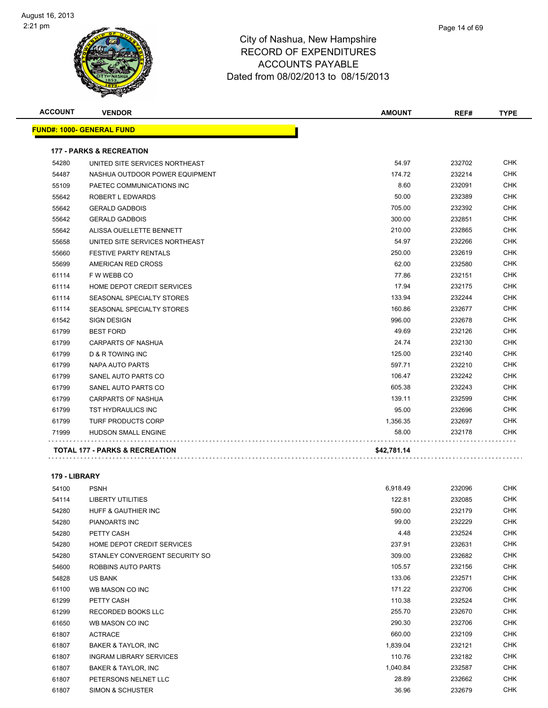| <b>ACCOUNT</b> | <b>VENDOR</b>                             | <b>AMOUNT</b> | REF#   | <b>TYPE</b> |
|----------------|-------------------------------------------|---------------|--------|-------------|
|                | <b>FUND#: 1000- GENERAL FUND</b>          |               |        |             |
|                | <b>177 - PARKS &amp; RECREATION</b>       |               |        |             |
| 54280          | UNITED SITE SERVICES NORTHEAST            | 54.97         | 232702 | <b>CHK</b>  |
| 54487          | NASHUA OUTDOOR POWER EQUIPMENT            | 174.72        | 232214 | <b>CHK</b>  |
| 55109          | PAETEC COMMUNICATIONS INC                 | 8.60          | 232091 | <b>CHK</b>  |
| 55642          | ROBERT L EDWARDS                          | 50.00         | 232389 | <b>CHK</b>  |
| 55642          | <b>GERALD GADBOIS</b>                     | 705.00        | 232392 | <b>CHK</b>  |
| 55642          | <b>GERALD GADBOIS</b>                     | 300.00        | 232851 | <b>CHK</b>  |
| 55642          | ALISSA OUELLETTE BENNETT                  | 210.00        | 232865 | <b>CHK</b>  |
| 55658          | UNITED SITE SERVICES NORTHEAST            | 54.97         | 232266 | <b>CHK</b>  |
| 55660          | <b>FESTIVE PARTY RENTALS</b>              | 250.00        | 232619 | <b>CHK</b>  |
| 55699          | AMERICAN RED CROSS                        | 62.00         | 232580 | <b>CHK</b>  |
| 61114          | F W WEBB CO                               | 77.86         | 232151 | <b>CHK</b>  |
| 61114          | HOME DEPOT CREDIT SERVICES                | 17.94         | 232175 | <b>CHK</b>  |
| 61114          | SEASONAL SPECIALTY STORES                 | 133.94        | 232244 | <b>CHK</b>  |
| 61114          | SEASONAL SPECIALTY STORES                 | 160.86        | 232677 | <b>CHK</b>  |
| 61542          | <b>SIGN DESIGN</b>                        | 996.00        | 232678 | <b>CHK</b>  |
| 61799          | <b>BEST FORD</b>                          | 49.69         | 232126 | <b>CHK</b>  |
| 61799          | <b>CARPARTS OF NASHUA</b>                 | 24.74         | 232130 | <b>CHK</b>  |
| 61799          | <b>D &amp; R TOWING INC</b>               | 125.00        | 232140 | <b>CHK</b>  |
| 61799          | NAPA AUTO PARTS                           | 597.71        | 232210 | <b>CHK</b>  |
| 61799          | SANEL AUTO PARTS CO                       | 106.47        | 232242 | <b>CHK</b>  |
| 61799          | SANEL AUTO PARTS CO                       | 605.38        | 232243 | <b>CHK</b>  |
| 61799          | <b>CARPARTS OF NASHUA</b>                 | 139.11        | 232599 | <b>CHK</b>  |
| 61799          | TST HYDRAULICS INC                        | 95.00         | 232696 | <b>CHK</b>  |
| 61799          | TURF PRODUCTS CORP                        | 1,356.35      | 232697 | <b>CHK</b>  |
| 71999          | <b>HUDSON SMALL ENGINE</b>                | 58.00         | 232178 | CHK         |
|                | <b>TOTAL 177 - PARKS &amp; RECREATION</b> | \$42,781.14   |        |             |
|                |                                           |               |        |             |

#### **179 - LIBRARY**

| 54100 | <b>PSNH</b>                    | 6,918.49 | 232096 | <b>CHK</b> |
|-------|--------------------------------|----------|--------|------------|
| 54114 | <b>LIBERTY UTILITIES</b>       | 122.81   | 232085 | <b>CHK</b> |
| 54280 | <b>HUFF &amp; GAUTHIER INC</b> | 590.00   | 232179 | <b>CHK</b> |
| 54280 | PIANOARTS INC                  | 99.00    | 232229 | <b>CHK</b> |
| 54280 | PETTY CASH                     | 4.48     | 232524 | <b>CHK</b> |
| 54280 | HOME DEPOT CREDIT SERVICES     | 237.91   | 232631 | <b>CHK</b> |
| 54280 | STANLEY CONVERGENT SECURITY SO | 309.00   | 232682 | <b>CHK</b> |
| 54600 | ROBBINS AUTO PARTS             | 105.57   | 232156 | <b>CHK</b> |
| 54828 | US BANK                        | 133.06   | 232571 | <b>CHK</b> |
| 61100 | WB MASON CO INC                | 171.22   | 232706 | <b>CHK</b> |
| 61299 | PETTY CASH                     | 110.38   | 232524 | CHK        |
| 61299 | <b>RECORDED BOOKS LLC</b>      | 255.70   | 232670 | CHK        |
| 61650 | WB MASON CO INC                | 290.30   | 232706 | CHK        |
| 61807 | <b>ACTRACE</b>                 | 660.00   | 232109 | CHK        |
| 61807 | <b>BAKER &amp; TAYLOR, INC</b> | 1,839.04 | 232121 | CHK        |
| 61807 | <b>INGRAM LIBRARY SERVICES</b> | 110.76   | 232182 | CHK        |
| 61807 | <b>BAKER &amp; TAYLOR, INC</b> | 1,040.84 | 232587 | CHK        |
| 61807 | PETERSONS NELNET LLC           | 28.89    | 232662 | CHK        |
| 61807 | SIMON & SCHUSTER               | 36.96    | 232679 | <b>CHK</b> |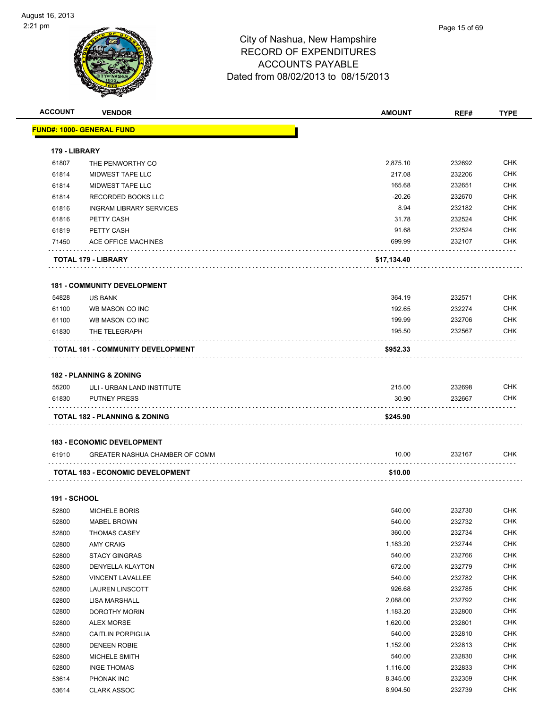| <b>ACCOUNT</b>      | <b>VENDOR</b>                           | <b>AMOUNT</b> | REF#   | <b>TYPE</b> |
|---------------------|-----------------------------------------|---------------|--------|-------------|
|                     | <u> FUND#: 1000- GENERAL FUND</u>       |               |        |             |
|                     |                                         |               |        |             |
| 179 - LIBRARY       |                                         |               |        |             |
| 61807               | THE PENWORTHY CO                        | 2,875.10      | 232692 | <b>CHK</b>  |
| 61814               | <b>MIDWEST TAPE LLC</b>                 | 217.08        | 232206 | <b>CHK</b>  |
| 61814               | MIDWEST TAPE LLC                        | 165.68        | 232651 | <b>CHK</b>  |
| 61814               | RECORDED BOOKS LLC                      | $-20.26$      | 232670 | <b>CHK</b>  |
| 61816               | <b>INGRAM LIBRARY SERVICES</b>          | 8.94          | 232182 | <b>CHK</b>  |
| 61816               | PETTY CASH                              | 31.78         | 232524 | <b>CHK</b>  |
| 61819               | PETTY CASH                              | 91.68         | 232524 | <b>CHK</b>  |
| 71450               | ACE OFFICE MACHINES                     | 699.99        | 232107 | <b>CHK</b>  |
|                     | TOTAL 179 - LIBRARY                     | \$17,134.40   |        |             |
|                     | <b>181 - COMMUNITY DEVELOPMENT</b>      |               |        |             |
| 54828               | <b>US BANK</b>                          | 364.19        | 232571 | <b>CHK</b>  |
| 61100               | WB MASON CO INC                         | 192.65        | 232274 | <b>CHK</b>  |
| 61100               | WB MASON CO INC                         | 199.99        | 232706 | <b>CHK</b>  |
| 61830               | THE TELEGRAPH                           | 195.50        | 232567 | <b>CHK</b>  |
|                     | TOTAL 181 - COMMUNITY DEVELOPMENT       | \$952.33      |        |             |
|                     |                                         |               |        |             |
|                     | <b>182 - PLANNING &amp; ZONING</b>      |               |        |             |
| 55200               | ULI - URBAN LAND INSTITUTE              | 215.00        | 232698 | <b>CHK</b>  |
| 61830               | <b>PUTNEY PRESS</b>                     | 30.90         | 232667 | <b>CHK</b>  |
|                     | TOTAL 182 - PLANNING & ZONING           | \$245.90      |        |             |
|                     | <b>183 - ECONOMIC DEVELOPMENT</b>       |               |        |             |
| 61910               | GREATER NASHUA CHAMBER OF COMM          | 10.00         | 232167 | CHK         |
|                     |                                         |               |        |             |
|                     | <b>TOTAL 183 - ECONOMIC DEVELOPMENT</b> | \$10.00       |        |             |
| <b>191 - SCHOOL</b> |                                         |               |        |             |
| 52800               | MICHELE BORIS                           | 540.00        | 232730 | <b>CHK</b>  |
| 52800               | <b>MABEL BROWN</b>                      | 540.00        | 232732 | <b>CHK</b>  |
| 52800               | THOMAS CASEY                            | 360.00        | 232734 | <b>CHK</b>  |
| 52800               | <b>AMY CRAIG</b>                        | 1,183.20      | 232744 | <b>CHK</b>  |
| 52800               | <b>STACY GINGRAS</b>                    | 540.00        | 232766 | <b>CHK</b>  |
| 52800               | <b>DENYELLA KLAYTON</b>                 | 672.00        | 232779 | <b>CHK</b>  |
| 52800               | VINCENT LAVALLEE                        | 540.00        | 232782 | <b>CHK</b>  |
| 52800               | <b>LAUREN LINSCOTT</b>                  | 926.68        | 232785 | <b>CHK</b>  |
| 52800               | LISA MARSHALL                           | 2,088.00      | 232792 | <b>CHK</b>  |
| 52800               | DOROTHY MORIN                           | 1,183.20      | 232800 | <b>CHK</b>  |
| 52800               | <b>ALEX MORSE</b>                       | 1,620.00      | 232801 | <b>CHK</b>  |
| 52800               | <b>CAITLIN PORPIGLIA</b>                | 540.00        | 232810 | <b>CHK</b>  |
| 52800               | DENEEN ROBIE                            | 1,152.00      | 232813 | <b>CHK</b>  |
| 52800               | MICHELE SMITH                           | 540.00        | 232830 | <b>CHK</b>  |
| 52800               | <b>INGE THOMAS</b>                      | 1,116.00      | 232833 | CHK         |
| 53614               | PHONAK INC                              | 8,345.00      | 232359 | <b>CHK</b>  |
| 53614               | <b>CLARK ASSOC</b>                      | 8,904.50      | 232739 | <b>CHK</b>  |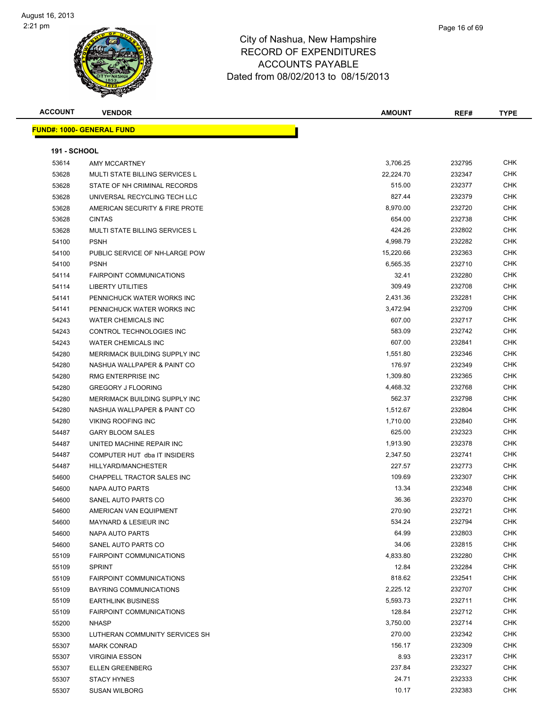| <b>ACCOUNT</b>      | <b>VENDOR</b>                         | <b>AMOUNT</b> | REF#   | <b>TYPE</b> |
|---------------------|---------------------------------------|---------------|--------|-------------|
|                     | <u> FUND#: 1000- GENERAL FUND</u>     |               |        |             |
|                     |                                       |               |        |             |
| <b>191 - SCHOOL</b> |                                       |               |        |             |
| 53614               | <b>AMY MCCARTNEY</b>                  | 3,706.25      | 232795 | <b>CHK</b>  |
| 53628               | <b>MULTI STATE BILLING SERVICES L</b> | 22,224.70     | 232347 | <b>CHK</b>  |
| 53628               | STATE OF NH CRIMINAL RECORDS          | 515.00        | 232377 | <b>CHK</b>  |
| 53628               | UNIVERSAL RECYCLING TECH LLC          | 827.44        | 232379 | <b>CHK</b>  |
| 53628               | AMERICAN SECURITY & FIRE PROTE        | 8,970.00      | 232720 | <b>CHK</b>  |
| 53628               | <b>CINTAS</b>                         | 654.00        | 232738 | <b>CHK</b>  |
| 53628               | MULTI STATE BILLING SERVICES L        | 424.26        | 232802 | CHK         |
| 54100               | <b>PSNH</b>                           | 4,998.79      | 232282 | <b>CHK</b>  |
| 54100               | PUBLIC SERVICE OF NH-LARGE POW        | 15,220.66     | 232363 | <b>CHK</b>  |
| 54100               | <b>PSNH</b>                           | 6,565.35      | 232710 | <b>CHK</b>  |
| 54114               | <b>FAIRPOINT COMMUNICATIONS</b>       | 32.41         | 232280 | <b>CHK</b>  |
| 54114               | <b>LIBERTY UTILITIES</b>              | 309.49        | 232708 | <b>CHK</b>  |
| 54141               | PENNICHUCK WATER WORKS INC            | 2,431.36      | 232281 | <b>CHK</b>  |
| 54141               | PENNICHUCK WATER WORKS INC            | 3,472.94      | 232709 | <b>CHK</b>  |
| 54243               | <b>WATER CHEMICALS INC</b>            | 607.00        | 232717 | <b>CHK</b>  |
| 54243               | <b>CONTROL TECHNOLOGIES INC</b>       | 583.09        | 232742 | <b>CHK</b>  |
| 54243               | <b>WATER CHEMICALS INC</b>            | 607.00        | 232841 | <b>CHK</b>  |
| 54280               | MERRIMACK BUILDING SUPPLY INC         | 1,551.80      | 232346 | <b>CHK</b>  |
| 54280               | NASHUA WALLPAPER & PAINT CO           | 176.97        | 232349 | <b>CHK</b>  |
| 54280               | RMG ENTERPRISE INC                    | 1,309.80      | 232365 | <b>CHK</b>  |
| 54280               | <b>GREGORY J FLOORING</b>             | 4,468.32      | 232768 | <b>CHK</b>  |
| 54280               | MERRIMACK BUILDING SUPPLY INC         | 562.37        | 232798 | <b>CHK</b>  |
| 54280               | NASHUA WALLPAPER & PAINT CO           | 1,512.67      | 232804 | <b>CHK</b>  |
| 54280               | <b>VIKING ROOFING INC</b>             | 1,710.00      | 232840 | <b>CHK</b>  |
| 54487               | <b>GARY BLOOM SALES</b>               | 625.00        | 232323 | <b>CHK</b>  |
| 54487               | UNITED MACHINE REPAIR INC             | 1,913.90      | 232378 | <b>CHK</b>  |
| 54487               | COMPUTER HUT dba IT INSIDERS          | 2,347.50      | 232741 | <b>CHK</b>  |
| 54487               | HILLYARD/MANCHESTER                   | 227.57        | 232773 | <b>CHK</b>  |
| 54600               | CHAPPELL TRACTOR SALES INC            | 109.69        | 232307 | <b>CHK</b>  |
| 54600               | NAPA AUTO PARTS                       | 13.34         | 232348 | <b>CHK</b>  |
| 54600               | SANEL AUTO PARTS CO                   | 36.36         | 232370 | <b>CHK</b>  |
| 54600               | AMERICAN VAN EQUIPMENT                | 270.90        | 232721 | <b>CHK</b>  |
| 54600               | MAYNARD & LESIEUR INC                 | 534.24        | 232794 | <b>CHK</b>  |
| 54600               | NAPA AUTO PARTS                       | 64.99         | 232803 | <b>CHK</b>  |
| 54600               | SANEL AUTO PARTS CO                   | 34.06         | 232815 | <b>CHK</b>  |
| 55109               | <b>FAIRPOINT COMMUNICATIONS</b>       | 4,833.80      | 232280 | <b>CHK</b>  |
| 55109               | <b>SPRINT</b>                         | 12.84         | 232284 | <b>CHK</b>  |
| 55109               | <b>FAIRPOINT COMMUNICATIONS</b>       | 818.62        | 232541 | <b>CHK</b>  |
| 55109               | BAYRING COMMUNICATIONS                | 2,225.12      | 232707 | <b>CHK</b>  |
| 55109               | <b>EARTHLINK BUSINESS</b>             | 5,593.73      | 232711 | CHK         |
| 55109               | <b>FAIRPOINT COMMUNICATIONS</b>       | 128.84        | 232712 | <b>CHK</b>  |
| 55200               | <b>NHASP</b>                          | 3,750.00      | 232714 | <b>CHK</b>  |
| 55300               | LUTHERAN COMMUNITY SERVICES SH        | 270.00        | 232342 | <b>CHK</b>  |
| 55307               | <b>MARK CONRAD</b>                    | 156.17        | 232309 | <b>CHK</b>  |
| 55307               | <b>VIRGINIA ESSON</b>                 | 8.93          | 232317 | CHK         |
| 55307               | <b>ELLEN GREENBERG</b>                | 237.84        | 232327 | <b>CHK</b>  |
| 55307               | <b>STACY HYNES</b>                    | 24.71         | 232333 | <b>CHK</b>  |
| 55307               | <b>SUSAN WILBORG</b>                  | 10.17         | 232383 | <b>CHK</b>  |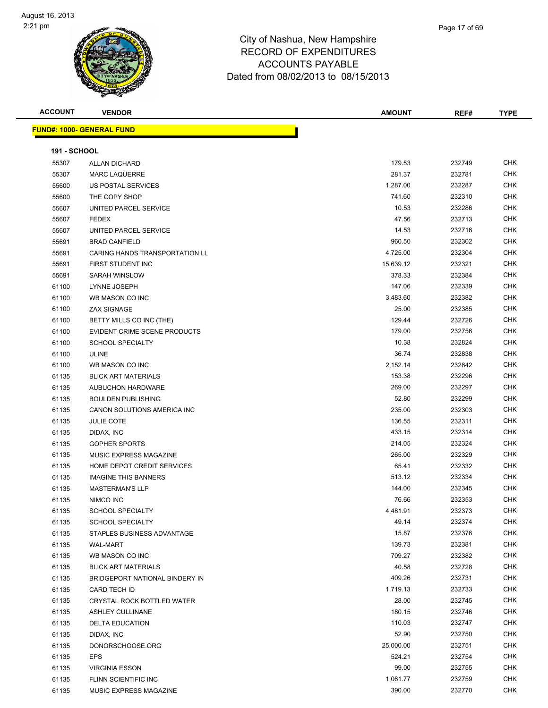

| <b>ACCOUNT</b>      | <b>VENDOR</b>                                         | <b>AMOUNT</b>   | REF#             | <b>TYPE</b> |
|---------------------|-------------------------------------------------------|-----------------|------------------|-------------|
|                     | <b>FUND#: 1000- GENERAL FUND</b>                      |                 |                  |             |
| <b>191 - SCHOOL</b> |                                                       |                 |                  |             |
| 55307               | <b>ALLAN DICHARD</b>                                  | 179.53          | 232749           | <b>CHK</b>  |
| 55307               | <b>MARC LAQUERRE</b>                                  | 281.37          | 232781           | <b>CHK</b>  |
| 55600               | US POSTAL SERVICES                                    | 1,287.00        | 232287           | <b>CHK</b>  |
| 55600               | THE COPY SHOP                                         | 741.60          | 232310           | <b>CHK</b>  |
| 55607               | UNITED PARCEL SERVICE                                 | 10.53           | 232286           | <b>CHK</b>  |
| 55607               | <b>FEDEX</b>                                          | 47.56           | 232713           | <b>CHK</b>  |
| 55607               | UNITED PARCEL SERVICE                                 | 14.53           | 232716           | <b>CHK</b>  |
| 55691               | <b>BRAD CANFIELD</b>                                  | 960.50          | 232302           | <b>CHK</b>  |
| 55691               | CARING HANDS TRANSPORTATION LL                        | 4,725.00        | 232304           | <b>CHK</b>  |
| 55691               | FIRST STUDENT INC                                     | 15,639.12       | 232321           | <b>CHK</b>  |
| 55691               | SARAH WINSLOW                                         | 378.33          | 232384           | <b>CHK</b>  |
| 61100               | LYNNE JOSEPH                                          | 147.06          | 232339           | <b>CHK</b>  |
| 61100               | WB MASON CO INC                                       | 3,483.60        | 232382           | <b>CHK</b>  |
| 61100               | <b>ZAX SIGNAGE</b>                                    | 25.00           | 232385           | <b>CHK</b>  |
| 61100               | BETTY MILLS CO INC (THE)                              | 129.44          | 232726           | <b>CHK</b>  |
| 61100               | EVIDENT CRIME SCENE PRODUCTS                          | 179.00          | 232756           | <b>CHK</b>  |
| 61100               | <b>SCHOOL SPECIALTY</b>                               | 10.38           | 232824           | <b>CHK</b>  |
| 61100               | <b>ULINE</b>                                          | 36.74           | 232838           | <b>CHK</b>  |
| 61100               | WB MASON CO INC                                       | 2,152.14        | 232842           | <b>CHK</b>  |
| 61135               | <b>BLICK ART MATERIALS</b>                            | 153.38          | 232296           | <b>CHK</b>  |
| 61135               | <b>AUBUCHON HARDWARE</b>                              | 269.00          | 232297           | <b>CHK</b>  |
| 61135               | <b>BOULDEN PUBLISHING</b>                             | 52.80           | 232299           | <b>CHK</b>  |
| 61135               | CANON SOLUTIONS AMERICA INC                           | 235.00          | 232303           | <b>CHK</b>  |
| 61135               | <b>JULIE COTE</b>                                     | 136.55          | 232311           | <b>CHK</b>  |
| 61135               | DIDAX, INC                                            | 433.15          | 232314           | <b>CHK</b>  |
| 61135               | <b>GOPHER SPORTS</b>                                  | 214.05          | 232324           | <b>CHK</b>  |
| 61135               | MUSIC EXPRESS MAGAZINE                                | 265.00          | 232329           | <b>CHK</b>  |
|                     | HOME DEPOT CREDIT SERVICES                            | 65.41           | 232332           | <b>CHK</b>  |
| 61135               |                                                       | 513.12          | 232334           | <b>CHK</b>  |
| 61135               | <b>IMAGINE THIS BANNERS</b><br><b>MASTERMAN'S LLP</b> |                 |                  | <b>CHK</b>  |
| 61135               | NIMCO INC                                             | 144.00<br>76.66 | 232345<br>232353 | <b>CHK</b>  |
| 61135               |                                                       |                 |                  | CHK         |
| 61135               | SCHOOL SPECIALTY                                      | 4,481.91        | 232373           |             |
| 61135               | <b>SCHOOL SPECIALTY</b>                               | 49.14           | 232374           | CHK         |
| 61135               | STAPLES BUSINESS ADVANTAGE                            | 15.87           | 232376           | <b>CHK</b>  |
| 61135               | <b>WAL-MART</b>                                       | 139.73          | 232381           | CHK         |
| 61135               | WB MASON CO INC                                       | 709.27          | 232382           | <b>CHK</b>  |
| 61135               | <b>BLICK ART MATERIALS</b>                            | 40.58           | 232728           | <b>CHK</b>  |
| 61135               | BRIDGEPORT NATIONAL BINDERY IN                        | 409.26          | 232731           | <b>CHK</b>  |
| 61135               | CARD TECH ID                                          | 1,719.13        | 232733           | <b>CHK</b>  |
| 61135               | CRYSTAL ROCK BOTTLED WATER                            | 28.00           | 232745           | <b>CHK</b>  |
| 61135               | <b>ASHLEY CULLINANE</b>                               | 180.15          | 232746           | <b>CHK</b>  |
| 61135               | <b>DELTA EDUCATION</b>                                | 110.03          | 232747           | <b>CHK</b>  |

 DIDAX, INC 52.90 232750 CHK DONORSCHOOSE.ORG 25,000.00 232751 CHK EPS 524.21 232754 CHK VIRGINIA ESSON 99.00 232755 CHK 61135 FLINN SCIENTIFIC INC 61135 FLINN SCIENTIFIC INC 61135 MUSIC EXPRESS MAGAZINE **CHING ACCORD AND SERVE AT A CHING ACCORD** 390.00 232770 CHK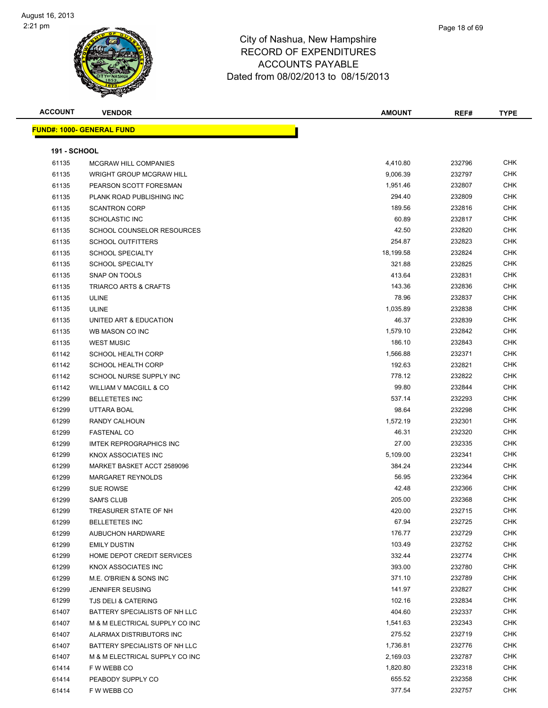| <b>ACCOUNT</b> | <b>VENDOR</b>                    | <b>AMOUNT</b> | REF#   | <b>TYPE</b> |
|----------------|----------------------------------|---------------|--------|-------------|
|                | <b>FUND#: 1000- GENERAL FUND</b> |               |        |             |
|                |                                  |               |        |             |
| 191 - SCHOOL   |                                  |               |        |             |
| 61135          | MCGRAW HILL COMPANIES            | 4,410.80      | 232796 | <b>CHK</b>  |
| 61135          | <b>WRIGHT GROUP MCGRAW HILL</b>  | 9,006.39      | 232797 | <b>CHK</b>  |
| 61135          | PEARSON SCOTT FORESMAN           | 1,951.46      | 232807 | CHK         |
| 61135          | PLANK ROAD PUBLISHING INC        | 294.40        | 232809 | <b>CHK</b>  |
| 61135          | <b>SCANTRON CORP</b>             | 189.56        | 232816 | CHK         |
| 61135          | <b>SCHOLASTIC INC</b>            | 60.89         | 232817 | <b>CHK</b>  |
| 61135          | SCHOOL COUNSELOR RESOURCES       | 42.50         | 232820 | CHK         |
| 61135          | <b>SCHOOL OUTFITTERS</b>         | 254.87        | 232823 | CHK         |
| 61135          | <b>SCHOOL SPECIALTY</b>          | 18,199.58     | 232824 | CHK         |
| 61135          | <b>SCHOOL SPECIALTY</b>          | 321.88        | 232825 | CHK         |
| 61135          | SNAP ON TOOLS                    | 413.64        | 232831 | CHK         |
| 61135          | TRIARCO ARTS & CRAFTS            | 143.36        | 232836 | <b>CHK</b>  |
| 61135          | <b>ULINE</b>                     | 78.96         | 232837 | <b>CHK</b>  |
| 61135          | <b>ULINE</b>                     | 1,035.89      | 232838 | <b>CHK</b>  |
| 61135          | UNITED ART & EDUCATION           | 46.37         | 232839 | <b>CHK</b>  |
| 61135          | WB MASON CO INC                  | 1,579.10      | 232842 | <b>CHK</b>  |
| 61135          | <b>WEST MUSIC</b>                | 186.10        | 232843 | <b>CHK</b>  |
| 61142          | <b>SCHOOL HEALTH CORP</b>        | 1,566.88      | 232371 | CHK         |
| 61142          | <b>SCHOOL HEALTH CORP</b>        | 192.63        | 232821 | <b>CHK</b>  |
| 61142          | SCHOOL NURSE SUPPLY INC          | 778.12        | 232822 | <b>CHK</b>  |
| 61142          | WILLIAM V MACGILL & CO           | 99.80         | 232844 | <b>CHK</b>  |
| 61299          | <b>BELLETETES INC</b>            | 537.14        | 232293 | CHK         |
| 61299          | UTTARA BOAL                      | 98.64         | 232298 | <b>CHK</b>  |
| 61299          | RANDY CALHOUN                    | 1,572.19      | 232301 | <b>CHK</b>  |
| 61299          | <b>FASTENAL CO</b>               | 46.31         | 232320 | CHK         |
| 61299          | <b>IMTEK REPROGRAPHICS INC</b>   | 27.00         | 232335 | <b>CHK</b>  |
| 61299          | KNOX ASSOCIATES INC              | 5,109.00      | 232341 | <b>CHK</b>  |
| 61299          | MARKET BASKET ACCT 2589096       | 384.24        | 232344 | CHK         |
| 61299          | MARGARET REYNOLDS                | 56.95         | 232364 | CHK         |
| 61299          | SUE ROWSE                        | 42.48         | 232366 | CHK         |
| 61299          | <b>SAM'S CLUB</b>                | 205.00        | 232368 | CHK         |
| 61299          | TREASURER STATE OF NH            | 420.00        | 232715 | CHK         |
| 61299          | <b>BELLETETES INC</b>            | 67.94         | 232725 | <b>CHK</b>  |
| 61299          | AUBUCHON HARDWARE                | 176.77        | 232729 | CHK         |
| 61299          | <b>EMILY DUSTIN</b>              | 103.49        | 232752 | <b>CHK</b>  |
| 61299          | HOME DEPOT CREDIT SERVICES       | 332.44        | 232774 | <b>CHK</b>  |
| 61299          | KNOX ASSOCIATES INC              | 393.00        | 232780 | CHK         |
| 61299          | M.E. O'BRIEN & SONS INC          | 371.10        | 232789 | <b>CHK</b>  |
| 61299          | <b>JENNIFER SEUSING</b>          | 141.97        | 232827 | CHK         |
| 61299          | TJS DELI & CATERING              | 102.16        | 232834 | CHK         |
| 61407          | BATTERY SPECIALISTS OF NH LLC    | 404.60        | 232337 | CHK         |
| 61407          | M & M ELECTRICAL SUPPLY CO INC   | 1,541.63      | 232343 | CHK         |
| 61407          | ALARMAX DISTRIBUTORS INC         | 275.52        | 232719 | CHK         |
| 61407          | BATTERY SPECIALISTS OF NH LLC    | 1,736.81      | 232776 | <b>CHK</b>  |
| 61407          | M & M ELECTRICAL SUPPLY CO INC   | 2,169.03      | 232787 | CHK         |
| 61414          | F W WEBB CO                      | 1,820.80      | 232318 | CHK         |
| 61414          | PEABODY SUPPLY CO                | 655.52        | 232358 | CHK         |
| 61414          | F W WEBB CO                      | 377.54        | 232757 | CHK         |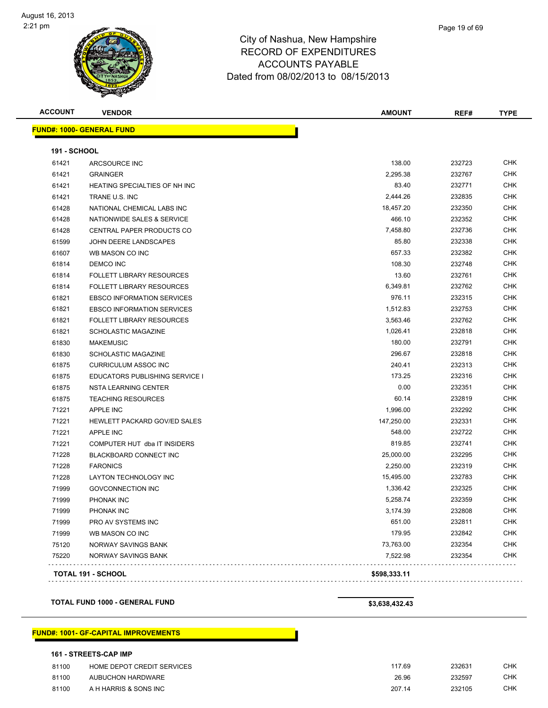

**ACCOUNT VENDOR AMOUNT REF# TYPE**

|                                   | Page 19 of 69 |
|-----------------------------------|---------------|
| ire                               |               |
| $\mathop{^{\mathsf{c}}}\nolimits$ |               |

|                     | <b>FUND#: 1000- GENERAL FUND</b>     |            |        |            |
|---------------------|--------------------------------------|------------|--------|------------|
| <b>191 - SCHOOL</b> |                                      |            |        |            |
| 61421               | ARCSOURCE INC                        | 138.00     | 232723 | <b>CHK</b> |
| 61421               | <b>GRAINGER</b>                      | 2,295.38   | 232767 | CHK        |
| 61421               | <b>HEATING SPECIALTIES OF NH INC</b> | 83.40      | 232771 | CHK        |
| 61421               | TRANE U.S. INC                       | 2,444.26   | 232835 | <b>CHK</b> |
| 61428               | NATIONAL CHEMICAL LABS INC           | 18.457.20  | 232350 | CHK        |
| 61428               | NATIONWIDE SALES & SERVICE           | 466.10     | 232352 | <b>CHK</b> |
| 61428               | <b>CENTRAL PAPER PRODUCTS CO</b>     | 7,458.80   | 232736 | CHK        |
| 61599               | JOHN DEERE LANDSCAPES                | 85.80      | 232338 | CHK        |
| 61607               | WB MASON CO INC                      | 657.33     | 232382 | <b>CHK</b> |
| 61814               | <b>DEMCO INC</b>                     | 108.30     | 232748 | <b>CHK</b> |
| 61814               | <b>FOLLETT LIBRARY RESOURCES</b>     | 13.60      | 232761 | CHK        |
| 61814               | <b>FOLLETT LIBRARY RESOURCES</b>     | 6,349.81   | 232762 | CHK        |
| 61821               | <b>EBSCO INFORMATION SERVICES</b>    | 976.11     | 232315 | CHK        |
| 61821               | <b>EBSCO INFORMATION SERVICES</b>    | 1,512.83   | 232753 | CHK        |
| 61821               | <b>FOLLETT LIBRARY RESOURCES</b>     | 3,563.46   | 232762 | <b>CHK</b> |
| 61821               | <b>SCHOLASTIC MAGAZINE</b>           | 1,026.41   | 232818 | CHK        |
| 61830               | <b>MAKEMUSIC</b>                     | 180.00     | 232791 | <b>CHK</b> |
| 61830               | SCHOLASTIC MAGAZINE                  | 296.67     | 232818 | CHK        |
| 61875               | <b>CURRICULUM ASSOC INC</b>          | 240.41     | 232313 | CHK        |
| 61875               | EDUCATORS PUBLISHING SERVICE I       | 173.25     | 232316 | CHK        |
| 61875               | <b>NSTA LEARNING CENTER</b>          | 0.00       | 232351 | <b>CHK</b> |
| 61875               | <b>TEACHING RESOURCES</b>            | 60.14      | 232819 | <b>CHK</b> |
| 71221               | <b>APPLE INC</b>                     | 1,996.00   | 232292 | <b>CHK</b> |
| 71221               | <b>HEWLETT PACKARD GOV/ED SALES</b>  | 147.250.00 | 232331 | CHK        |

 APPLE INC 548.00 232722 CHK The State of the COMPUTER HUT dba IT INSIDERS And the State of the State of the State of the State of the State of the State of the State of the State of the State of the State of the State of the State of the State of the BLACKBOARD CONNECT INC 25,000.00 232295 CHK FARONICS 2,250.00 232319 CHK LAYTON TECHNOLOGY INC 15,495.00 232783 CHK GOVCONNECTION INC 1,336.42 232325 CHK PHONAK INC 5,258.74 232359 CHK PHONAK INC 3,174.39 232808 CHK PRO AV SYSTEMS INC 651.00 232811 CHK WB MASON CO INC 179.95 232842 CHK NORWAY SAVINGS BANK 73,763.00 232354 CHK NORWAY SAVINGS BANK 7,522.98 232354 CHK

**TOTAL 191 - SCHOOL \$598,333.11**

**TOTAL FUND 1000 - GENERAL FUND \$3,638,432.43**

. . . . . . . . . . . . . . . . . . .

#### **FUND#: 1001- GF-CAPITAL IMPROVEMENTS**

#### **161 - STREETS-CAP IMP**

| 81100 | HOME DEPOT CREDIT SERVICES | 117.69 | 232631 | <b>CHK</b> |
|-------|----------------------------|--------|--------|------------|
| 81100 | AUBUCHON HARDWARE          | 26.96  | 232597 | СНК        |
| 81100 | A H HARRIS & SONS INC      | 207.14 | 232105 | <b>CHK</b> |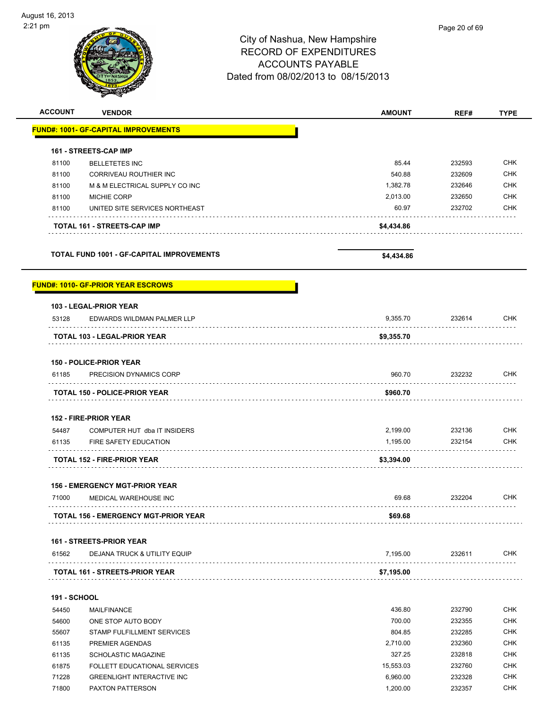# City of Nashua, New Hampshire RECORD OF EXPENDITURES ACCOUNTS PAYABLE Dated from 08/02/2013 to 08/15/2013 **ACCOUNT VENDOR AMOUNT REF# TYPE FUND#: 1001- GF-CAPITAL IMPROVEMENTS** h

| <b>TOTAL FUND 1001 - GF-CAPITAL IMPROVEMENTS</b> |                                    | \$4,434.86 |        |            |
|--------------------------------------------------|------------------------------------|------------|--------|------------|
|                                                  | <b>TOTAL 161 - STREETS-CAP IMP</b> | \$4,434.86 |        |            |
| 81100                                            | UNITED SITE SERVICES NORTHEAST     | 60.97      | 232702 | <b>CHK</b> |
| 81100                                            | <b>MICHIE CORP</b>                 | 2,013.00   | 232650 | <b>CHK</b> |
| 81100                                            | M & M ELECTRICAL SUPPLY CO INC     | 1,382.78   | 232646 | <b>CHK</b> |
| 81100                                            | CORRIVEAU ROUTHIER INC             | 540.88     | 232609 | <b>CHK</b> |
| 81100                                            | <b>BELLETETES INC</b>              | 85.44      | 232593 | <b>CHK</b> |

#### **FUND#: 1010- GF-PRIOR YEAR ESCROWS**

|                     | 103 - LEGAL-PRIOR YEAR                      |            |                                      |            |
|---------------------|---------------------------------------------|------------|--------------------------------------|------------|
| 53128               | EDWARDS WILDMAN PALMER LLP                  | 9,355.70   | 232614                               | <b>CHK</b> |
|                     | TOTAL 103 - LEGAL-PRIOR YEAR                | \$9,355.70 |                                      |            |
|                     | <b>150 - POLICE-PRIOR YEAR</b>              |            |                                      |            |
| 61185               | PRECISION DYNAMICS CORP                     | 960.70     | 232232                               | <b>CHK</b> |
|                     | <b>TOTAL 150 - POLICE-PRIOR YEAR</b>        | \$960.70   |                                      |            |
|                     | 152 - FIRE-PRIOR YEAR                       |            |                                      |            |
| 54487               | COMPUTER HUT dba IT INSIDERS                | 2,199.00   | 232136                               | <b>CHK</b> |
| 61135               | FIRE SAFETY EDUCATION                       | 1,195.00   | 232154<br>.                          | <b>CHK</b> |
|                     | <b>TOTAL 152 - FIRE-PRIOR YEAR</b>          | \$3,394.00 |                                      |            |
|                     | <b>156 - EMERGENCY MGT-PRIOR YEAR</b>       |            |                                      |            |
| 71000               | MEDICAL WAREHOUSE INC                       | 69.68      | 232204<br>and a strategic control of | <b>CHK</b> |
|                     | <b>TOTAL 156 - EMERGENCY MGT-PRIOR YEAR</b> | \$69.68    |                                      |            |
|                     | <b>161 - STREETS-PRIOR YEAR</b>             |            |                                      |            |
| 61562               | <b>DEJANA TRUCK &amp; UTILITY EQUIP</b>     | 7.195.00   | 232611                               | <b>CHK</b> |
|                     | <b>TOTAL 161 - STREETS-PRIOR YEAR</b>       | \$7,195.00 |                                      |            |
| <b>191 - SCHOOL</b> |                                             |            |                                      |            |
| 54450               | <b>MAILFINANCE</b>                          | 436.80     | 232790                               | <b>CHK</b> |
| 54600               | ONE STOP AUTO BODY                          | 700.00     | 232355                               | <b>CHK</b> |
| 55607               | STAMP FULFILLMENT SERVICES                  | 804.85     | 232285                               | CHK        |
| 61135               | PREMIER AGENDAS                             | 2.710.00   | 232360                               | <b>CHK</b> |

61135 SCHOLASTIC MAGAZINE **327.25** 232818 CHK FOLLETT EDUCATIONAL SERVICES 15,553.03 232760 CHK GREENLIGHT INTERACTIVE INC 6,960.00 232328 CHK PAXTON PATTERSON 1,200.00 232357 CHK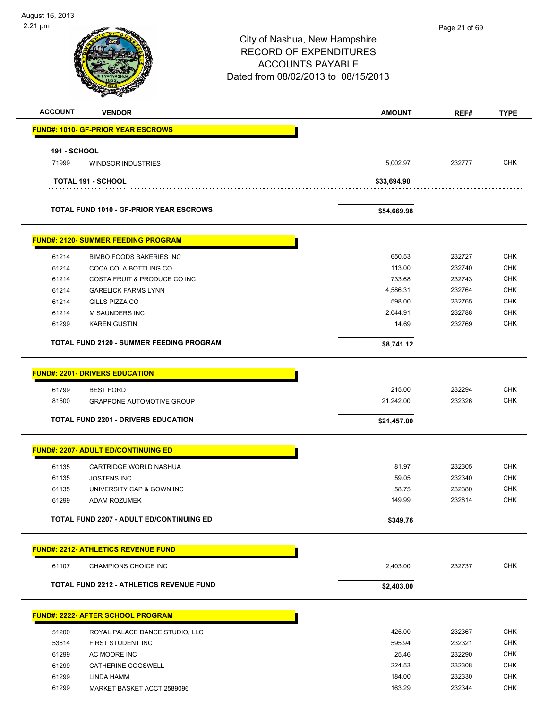$\overline{\phantom{0}}$ 

| 2:21 pm             |                                                                                                                                             | City of Nashua, New Hampshire<br><b>RECORD OF EXPENDITURES</b><br><b>ACCOUNTS PAYABLE</b><br>Dated from 08/02/2013 to 08/15/2013 | Page 21 of 69    |                          |
|---------------------|---------------------------------------------------------------------------------------------------------------------------------------------|----------------------------------------------------------------------------------------------------------------------------------|------------------|--------------------------|
| <b>ACCOUNT</b>      | <b>VENDOR</b>                                                                                                                               | <b>AMOUNT</b>                                                                                                                    | REF#             | <b>TYPE</b>              |
|                     | <u> FUND#: 1010- GF-PRIOR YEAR ESCROWS</u>                                                                                                  |                                                                                                                                  |                  |                          |
| <b>191 - SCHOOL</b> |                                                                                                                                             |                                                                                                                                  |                  |                          |
| 71999               | <b>WINDSOR INDUSTRIES</b>                                                                                                                   | 5,002.97                                                                                                                         | 232777           | <b>CHK</b>               |
|                     | TOTAL 191 - SCHOOL                                                                                                                          | \$33,694.90                                                                                                                      |                  |                          |
|                     | <b>TOTAL FUND 1010 - GF-PRIOR YEAR ESCROWS</b>                                                                                              | \$54,669.98                                                                                                                      |                  |                          |
|                     | <b>FUND#: 2120- SUMMER FEEDING PROGRAM</b>                                                                                                  |                                                                                                                                  |                  |                          |
| 61214               | <b>BIMBO FOODS BAKERIES INC</b>                                                                                                             | 650.53                                                                                                                           | 232727           | <b>CHK</b>               |
| 61214               | COCA COLA BOTTLING CO                                                                                                                       | 113.00                                                                                                                           | 232740           | <b>CHK</b>               |
| 61214               | COSTA FRUIT & PRODUCE CO INC                                                                                                                | 733.68                                                                                                                           | 232743           | CHK                      |
| 61214               | <b>GARELICK FARMS LYNN</b>                                                                                                                  | 4,586.31                                                                                                                         | 232764           | <b>CHK</b>               |
| 61214               | GILLS PIZZA CO                                                                                                                              | 598.00                                                                                                                           | 232765           | <b>CHK</b>               |
| 61214               | <b>M SAUNDERS INC</b>                                                                                                                       | 2,044.91                                                                                                                         | 232788           | <b>CHK</b>               |
| 61299               | <b>KAREN GUSTIN</b><br><b>TOTAL FUND 2120 - SUMMER FEEDING PROGRAM</b>                                                                      | 14.69<br>\$8,741.12                                                                                                              | 232769           | <b>CHK</b>               |
| 61799<br>81500      | <b>FUND#: 2201- DRIVERS EDUCATION</b><br><b>BEST FORD</b><br><b>GRAPPONE AUTOMOTIVE GROUP</b><br><b>TOTAL FUND 2201 - DRIVERS EDUCATION</b> | 215.00<br>21,242.00<br>\$21.457.00                                                                                               | 232294<br>232326 | <b>CHK</b><br><b>CHK</b> |
|                     | <b>FUND#: 2207- ADULT ED/CONTINUING ED</b>                                                                                                  |                                                                                                                                  |                  |                          |
| 61135               | CARTRIDGE WORLD NASHUA                                                                                                                      | 81.97                                                                                                                            | 232305           | <b>CHK</b>               |
| 61135               | <b>JOSTENS INC</b>                                                                                                                          | 59.05                                                                                                                            | 232340           | <b>CHK</b>               |
| 61135               | UNIVERSITY CAP & GOWN INC                                                                                                                   | 58.75                                                                                                                            | 232380           | <b>CHK</b>               |
| 61299               | ADAM ROZUMEK                                                                                                                                | 149.99                                                                                                                           | 232814           | <b>CHK</b>               |
|                     | <b>TOTAL FUND 2207 - ADULT ED/CONTINUING ED</b>                                                                                             | \$349.76                                                                                                                         |                  |                          |
|                     | <b>FUND#: 2212- ATHLETICS REVENUE FUND</b>                                                                                                  |                                                                                                                                  |                  |                          |
| 61107               | CHAMPIONS CHOICE INC                                                                                                                        | 2,403.00                                                                                                                         | 232737           | <b>CHK</b>               |
|                     | TOTAL FUND 2212 - ATHLETICS REVENUE FUND                                                                                                    | \$2,403.00                                                                                                                       |                  |                          |
|                     | <b>FUND#: 2222- AFTER SCHOOL PROGRAM</b>                                                                                                    |                                                                                                                                  |                  |                          |
| 51200               | ROYAL PALACE DANCE STUDIO, LLC                                                                                                              | 425.00                                                                                                                           | 232367           | <b>CHK</b>               |
| 53614               | FIRST STUDENT INC                                                                                                                           | 595.94                                                                                                                           | 232321           | <b>CHK</b>               |
| 61299               | AC MOORE INC                                                                                                                                | 25.46                                                                                                                            | 232290           | <b>CHK</b>               |
| 61299               | CATHERINE COGSWELL                                                                                                                          | 224.53                                                                                                                           | 232308           | <b>CHK</b>               |

 61299 LINDA HAMM 184.00 232330 CHK 61299 MARKET BASKET ACCT 2589096 232344 CHK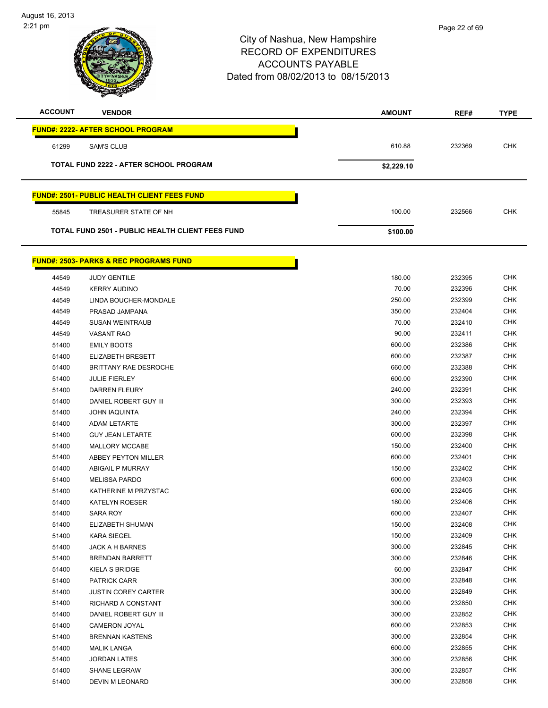

| <b>ACCOUNT</b> | <b>VENDOR</b>                                           | <b>AMOUNT</b> | REF#   | <b>TYPE</b> |
|----------------|---------------------------------------------------------|---------------|--------|-------------|
|                | <b>FUND#: 2222- AFTER SCHOOL PROGRAM</b>                |               |        |             |
| 61299          | <b>SAM'S CLUB</b>                                       | 610.88        | 232369 | <b>CHK</b>  |
|                | <b>TOTAL FUND 2222 - AFTER SCHOOL PROGRAM</b>           | \$2,229.10    |        |             |
|                | <b>FUND#: 2501- PUBLIC HEALTH CLIENT FEES FUND</b>      |               |        |             |
| 55845          | TREASURER STATE OF NH                                   | 100.00        | 232566 | <b>CHK</b>  |
|                | <b>TOTAL FUND 2501 - PUBLIC HEALTH CLIENT FEES FUND</b> | \$100.00      |        |             |
|                | <b>FUND#: 2503- PARKS &amp; REC PROGRAMS FUND</b>       |               |        |             |

| 44549 | <b>JUDY GENTILE</b>        | 180.00 | 232395 | <b>CHK</b> |
|-------|----------------------------|--------|--------|------------|
| 44549 | <b>KERRY AUDINO</b>        | 70.00  | 232396 | <b>CHK</b> |
| 44549 | LINDA BOUCHER-MONDALE      | 250.00 | 232399 | <b>CHK</b> |
| 44549 | PRASAD JAMPANA             | 350.00 | 232404 | <b>CHK</b> |
| 44549 | <b>SUSAN WEINTRAUB</b>     | 70.00  | 232410 | <b>CHK</b> |
| 44549 | <b>VASANT RAO</b>          | 90.00  | 232411 | <b>CHK</b> |
| 51400 | <b>EMILY BOOTS</b>         | 600.00 | 232386 | <b>CHK</b> |
| 51400 | ELIZABETH BRESETT          | 600.00 | 232387 | <b>CHK</b> |
| 51400 | BRITTANY RAE DESROCHE      | 660.00 | 232388 | <b>CHK</b> |
| 51400 | <b>JULIE FIERLEY</b>       | 600.00 | 232390 | <b>CHK</b> |
| 51400 | <b>DARREN FLEURY</b>       | 240.00 | 232391 | <b>CHK</b> |
| 51400 | DANIEL ROBERT GUY III      | 300.00 | 232393 | <b>CHK</b> |
| 51400 | <b>JOHN IAQUINTA</b>       | 240.00 | 232394 | <b>CHK</b> |
| 51400 | <b>ADAM LETARTE</b>        | 300.00 | 232397 | <b>CHK</b> |
| 51400 | <b>GUY JEAN LETARTE</b>    | 600.00 | 232398 | <b>CHK</b> |
| 51400 | <b>MALLORY MCCABE</b>      | 150.00 | 232400 | <b>CHK</b> |
| 51400 | ABBEY PEYTON MILLER        | 600.00 | 232401 | <b>CHK</b> |
| 51400 | ABIGAIL P MURRAY           | 150.00 | 232402 | <b>CHK</b> |
| 51400 | <b>MELISSA PARDO</b>       | 600.00 | 232403 | <b>CHK</b> |
| 51400 | KATHERINE M PRZYSTAC       | 600.00 | 232405 | <b>CHK</b> |
| 51400 | <b>KATELYN ROESER</b>      | 180.00 | 232406 | <b>CHK</b> |
| 51400 | <b>SARA ROY</b>            | 600.00 | 232407 | <b>CHK</b> |
| 51400 | ELIZABETH SHUMAN           | 150.00 | 232408 | <b>CHK</b> |
| 51400 | <b>KARA SIEGEL</b>         | 150.00 | 232409 | <b>CHK</b> |
| 51400 | JACK A H BARNES            | 300.00 | 232845 | <b>CHK</b> |
| 51400 | <b>BRENDAN BARRETT</b>     | 300.00 | 232846 | <b>CHK</b> |
| 51400 | KIELA S BRIDGE             | 60.00  | 232847 | <b>CHK</b> |
| 51400 | <b>PATRICK CARR</b>        | 300.00 | 232848 | <b>CHK</b> |
| 51400 | <b>JUSTIN COREY CARTER</b> | 300.00 | 232849 | <b>CHK</b> |
| 51400 | RICHARD A CONSTANT         | 300.00 | 232850 | <b>CHK</b> |
| 51400 | DANIEL ROBERT GUY III      | 300.00 | 232852 | <b>CHK</b> |
| 51400 | <b>CAMERON JOYAL</b>       | 600.00 | 232853 | <b>CHK</b> |
| 51400 | <b>BRENNAN KASTENS</b>     | 300.00 | 232854 | <b>CHK</b> |
| 51400 | <b>MALIK LANGA</b>         | 600.00 | 232855 | <b>CHK</b> |
| 51400 | <b>JORDAN LATES</b>        | 300.00 | 232856 | <b>CHK</b> |
| 51400 | <b>SHANE LEGRAW</b>        | 300.00 | 232857 | <b>CHK</b> |
| 51400 | <b>DEVIN M LEONARD</b>     | 300.00 | 232858 | <b>CHK</b> |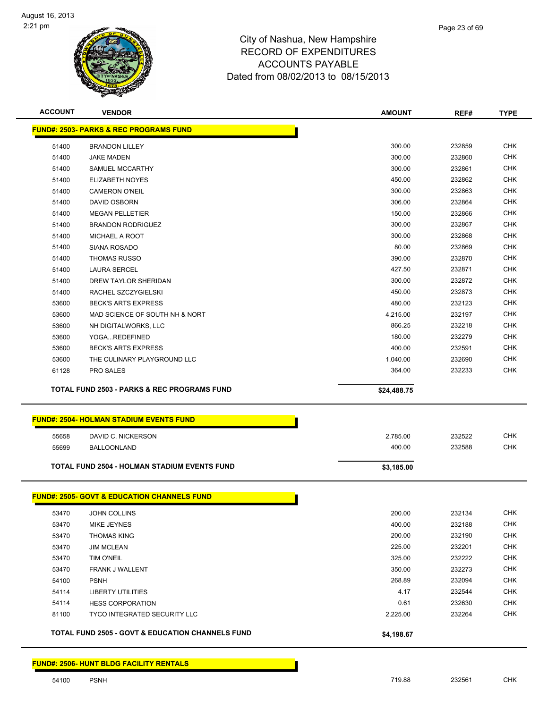

| <b>FUND#: 2503- PARKS &amp; REC PROGRAMS FUND</b><br>300.00<br>232859<br>51400<br><b>BRANDON LILLEY</b><br>300.00<br>232860<br>51400<br><b>JAKE MADEN</b><br>300.00<br>232861<br>51400<br>SAMUEL MCCARTHY<br>232862<br>450.00<br>51400<br><b>ELIZABETH NOYES</b><br>300.00<br>232863<br>51400<br><b>CAMERON O'NEIL</b><br>306.00<br>232864<br>DAVID OSBORN<br>51400<br>150.00<br>51400<br><b>MEGAN PELLETIER</b><br>232866<br>300.00<br>232867<br>51400<br><b>BRANDON RODRIGUEZ</b><br>51400<br>MICHAEL A ROOT<br>300.00<br>232868<br>80.00<br>232869<br>51400<br>SIANA ROSADO<br>390.00<br>232870<br>51400<br><b>THOMAS RUSSO</b><br>427.50<br>232871<br>51400<br><b>LAURA SERCEL</b><br>300.00<br>232872<br>51400<br>DREW TAYLOR SHERIDAN<br>232873<br>450.00<br>51400<br>RACHEL SZCZYGIELSKI<br><b>BECK'S ARTS EXPRESS</b><br>480.00<br>232123<br>53600<br>232197<br>53600<br>MAD SCIENCE OF SOUTH NH & NORT<br>4,215.00<br>866.25<br>232218<br>53600<br>NH DIGITALWORKS, LLC<br>232279<br>53600<br>YOGAREDEFINED<br>180.00<br>232591<br>53600<br><b>BECK'S ARTS EXPRESS</b><br>400.00<br>53600<br>1,040.00<br>232690<br>THE CULINARY PLAYGROUND LLC<br>61128<br>364.00<br>232233<br>PRO SALES<br><b>TOTAL FUND 2503 - PARKS &amp; REC PROGRAMS FUND</b><br>\$24,488.75<br><b>FUND#: 2504- HOLMAN STADIUM EVENTS FUND</b><br>2,785.00<br>232522<br>55658<br>DAVID C. NICKERSON<br>232588<br>400.00<br>55699<br><b>BALLOONLAND</b><br><b>TOTAL FUND 2504 - HOLMAN STADIUM EVENTS FUND</b><br>\$3,185.00<br><b>FUND#: 2505- GOVT &amp; EDUCATION CHANNELS FUND</b><br>53470<br>JOHN COLLINS<br>200.00<br>232134<br><b>CHK</b><br>400.00<br>53470<br>MIKE JEYNES<br>232188<br>200.00<br>232190<br>53470<br><b>THOMAS KING</b><br>225.00<br>232201<br>53470<br><b>JIM MCLEAN</b><br>325.00<br>53470<br><b>TIM O'NEIL</b><br>232222<br>53470<br>FRANK J WALLENT<br>350.00<br>232273 |                                                                |        | <b>CHK</b><br><b>CHK</b><br><b>CHK</b><br><b>CHK</b><br><b>CHK</b><br><b>CHK</b><br><b>CHK</b><br><b>CHK</b><br><b>CHK</b><br><b>CHK</b><br><b>CHK</b><br><b>CHK</b><br><b>CHK</b><br><b>CHK</b><br><b>CHK</b><br><b>CHK</b><br><b>CHK</b><br><b>CHK</b><br><b>CHK</b><br><b>CHK</b><br><b>CHK</b> |
|-----------------------------------------------------------------------------------------------------------------------------------------------------------------------------------------------------------------------------------------------------------------------------------------------------------------------------------------------------------------------------------------------------------------------------------------------------------------------------------------------------------------------------------------------------------------------------------------------------------------------------------------------------------------------------------------------------------------------------------------------------------------------------------------------------------------------------------------------------------------------------------------------------------------------------------------------------------------------------------------------------------------------------------------------------------------------------------------------------------------------------------------------------------------------------------------------------------------------------------------------------------------------------------------------------------------------------------------------------------------------------------------------------------------------------------------------------------------------------------------------------------------------------------------------------------------------------------------------------------------------------------------------------------------------------------------------------------------------------------------------------------------------------------------------------------------------------------------------------------------------------------|----------------------------------------------------------------|--------|----------------------------------------------------------------------------------------------------------------------------------------------------------------------------------------------------------------------------------------------------------------------------------------------------|
|                                                                                                                                                                                                                                                                                                                                                                                                                                                                                                                                                                                                                                                                                                                                                                                                                                                                                                                                                                                                                                                                                                                                                                                                                                                                                                                                                                                                                                                                                                                                                                                                                                                                                                                                                                                                                                                                                   |                                                                |        |                                                                                                                                                                                                                                                                                                    |
|                                                                                                                                                                                                                                                                                                                                                                                                                                                                                                                                                                                                                                                                                                                                                                                                                                                                                                                                                                                                                                                                                                                                                                                                                                                                                                                                                                                                                                                                                                                                                                                                                                                                                                                                                                                                                                                                                   |                                                                |        |                                                                                                                                                                                                                                                                                                    |
|                                                                                                                                                                                                                                                                                                                                                                                                                                                                                                                                                                                                                                                                                                                                                                                                                                                                                                                                                                                                                                                                                                                                                                                                                                                                                                                                                                                                                                                                                                                                                                                                                                                                                                                                                                                                                                                                                   |                                                                |        |                                                                                                                                                                                                                                                                                                    |
|                                                                                                                                                                                                                                                                                                                                                                                                                                                                                                                                                                                                                                                                                                                                                                                                                                                                                                                                                                                                                                                                                                                                                                                                                                                                                                                                                                                                                                                                                                                                                                                                                                                                                                                                                                                                                                                                                   |                                                                |        |                                                                                                                                                                                                                                                                                                    |
|                                                                                                                                                                                                                                                                                                                                                                                                                                                                                                                                                                                                                                                                                                                                                                                                                                                                                                                                                                                                                                                                                                                                                                                                                                                                                                                                                                                                                                                                                                                                                                                                                                                                                                                                                                                                                                                                                   |                                                                |        |                                                                                                                                                                                                                                                                                                    |
|                                                                                                                                                                                                                                                                                                                                                                                                                                                                                                                                                                                                                                                                                                                                                                                                                                                                                                                                                                                                                                                                                                                                                                                                                                                                                                                                                                                                                                                                                                                                                                                                                                                                                                                                                                                                                                                                                   |                                                                |        |                                                                                                                                                                                                                                                                                                    |
|                                                                                                                                                                                                                                                                                                                                                                                                                                                                                                                                                                                                                                                                                                                                                                                                                                                                                                                                                                                                                                                                                                                                                                                                                                                                                                                                                                                                                                                                                                                                                                                                                                                                                                                                                                                                                                                                                   |                                                                |        |                                                                                                                                                                                                                                                                                                    |
|                                                                                                                                                                                                                                                                                                                                                                                                                                                                                                                                                                                                                                                                                                                                                                                                                                                                                                                                                                                                                                                                                                                                                                                                                                                                                                                                                                                                                                                                                                                                                                                                                                                                                                                                                                                                                                                                                   |                                                                |        |                                                                                                                                                                                                                                                                                                    |
|                                                                                                                                                                                                                                                                                                                                                                                                                                                                                                                                                                                                                                                                                                                                                                                                                                                                                                                                                                                                                                                                                                                                                                                                                                                                                                                                                                                                                                                                                                                                                                                                                                                                                                                                                                                                                                                                                   |                                                                |        |                                                                                                                                                                                                                                                                                                    |
|                                                                                                                                                                                                                                                                                                                                                                                                                                                                                                                                                                                                                                                                                                                                                                                                                                                                                                                                                                                                                                                                                                                                                                                                                                                                                                                                                                                                                                                                                                                                                                                                                                                                                                                                                                                                                                                                                   |                                                                |        |                                                                                                                                                                                                                                                                                                    |
|                                                                                                                                                                                                                                                                                                                                                                                                                                                                                                                                                                                                                                                                                                                                                                                                                                                                                                                                                                                                                                                                                                                                                                                                                                                                                                                                                                                                                                                                                                                                                                                                                                                                                                                                                                                                                                                                                   |                                                                |        |                                                                                                                                                                                                                                                                                                    |
|                                                                                                                                                                                                                                                                                                                                                                                                                                                                                                                                                                                                                                                                                                                                                                                                                                                                                                                                                                                                                                                                                                                                                                                                                                                                                                                                                                                                                                                                                                                                                                                                                                                                                                                                                                                                                                                                                   |                                                                |        |                                                                                                                                                                                                                                                                                                    |
|                                                                                                                                                                                                                                                                                                                                                                                                                                                                                                                                                                                                                                                                                                                                                                                                                                                                                                                                                                                                                                                                                                                                                                                                                                                                                                                                                                                                                                                                                                                                                                                                                                                                                                                                                                                                                                                                                   |                                                                |        |                                                                                                                                                                                                                                                                                                    |
|                                                                                                                                                                                                                                                                                                                                                                                                                                                                                                                                                                                                                                                                                                                                                                                                                                                                                                                                                                                                                                                                                                                                                                                                                                                                                                                                                                                                                                                                                                                                                                                                                                                                                                                                                                                                                                                                                   |                                                                |        |                                                                                                                                                                                                                                                                                                    |
|                                                                                                                                                                                                                                                                                                                                                                                                                                                                                                                                                                                                                                                                                                                                                                                                                                                                                                                                                                                                                                                                                                                                                                                                                                                                                                                                                                                                                                                                                                                                                                                                                                                                                                                                                                                                                                                                                   |                                                                |        |                                                                                                                                                                                                                                                                                                    |
|                                                                                                                                                                                                                                                                                                                                                                                                                                                                                                                                                                                                                                                                                                                                                                                                                                                                                                                                                                                                                                                                                                                                                                                                                                                                                                                                                                                                                                                                                                                                                                                                                                                                                                                                                                                                                                                                                   |                                                                |        |                                                                                                                                                                                                                                                                                                    |
|                                                                                                                                                                                                                                                                                                                                                                                                                                                                                                                                                                                                                                                                                                                                                                                                                                                                                                                                                                                                                                                                                                                                                                                                                                                                                                                                                                                                                                                                                                                                                                                                                                                                                                                                                                                                                                                                                   |                                                                |        |                                                                                                                                                                                                                                                                                                    |
|                                                                                                                                                                                                                                                                                                                                                                                                                                                                                                                                                                                                                                                                                                                                                                                                                                                                                                                                                                                                                                                                                                                                                                                                                                                                                                                                                                                                                                                                                                                                                                                                                                                                                                                                                                                                                                                                                   |                                                                |        |                                                                                                                                                                                                                                                                                                    |
|                                                                                                                                                                                                                                                                                                                                                                                                                                                                                                                                                                                                                                                                                                                                                                                                                                                                                                                                                                                                                                                                                                                                                                                                                                                                                                                                                                                                                                                                                                                                                                                                                                                                                                                                                                                                                                                                                   |                                                                |        |                                                                                                                                                                                                                                                                                                    |
|                                                                                                                                                                                                                                                                                                                                                                                                                                                                                                                                                                                                                                                                                                                                                                                                                                                                                                                                                                                                                                                                                                                                                                                                                                                                                                                                                                                                                                                                                                                                                                                                                                                                                                                                                                                                                                                                                   |                                                                |        |                                                                                                                                                                                                                                                                                                    |
|                                                                                                                                                                                                                                                                                                                                                                                                                                                                                                                                                                                                                                                                                                                                                                                                                                                                                                                                                                                                                                                                                                                                                                                                                                                                                                                                                                                                                                                                                                                                                                                                                                                                                                                                                                                                                                                                                   |                                                                |        |                                                                                                                                                                                                                                                                                                    |
|                                                                                                                                                                                                                                                                                                                                                                                                                                                                                                                                                                                                                                                                                                                                                                                                                                                                                                                                                                                                                                                                                                                                                                                                                                                                                                                                                                                                                                                                                                                                                                                                                                                                                                                                                                                                                                                                                   |                                                                |        |                                                                                                                                                                                                                                                                                                    |
|                                                                                                                                                                                                                                                                                                                                                                                                                                                                                                                                                                                                                                                                                                                                                                                                                                                                                                                                                                                                                                                                                                                                                                                                                                                                                                                                                                                                                                                                                                                                                                                                                                                                                                                                                                                                                                                                                   |                                                                |        |                                                                                                                                                                                                                                                                                                    |
|                                                                                                                                                                                                                                                                                                                                                                                                                                                                                                                                                                                                                                                                                                                                                                                                                                                                                                                                                                                                                                                                                                                                                                                                                                                                                                                                                                                                                                                                                                                                                                                                                                                                                                                                                                                                                                                                                   |                                                                |        |                                                                                                                                                                                                                                                                                                    |
|                                                                                                                                                                                                                                                                                                                                                                                                                                                                                                                                                                                                                                                                                                                                                                                                                                                                                                                                                                                                                                                                                                                                                                                                                                                                                                                                                                                                                                                                                                                                                                                                                                                                                                                                                                                                                                                                                   |                                                                |        |                                                                                                                                                                                                                                                                                                    |
|                                                                                                                                                                                                                                                                                                                                                                                                                                                                                                                                                                                                                                                                                                                                                                                                                                                                                                                                                                                                                                                                                                                                                                                                                                                                                                                                                                                                                                                                                                                                                                                                                                                                                                                                                                                                                                                                                   |                                                                |        |                                                                                                                                                                                                                                                                                                    |
|                                                                                                                                                                                                                                                                                                                                                                                                                                                                                                                                                                                                                                                                                                                                                                                                                                                                                                                                                                                                                                                                                                                                                                                                                                                                                                                                                                                                                                                                                                                                                                                                                                                                                                                                                                                                                                                                                   |                                                                |        | <b>CHK</b>                                                                                                                                                                                                                                                                                         |
|                                                                                                                                                                                                                                                                                                                                                                                                                                                                                                                                                                                                                                                                                                                                                                                                                                                                                                                                                                                                                                                                                                                                                                                                                                                                                                                                                                                                                                                                                                                                                                                                                                                                                                                                                                                                                                                                                   |                                                                |        | <b>CHK</b>                                                                                                                                                                                                                                                                                         |
|                                                                                                                                                                                                                                                                                                                                                                                                                                                                                                                                                                                                                                                                                                                                                                                                                                                                                                                                                                                                                                                                                                                                                                                                                                                                                                                                                                                                                                                                                                                                                                                                                                                                                                                                                                                                                                                                                   |                                                                |        |                                                                                                                                                                                                                                                                                                    |
|                                                                                                                                                                                                                                                                                                                                                                                                                                                                                                                                                                                                                                                                                                                                                                                                                                                                                                                                                                                                                                                                                                                                                                                                                                                                                                                                                                                                                                                                                                                                                                                                                                                                                                                                                                                                                                                                                   |                                                                |        |                                                                                                                                                                                                                                                                                                    |
|                                                                                                                                                                                                                                                                                                                                                                                                                                                                                                                                                                                                                                                                                                                                                                                                                                                                                                                                                                                                                                                                                                                                                                                                                                                                                                                                                                                                                                                                                                                                                                                                                                                                                                                                                                                                                                                                                   |                                                                |        |                                                                                                                                                                                                                                                                                                    |
|                                                                                                                                                                                                                                                                                                                                                                                                                                                                                                                                                                                                                                                                                                                                                                                                                                                                                                                                                                                                                                                                                                                                                                                                                                                                                                                                                                                                                                                                                                                                                                                                                                                                                                                                                                                                                                                                                   |                                                                |        |                                                                                                                                                                                                                                                                                                    |
|                                                                                                                                                                                                                                                                                                                                                                                                                                                                                                                                                                                                                                                                                                                                                                                                                                                                                                                                                                                                                                                                                                                                                                                                                                                                                                                                                                                                                                                                                                                                                                                                                                                                                                                                                                                                                                                                                   |                                                                |        |                                                                                                                                                                                                                                                                                                    |
|                                                                                                                                                                                                                                                                                                                                                                                                                                                                                                                                                                                                                                                                                                                                                                                                                                                                                                                                                                                                                                                                                                                                                                                                                                                                                                                                                                                                                                                                                                                                                                                                                                                                                                                                                                                                                                                                                   |                                                                |        | CHK                                                                                                                                                                                                                                                                                                |
|                                                                                                                                                                                                                                                                                                                                                                                                                                                                                                                                                                                                                                                                                                                                                                                                                                                                                                                                                                                                                                                                                                                                                                                                                                                                                                                                                                                                                                                                                                                                                                                                                                                                                                                                                                                                                                                                                   |                                                                |        | <b>CHK</b>                                                                                                                                                                                                                                                                                         |
|                                                                                                                                                                                                                                                                                                                                                                                                                                                                                                                                                                                                                                                                                                                                                                                                                                                                                                                                                                                                                                                                                                                                                                                                                                                                                                                                                                                                                                                                                                                                                                                                                                                                                                                                                                                                                                                                                   |                                                                |        | <b>CHK</b>                                                                                                                                                                                                                                                                                         |
|                                                                                                                                                                                                                                                                                                                                                                                                                                                                                                                                                                                                                                                                                                                                                                                                                                                                                                                                                                                                                                                                                                                                                                                                                                                                                                                                                                                                                                                                                                                                                                                                                                                                                                                                                                                                                                                                                   |                                                                |        | <b>CHK</b>                                                                                                                                                                                                                                                                                         |
|                                                                                                                                                                                                                                                                                                                                                                                                                                                                                                                                                                                                                                                                                                                                                                                                                                                                                                                                                                                                                                                                                                                                                                                                                                                                                                                                                                                                                                                                                                                                                                                                                                                                                                                                                                                                                                                                                   |                                                                |        | <b>CHK</b>                                                                                                                                                                                                                                                                                         |
| 54100<br><b>PSNH</b><br>268.89<br>232094                                                                                                                                                                                                                                                                                                                                                                                                                                                                                                                                                                                                                                                                                                                                                                                                                                                                                                                                                                                                                                                                                                                                                                                                                                                                                                                                                                                                                                                                                                                                                                                                                                                                                                                                                                                                                                          |                                                                |        | <b>CHK</b>                                                                                                                                                                                                                                                                                         |
| 54114<br><b>LIBERTY UTILITIES</b><br>4.17<br>232544                                                                                                                                                                                                                                                                                                                                                                                                                                                                                                                                                                                                                                                                                                                                                                                                                                                                                                                                                                                                                                                                                                                                                                                                                                                                                                                                                                                                                                                                                                                                                                                                                                                                                                                                                                                                                               |                                                                |        | <b>CHK</b>                                                                                                                                                                                                                                                                                         |
| 54114<br>0.61<br>232630<br><b>HESS CORPORATION</b>                                                                                                                                                                                                                                                                                                                                                                                                                                                                                                                                                                                                                                                                                                                                                                                                                                                                                                                                                                                                                                                                                                                                                                                                                                                                                                                                                                                                                                                                                                                                                                                                                                                                                                                                                                                                                                |                                                                |        | <b>CHK</b>                                                                                                                                                                                                                                                                                         |
|                                                                                                                                                                                                                                                                                                                                                                                                                                                                                                                                                                                                                                                                                                                                                                                                                                                                                                                                                                                                                                                                                                                                                                                                                                                                                                                                                                                                                                                                                                                                                                                                                                                                                                                                                                                                                                                                                   | 2,225.00<br>81100<br><b>TYCO INTEGRATED SECURITY LLC</b>       | 232264 | <b>CHK</b>                                                                                                                                                                                                                                                                                         |
|                                                                                                                                                                                                                                                                                                                                                                                                                                                                                                                                                                                                                                                                                                                                                                                                                                                                                                                                                                                                                                                                                                                                                                                                                                                                                                                                                                                                                                                                                                                                                                                                                                                                                                                                                                                                                                                                                   | TOTAL FUND 2505 - GOVT & EDUCATION CHANNELS FUND<br>\$4,198.67 |        |                                                                                                                                                                                                                                                                                                    |
|                                                                                                                                                                                                                                                                                                                                                                                                                                                                                                                                                                                                                                                                                                                                                                                                                                                                                                                                                                                                                                                                                                                                                                                                                                                                                                                                                                                                                                                                                                                                                                                                                                                                                                                                                                                                                                                                                   |                                                                |        |                                                                                                                                                                                                                                                                                                    |

**FUND#: 2506- HUNT BLDG FACILITY RENTALS**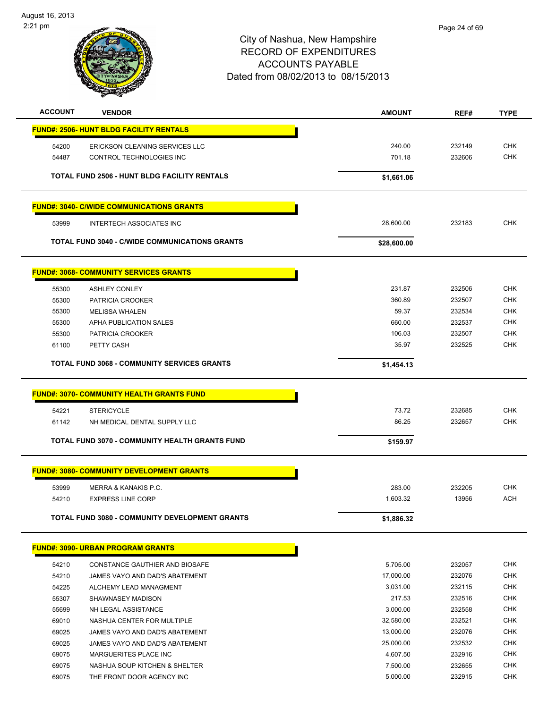

| <b>ACCOUNT</b> | <b>VENDOR</b>                                       | <b>AMOUNT</b>  | REF#             | <b>TYPE</b> |
|----------------|-----------------------------------------------------|----------------|------------------|-------------|
|                | <b>FUND#: 2506- HUNT BLDG FACILITY RENTALS</b>      |                |                  |             |
| 54200          | ERICKSON CLEANING SERVICES LLC                      | 240.00         | 232149           | <b>CHK</b>  |
| 54487          | CONTROL TECHNOLOGIES INC                            | 701.18         | 232606           | <b>CHK</b>  |
|                |                                                     |                |                  |             |
|                | <b>TOTAL FUND 2506 - HUNT BLDG FACILITY RENTALS</b> | \$1,661.06     |                  |             |
|                | <b>FUND#: 3040- C/WIDE COMMUNICATIONS GRANTS</b>    |                |                  |             |
| 53999          | <b>INTERTECH ASSOCIATES INC</b>                     | 28,600.00      | 232183           | <b>CHK</b>  |
|                | TOTAL FUND 3040 - C/WIDE COMMUNICATIONS GRANTS      | \$28,600.00    |                  |             |
|                | <b>FUND#: 3068- COMMUNITY SERVICES GRANTS</b>       |                |                  |             |
| 55300          | <b>ASHLEY CONLEY</b>                                | 231.87         | 232506           | <b>CHK</b>  |
| 55300          | PATRICIA CROOKER                                    | 360.89         | 232507           | <b>CHK</b>  |
| 55300          | <b>MELISSA WHALEN</b>                               | 59.37          | 232534           | <b>CHK</b>  |
| 55300          | APHA PUBLICATION SALES                              | 660.00         | 232537           | <b>CHK</b>  |
| 55300          | PATRICIA CROOKER                                    | 106.03         | 232507           | <b>CHK</b>  |
| 61100          | PETTY CASH                                          | 35.97          | 232525           | <b>CHK</b>  |
|                | <b>TOTAL FUND 3068 - COMMUNITY SERVICES GRANTS</b>  | \$1,454.13     |                  |             |
|                | <b>FUND#: 3070- COMMUNITY HEALTH GRANTS FUND</b>    |                |                  |             |
|                |                                                     |                |                  | <b>CHK</b>  |
| 54221          | <b>STERICYCLE</b><br>NH MEDICAL DENTAL SUPPLY LLC   | 73.72<br>86.25 | 232685<br>232657 | <b>CHK</b>  |
| 61142          |                                                     |                |                  |             |
|                | TOTAL FUND 3070 - COMMUNITY HEALTH GRANTS FUND      | \$159.97       |                  |             |
|                | <b>FUND#: 3080- COMMUNITY DEVELOPMENT GRANTS</b>    |                |                  |             |
| 53999          | MERRA & KANAKIS P.C.                                | 283.00         | 232205           | CHK         |
| 54210          | <b>EXPRESS LINE CORP</b>                            | 1,603.32       | 13956            | <b>ACH</b>  |
|                | TOTAL FUND 3080 - COMMUNITY DEVELOPMENT GRANTS      | \$1,886.32     |                  |             |
|                | <b>FUND#: 3090- URBAN PROGRAM GRANTS</b>            |                |                  |             |
| 54210          | CONSTANCE GAUTHIER AND BIOSAFE                      | 5,705.00       | 232057           | <b>CHK</b>  |
| 54210          | JAMES VAYO AND DAD'S ABATEMENT                      | 17,000.00      | 232076           | <b>CHK</b>  |
| 54225          | ALCHEMY LEAD MANAGMENT                              | 3,031.00       | 232115           | <b>CHK</b>  |
| 55307          | SHAWNASEY MADISON                                   | 217.53         | 232516           | <b>CHK</b>  |
| 55699          | NH LEGAL ASSISTANCE                                 | 3,000.00       | 232558           | <b>CHK</b>  |
| 69010          | NASHUA CENTER FOR MULTIPLE                          | 32,580.00      | 232521           | <b>CHK</b>  |
| 69025          | JAMES VAYO AND DAD'S ABATEMENT                      | 13,000.00      | 232076           | <b>CHK</b>  |
| 69025          | JAMES VAYO AND DAD'S ABATEMENT                      | 25,000.00      | 232532           | CHK         |
| 69075          | MARGUERITES PLACE INC                               | 4,607.50       | 232916           | <b>CHK</b>  |
| 69075          | NASHUA SOUP KITCHEN & SHELTER                       | 7,500.00       | 232655           | <b>CHK</b>  |
| 69075          | THE FRONT DOOR AGENCY INC                           | 5,000.00       | 232915           | <b>CHK</b>  |
|                |                                                     |                |                  |             |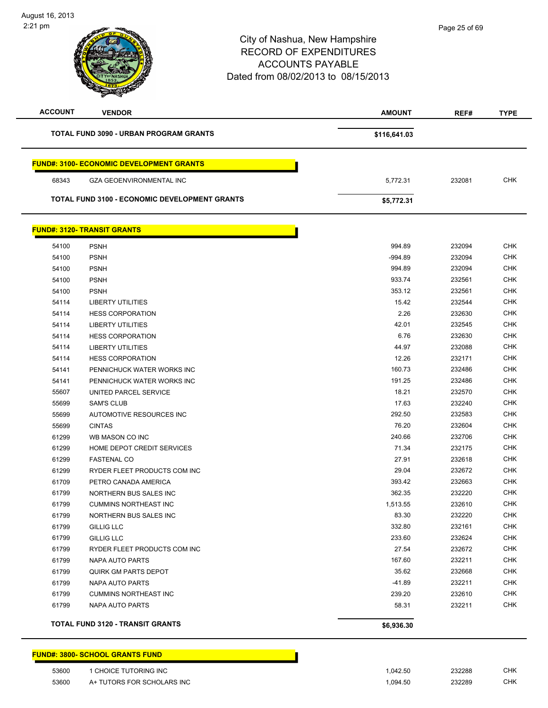| <b>ACCOUNT</b> | <b>VENDOR</b>                                        | <b>AMOUNT</b> | REF#   | <b>TYPE</b> |
|----------------|------------------------------------------------------|---------------|--------|-------------|
|                | <b>TOTAL FUND 3090 - URBAN PROGRAM GRANTS</b>        | \$116,641.03  |        |             |
|                | <b>FUND#: 3100- ECONOMIC DEVELOPMENT GRANTS</b>      |               |        |             |
| 68343          | <b>GZA GEOENVIRONMENTAL INC</b>                      | 5,772.31      | 232081 | <b>CHK</b>  |
|                | <b>TOTAL FUND 3100 - ECONOMIC DEVELOPMENT GRANTS</b> | \$5,772.31    |        |             |
|                | <b>FUND#: 3120- TRANSIT GRANTS</b>                   |               |        |             |
| 54100          | <b>PSNH</b>                                          | 994.89        | 232094 | <b>CHK</b>  |
| 54100          | <b>PSNH</b>                                          | -994.89       | 232094 | <b>CHK</b>  |
| 54100          | <b>PSNH</b>                                          | 994.89        | 232094 | <b>CHK</b>  |
| 54100          | <b>PSNH</b>                                          | 933.74        | 232561 | <b>CHK</b>  |
| 54100          | <b>PSNH</b>                                          | 353.12        | 232561 | CHK         |
| 54114          | <b>LIBERTY UTILITIES</b>                             | 15.42         | 232544 | CHK         |
| 54114          | <b>HESS CORPORATION</b>                              | 2.26          | 232630 | <b>CHK</b>  |
| 54114          | <b>LIBERTY UTILITIES</b>                             | 42.01         | 232545 | <b>CHK</b>  |
| 54114          | <b>HESS CORPORATION</b>                              | 6.76          | 232630 | <b>CHK</b>  |
| 54114          | <b>LIBERTY UTILITIES</b>                             | 44.97         | 232088 | <b>CHK</b>  |
| 54114          | <b>HESS CORPORATION</b>                              | 12.26         | 232171 | <b>CHK</b>  |
| 54141          | PENNICHUCK WATER WORKS INC                           | 160.73        | 232486 | <b>CHK</b>  |
| 54141          | PENNICHUCK WATER WORKS INC                           | 191.25        | 232486 | <b>CHK</b>  |
| 55607          | UNITED PARCEL SERVICE                                | 18.21         | 232570 | <b>CHK</b>  |
| 55699          | <b>SAM'S CLUB</b>                                    | 17.63         | 232240 | <b>CHK</b>  |
| 55699          | AUTOMOTIVE RESOURCES INC                             | 292.50        | 232583 | <b>CHK</b>  |
| 55699          | <b>CINTAS</b>                                        | 76.20         | 232604 | <b>CHK</b>  |
| 61299          | WB MASON CO INC                                      | 240.66        | 232706 | <b>CHK</b>  |
| 61299          | HOME DEPOT CREDIT SERVICES                           | 71.34         | 232175 | <b>CHK</b>  |
| 61299          | <b>FASTENAL CO</b>                                   | 27.91         | 232618 | <b>CHK</b>  |
| 61299          | RYDER FLEET PRODUCTS COM INC                         | 29.04         | 232672 | <b>CHK</b>  |
| 61709          | PETRO CANADA AMERICA                                 | 393.42        | 232663 | <b>CHK</b>  |
| 61799          | NORTHERN BUS SALES INC                               | 362.35        | 232220 | <b>CHK</b>  |
| 61799          | <b>CUMMINS NORTHEAST INC</b>                         | 1,513.55      | 232610 | <b>CHK</b>  |
| 61799          | NORTHERN BUS SALES INC                               | 83.30         | 232220 | <b>CHK</b>  |
| 61799          | GILLIG LLC                                           | 332.80        | 232161 | <b>CHK</b>  |
| 61799          | <b>GILLIG LLC</b>                                    | 233.60        | 232624 | <b>CHK</b>  |
| 61799          | RYDER FLEET PRODUCTS COM INC                         | 27.54         | 232672 | <b>CHK</b>  |
| 61799          | NAPA AUTO PARTS                                      | 167.60        | 232211 | <b>CHK</b>  |
| 61799          | QUIRK GM PARTS DEPOT                                 | 35.62         | 232668 | <b>CHK</b>  |
| 61799          | NAPA AUTO PARTS                                      | $-41.89$      | 232211 | <b>CHK</b>  |
| 61799          | <b>CUMMINS NORTHEAST INC</b>                         | 239.20        | 232610 | <b>CHK</b>  |
| 61799          | <b>NAPA AUTO PARTS</b>                               | 58.31         | 232211 | <b>CHK</b>  |
|                | <b>TOTAL FUND 3120 - TRANSIT GRANTS</b>              | \$6,936.30    |        |             |

#### **FUND#: 3800- SCHOOL GRANTS FUND**

| 53600 | CHOICE TUTORING INC        | .042.50 | 232288 | CHK |
|-------|----------------------------|---------|--------|-----|
| 53600 | A+ TUTORS FOR SCHOLARS INC | .094.50 | 232289 | СНК |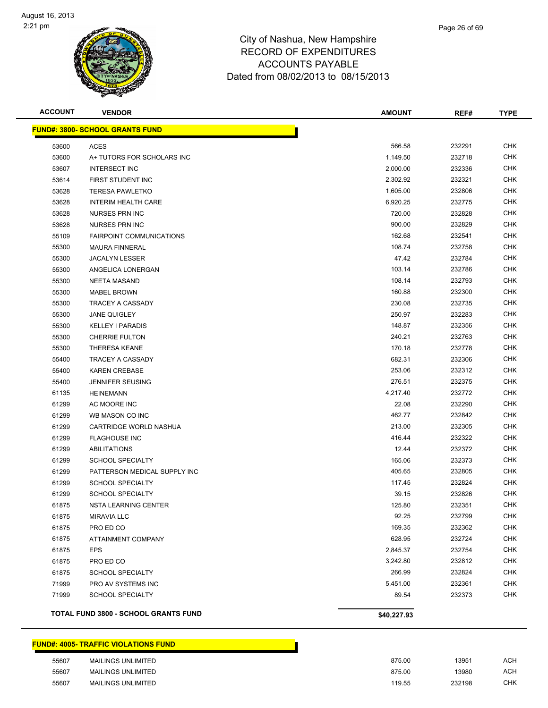

| <b>ACCOUNT</b> | <b>VENDOR</b>                               | <b>AMOUNT</b> | REF#   | <b>TYPE</b> |
|----------------|---------------------------------------------|---------------|--------|-------------|
|                | <b>FUND#: 3800- SCHOOL GRANTS FUND</b>      |               |        |             |
| 53600          | <b>ACES</b>                                 | 566.58        | 232291 | <b>CHK</b>  |
| 53600          | A+ TUTORS FOR SCHOLARS INC                  | 1,149.50      | 232718 | <b>CHK</b>  |
| 53607          | <b>INTERSECT INC</b>                        | 2,000.00      | 232336 | <b>CHK</b>  |
| 53614          | FIRST STUDENT INC                           | 2,302.92      | 232321 | <b>CHK</b>  |
| 53628          | <b>TERESA PAWLETKO</b>                      | 1,605.00      | 232806 | <b>CHK</b>  |
| 53628          | <b>INTERIM HEALTH CARE</b>                  | 6,920.25      | 232775 | <b>CHK</b>  |
| 53628          | <b>NURSES PRN INC</b>                       | 720.00        | 232828 | <b>CHK</b>  |
| 53628          | <b>NURSES PRN INC</b>                       | 900.00        | 232829 | CHK         |
| 55109          | <b>FAIRPOINT COMMUNICATIONS</b>             | 162.68        | 232541 | CHK         |
| 55300          | <b>MAURA FINNERAL</b>                       | 108.74        | 232758 | CHK         |
| 55300          | <b>JACALYN LESSER</b>                       | 47.42         | 232784 | CHK         |
| 55300          | ANGELICA LONERGAN                           | 103.14        | 232786 | <b>CHK</b>  |
| 55300          | <b>NEETA MASAND</b>                         | 108.14        | 232793 | <b>CHK</b>  |
| 55300          | MABEL BROWN                                 | 160.88        | 232300 | <b>CHK</b>  |
| 55300          | TRACEY A CASSADY                            | 230.08        | 232735 | <b>CHK</b>  |
| 55300          | <b>JANE QUIGLEY</b>                         | 250.97        | 232283 | <b>CHK</b>  |
| 55300          | <b>KELLEY I PARADIS</b>                     | 148.87        | 232356 | <b>CHK</b>  |
| 55300          | <b>CHERRIE FULTON</b>                       | 240.21        | 232763 | CHK         |
| 55300          | <b>THERESA KEANE</b>                        | 170.18        | 232778 | <b>CHK</b>  |
| 55400          | TRACEY A CASSADY                            | 682.31        | 232306 | <b>CHK</b>  |
| 55400          | <b>KAREN CREBASE</b>                        | 253.06        | 232312 | <b>CHK</b>  |
| 55400          | <b>JENNIFER SEUSING</b>                     | 276.51        | 232375 | CHK         |
| 61135          | <b>HEINEMANN</b>                            | 4,217.40      | 232772 | <b>CHK</b>  |
| 61299          | AC MOORE INC                                | 22.08         | 232290 | <b>CHK</b>  |
| 61299          | WB MASON CO INC                             | 462.77        | 232842 | <b>CHK</b>  |
| 61299          | CARTRIDGE WORLD NASHUA                      | 213.00        | 232305 | <b>CHK</b>  |
| 61299          | <b>FLAGHOUSE INC</b>                        | 416.44        | 232322 | <b>CHK</b>  |
| 61299          | <b>ABILITATIONS</b>                         | 12.44         | 232372 | <b>CHK</b>  |
| 61299          | <b>SCHOOL SPECIALTY</b>                     | 165.06        | 232373 | <b>CHK</b>  |
| 61299          | PATTERSON MEDICAL SUPPLY INC                | 405.65        | 232805 | CHK         |
| 61299          | <b>SCHOOL SPECIALTY</b>                     | 117.45        | 232824 | <b>CHK</b>  |
| 61299          | <b>SCHOOL SPECIALTY</b>                     | 39.15         | 232826 | CHK         |
| 61875          | NSTA LEARNING CENTER                        | 125.80        | 232351 | <b>CHK</b>  |
| 61875          | <b>MIRAVIA LLC</b>                          | 92.25         | 232799 | <b>CHK</b>  |
| 61875          | PRO ED CO                                   | 169.35        | 232362 | <b>CHK</b>  |
| 61875          | ATTAINMENT COMPANY                          | 628.95        | 232724 | <b>CHK</b>  |
| 61875          | <b>EPS</b>                                  | 2,845.37      | 232754 | <b>CHK</b>  |
| 61875          | PRO ED CO                                   | 3,242.80      | 232812 | <b>CHK</b>  |
| 61875          | <b>SCHOOL SPECIALTY</b>                     | 266.99        | 232824 | <b>CHK</b>  |
| 71999          | PRO AV SYSTEMS INC                          | 5,451.00      | 232361 | CHK         |
| 71999          | <b>SCHOOL SPECIALTY</b>                     | 89.54         | 232373 | <b>CHK</b>  |
|                | <b>TOTAL FUND 3800 - SCHOOL GRANTS FUND</b> | \$40,227.93   |        |             |

#### **FUND#: 4005- TRAFFIC VIOLATIONS FUND**

| 55607 | <b>MAILINGS UNLIMITED</b> | 875.00 | 13951  | ACH |
|-------|---------------------------|--------|--------|-----|
| 55607 | MAILINGS UNLIMITED        | 875.00 | 13980  | ACH |
| 55607 | MAILINGS UNLIMITED        | 119.55 | 232198 | СНК |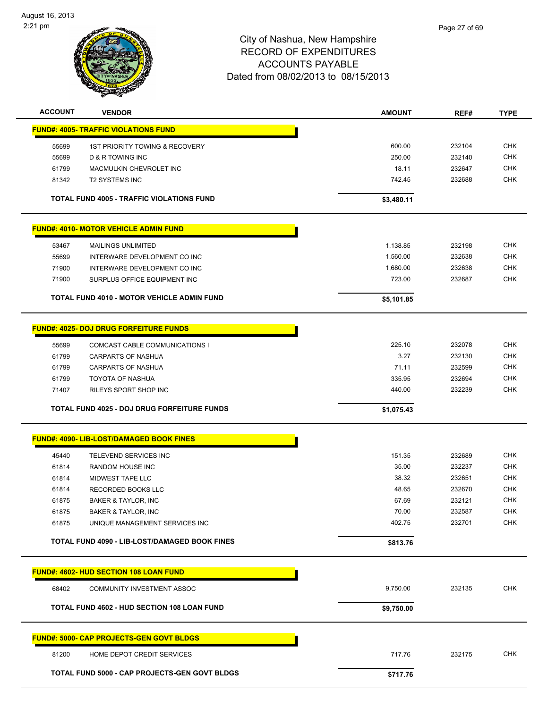

| <b>ACCOUNT</b> | <b>VENDOR</b>                                          | <b>AMOUNT</b>  | REF#             | <b>TYPE</b>              |
|----------------|--------------------------------------------------------|----------------|------------------|--------------------------|
|                | <b>FUND#: 4005- TRAFFIC VIOLATIONS FUND</b>            |                |                  |                          |
| 55699          | 1ST PRIORITY TOWING & RECOVERY                         | 600.00         | 232104           | <b>CHK</b>               |
| 55699          | D & R TOWING INC                                       | 250.00         | 232140           | <b>CHK</b>               |
| 61799          | MACMULKIN CHEVROLET INC                                | 18.11          | 232647           | CHK                      |
| 81342          | <b>T2 SYSTEMS INC</b>                                  | 742.45         | 232688           | <b>CHK</b>               |
|                | TOTAL FUND 4005 - TRAFFIC VIOLATIONS FUND              | \$3,480.11     |                  |                          |
|                | <u>FUND#: 4010- MOTOR VEHICLE ADMIN FUND</u>           |                |                  |                          |
| 53467          | <b>MAILINGS UNLIMITED</b>                              | 1,138.85       | 232198           | <b>CHK</b>               |
| 55699          | INTERWARE DEVELOPMENT CO INC                           | 1,560.00       | 232638           | <b>CHK</b>               |
| 71900          | INTERWARE DEVELOPMENT CO INC                           | 1,680.00       | 232638           | <b>CHK</b>               |
| 71900          | SURPLUS OFFICE EQUIPMENT INC                           | 723.00         | 232687           | <b>CHK</b>               |
|                | <b>TOTAL FUND 4010 - MOTOR VEHICLE ADMIN FUND</b>      | \$5,101.85     |                  |                          |
|                | <b>FUND#: 4025- DOJ DRUG FORFEITURE FUNDS</b>          |                |                  |                          |
|                |                                                        |                |                  |                          |
| 55699<br>61799 | COMCAST CABLE COMMUNICATIONS I                         | 225.10<br>3.27 | 232078<br>232130 | <b>CHK</b><br><b>CHK</b> |
| 61799          | <b>CARPARTS OF NASHUA</b><br><b>CARPARTS OF NASHUA</b> | 71.11          | 232599           | CHK                      |
| 61799          | <b>TOYOTA OF NASHUA</b>                                | 335.95         | 232694           | <b>CHK</b>               |
| 71407          | RILEYS SPORT SHOP INC                                  | 440.00         | 232239           | <b>CHK</b>               |
|                |                                                        |                |                  |                          |
|                | <b>TOTAL FUND 4025 - DOJ DRUG FORFEITURE FUNDS</b>     | \$1,075.43     |                  |                          |
|                | FUND#: 4090- LIB-LOST/DAMAGED BOOK FINES               |                |                  |                          |
| 45440          | <b>TELEVEND SERVICES INC</b>                           | 151.35         | 232689           | <b>CHK</b>               |
| 61814          | <b>RANDOM HOUSE INC</b>                                | 35.00          | 232237           | <b>CHK</b>               |
| 61814          | MIDWEST TAPE LLC                                       | 38.32          | 232651           | <b>CHK</b>               |
| 61814          | RECORDED BOOKS LLC                                     | 48.65          | 232670           | <b>CHK</b>               |
| 61875          | <b>BAKER &amp; TAYLOR, INC</b>                         | 67.69          | 232121           | <b>CHK</b>               |
| 61875          | BAKER & TAYLOR, INC                                    | 70.00          | 232587           | <b>CHK</b>               |
| 61875          | UNIQUE MANAGEMENT SERVICES INC                         | 402.75         | 232701           | <b>CHK</b>               |
|                | TOTAL FUND 4090 - LIB-LOST/DAMAGED BOOK FINES          | \$813.76       |                  |                          |
|                | <b>FUND#: 4602- HUD SECTION 108 LOAN FUND</b>          |                |                  |                          |
| 68402          | COMMUNITY INVESTMENT ASSOC                             | 9,750.00       | 232135           | <b>CHK</b>               |
|                |                                                        |                |                  |                          |
|                | TOTAL FUND 4602 - HUD SECTION 108 LOAN FUND            | \$9,750.00     |                  |                          |
|                | <b>FUND#: 5000- CAP PROJECTS-GEN GOVT BLDGS</b>        |                |                  |                          |
| 81200          | HOME DEPOT CREDIT SERVICES                             | 717.76         | 232175           | <b>CHK</b>               |
|                | TOTAL FUND 5000 - CAP PROJECTS-GEN GOVT BLDGS          | \$717.76       |                  |                          |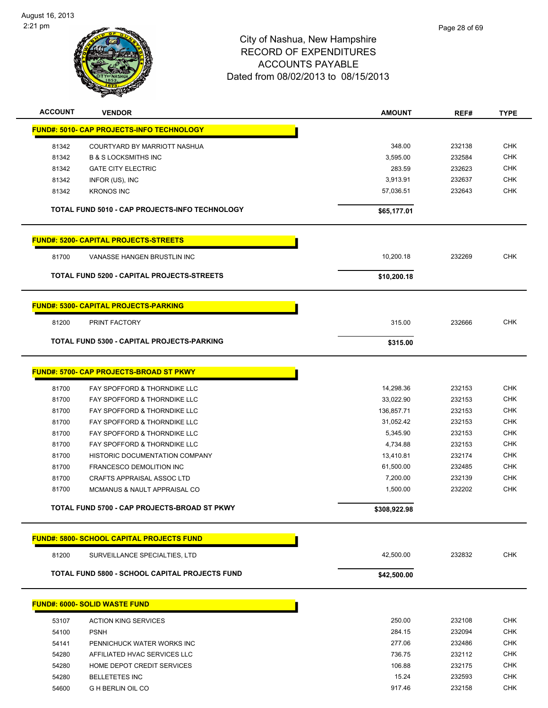

| <b>ACCOUNT</b> | <b>VENDOR</b>                                     | <b>AMOUNT</b> | REF#   | <b>TYPE</b> |
|----------------|---------------------------------------------------|---------------|--------|-------------|
|                | <u> FUND#: 5010- CAP PROJECTS-INFO TECHNOLOGY</u> |               |        |             |
| 81342          | COURTYARD BY MARRIOTT NASHUA                      | 348.00        | 232138 | <b>CHK</b>  |
| 81342          | <b>B &amp; S LOCKSMITHS INC</b>                   | 3,595.00      | 232584 | <b>CHK</b>  |
| 81342          | <b>GATE CITY ELECTRIC</b>                         | 283.59        | 232623 | <b>CHK</b>  |
| 81342          | INFOR (US), INC                                   | 3,913.91      | 232637 | <b>CHK</b>  |
| 81342          | <b>KRONOS INC</b>                                 | 57,036.51     | 232643 | <b>CHK</b>  |
|                | TOTAL FUND 5010 - CAP PROJECTS-INFO TECHNOLOGY    | \$65,177.01   |        |             |
|                | <b>FUND#: 5200- CAPITAL PROJECTS-STREETS</b>      |               |        |             |
| 81700          | VANASSE HANGEN BRUSTLIN INC                       | 10,200.18     | 232269 | <b>CHK</b>  |
|                | TOTAL FUND 5200 - CAPITAL PROJECTS-STREETS        | \$10,200.18   |        |             |
|                | FUND#: 5300- CAPITAL PROJECTS-PARKING             |               |        |             |
| 81200          | PRINT FACTORY                                     | 315.00        | 232666 | <b>CHK</b>  |
|                |                                                   |               |        |             |
|                | TOTAL FUND 5300 - CAPITAL PROJECTS-PARKING        | \$315.00      |        |             |
|                | <b>FUND#: 5700- CAP PROJECTS-BROAD ST PKWY</b>    |               |        |             |
| 81700          | FAY SPOFFORD & THORNDIKE LLC                      | 14,298.36     | 232153 | <b>CHK</b>  |
| 81700          | FAY SPOFFORD & THORNDIKE LLC                      | 33,022.90     | 232153 | <b>CHK</b>  |
| 81700          | FAY SPOFFORD & THORNDIKE LLC                      | 136,857.71    | 232153 | <b>CHK</b>  |
| 81700          | FAY SPOFFORD & THORNDIKE LLC                      | 31,052.42     | 232153 | <b>CHK</b>  |
| 81700          | FAY SPOFFORD & THORNDIKE LLC                      | 5,345.90      | 232153 | <b>CHK</b>  |
| 81700          | FAY SPOFFORD & THORNDIKE LLC                      | 4,734.88      | 232153 | <b>CHK</b>  |
| 81700          | HISTORIC DOCUMENTATION COMPANY                    | 13,410.81     | 232174 | <b>CHK</b>  |
| 81700          | FRANCESCO DEMOLITION INC                          | 61,500.00     | 232485 | <b>CHK</b>  |
| 81700          | CRAFTS APPRAISAL ASSOC LTD                        | 7,200.00      | 232139 | <b>CHK</b>  |
| 81700          | MCMANUS & NAULT APPRAISAL CO                      | 1,500.00      | 232202 | <b>CHK</b>  |
|                | TOTAL FUND 5700 - CAP PROJECTS-BROAD ST PKWY      | \$308,922.98  |        |             |
|                | <b>FUND#: 5800- SCHOOL CAPITAL PROJECTS FUND</b>  |               |        |             |
| 81200          | SURVEILLANCE SPECIALTIES, LTD                     | 42,500.00     | 232832 | <b>CHK</b>  |
|                | TOTAL FUND 5800 - SCHOOL CAPITAL PROJECTS FUND    | \$42,500.00   |        |             |
|                | <b>FUND#: 6000- SOLID WASTE FUND</b>              |               |        |             |
|                |                                                   |               |        |             |
| 53107          | <b>ACTION KING SERVICES</b>                       | 250.00        | 232108 | <b>CHK</b>  |
| 54100          | <b>PSNH</b>                                       | 284.15        | 232094 | <b>CHK</b>  |
| 54141          | PENNICHUCK WATER WORKS INC                        | 277.06        | 232486 | <b>CHK</b>  |
| 54280          | AFFILIATED HVAC SERVICES LLC                      | 736.75        | 232112 | <b>CHK</b>  |
| 54280          | HOME DEPOT CREDIT SERVICES                        | 106.88        | 232175 | <b>CHK</b>  |
| 54280          | <b>BELLETETES INC</b>                             | 15.24         | 232593 | <b>CHK</b>  |
| 54600          | <b>G H BERLIN OIL CO</b>                          | 917.46        | 232158 | <b>CHK</b>  |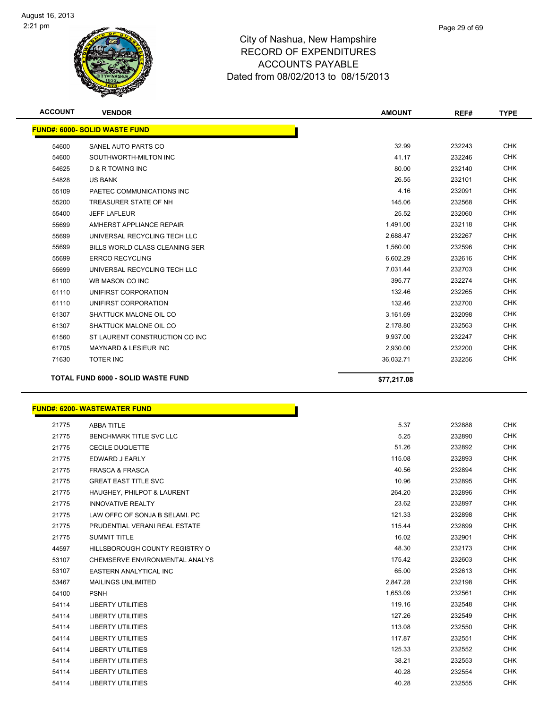

| <b>ACCOUNT</b> | <b>VENDOR</b>                             | <b>AMOUNT</b> | REF#   | <b>TYPE</b> |
|----------------|-------------------------------------------|---------------|--------|-------------|
|                | <b>FUND#: 6000- SOLID WASTE FUND</b>      |               |        |             |
| 54600          | SANEL AUTO PARTS CO                       | 32.99         | 232243 | <b>CHK</b>  |
| 54600          | SOUTHWORTH-MILTON INC                     | 41.17         | 232246 | <b>CHK</b>  |
| 54625          | <b>D &amp; R TOWING INC</b>               | 80.00         | 232140 | <b>CHK</b>  |
| 54828          | <b>US BANK</b>                            | 26.55         | 232101 | <b>CHK</b>  |
| 55109          | PAETEC COMMUNICATIONS INC                 | 4.16          | 232091 | <b>CHK</b>  |
| 55200          | TREASURER STATE OF NH                     | 145.06        | 232568 | <b>CHK</b>  |
| 55400          | <b>JEFF LAFLEUR</b>                       | 25.52         | 232060 | <b>CHK</b>  |
| 55699          | AMHERST APPLIANCE REPAIR                  | 1,491.00      | 232118 | <b>CHK</b>  |
| 55699          | UNIVERSAL RECYCLING TECH LLC              | 2,688.47      | 232267 | <b>CHK</b>  |
| 55699          | BILLS WORLD CLASS CLEANING SER            | 1,560.00      | 232596 | <b>CHK</b>  |
| 55699          | <b>ERRCO RECYCLING</b>                    | 6,602.29      | 232616 | <b>CHK</b>  |
| 55699          | UNIVERSAL RECYCLING TECH LLC              | 7,031.44      | 232703 | <b>CHK</b>  |
| 61100          | WB MASON CO INC                           | 395.77        | 232274 | <b>CHK</b>  |
| 61110          | UNIFIRST CORPORATION                      | 132.46        | 232265 | <b>CHK</b>  |
| 61110          | UNIFIRST CORPORATION                      | 132.46        | 232700 | <b>CHK</b>  |
| 61307          | SHATTUCK MALONE OIL CO                    | 3,161.69      | 232098 | <b>CHK</b>  |
| 61307          | SHATTUCK MALONE OIL CO                    | 2,178.80      | 232563 | <b>CHK</b>  |
| 61560          | ST LAURENT CONSTRUCTION CO INC            | 9,937.00      | 232247 | <b>CHK</b>  |
| 61705          | <b>MAYNARD &amp; LESIEUR INC</b>          | 2,930.00      | 232200 | <b>CHK</b>  |
| 71630          | <b>TOTER INC</b>                          | 36,032.71     | 232256 | <b>CHK</b>  |
|                | <b>TOTAL FUND 6000 - SOLID WASTE FUND</b> | \$77,217.08   |        |             |

#### **FUND#: 6200- WASTEWATER FUND**

| 21775 | <b>ABBA TITLE</b>              | 5.37     | 232888 | <b>CHK</b> |
|-------|--------------------------------|----------|--------|------------|
| 21775 | <b>BENCHMARK TITLE SVC LLC</b> | 5.25     | 232890 | <b>CHK</b> |
| 21775 | <b>CECILE DUQUETTE</b>         | 51.26    | 232892 | <b>CHK</b> |
| 21775 | EDWARD J EARLY                 | 115.08   | 232893 | <b>CHK</b> |
| 21775 | <b>FRASCA &amp; FRASCA</b>     | 40.56    | 232894 | <b>CHK</b> |
| 21775 | <b>GREAT EAST TITLE SVC</b>    | 10.96    | 232895 | <b>CHK</b> |
| 21775 | HAUGHEY, PHILPOT & LAURENT     | 264.20   | 232896 | <b>CHK</b> |
| 21775 | <b>INNOVATIVE REALTY</b>       | 23.62    | 232897 | <b>CHK</b> |
| 21775 | LAW OFFC OF SONJA B SELAMI. PC | 121.33   | 232898 | <b>CHK</b> |
| 21775 | PRUDENTIAL VERANI REAL ESTATE  | 115.44   | 232899 | <b>CHK</b> |
| 21775 | <b>SUMMIT TITLE</b>            | 16.02    | 232901 | <b>CHK</b> |
| 44597 | HILLSBOROUGH COUNTY REGISTRY O | 48.30    | 232173 | <b>CHK</b> |
| 53107 | CHEMSERVE ENVIRONMENTAL ANALYS | 175.42   | 232603 | <b>CHK</b> |
| 53107 | <b>EASTERN ANALYTICAL INC</b>  | 65.00    | 232613 | <b>CHK</b> |
| 53467 | <b>MAILINGS UNLIMITED</b>      | 2,847.28 | 232198 | <b>CHK</b> |
| 54100 | <b>PSNH</b>                    | 1,653.09 | 232561 | <b>CHK</b> |
| 54114 | <b>LIBERTY UTILITIES</b>       | 119.16   | 232548 | <b>CHK</b> |
| 54114 | <b>LIBERTY UTILITIES</b>       | 127.26   | 232549 | <b>CHK</b> |
| 54114 | <b>LIBERTY UTILITIES</b>       | 113.08   | 232550 | <b>CHK</b> |
| 54114 | <b>LIBERTY UTILITIES</b>       | 117.87   | 232551 | <b>CHK</b> |
| 54114 | <b>LIBERTY UTILITIES</b>       | 125.33   | 232552 | <b>CHK</b> |
| 54114 | <b>LIBERTY UTILITIES</b>       | 38.21    | 232553 | <b>CHK</b> |
| 54114 | <b>LIBERTY UTILITIES</b>       | 40.28    | 232554 | <b>CHK</b> |
| 54114 | <b>LIBERTY UTILITIES</b>       | 40.28    | 232555 | <b>CHK</b> |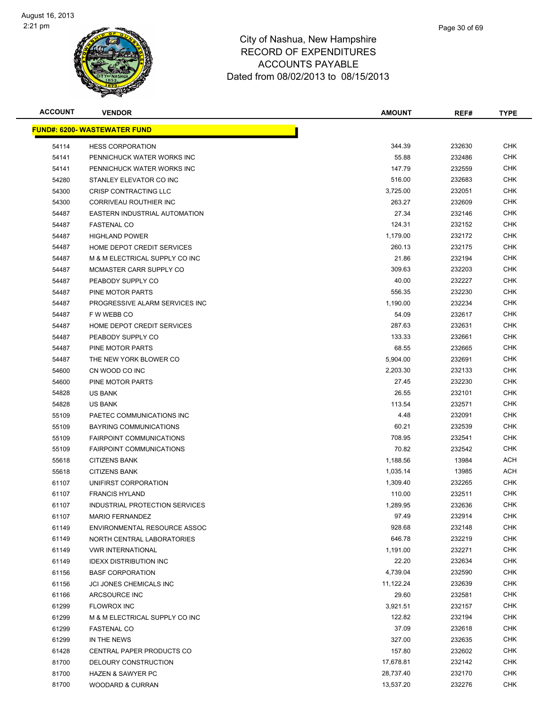

| Page 30 of 69 |
|---------------|
|               |

| <b>ACCOUNT</b> | <b>VENDOR</b>                       | <b>AMOUNT</b> | REF#   | TYPE       |
|----------------|-------------------------------------|---------------|--------|------------|
|                | <b>FUND#: 6200- WASTEWATER FUND</b> |               |        |            |
| 54114          | <b>HESS CORPORATION</b>             | 344.39        | 232630 | <b>CHK</b> |
| 54141          | PENNICHUCK WATER WORKS INC          | 55.88         | 232486 | <b>CHK</b> |
| 54141          | PENNICHUCK WATER WORKS INC          | 147.79        | 232559 | <b>CHK</b> |
| 54280          | STANLEY ELEVATOR CO INC             | 516.00        | 232683 | <b>CHK</b> |
| 54300          | CRISP CONTRACTING LLC               | 3,725.00      | 232051 | CHK        |
| 54300          | <b>CORRIVEAU ROUTHIER INC</b>       | 263.27        | 232609 | CHK        |
| 54487          | EASTERN INDUSTRIAL AUTOMATION       | 27.34         | 232146 | CHK        |
| 54487          | <b>FASTENAL CO</b>                  | 124.31        | 232152 | CHK        |
| 54487          | <b>HIGHLAND POWER</b>               | 1,179.00      | 232172 | CHK        |
| 54487          | HOME DEPOT CREDIT SERVICES          | 260.13        | 232175 | CHK        |
| 54487          | M & M ELECTRICAL SUPPLY CO INC      | 21.86         | 232194 | CHK        |
| 54487          | MCMASTER CARR SUPPLY CO             | 309.63        | 232203 | <b>CHK</b> |
| 54487          | PEABODY SUPPLY CO                   | 40.00         | 232227 | CHK        |
| 54487          | PINE MOTOR PARTS                    | 556.35        | 232230 | CHK        |
| 54487          | PROGRESSIVE ALARM SERVICES INC      | 1,190.00      | 232234 | <b>CHK</b> |
| 54487          | F W WEBB CO                         | 54.09         | 232617 | CHK        |
| 54487          | HOME DEPOT CREDIT SERVICES          | 287.63        | 232631 | <b>CHK</b> |
| 54487          | PEABODY SUPPLY CO                   | 133.33        | 232661 | CHK        |
| 54487          | PINE MOTOR PARTS                    | 68.55         | 232665 | CHK        |
| 54487          | THE NEW YORK BLOWER CO              | 5,904.00      | 232691 | <b>CHK</b> |
| 54600          | CN WOOD CO INC                      | 2,203.30      | 232133 | CHK        |
| 54600          | PINE MOTOR PARTS                    | 27.45         | 232230 | CHK        |
| 54828          | <b>US BANK</b>                      | 26.55         | 232101 | CHK        |
| 54828          | <b>US BANK</b>                      | 113.54        | 232571 | CHK        |
| 55109          | PAETEC COMMUNICATIONS INC           | 4.48          | 232091 | <b>CHK</b> |
| 55109          | BAYRING COMMUNICATIONS              | 60.21         | 232539 | CHK        |
| 55109          | <b>FAIRPOINT COMMUNICATIONS</b>     | 708.95        | 232541 | CHK        |
| 55109          | <b>FAIRPOINT COMMUNICATIONS</b>     | 70.82         | 232542 | CHK        |
| 55618          | <b>CITIZENS BANK</b>                | 1,188.56      | 13984  | <b>ACH</b> |
| 55618          | <b>CITIZENS BANK</b>                | 1,035.14      | 13985  | ACH        |
| 61107          | UNIFIRST CORPORATION                | 1,309.40      | 232265 | CHK        |
| 61107          | <b>FRANCIS HYLAND</b>               | 110.00        | 232511 | CHK        |
| 61107          | INDUSTRIAL PROTECTION SERVICES      | 1,289.95      | 232636 | CHK        |
| 61107          | <b>MARIO FERNANDEZ</b>              | 97.49         | 232914 | <b>CHK</b> |
| 61149          | ENVIRONMENTAL RESOURCE ASSOC        | 928.68        | 232148 | <b>CHK</b> |
| 61149          | NORTH CENTRAL LABORATORIES          | 646.78        | 232219 | <b>CHK</b> |
| 61149          | <b>VWR INTERNATIONAL</b>            | 1,191.00      | 232271 | <b>CHK</b> |
| 61149          | <b>IDEXX DISTRIBUTION INC</b>       | 22.20         | 232634 | <b>CHK</b> |
| 61156          | <b>BASF CORPORATION</b>             | 4,739.04      | 232590 | <b>CHK</b> |
| 61156          | JCI JONES CHEMICALS INC             | 11,122.24     | 232639 | CHK        |
| 61166          | ARCSOURCE INC                       | 29.60         | 232581 | CHK        |
| 61299          | <b>FLOWROX INC</b>                  | 3,921.51      | 232157 | CHK        |
| 61299          | M & M ELECTRICAL SUPPLY CO INC      | 122.82        | 232194 | CHK        |
| 61299          | <b>FASTENAL CO</b>                  | 37.09         | 232618 | CHK        |
| 61299          | IN THE NEWS                         | 327.00        | 232635 | <b>CHK</b> |
| 61428          | CENTRAL PAPER PRODUCTS CO           | 157.80        | 232602 | CHK        |
| 81700          | DELOURY CONSTRUCTION                | 17,678.81     | 232142 | <b>CHK</b> |
| 81700          | <b>HAZEN &amp; SAWYER PC</b>        | 28,737.40     | 232170 | <b>CHK</b> |
| 81700          | <b>WOODARD &amp; CURRAN</b>         | 13,537.20     | 232276 | <b>CHK</b> |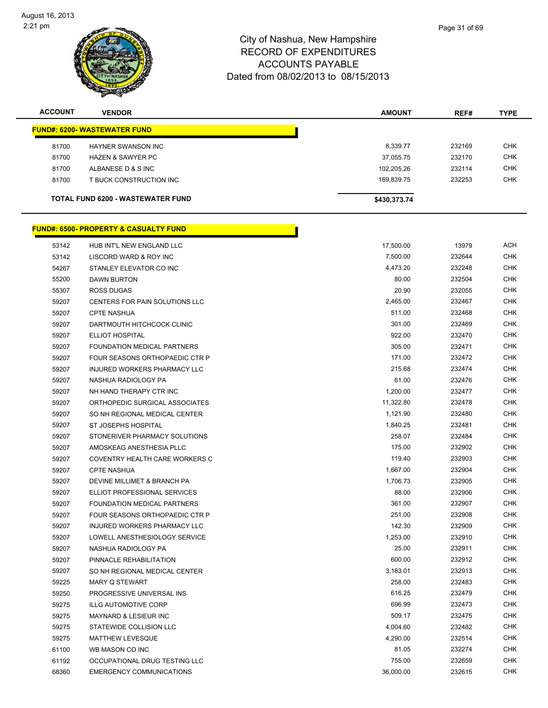

| <b>ACCOUNT</b> | <b>VENDOR</b>                       | <b>AMOUNT</b> | REF#   | <b>TYPE</b> |
|----------------|-------------------------------------|---------------|--------|-------------|
|                | <b>FUND#: 6200- WASTEWATER FUND</b> |               |        |             |
| 81700          | HAYNER SWANSON INC                  | 8,339.77      | 232169 | <b>CHK</b>  |
| 81700          | <b>HAZEN &amp; SAWYER PC</b>        | 37,055.75     | 232170 | <b>CHK</b>  |
| 81700          | ALBANESE D & S INC                  | 102,205.26    | 232114 | <b>CHK</b>  |
| 81700          | T BUCK CONSTRUCTION INC             | 169,839.75    | 232253 | <b>CHK</b>  |
|                | TOTAL FUND 6200 - WASTEWATER FUND   | \$430,373.74  |        |             |

# **FUND#: 6500- PROPERTY & CASUALTY FUND**

| 53142 | HUB INT'L NEW ENGLAND LLC        | 17,500.00 | 13979  | <b>ACH</b> |
|-------|----------------------------------|-----------|--------|------------|
| 53142 | LISCORD WARD & ROY INC           | 7,500.00  | 232644 | <b>CHK</b> |
| 54267 | STANLEY ELEVATOR CO INC          | 4,473.20  | 232248 | <b>CHK</b> |
| 55200 | DAWN BURTON                      | 80.00     | 232504 | <b>CHK</b> |
| 55307 | ROSS DUGAS                       | 20.90     | 232055 | <b>CHK</b> |
| 59207 | CENTERS FOR PAIN SOLUTIONS LLC   | 2,465.00  | 232467 | <b>CHK</b> |
| 59207 | <b>CPTE NASHUA</b>               | 511.00    | 232468 | <b>CHK</b> |
| 59207 | DARTMOUTH HITCHCOCK CLINIC       | 301.00    | 232469 | <b>CHK</b> |
| 59207 | ELLIOT HOSPITAL                  | 922.00    | 232470 | <b>CHK</b> |
| 59207 | FOUNDATION MEDICAL PARTNERS      | 305.00    | 232471 | <b>CHK</b> |
| 59207 | FOUR SEASONS ORTHOPAEDIC CTR P   | 171.00    | 232472 | <b>CHK</b> |
| 59207 | INJURED WORKERS PHARMACY LLC     | 215.68    | 232474 | <b>CHK</b> |
| 59207 | NASHUA RADIOLOGY PA              | 61.00     | 232476 | <b>CHK</b> |
| 59207 | NH HAND THERAPY CTR INC          | 1,200.00  | 232477 | <b>CHK</b> |
| 59207 | ORTHOPEDIC SURGICAL ASSOCIATES   | 11,322.80 | 232478 | <b>CHK</b> |
| 59207 | SO NH REGIONAL MEDICAL CENTER    | 1,121.90  | 232480 | <b>CHK</b> |
| 59207 | ST JOSEPHS HOSPITAL              | 1,840.25  | 232481 | <b>CHK</b> |
| 59207 | STONERIVER PHARMACY SOLUTIONS    | 258.07    | 232484 | <b>CHK</b> |
| 59207 | AMOSKEAG ANESTHESIA PLLC         | 175.00    | 232902 | <b>CHK</b> |
| 59207 | COVENTRY HEALTH CARE WORKERS C   | 119.40    | 232903 | <b>CHK</b> |
| 59207 | <b>CPTE NASHUA</b>               | 1,667.00  | 232904 | <b>CHK</b> |
| 59207 | DEVINE MILLIMET & BRANCH PA      | 1,706.73  | 232905 | <b>CHK</b> |
| 59207 | ELLIOT PROFESSIONAL SERVICES     | 88.00     | 232906 | <b>CHK</b> |
| 59207 | FOUNDATION MEDICAL PARTNERS      | 361.00    | 232907 | <b>CHK</b> |
| 59207 | FOUR SEASONS ORTHOPAEDIC CTR P   | 251.00    | 232908 | <b>CHK</b> |
| 59207 | INJURED WORKERS PHARMACY LLC     | 142.30    | 232909 | <b>CHK</b> |
| 59207 | LOWELL ANESTHESIOLOGY SERVICE    | 1,253.00  | 232910 | <b>CHK</b> |
| 59207 | NASHUA RADIOLOGY PA              | 25.00     | 232911 | <b>CHK</b> |
| 59207 | PINNACLE REHABILITATION          | 600.00    | 232912 | <b>CHK</b> |
| 59207 | SO NH REGIONAL MEDICAL CENTER    | 3,183.01  | 232913 | <b>CHK</b> |
| 59225 | MARY Q STEWART                   | 258.00    | 232483 | <b>CHK</b> |
| 59250 | PROGRESSIVE UNIVERSAL INS        | 616.25    | 232479 | <b>CHK</b> |
| 59275 | <b>ILLG AUTOMOTIVE CORP</b>      | 696.99    | 232473 | <b>CHK</b> |
| 59275 | <b>MAYNARD &amp; LESIEUR INC</b> | 509.17    | 232475 | <b>CHK</b> |
| 59275 | STATEWIDE COLLISION LLC          | 4,004.60  | 232482 | <b>CHK</b> |
| 59275 | MATTHEW LEVESQUE                 | 4,290.00  | 232514 | <b>CHK</b> |
| 61100 | WB MASON CO INC                  | 81.05     | 232274 | <b>CHK</b> |
| 61192 | OCCUPATIONAL DRUG TESTING LLC    | 755.00    | 232659 | <b>CHK</b> |
| 68360 | <b>EMERGENCY COMMUNICATIONS</b>  | 36,000.00 | 232615 | <b>CHK</b> |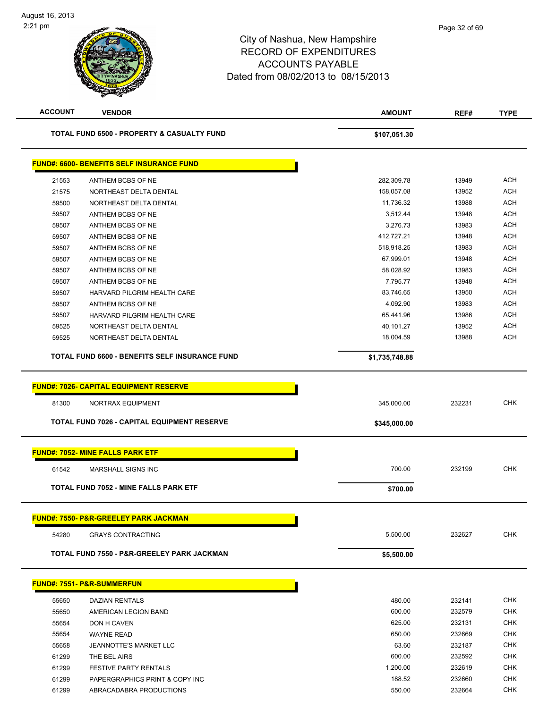| <b>ACCOUNT</b> | <b>VENDOR</b>                                      | <b>AMOUNT</b>  | REF#   | <b>TYPE</b> |
|----------------|----------------------------------------------------|----------------|--------|-------------|
|                | TOTAL FUND 6500 - PROPERTY & CASUALTY FUND         | \$107,051.30   |        |             |
|                | <b>FUND#: 6600- BENEFITS SELF INSURANCE FUND</b>   |                |        |             |
| 21553          | ANTHEM BCBS OF NE                                  | 282,309.78     | 13949  | <b>ACH</b>  |
| 21575          | NORTHEAST DELTA DENTAL                             | 158,057.08     | 13952  | <b>ACH</b>  |
| 59500          | NORTHEAST DELTA DENTAL                             | 11,736.32      | 13988  | <b>ACH</b>  |
| 59507          | ANTHEM BCBS OF NE                                  | 3,512.44       | 13948  | <b>ACH</b>  |
| 59507          | ANTHEM BCBS OF NE                                  | 3,276.73       | 13983  | <b>ACH</b>  |
| 59507          | ANTHEM BCBS OF NE                                  | 412,727.21     | 13948  | <b>ACH</b>  |
| 59507          | ANTHEM BCBS OF NE                                  | 518,918.25     | 13983  | <b>ACH</b>  |
| 59507          | ANTHEM BCBS OF NE                                  | 67,999.01      | 13948  | <b>ACH</b>  |
| 59507          | ANTHEM BCBS OF NE                                  | 58,028.92      | 13983  | <b>ACH</b>  |
| 59507          | ANTHEM BCBS OF NE                                  | 7,795.77       | 13948  | <b>ACH</b>  |
| 59507          | HARVARD PILGRIM HEALTH CARE                        | 83,746.65      | 13950  | <b>ACH</b>  |
| 59507          | ANTHEM BCBS OF NE                                  | 4,092.90       | 13983  | <b>ACH</b>  |
| 59507          | HARVARD PILGRIM HEALTH CARE                        | 65,441.96      | 13986  | <b>ACH</b>  |
| 59525          | NORTHEAST DELTA DENTAL                             | 40,101.27      | 13952  | <b>ACH</b>  |
| 59525          | NORTHEAST DELTA DENTAL                             | 18,004.59      | 13988  | <b>ACH</b>  |
|                | TOTAL FUND 6600 - BENEFITS SELF INSURANCE FUND     | \$1,735,748.88 |        |             |
|                | <b>TOTAL FUND 7026 - CAPITAL EQUIPMENT RESERVE</b> | \$345,000.00   |        |             |
|                | <b>FUND#: 7052- MINE FALLS PARK ETF</b>            |                |        |             |
| 61542          | <b>MARSHALL SIGNS INC</b>                          | 700.00         | 232199 | <b>CHK</b>  |
|                | <b>TOTAL FUND 7052 - MINE FALLS PARK ETF</b>       | \$700.00       |        |             |
|                | <b>FUND#: 7550- P&amp;R-GREELEY PARK JACKMAN</b>   |                |        |             |
| 54280          | <b>GRAYS CONTRACTING</b>                           | 5,500.00       | 232627 | <b>CHK</b>  |
|                | TOTAL FUND 7550 - P&R-GREELEY PARK JACKMAN         | \$5,500.00     |        |             |
|                | <b>FUND#: 7551- P&amp;R-SUMMERFUN</b>              |                |        |             |
| 55650          | <b>DAZIAN RENTALS</b>                              | 480.00         | 232141 | <b>CHK</b>  |
| 55650          | AMERICAN LEGION BAND                               | 600.00         | 232579 | <b>CHK</b>  |
| 55654          | DON H CAVEN                                        | 625.00         | 232131 | <b>CHK</b>  |
| 55654          | <b>WAYNE READ</b>                                  | 650.00         | 232669 | <b>CHK</b>  |
| 55658          | <b>JEANNOTTE'S MARKET LLC</b>                      | 63.60          | 232187 | <b>CHK</b>  |
| 61299          | THE BEL AIRS                                       | 600.00         | 232592 | <b>CHK</b>  |
| 61299          | <b>FESTIVE PARTY RENTALS</b>                       | 1,200.00       | 232619 | <b>CHK</b>  |
| 61299          | PAPERGRAPHICS PRINT & COPY INC                     | 188.52         | 232660 | <b>CHK</b>  |
| 61299          | ABRACADABRA PRODUCTIONS                            | 550.00         | 232664 | <b>CHK</b>  |
|                |                                                    |                |        |             |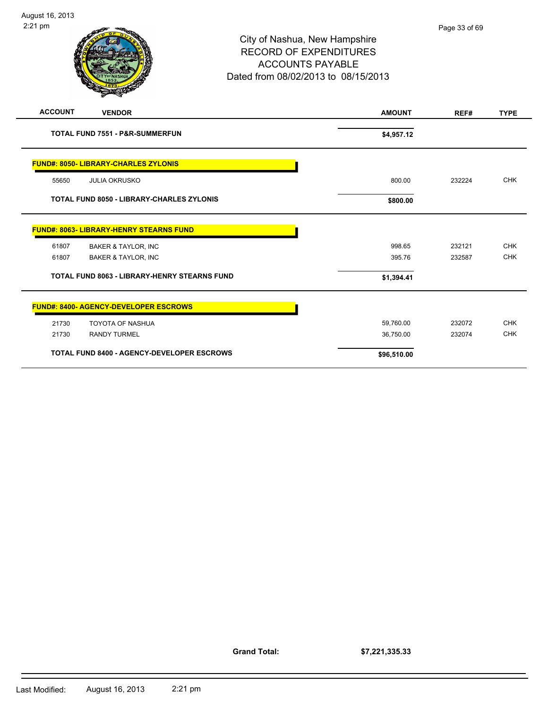| 2:21 pm        |                                                   | City of Nashua, New Hampshire<br><b>RECORD OF EXPENDITURES</b><br><b>ACCOUNTS PAYABLE</b><br>Dated from 08/02/2013 to 08/15/2013 | Page 33 of 69 |             |
|----------------|---------------------------------------------------|----------------------------------------------------------------------------------------------------------------------------------|---------------|-------------|
| <b>ACCOUNT</b> | <b>VENDOR</b>                                     | <b>AMOUNT</b>                                                                                                                    | REF#          | <b>TYPE</b> |
|                | <b>TOTAL FUND 7551 - P&amp;R-SUMMERFUN</b>        | \$4,957.12                                                                                                                       |               |             |
|                | <b>FUND#: 8050- LIBRARY-CHARLES ZYLONIS</b>       |                                                                                                                                  |               |             |
| 55650          | <b>JULIA OKRUSKO</b>                              | 800.00                                                                                                                           | 232224        | <b>CHK</b>  |
|                | <b>TOTAL FUND 8050 - LIBRARY-CHARLES ZYLONIS</b>  | \$800.00                                                                                                                         |               |             |
|                | FUND#: 8063- LIBRARY-HENRY STEARNS FUND           |                                                                                                                                  |               |             |
| 61807          | <b>BAKER &amp; TAYLOR, INC</b>                    | 998.65                                                                                                                           | 232121        | <b>CHK</b>  |
| 61807          | <b>BAKER &amp; TAYLOR, INC</b>                    | 395.76                                                                                                                           | 232587        | <b>CHK</b>  |
|                | TOTAL FUND 8063 - LIBRARY-HENRY STEARNS FUND      | \$1,394.41                                                                                                                       |               |             |
|                | <b>FUND#: 8400- AGENCY-DEVELOPER ESCROWS</b>      |                                                                                                                                  |               |             |
| 21730          | <b>TOYOTA OF NASHUA</b>                           | 59,760.00                                                                                                                        | 232072        | <b>CHK</b>  |
| 21730          | <b>RANDY TURMEL</b>                               | 36,750.00                                                                                                                        | 232074        | <b>CHK</b>  |
|                | <b>TOTAL FUND 8400 - AGENCY-DEVELOPER ESCROWS</b> | \$96,510.00                                                                                                                      |               |             |

**Grand Total:**

**\$7,221,335.33**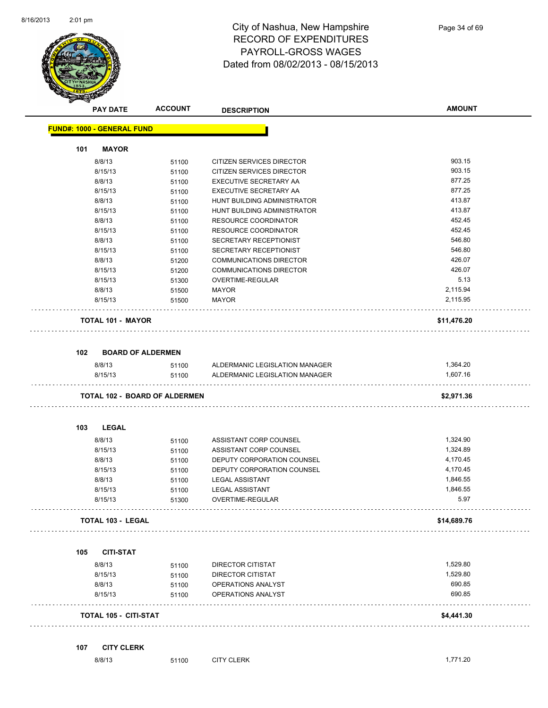

| <b>PAY DATE</b>                   | <b>ACCOUNT</b>                       | <b>DESCRIPTION</b>                       | <b>AMOUNT</b>        |
|-----------------------------------|--------------------------------------|------------------------------------------|----------------------|
| <b>FUND#: 1000 - GENERAL FUND</b> |                                      |                                          |                      |
| <b>MAYOR</b><br>101               |                                      |                                          |                      |
| 8/8/13                            | 51100                                | CITIZEN SERVICES DIRECTOR                | 903.15               |
| 8/15/13                           | 51100                                | CITIZEN SERVICES DIRECTOR                | 903.15               |
| 8/8/13                            | 51100                                | EXECUTIVE SECRETARY AA                   | 877.25               |
| 8/15/13                           | 51100                                | EXECUTIVE SECRETARY AA                   | 877.25               |
| 8/8/13                            | 51100                                | HUNT BUILDING ADMINISTRATOR              | 413.87               |
| 8/15/13                           | 51100                                | HUNT BUILDING ADMINISTRATOR              | 413.87               |
| 8/8/13                            | 51100                                | <b>RESOURCE COORDINATOR</b>              | 452.45               |
| 8/15/13                           | 51100                                | <b>RESOURCE COORDINATOR</b>              | 452.45               |
| 8/8/13                            | 51100                                | SECRETARY RECEPTIONIST                   | 546.80               |
| 8/15/13                           | 51100                                | SECRETARY RECEPTIONIST                   | 546.80               |
| 8/8/13                            | 51200                                | COMMUNICATIONS DIRECTOR                  | 426.07               |
| 8/15/13                           | 51200                                | <b>COMMUNICATIONS DIRECTOR</b>           | 426.07               |
| 8/15/13                           | 51300                                | OVERTIME-REGULAR                         | 5.13                 |
| 8/8/13                            | 51500                                | <b>MAYOR</b>                             | 2,115.94             |
| 8/15/13                           | 51500                                | <b>MAYOR</b>                             | 2,115.95             |
| <b>TOTAL 101 - MAYOR</b>          |                                      |                                          | \$11,476.20          |
| 102                               | <b>BOARD OF ALDERMEN</b>             |                                          |                      |
|                                   |                                      |                                          |                      |
| 8/8/13                            | 51100                                | ALDERMANIC LEGISLATION MANAGER           | 1,364.20<br>1,607.16 |
| 8/15/13                           | 51100                                | ALDERMANIC LEGISLATION MANAGER           |                      |
|                                   | <b>TOTAL 102 - BOARD OF ALDERMEN</b> |                                          | \$2,971.36           |
| <b>LEGAL</b><br>103               |                                      |                                          |                      |
| 8/8/13                            | 51100                                | ASSISTANT CORP COUNSEL                   | 1,324.90             |
| 8/15/13                           | 51100                                | ASSISTANT CORP COUNSEL                   | 1,324.89             |
| 8/8/13                            | 51100                                | DEPUTY CORPORATION COUNSEL               | 4,170.45             |
| 8/15/13                           | 51100                                | DEPUTY CORPORATION COUNSEL               | 4,170.45             |
| 8/8/13                            | 51100                                | <b>LEGAL ASSISTANT</b>                   | 1,846.55             |
| 8/15/13                           | 51100                                | <b>LEGAL ASSISTANT</b>                   | 1,846.55             |
| 8/15/13                           | 51300                                | OVERTIME-REGULAR                         | 5.97                 |
| <b>TOTAL 103 - LEGAL</b>          |                                      |                                          | \$14,689.76          |
| 105                               | <b>CITI-STAT</b>                     |                                          |                      |
|                                   |                                      |                                          |                      |
| 8/8/13                            | 51100                                | DIRECTOR CITISTAT                        | 1,529.80<br>1,529.80 |
| 8/15/13<br>8/8/13                 | 51100                                | <b>DIRECTOR CITISTAT</b>                 |                      |
|                                   | 51100<br>51100                       | OPERATIONS ANALYST<br>OPERATIONS ANALYST | 690.85<br>690.85     |
| 8/15/13                           |                                      |                                          |                      |
|                                   | <b>TOTAL 105 - CITI-STAT</b>         |                                          | \$4,441.30           |

| 8/8/13<br>. | 51100 | <b>CITY CLERK</b> | 771.20 |
|-------------|-------|-------------------|--------|
|             |       |                   |        |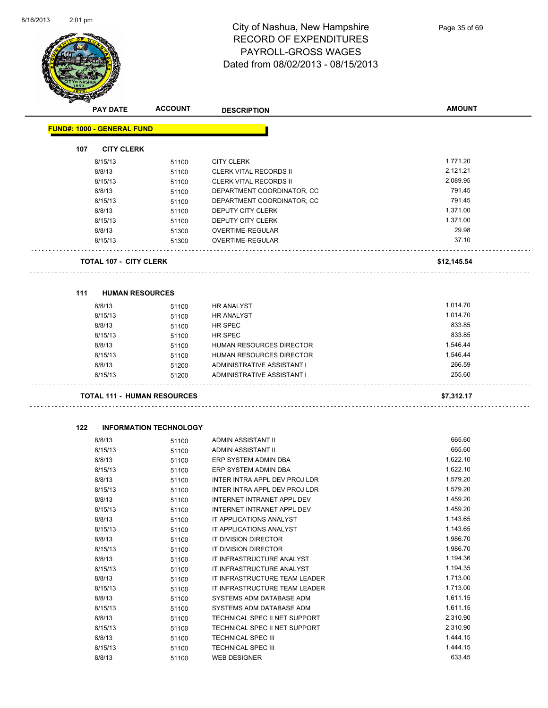

|     | <b>PAY DATE</b>                    | <b>ACCOUNT</b>                | <b>DESCRIPTION</b>              | <b>AMOUNT</b> |
|-----|------------------------------------|-------------------------------|---------------------------------|---------------|
|     | <b>FUND#: 1000 - GENERAL FUND</b>  |                               |                                 |               |
| 107 | <b>CITY CLERK</b>                  |                               |                                 |               |
|     | 8/15/13                            | 51100                         | <b>CITY CLERK</b>               | 1,771.20      |
|     | 8/8/13                             | 51100                         | <b>CLERK VITAL RECORDS II</b>   | 2,121.21      |
|     | 8/15/13                            | 51100                         | <b>CLERK VITAL RECORDS II</b>   | 2,089.95      |
|     | 8/8/13                             | 51100                         | DEPARTMENT COORDINATOR, CC      | 791.45        |
|     | 8/15/13                            | 51100                         | DEPARTMENT COORDINATOR, CC      | 791.45        |
|     | 8/8/13                             | 51100                         | DEPUTY CITY CLERK               | 1,371.00      |
|     | 8/15/13                            | 51100                         | DEPUTY CITY CLERK               | 1,371.00      |
|     | 8/8/13                             | 51300                         | OVERTIME-REGULAR                | 29.98         |
|     | 8/15/13                            | 51300                         | OVERTIME-REGULAR                | 37.10         |
|     |                                    |                               |                                 |               |
|     | <b>TOTAL 107 - CITY CLERK</b>      |                               |                                 | \$12,145.54   |
|     |                                    |                               |                                 |               |
| 111 | <b>HUMAN RESOURCES</b>             |                               |                                 |               |
|     | 8/8/13                             | 51100                         | <b>HR ANALYST</b>               | 1,014.70      |
|     | 8/15/13                            | 51100                         | <b>HR ANALYST</b>               | 1,014.70      |
|     | 8/8/13                             | 51100                         | HR SPEC                         | 833.85        |
|     | 8/15/13                            | 51100                         | HR SPEC                         | 833.85        |
|     | 8/8/13                             | 51100                         | HUMAN RESOURCES DIRECTOR        | 1,546.44      |
|     | 8/15/13                            | 51100                         | <b>HUMAN RESOURCES DIRECTOR</b> | 1,546.44      |
|     | 8/8/13                             | 51200                         | ADMINISTRATIVE ASSISTANT I      | 266.59        |
|     | 8/15/13                            | 51200                         | ADMINISTRATIVE ASSISTANT I      | 255.60        |
|     | <b>TOTAL 111 - HUMAN RESOURCES</b> |                               |                                 | \$7,312.17    |
|     |                                    |                               |                                 |               |
| 122 |                                    | <b>INFORMATION TECHNOLOGY</b> |                                 |               |
|     | 8/8/13                             | 51100                         | ADMIN ASSISTANT II              | 665.60        |
|     | 8/15/13                            | 51100                         | ADMIN ASSISTANT II              | 665.60        |
|     | 8/8/13                             | 51100                         | ERP SYSTEM ADMIN DBA            | 1,622.10      |
|     | 8/15/13                            | 51100                         | ERP SYSTEM ADMIN DBA            | 1,622.10      |
|     | 8/8/13                             | 51100                         | INTER INTRA APPL DEV PROJ LDR   | 1,579.20      |
|     | 8/15/13                            | 51100                         | INTER INTRA APPL DEV PROJ LDR   | 1,579.20      |
|     | 8/8/13                             | 51100                         | INTERNET INTRANET APPL DEV      | 1,459.20      |
|     | 8/15/13                            | 51100                         | INTERNET INTRANET APPL DEV      | 1,459.20      |
|     | 8/8/13                             | 51100                         | IT APPLICATIONS ANALYST         | 1,143.65      |
|     | 8/15/13                            | 51100                         | IT APPLICATIONS ANALYST         | 1,143.65      |
|     | 8/8/13                             | 51100                         | IT DIVISION DIRECTOR            | 1,986.70      |
|     | 8/15/13                            | 51100                         | IT DIVISION DIRECTOR            | 1,986.70      |
|     | 8/8/13                             | 51100                         | IT INFRASTRUCTURE ANALYST       | 1,194.36      |
|     | 8/15/13                            | 51100                         | IT INFRASTRUCTURE ANALYST       | 1,194.35      |
|     | 8/8/13                             | 51100                         | IT INFRASTRUCTURE TEAM LEADER   | 1,713.00      |
|     | 8/15/13                            | 51100                         | IT INFRASTRUCTURE TEAM LEADER   | 1,713.00      |
|     | 8/8/13                             | 51100                         | SYSTEMS ADM DATABASE ADM        | 1,611.15      |
|     | 8/15/13                            | 51100                         | SYSTEMS ADM DATABASE ADM        | 1,611.15      |
|     | 8/8/13                             | 51100                         | TECHNICAL SPEC II NET SUPPORT   | 2,310.90      |
|     | 8/15/13                            | 51100                         | TECHNICAL SPEC II NET SUPPORT   | 2,310.90      |
|     | 8/8/13                             | 51100                         | TECHNICAL SPEC III              | 1,444.15      |
|     | 8/15/13                            | 51100                         | TECHNICAL SPEC III              | 1,444.15      |

8/8/13 51100 WEB DESIGNER 633.45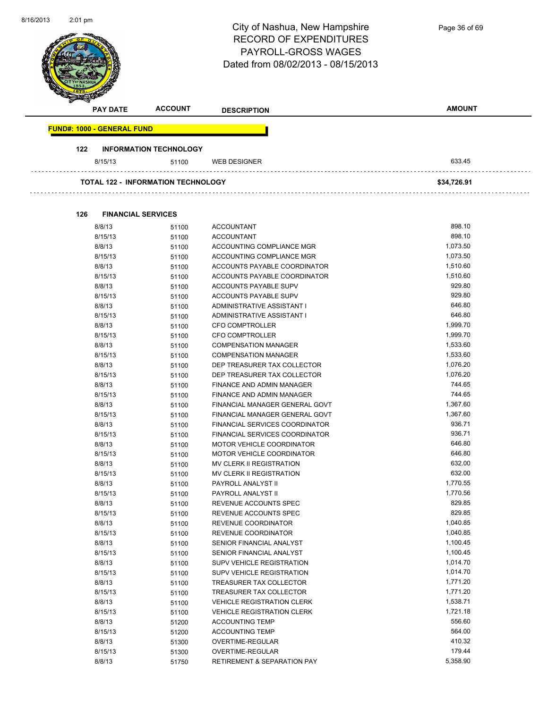| $2:01 \text{ pm}$                 |                                           | City of Nashua, New Hampshire<br><b>RECORD OF EXPENDITURES</b><br>PAYROLL-GROSS WAGES<br>Dated from 08/02/2013 - 08/15/2013 | Page 36 of 69        |
|-----------------------------------|-------------------------------------------|-----------------------------------------------------------------------------------------------------------------------------|----------------------|
| <b>PAY DATE</b>                   | <b>ACCOUNT</b>                            | <b>DESCRIPTION</b>                                                                                                          | <b>AMOUNT</b>        |
| <b>FUND#: 1000 - GENERAL FUND</b> |                                           |                                                                                                                             |                      |
| 122                               | <b>INFORMATION TECHNOLOGY</b>             |                                                                                                                             |                      |
| 8/15/13                           | 51100                                     | <b>WEB DESIGNER</b>                                                                                                         | 633.45               |
|                                   | <b>TOTAL 122 - INFORMATION TECHNOLOGY</b> |                                                                                                                             | \$34,726.91          |
| 126<br><b>FINANCIAL SERVICES</b>  |                                           |                                                                                                                             |                      |
| 8/8/13                            | 51100                                     | <b>ACCOUNTANT</b>                                                                                                           | 898.10               |
| 8/15/13                           | 51100                                     | <b>ACCOUNTANT</b>                                                                                                           | 898.10               |
| 8/8/13                            | 51100                                     | ACCOUNTING COMPLIANCE MGR                                                                                                   | 1,073.50             |
| 8/15/13                           | 51100                                     | ACCOUNTING COMPLIANCE MGR                                                                                                   | 1,073.50             |
| 8/8/13                            | 51100                                     | ACCOUNTS PAYABLE COORDINATOR                                                                                                | 1,510.60             |
| 8/15/13                           | 51100                                     | ACCOUNTS PAYABLE COORDINATOR                                                                                                | 1,510.60             |
| 8/8/13                            | 51100                                     | ACCOUNTS PAYABLE SUPV                                                                                                       | 929.80               |
| 8/15/13                           | 51100                                     | <b>ACCOUNTS PAYABLE SUPV</b>                                                                                                | 929.80               |
| 8/8/13                            | 51100                                     | ADMINISTRATIVE ASSISTANT I                                                                                                  | 646.80               |
| 8/15/13                           | 51100                                     | ADMINISTRATIVE ASSISTANT I                                                                                                  | 646.80               |
| 8/8/13                            | 51100                                     | CFO COMPTROLLER                                                                                                             | 1,999.70             |
| 8/15/13                           | 51100                                     | <b>CFO COMPTROLLER</b>                                                                                                      | 1,999.70             |
| 8/8/13                            | 51100                                     | <b>COMPENSATION MANAGER</b>                                                                                                 | 1,533.60             |
| 8/15/13                           | 51100                                     | <b>COMPENSATION MANAGER</b>                                                                                                 | 1,533.60             |
| 8/8/13                            | 51100                                     | DEP TREASURER TAX COLLECTOR                                                                                                 | 1,076.20             |
| 8/15/13                           | 51100                                     | DEP TREASURER TAX COLLECTOR                                                                                                 | 1,076.20<br>744.65   |
| 8/8/13<br>8/15/13                 | 51100                                     | FINANCE AND ADMIN MANAGER                                                                                                   | 744.65               |
| 8/8/13                            | 51100                                     | FINANCE AND ADMIN MANAGER<br>FINANCIAL MANAGER GENERAL GOVT                                                                 | 1,367.60             |
| 8/15/13                           | 51100<br>51100                            | FINANCIAL MANAGER GENERAL GOVT                                                                                              | 1,367.60             |
| 8/8/13                            | 51100                                     | FINANCIAL SERVICES COORDINATOR                                                                                              | 936.71               |
| 8/15/13                           | 51100                                     | FINANCIAL SERVICES COORDINATOR                                                                                              | 936.71               |
| 8/8/13                            | 51100                                     | MOTOR VEHICLE COORDINATOR                                                                                                   | 646.80               |
| 8/15/13                           | 51100                                     | MOTOR VEHICLE COORDINATOR                                                                                                   | 646.80               |
| 8/8/13                            | 51100                                     | MV CLERK II REGISTRATION                                                                                                    | 632.00               |
| 8/15/13                           | 51100                                     | MV CLERK II REGISTRATION                                                                                                    | 632.00               |
| 8/8/13                            | 51100                                     | PAYROLL ANALYST II                                                                                                          | 1,770.55             |
| 8/15/13                           | 51100                                     | PAYROLL ANALYST II                                                                                                          | 1,770.56             |
| 8/8/13                            | 51100                                     | REVENUE ACCOUNTS SPEC                                                                                                       | 829.85               |
| 8/15/13                           | 51100                                     | REVENUE ACCOUNTS SPEC                                                                                                       | 829.85               |
| 8/8/13                            | 51100                                     | REVENUE COORDINATOR                                                                                                         | 1,040.85             |
| 8/15/13                           | 51100                                     | REVENUE COORDINATOR                                                                                                         | 1,040.85             |
| 8/8/13                            | 51100                                     | SENIOR FINANCIAL ANALYST                                                                                                    | 1,100.45             |
| 8/15/13                           | 51100                                     | SENIOR FINANCIAL ANALYST                                                                                                    | 1,100.45             |
| 8/8/13                            | 51100                                     | SUPV VEHICLE REGISTRATION                                                                                                   | 1,014.70             |
| 8/15/13                           | 51100                                     | SUPV VEHICLE REGISTRATION                                                                                                   | 1,014.70             |
| 8/8/13                            | 51100                                     | TREASURER TAX COLLECTOR                                                                                                     | 1,771.20<br>1,771.20 |
| 8/15/13<br>8/8/13                 | 51100                                     | TREASURER TAX COLLECTOR<br><b>VEHICLE REGISTRATION CLERK</b>                                                                | 1,538.71             |
| 8/15/13                           | 51100                                     | <b>VEHICLE REGISTRATION CLERK</b>                                                                                           | 1,721.18             |
| 8/8/13                            | 51100<br>51200                            | <b>ACCOUNTING TEMP</b>                                                                                                      | 556.60               |
| 8/15/13                           | 51200                                     | <b>ACCOUNTING TEMP</b>                                                                                                      | 564.00               |
| 8/8/13                            | 51300                                     | OVERTIME-REGULAR                                                                                                            | 410.32               |
| 8/15/13                           | 51300                                     | OVERTIME-REGULAR                                                                                                            | 179.44               |
| 8/8/13                            | 51750                                     | <b>RETIREMENT &amp; SEPARATION PAY</b>                                                                                      | 5,358.90             |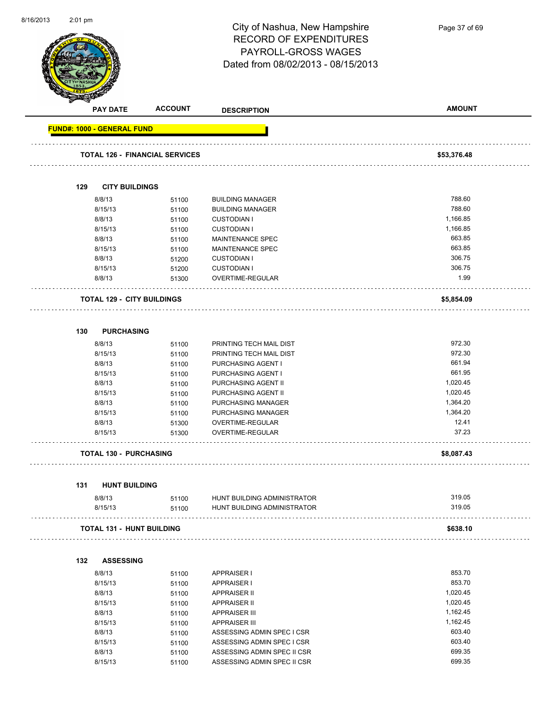

Page 37 of 69

|                                   | <b>PAY DATE</b>                  | <b>ACCOUNT</b>                        | <b>DESCRIPTION</b>                                         | <b>AMOUNT</b> |
|-----------------------------------|----------------------------------|---------------------------------------|------------------------------------------------------------|---------------|
| <b>FUND#: 1000 - GENERAL FUND</b> |                                  |                                       |                                                            |               |
|                                   |                                  |                                       |                                                            |               |
|                                   |                                  | <b>TOTAL 126 - FINANCIAL SERVICES</b> |                                                            | \$53,376.48   |
|                                   |                                  |                                       |                                                            |               |
| 129                               | <b>CITY BUILDINGS</b>            |                                       |                                                            |               |
|                                   | 8/8/13                           | 51100                                 | <b>BUILDING MANAGER</b>                                    | 788.60        |
|                                   | 8/15/13                          | 51100                                 | <b>BUILDING MANAGER</b>                                    | 788.60        |
|                                   | 8/8/13                           | 51100                                 | <b>CUSTODIAN I</b>                                         | 1,166.85      |
|                                   | 8/15/13                          | 51100                                 | <b>CUSTODIAN I</b>                                         | 1,166.85      |
|                                   | 8/8/13                           | 51100                                 | <b>MAINTENANCE SPEC</b>                                    | 663.85        |
|                                   | 8/15/13                          | 51100                                 | MAINTENANCE SPEC                                           | 663.85        |
|                                   | 8/8/13                           | 51200                                 | <b>CUSTODIAN I</b>                                         | 306.75        |
|                                   | 8/15/13                          | 51200                                 | <b>CUSTODIAN I</b>                                         | 306.75        |
|                                   | 8/8/13                           | 51300                                 | OVERTIME-REGULAR                                           | 1.99          |
|                                   |                                  | <b>TOTAL 129 - CITY BUILDINGS</b>     |                                                            | \$5,854.09    |
|                                   |                                  |                                       |                                                            |               |
| 130                               | <b>PURCHASING</b>                |                                       |                                                            |               |
|                                   | 8/8/13                           | 51100                                 | PRINTING TECH MAIL DIST                                    | 972.30        |
|                                   | 8/15/13                          | 51100                                 | PRINTING TECH MAIL DIST                                    | 972.30        |
|                                   | 8/8/13                           | 51100                                 | PURCHASING AGENT I                                         | 661.94        |
|                                   | 8/15/13                          | 51100                                 | PURCHASING AGENT I                                         | 661.95        |
|                                   | 8/8/13                           | 51100                                 | PURCHASING AGENT II                                        | 1,020.45      |
|                                   | 8/15/13                          | 51100                                 | PURCHASING AGENT II                                        | 1,020.45      |
|                                   | 8/8/13                           | 51100                                 | PURCHASING MANAGER                                         | 1,364.20      |
|                                   | 8/15/13                          | 51100                                 | PURCHASING MANAGER                                         | 1,364.20      |
|                                   | 8/8/13                           | 51300                                 | OVERTIME-REGULAR                                           | 12.41         |
|                                   | 8/15/13                          | 51300                                 | OVERTIME-REGULAR                                           | 37.23         |
|                                   | <b>TOTAL 130 - PURCHASING</b>    |                                       |                                                            | \$8,087.43    |
|                                   |                                  |                                       |                                                            |               |
| 131                               | <b>HUNT BUILDING</b>             |                                       |                                                            | 319.05        |
|                                   | 8/8/13<br>8/15/13                | 51100<br>51100                        | HUNT BUILDING ADMINISTRATOR<br>HUNT BUILDING ADMINISTRATOR | 319.05        |
|                                   | <b>TOTAL 131 - HUNT BUILDING</b> |                                       |                                                            | \$638.10      |
|                                   |                                  |                                       |                                                            |               |
| 132                               | <b>ASSESSING</b>                 |                                       |                                                            |               |
|                                   | 8/8/13                           | 51100                                 | <b>APPRAISER I</b>                                         | 853.70        |
|                                   | 8/15/13                          | 51100                                 | <b>APPRAISER I</b>                                         | 853.70        |
|                                   | 8/8/13                           | 51100                                 | <b>APPRAISER II</b>                                        | 1,020.45      |
|                                   | 8/15/13                          | 51100                                 | <b>APPRAISER II</b>                                        | 1,020.45      |
|                                   | 8/8/13                           | 51100                                 | <b>APPRAISER III</b>                                       | 1,162.45      |
|                                   | 8/15/13                          | 51100                                 | <b>APPRAISER III</b>                                       | 1,162.45      |
|                                   | 8/8/13                           | 51100                                 | ASSESSING ADMIN SPEC I CSR                                 | 603.40        |
|                                   | 8/15/13                          | 51100                                 | ASSESSING ADMIN SPEC I CSR                                 | 603.40        |
|                                   | 8/8/13                           | 51100                                 | ASSESSING ADMIN SPEC II CSR                                | 699.35        |

8/15/13 51100 ASSESSING ADMIN SPEC II CSR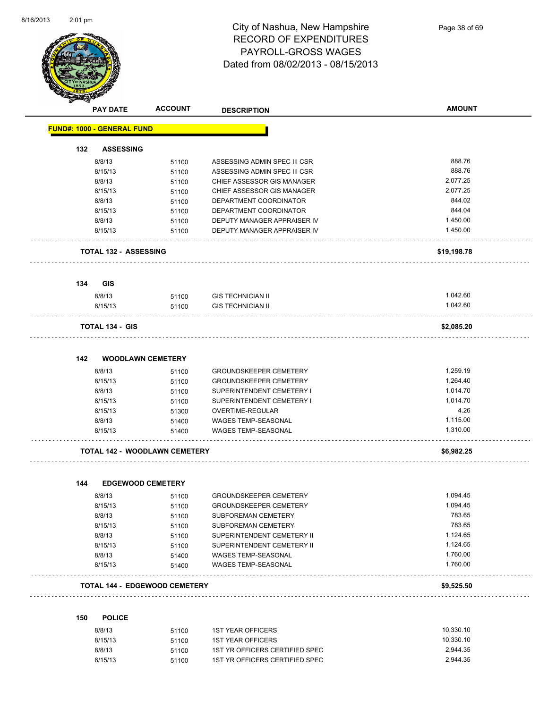

| ❤   | <b>PAY DATE</b>                      | <b>ACCOUNT</b> | <b>DESCRIPTION</b>                                | <b>AMOUNT</b>        |
|-----|--------------------------------------|----------------|---------------------------------------------------|----------------------|
|     | <b>FUND#: 1000 - GENERAL FUND</b>    |                |                                                   |                      |
| 132 | <b>ASSESSING</b>                     |                |                                                   |                      |
|     | 8/8/13                               | 51100          | ASSESSING ADMIN SPEC III CSR                      | 888.76               |
|     | 8/15/13                              | 51100          | ASSESSING ADMIN SPEC III CSR                      | 888.76               |
|     | 8/8/13                               | 51100          | CHIEF ASSESSOR GIS MANAGER                        | 2,077.25             |
|     | 8/15/13                              | 51100          | CHIEF ASSESSOR GIS MANAGER                        | 2,077.25             |
|     | 8/8/13                               | 51100          | DEPARTMENT COORDINATOR                            | 844.02               |
|     | 8/15/13                              | 51100          | DEPARTMENT COORDINATOR                            | 844.04               |
|     | 8/8/13                               | 51100          | DEPUTY MANAGER APPRAISER IV                       | 1,450.00             |
|     | 8/15/13                              | 51100          | DEPUTY MANAGER APPRAISER IV                       | 1,450.00             |
|     | <b>TOTAL 132 - ASSESSING</b>         |                |                                                   | \$19,198.78          |
|     |                                      |                |                                                   |                      |
| 134 | <b>GIS</b><br>8/8/13                 | 51100          | <b>GIS TECHNICIAN II</b>                          | 1,042.60             |
|     | 8/15/13                              | 51100          | <b>GIS TECHNICIAN II</b>                          | 1,042.60             |
|     | <b>TOTAL 134 - GIS</b>               |                |                                                   | \$2,085.20           |
| 142 | <b>WOODLAWN CEMETERY</b>             |                |                                                   |                      |
|     |                                      |                |                                                   |                      |
|     | 8/8/13                               | 51100          | <b>GROUNDSKEEPER CEMETERY</b>                     | 1,259.19             |
|     | 8/15/13                              | 51100          | <b>GROUNDSKEEPER CEMETERY</b>                     | 1,264.40             |
|     | 8/8/13                               | 51100          | SUPERINTENDENT CEMETERY I                         | 1,014.70             |
|     | 8/15/13                              | 51100          | SUPERINTENDENT CEMETERY I                         | 1,014.70             |
|     | 8/15/13                              | 51300          | OVERTIME-REGULAR                                  | 4.26                 |
|     | 8/8/13<br>8/15/13                    | 51400<br>51400 | WAGES TEMP-SEASONAL<br><b>WAGES TEMP-SEASONAL</b> | 1,115.00<br>1,310.00 |
|     | <b>TOTAL 142 - WOODLAWN CEMETERY</b> |                |                                                   | \$6,982.25           |
|     |                                      |                |                                                   |                      |
| 144 | <b>EDGEWOOD CEMETERY</b>             |                |                                                   |                      |
|     | 8/8/13                               | 51100          | <b>GROUNDSKEEPER CEMETERY</b>                     | 1,094.45             |
|     | 8/15/13                              | 51100          | <b>GROUNDSKEEPER CEMETERY</b>                     | 1,094.45             |
|     | 8/8/13                               | 51100          | SUBFOREMAN CEMETERY                               | 783.65               |
|     | 8/15/13                              | 51100          | SUBFOREMAN CEMETERY                               | 783.65               |
|     | 8/8/13                               | 51100          | SUPERINTENDENT CEMETERY II                        | 1,124.65             |
|     | 8/15/13                              | 51100          | SUPERINTENDENT CEMETERY II                        | 1,124.65             |
|     | 8/8/13                               | 51400          | WAGES TEMP-SEASONAL                               | 1,760.00             |
|     | 8/15/13                              | 51400          | WAGES TEMP-SEASONAL                               | 1,760.00             |
|     | <b>TOTAL 144 - EDGEWOOD CEMETERY</b> |                |                                                   | \$9,525.50           |
| 150 | <b>POLICE</b>                        |                |                                                   |                      |
|     | 8/8/13                               | 51100          | <b>1ST YEAR OFFICERS</b>                          | 10,330.10            |
|     | 8/15/13                              | 51100          | <b>1ST YEAR OFFICERS</b>                          | 10,330.10            |
|     | 8/8/13                               | 51100          | 1ST YR OFFICERS CERTIFIED SPEC                    | 2,944.35             |
|     | 8/15/13                              | 51100          | 1ST YR OFFICERS CERTIFIED SPEC                    | 2,944.35             |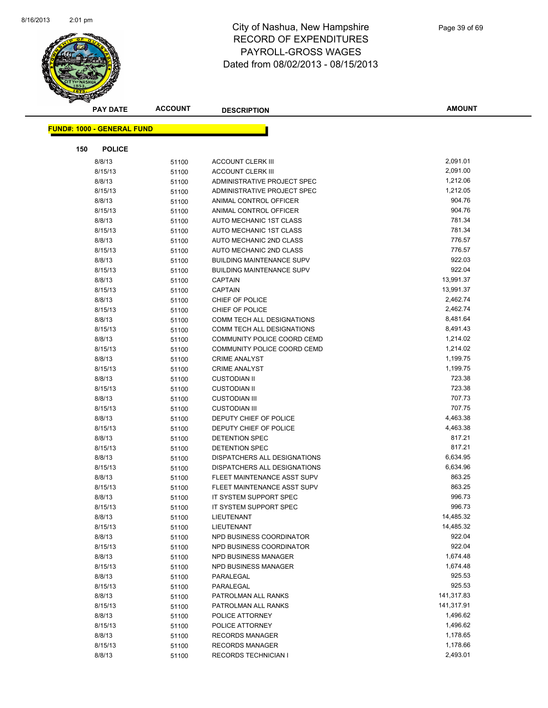

| <b>PAY DATE</b>                   | <b>ACCOUNT</b> | <b>DESCRIPTION</b>               | <b>AMOUNT</b> |
|-----------------------------------|----------------|----------------------------------|---------------|
| <b>FUND#: 1000 - GENERAL FUND</b> |                |                                  |               |
|                                   |                |                                  |               |
| 150<br><b>POLICE</b>              |                |                                  |               |
| 8/8/13                            | 51100          | <b>ACCOUNT CLERK III</b>         | 2,091.01      |
| 8/15/13                           | 51100          | <b>ACCOUNT CLERK III</b>         | 2,091.00      |
| 8/8/13                            | 51100          | ADMINISTRATIVE PROJECT SPEC      | 1,212.06      |
| 8/15/13                           | 51100          | ADMINISTRATIVE PROJECT SPEC      | 1,212.05      |
| 8/8/13                            | 51100          | ANIMAL CONTROL OFFICER           | 904.76        |
| 8/15/13                           | 51100          | ANIMAL CONTROL OFFICER           | 904.76        |
| 8/8/13                            | 51100          | AUTO MECHANIC 1ST CLASS          | 781.34        |
| 8/15/13                           | 51100          | AUTO MECHANIC 1ST CLASS          | 781.34        |
| 8/8/13                            | 51100          | AUTO MECHANIC 2ND CLASS          | 776.57        |
| 8/15/13                           | 51100          | AUTO MECHANIC 2ND CLASS          | 776.57        |
| 8/8/13                            | 51100          | <b>BUILDING MAINTENANCE SUPV</b> | 922.03        |
| 8/15/13                           | 51100          | <b>BUILDING MAINTENANCE SUPV</b> | 922.04        |
| 8/8/13                            | 51100          | <b>CAPTAIN</b>                   | 13,991.37     |
| 8/15/13                           | 51100          | <b>CAPTAIN</b>                   | 13,991.37     |
| 8/8/13                            | 51100          | CHIEF OF POLICE                  | 2,462.74      |
| 8/15/13                           | 51100          | CHIEF OF POLICE                  | 2,462.74      |
| 8/8/13                            | 51100          | COMM TECH ALL DESIGNATIONS       | 8,481.64      |
| 8/15/13                           | 51100          | COMM TECH ALL DESIGNATIONS       | 8,491.43      |
| 8/8/13                            | 51100          | COMMUNITY POLICE COORD CEMD      | 1,214.02      |
| 8/15/13                           | 51100          | COMMUNITY POLICE COORD CEMD      | 1,214.02      |
| 8/8/13                            | 51100          | <b>CRIME ANALYST</b>             | 1,199.75      |
| 8/15/13                           | 51100          | <b>CRIME ANALYST</b>             | 1,199.75      |
| 8/8/13                            | 51100          | <b>CUSTODIAN II</b>              | 723.38        |
| 8/15/13                           | 51100          | <b>CUSTODIAN II</b>              | 723.38        |
| 8/8/13                            | 51100          | <b>CUSTODIAN III</b>             | 707.73        |
| 8/15/13                           | 51100          | <b>CUSTODIAN III</b>             | 707.75        |
| 8/8/13                            | 51100          | DEPUTY CHIEF OF POLICE           | 4,463.38      |
| 8/15/13                           | 51100          | DEPUTY CHIEF OF POLICE           | 4,463.38      |
| 8/8/13                            | 51100          | DETENTION SPEC                   | 817.21        |
| 8/15/13                           | 51100          | <b>DETENTION SPEC</b>            | 817.21        |
| 8/8/13                            | 51100          | DISPATCHERS ALL DESIGNATIONS     | 6,634.95      |
| 8/15/13                           | 51100          | DISPATCHERS ALL DESIGNATIONS     | 6,634.96      |
| 8/8/13                            | 51100          | FLEET MAINTENANCE ASST SUPV      | 863.25        |
| 8/15/13                           | 51100          | FLEET MAINTENANCE ASST SUPV      | 863.25        |
| 8/8/13                            | 51100          | IT SYSTEM SUPPORT SPEC           | 996.73        |
| 8/15/13                           | 51100          | IT SYSTEM SUPPORT SPEC           | 996.73        |
| 8/8/13                            | 51100          | LIEUTENANT                       | 14,485.32     |
| 8/15/13                           | 51100          | LIEUTENANT                       | 14,485.32     |
| 8/8/13                            | 51100          | NPD BUSINESS COORDINATOR         | 922.04        |
| 8/15/13                           | 51100          | NPD BUSINESS COORDINATOR         | 922.04        |
| 8/8/13                            | 51100          | NPD BUSINESS MANAGER             | 1,674.48      |
| 8/15/13                           | 51100          | NPD BUSINESS MANAGER             | 1,674.48      |
| 8/8/13                            | 51100          | PARALEGAL                        | 925.53        |
| 8/15/13                           | 51100          | PARALEGAL                        | 925.53        |
| 8/8/13                            | 51100          | PATROLMAN ALL RANKS              | 141,317.83    |
| 8/15/13                           | 51100          | PATROLMAN ALL RANKS              | 141,317.91    |
| 8/8/13                            | 51100          | POLICE ATTORNEY                  | 1,496.62      |
| 8/15/13                           | 51100          | POLICE ATTORNEY                  | 1,496.62      |
| 8/8/13                            | 51100          | <b>RECORDS MANAGER</b>           | 1,178.65      |
| 8/15/13                           | 51100          | <b>RECORDS MANAGER</b>           | 1,178.66      |
| 8/8/13                            | 51100          | <b>RECORDS TECHNICIAN I</b>      | 2,493.01      |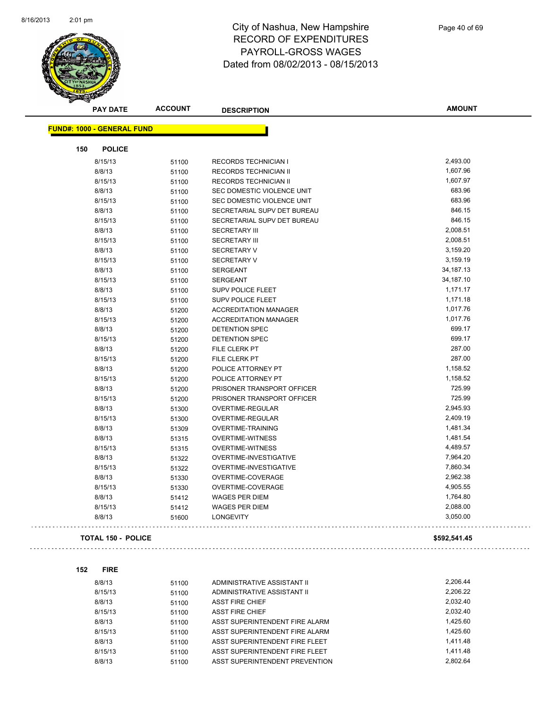$\sim$  .

 $\sim$   $\sim$ 



| <b>PAY DATE</b>                   | <b>ACCOUNT</b> | <b>DESCRIPTION</b>           | AMOUNT       |
|-----------------------------------|----------------|------------------------------|--------------|
| <b>FUND#: 1000 - GENERAL FUND</b> |                |                              |              |
| <b>POLICE</b><br>150              |                |                              |              |
| 8/15/13                           | 51100          | <b>RECORDS TECHNICIAN I</b>  | 2,493.00     |
| 8/8/13                            | 51100          | RECORDS TECHNICIAN II        | 1,607.96     |
| 8/15/13                           | 51100          | RECORDS TECHNICIAN II        | 1,607.97     |
| 8/8/13                            | 51100          | SEC DOMESTIC VIOLENCE UNIT   | 683.96       |
| 8/15/13                           | 51100          | SEC DOMESTIC VIOLENCE UNIT   | 683.96       |
| 8/8/13                            | 51100          | SECRETARIAL SUPV DET BUREAU  | 846.15       |
| 8/15/13                           | 51100          | SECRETARIAL SUPV DET BUREAU  | 846.15       |
| 8/8/13                            | 51100          | <b>SECRETARY III</b>         | 2,008.51     |
| 8/15/13                           | 51100          | <b>SECRETARY III</b>         | 2,008.51     |
| 8/8/13                            | 51100          | <b>SECRETARY V</b>           | 3,159.20     |
| 8/15/13                           | 51100          | <b>SECRETARY V</b>           | 3,159.19     |
| 8/8/13                            | 51100          | <b>SERGEANT</b>              | 34,187.13    |
| 8/15/13                           | 51100          | <b>SERGEANT</b>              | 34,187.10    |
| 8/8/13                            | 51100          | <b>SUPV POLICE FLEET</b>     | 1,171.17     |
| 8/15/13                           | 51100          | <b>SUPV POLICE FLEET</b>     | 1,171.18     |
| 8/8/13                            | 51200          | <b>ACCREDITATION MANAGER</b> | 1,017.76     |
| 8/15/13                           | 51200          | <b>ACCREDITATION MANAGER</b> | 1,017.76     |
| 8/8/13                            | 51200          | <b>DETENTION SPEC</b>        | 699.17       |
| 8/15/13                           | 51200          | <b>DETENTION SPEC</b>        | 699.17       |
| 8/8/13                            | 51200          | FILE CLERK PT                | 287.00       |
| 8/15/13                           | 51200          | FILE CLERK PT                | 287.00       |
| 8/8/13                            | 51200          | POLICE ATTORNEY PT           | 1,158.52     |
| 8/15/13                           | 51200          | POLICE ATTORNEY PT           | 1,158.52     |
| 8/8/13                            | 51200          | PRISONER TRANSPORT OFFICER   | 725.99       |
| 8/15/13                           | 51200          | PRISONER TRANSPORT OFFICER   | 725.99       |
| 8/8/13                            | 51300          | OVERTIME-REGULAR             | 2,945.93     |
| 8/15/13                           | 51300          | <b>OVERTIME-REGULAR</b>      | 2,409.19     |
| 8/8/13                            | 51309          | <b>OVERTIME-TRAINING</b>     | 1,481.34     |
| 8/8/13                            | 51315          | <b>OVERTIME-WITNESS</b>      | 1,481.54     |
| 8/15/13                           | 51315          | <b>OVERTIME-WITNESS</b>      | 4,489.57     |
| 8/8/13                            | 51322          | OVERTIME-INVESTIGATIVE       | 7,964.20     |
| 8/15/13                           | 51322          | OVERTIME-INVESTIGATIVE       | 7,860.34     |
| 8/8/13                            | 51330          | OVERTIME-COVERAGE            | 2,962.38     |
| 8/15/13                           |                | OVERTIME-COVERAGE            | 4,905.55     |
| 8/8/13                            | 51330          | <b>WAGES PER DIEM</b>        | 1,764.80     |
| 8/15/13                           | 51412          | <b>WAGES PER DIEM</b>        | 2,088.00     |
| 8/8/13                            | 51412          |                              | 3,050.00     |
|                                   | 51600          | <b>LONGEVITY</b>             |              |
| <b>TOTAL 150 - POLICE</b>         |                |                              | \$592,541.45 |

| 152 | <b>FIRE</b> |       |                                |          |
|-----|-------------|-------|--------------------------------|----------|
|     | 8/8/13      | 51100 | ADMINISTRATIVE ASSISTANT II    | 2.206.44 |
|     | 8/15/13     | 51100 | ADMINISTRATIVE ASSISTANT II    | 2.206.22 |
|     | 8/8/13      | 51100 | <b>ASST FIRE CHIEF</b>         | 2.032.40 |
|     | 8/15/13     | 51100 | <b>ASST FIRE CHIEF</b>         | 2.032.40 |
|     | 8/8/13      | 51100 | ASST SUPERINTENDENT FIRE ALARM | 1.425.60 |
|     | 8/15/13     | 51100 | ASST SUPERINTENDENT FIRE ALARM | 1.425.60 |
|     | 8/8/13      | 51100 | ASST SUPERINTENDENT FIRE FLEET | 1.411.48 |
|     | 8/15/13     | 51100 | ASST SUPERINTENDENT FIRE FLEET | 1.411.48 |
|     | 8/8/13      | 51100 | ASST SUPERINTENDENT PREVENTION | 2.802.64 |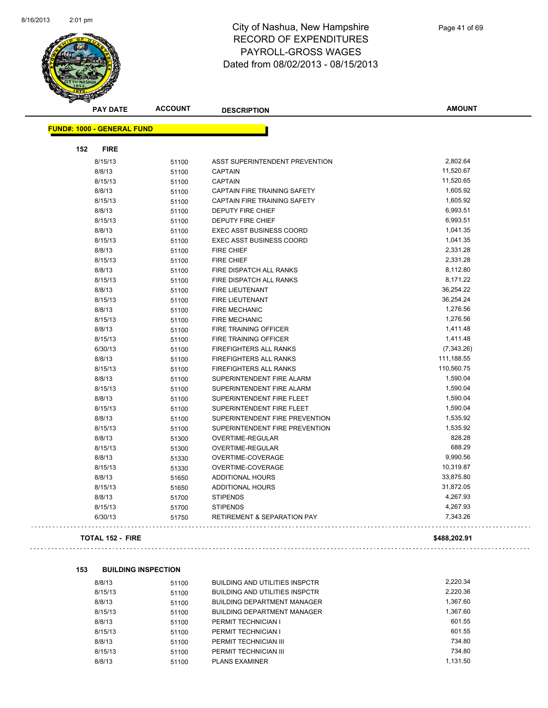

|     | <b>PAY DATE</b>                   | <b>ACCOUNT</b> | <b>DESCRIPTION</b>                     | <b>AMOUNT</b> |
|-----|-----------------------------------|----------------|----------------------------------------|---------------|
|     | <b>FUND#: 1000 - GENERAL FUND</b> |                |                                        |               |
|     |                                   |                |                                        |               |
| 152 | <b>FIRE</b>                       |                |                                        |               |
|     | 8/15/13                           | 51100          | ASST SUPERINTENDENT PREVENTION         | 2,802.64      |
|     | 8/8/13                            | 51100          | <b>CAPTAIN</b>                         | 11,520.67     |
|     | 8/15/13                           | 51100          | <b>CAPTAIN</b>                         | 11,520.65     |
|     | 8/8/13                            | 51100          | CAPTAIN FIRE TRAINING SAFETY           | 1,605.92      |
|     | 8/15/13                           | 51100          | CAPTAIN FIRE TRAINING SAFETY           | 1,605.92      |
|     | 8/8/13                            | 51100          | <b>DEPUTY FIRE CHIEF</b>               | 6,993.51      |
|     | 8/15/13                           | 51100          | DEPUTY FIRE CHIEF                      | 6,993.51      |
|     | 8/8/13                            | 51100          | <b>EXEC ASST BUSINESS COORD</b>        | 1,041.35      |
|     | 8/15/13                           | 51100          | <b>EXEC ASST BUSINESS COORD</b>        | 1,041.35      |
|     | 8/8/13                            | 51100          | <b>FIRE CHIEF</b>                      | 2,331.28      |
|     | 8/15/13                           | 51100          | <b>FIRE CHIEF</b>                      | 2,331.28      |
|     | 8/8/13                            | 51100          | FIRE DISPATCH ALL RANKS                | 8,112.80      |
|     | 8/15/13                           | 51100          | FIRE DISPATCH ALL RANKS                | 8,171.22      |
|     | 8/8/13                            | 51100          | <b>FIRE LIEUTENANT</b>                 | 36,254.22     |
|     | 8/15/13                           | 51100          | <b>FIRE LIEUTENANT</b>                 | 36,254.24     |
|     | 8/8/13                            | 51100          | <b>FIRE MECHANIC</b>                   | 1,276.56      |
|     | 8/15/13                           | 51100          | <b>FIRE MECHANIC</b>                   | 1,276.56      |
|     | 8/8/13                            | 51100          | <b>FIRE TRAINING OFFICER</b>           | 1,411.48      |
|     | 8/15/13                           | 51100          | FIRE TRAINING OFFICER                  | 1,411.48      |
|     | 6/30/13                           | 51100          | FIREFIGHTERS ALL RANKS                 | (7,343.26)    |
|     | 8/8/13                            | 51100          | <b>FIREFIGHTERS ALL RANKS</b>          | 111,188.55    |
|     | 8/15/13                           | 51100          | <b>FIREFIGHTERS ALL RANKS</b>          | 110,560.75    |
|     | 8/8/13                            | 51100          | SUPERINTENDENT FIRE ALARM              | 1,590.04      |
|     | 8/15/13                           | 51100          | SUPERINTENDENT FIRE ALARM              | 1,590.04      |
|     | 8/8/13                            | 51100          | SUPERINTENDENT FIRE FLEET              | 1,590.04      |
|     | 8/15/13                           | 51100          | SUPERINTENDENT FIRE FLEET              | 1,590.04      |
|     | 8/8/13                            | 51100          | SUPERINTENDENT FIRE PREVENTION         | 1,535.92      |
|     | 8/15/13                           | 51100          | SUPERINTENDENT FIRE PREVENTION         | 1,535.92      |
|     | 8/8/13                            | 51300          | OVERTIME-REGULAR                       | 828.28        |
|     | 8/15/13                           | 51300          | <b>OVERTIME-REGULAR</b>                | 688.29        |
|     | 8/8/13                            | 51330          | OVERTIME-COVERAGE                      | 9,990.56      |
|     | 8/15/13                           | 51330          | OVERTIME-COVERAGE                      | 10,319.87     |
|     | 8/8/13                            | 51650          | <b>ADDITIONAL HOURS</b>                | 33,875.80     |
|     | 8/15/13                           | 51650          | ADDITIONAL HOURS                       | 31,872.05     |
|     | 8/8/13                            | 51700          | <b>STIPENDS</b>                        | 4,267.93      |
|     | 8/15/13                           | 51700          | <b>STIPENDS</b>                        | 4,267.93      |
|     | 6/30/13                           | 51750          | <b>RETIREMENT &amp; SEPARATION PAY</b> | 7,343.26      |

#### **TOTAL 152 - FIRE \$488,202.91**

 $\bar{z}$  is  $\bar{z}$  .

#### **153 BUILDING INSPECTION**

| 8/8/13  | 51100 | <b>BUILDING AND UTILITIES INSPCTR</b> | 2.220.34 |
|---------|-------|---------------------------------------|----------|
| 8/15/13 | 51100 | <b>BUILDING AND UTILITIES INSPCTR</b> | 2,220.36 |
| 8/8/13  | 51100 | <b>BUILDING DEPARTMENT MANAGER</b>    | 1.367.60 |
| 8/15/13 | 51100 | <b>BUILDING DEPARTMENT MANAGER</b>    | 1.367.60 |
| 8/8/13  | 51100 | PERMIT TECHNICIAN I                   | 601.55   |
| 8/15/13 | 51100 | PERMIT TECHNICIAN I                   | 601.55   |
| 8/8/13  | 51100 | PERMIT TECHNICIAN III                 | 734.80   |
| 8/15/13 | 51100 | PERMIT TECHNICIAN III                 | 734.80   |
| 8/8/13  | 51100 | <b>PLANS EXAMINER</b>                 | 1.131.50 |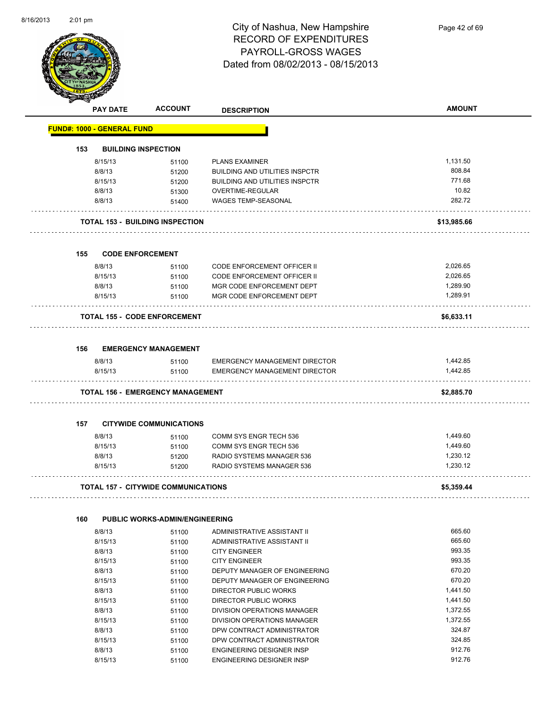

|     | <b>PAY DATE</b>                   | <b>ACCOUNT</b>                             | <b>DESCRIPTION</b>                                                           | <b>AMOUNT</b> |
|-----|-----------------------------------|--------------------------------------------|------------------------------------------------------------------------------|---------------|
|     | <b>FUND#: 1000 - GENERAL FUND</b> |                                            |                                                                              |               |
| 153 |                                   | <b>BUILDING INSPECTION</b>                 |                                                                              |               |
|     | 8/15/13                           | 51100                                      | <b>PLANS EXAMINER</b>                                                        | 1,131.50      |
|     | 8/8/13                            | 51200                                      | <b>BUILDING AND UTILITIES INSPCTR</b>                                        | 808.84        |
|     | 8/15/13                           | 51200                                      | <b>BUILDING AND UTILITIES INSPCTR</b>                                        | 771.68        |
|     | 8/8/13                            | 51300                                      | <b>OVERTIME-REGULAR</b>                                                      | 10.82         |
|     | 8/8/13                            | 51400                                      | WAGES TEMP-SEASONAL                                                          | 282.72        |
|     |                                   | <b>TOTAL 153 - BUILDING INSPECTION</b>     |                                                                              | \$13,985.66   |
| 155 |                                   | <b>CODE ENFORCEMENT</b>                    |                                                                              |               |
|     | 8/8/13                            | 51100                                      | <b>CODE ENFORCEMENT OFFICER II</b>                                           | 2,026.65      |
|     | 8/15/13                           | 51100                                      | <b>CODE ENFORCEMENT OFFICER II</b>                                           | 2,026.65      |
|     | 8/8/13                            | 51100                                      | MGR CODE ENFORCEMENT DEPT                                                    | 1,289.90      |
|     | 8/15/13                           | 51100                                      | MGR CODE ENFORCEMENT DEPT                                                    | 1,289.91      |
|     |                                   | <b>TOTAL 155 - CODE ENFORCEMENT</b>        |                                                                              | \$6,633.11    |
| 156 |                                   | <b>EMERGENCY MANAGEMENT</b>                |                                                                              |               |
|     | 8/8/13                            |                                            |                                                                              | 1,442.85      |
|     | 8/15/13                           | 51100                                      | <b>EMERGENCY MANAGEMENT DIRECTOR</b><br><b>EMERGENCY MANAGEMENT DIRECTOR</b> | 1,442.85      |
|     |                                   | 51100                                      |                                                                              |               |
|     |                                   | <b>TOTAL 156 - EMERGENCY MANAGEMENT</b>    |                                                                              | \$2,885.70    |
| 157 |                                   | <b>CITYWIDE COMMUNICATIONS</b>             |                                                                              |               |
|     | 8/8/13                            | 51100                                      | COMM SYS ENGR TECH 536                                                       | 1,449.60      |
|     | 8/15/13                           | 51100                                      | COMM SYS ENGR TECH 536                                                       | 1,449.60      |
|     | 8/8/13                            | 51200                                      | RADIO SYSTEMS MANAGER 536                                                    | 1,230.12      |
|     | 8/15/13                           | 51200                                      | RADIO SYSTEMS MANAGER 536                                                    | 1,230.12      |
|     |                                   | <b>TOTAL 157 - CITYWIDE COMMUNICATIONS</b> |                                                                              | \$5,359.44    |
| 160 |                                   | <b>PUBLIC WORKS-ADMIN/ENGINEERING</b>      |                                                                              |               |
|     | 8/8/13                            | 51100                                      | ADMINISTRATIVE ASSISTANT II                                                  | 665.60        |
|     | 8/15/13                           | 51100                                      | ADMINISTRATIVE ASSISTANT II                                                  | 665.60        |
|     | 8/8/13                            | 51100                                      | <b>CITY ENGINEER</b>                                                         | 993.35        |
|     | 8/15/13                           | 51100                                      | <b>CITY ENGINEER</b>                                                         | 993.35        |
|     | 8/8/13                            | 51100                                      | DEPUTY MANAGER OF ENGINEERING                                                | 670.20        |
|     | 8/15/13                           | 51100                                      | DEPUTY MANAGER OF ENGINEERING                                                | 670.20        |
|     | 8/8/13                            | 51100                                      | DIRECTOR PUBLIC WORKS                                                        | 1,441.50      |
|     | 8/15/13                           | 51100                                      | <b>DIRECTOR PUBLIC WORKS</b>                                                 | 1,441.50      |
|     | 8/8/13                            | 51100                                      | DIVISION OPERATIONS MANAGER                                                  | 1,372.55      |
|     | 8/15/13                           | 51100                                      | DIVISION OPERATIONS MANAGER                                                  | 1,372.55      |
|     | 8/8/13                            | 51100                                      | DPW CONTRACT ADMINISTRATOR                                                   | 324.87        |
|     | 8/15/13                           | 51100                                      | DPW CONTRACT ADMINISTRATOR                                                   | 324.85        |
|     | 8/8/13                            | 51100                                      | ENGINEERING DESIGNER INSP                                                    | 912.76        |

8/8/13 51100 ENGINEERING DESIGNER INSP 912.76

8/15/13 51100 ENGINEERING DESIGNER INSP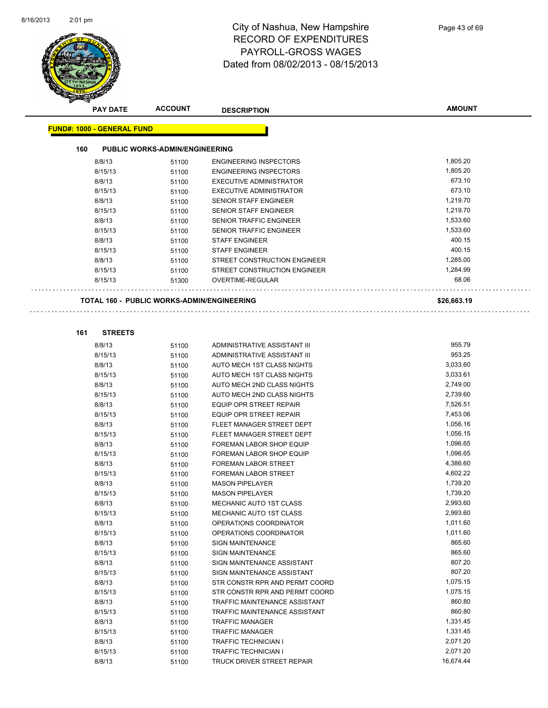

|     | <b>PAY DATE</b>                   | <b>ACCOUNT</b>                                    | <b>DESCRIPTION</b>             | <b>AMOUNT</b> |
|-----|-----------------------------------|---------------------------------------------------|--------------------------------|---------------|
|     | <b>FUND#: 1000 - GENERAL FUND</b> |                                                   |                                |               |
|     |                                   |                                                   |                                |               |
| 160 |                                   | <b>PUBLIC WORKS-ADMIN/ENGINEERING</b>             |                                |               |
|     | 8/8/13                            | 51100                                             | <b>ENGINEERING INSPECTORS</b>  | 1,805.20      |
|     | 8/15/13                           | 51100                                             | <b>ENGINEERING INSPECTORS</b>  | 1,805.20      |
|     | 8/8/13                            | 51100                                             | <b>EXECUTIVE ADMINISTRATOR</b> | 673.10        |
|     | 8/15/13                           | 51100                                             | <b>EXECUTIVE ADMINISTRATOR</b> | 673.10        |
|     | 8/8/13                            | 51100                                             | SENIOR STAFF ENGINEER          | 1,219.70      |
|     | 8/15/13                           | 51100                                             | SENIOR STAFF ENGINEER          | 1,219.70      |
|     | 8/8/13                            | 51100                                             | <b>SENIOR TRAFFIC ENGINEER</b> | 1,533.60      |
|     | 8/15/13                           | 51100                                             | <b>SENIOR TRAFFIC ENGINEER</b> | 1,533.60      |
|     | 8/8/13                            | 51100                                             | <b>STAFF ENGINEER</b>          | 400.15        |
|     | 8/15/13                           | 51100                                             | <b>STAFF ENGINEER</b>          | 400.15        |
|     | 8/8/13                            | 51100                                             | STREET CONSTRUCTION ENGINEER   | 1,285.00      |
|     | 8/15/13                           | 51100                                             | STREET CONSTRUCTION ENGINEER   | 1,284.99      |
|     | 8/15/13                           | 51300                                             | OVERTIME-REGULAR               | 68.06         |
|     |                                   | <b>TOTAL 160 - PUBLIC WORKS-ADMIN/ENGINEERING</b> |                                | \$26,663.19   |
|     |                                   |                                                   |                                |               |
|     |                                   |                                                   |                                |               |
| 161 | <b>STREETS</b>                    |                                                   |                                |               |
|     | 8/8/13                            | 51100                                             | ADMINISTRATIVE ASSISTANT III   | 955.79        |
|     | 8/15/13                           | 51100                                             | ADMINISTRATIVE ASSISTANT III   | 953.25        |
|     | 8/8/13                            | 51100                                             | AUTO MECH 1ST CLASS NIGHTS     | 3,033.60      |
|     | 8/15/13                           | 51100                                             | AUTO MECH 1ST CLASS NIGHTS     | 3,033.61      |
|     | 8/8/13                            | 51100                                             | AUTO MECH 2ND CLASS NIGHTS     | 2,749.00      |
|     | 8/15/13                           | 51100                                             | AUTO MECH 2ND CLASS NIGHTS     | 2,739.60      |
|     | 8/8/13                            | 51100                                             | EQUIP OPR STREET REPAIR        | 7,526.51      |
|     | 8/15/13                           | 51100                                             | EQUIP OPR STREET REPAIR        | 7,453.06      |
|     | 8/8/13                            | 51100                                             | FLEET MANAGER STREET DEPT      | 1,056.16      |
|     | 8/15/13                           | 51100                                             | FLEET MANAGER STREET DEPT      | 1,056.15      |
|     | 8/8/13                            | 51100                                             | FOREMAN LABOR SHOP EQUIP       | 1,096.65      |
|     | 8/15/13                           | 51100                                             | FOREMAN LABOR SHOP EQUIP       | 1,096.65      |
|     | 8/8/13                            | 51100                                             | <b>FOREMAN LABOR STREET</b>    | 4,386.60      |
|     | 8/15/13                           | 51100                                             | FOREMAN LABOR STREET           | 4,602.22      |
|     | 8/8/13                            | 51100                                             | <b>MASON PIPELAYER</b>         | 1,739.20      |
|     | 8/15/13                           | 51100                                             | <b>MASON PIPELAYER</b>         | 1,739.20      |
|     | 8/8/13                            | 51100                                             | MECHANIC AUTO 1ST CLASS        | 2,993.60      |
|     | 8/15/13                           | 51100                                             | MECHANIC AUTO 1ST CLASS        | 2,993.60      |
|     | 8/8/13                            | 51100                                             | OPERATIONS COORDINATOR         | 1,011.60      |
|     | 8/15/13                           | 51100                                             | OPERATIONS COORDINATOR         | 1,011.60      |
|     | 8/8/13                            | 51100                                             | <b>SIGN MAINTENANCE</b>        | 865.60        |
|     | 8/15/13                           | 51100                                             | <b>SIGN MAINTENANCE</b>        | 865.60        |
|     | 8/8/13                            | 51100                                             | SIGN MAINTENANCE ASSISTANT     | 807.20        |
|     | 8/15/13                           | 51100                                             | SIGN MAINTENANCE ASSISTANT     | 807.20        |
|     | 8/8/13                            | 51100                                             | STR CONSTR RPR AND PERMT COORD | 1,075.15      |
|     | 8/15/13                           | 51100                                             | STR CONSTR RPR AND PERMT COORD | 1,075.15      |
|     | 8/8/13                            | 51100                                             | TRAFFIC MAINTENANCE ASSISTANT  | 860.80        |
|     | 8/15/13                           | 51100                                             | TRAFFIC MAINTENANCE ASSISTANT  | 860.80        |
|     | 8/8/13                            | 51100                                             | <b>TRAFFIC MANAGER</b>         | 1,331.45      |
|     | 8/15/13                           | 51100                                             | <b>TRAFFIC MANAGER</b>         | 1,331.45      |
|     | 8/8/13                            | 51100                                             | <b>TRAFFIC TECHNICIAN I</b>    | 2,071.20      |
|     | 8/15/13                           | 51100                                             | <b>TRAFFIC TECHNICIAN I</b>    | 2,071.20      |
|     | 8/8/13                            | 51100                                             | TRUCK DRIVER STREET REPAIR     | 16,674.44     |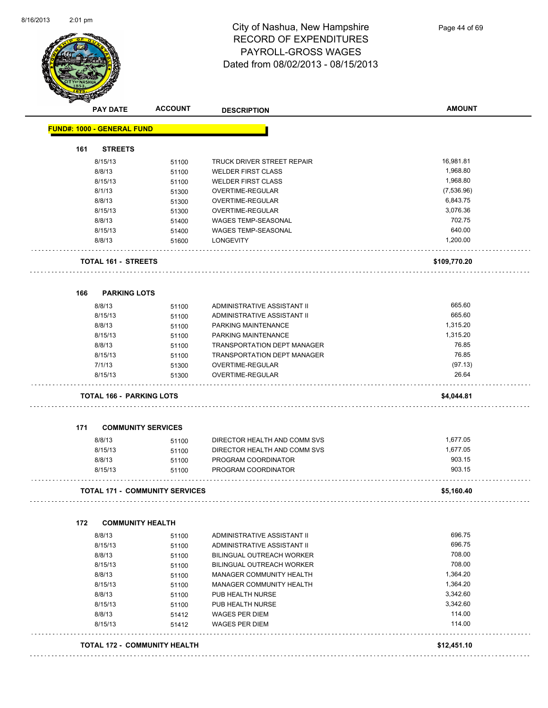

| <b>PAY DATE</b>                       | <b>ACCOUNT</b>            | <b>DESCRIPTION</b>                   | <b>AMOUNT</b>    |
|---------------------------------------|---------------------------|--------------------------------------|------------------|
| <b>FUND#: 1000 - GENERAL FUND</b>     |                           |                                      |                  |
| <b>STREETS</b><br>161                 |                           |                                      |                  |
| 8/15/13                               | 51100                     | TRUCK DRIVER STREET REPAIR           | 16,981.81        |
| 8/8/13                                | 51100                     | <b>WELDER FIRST CLASS</b>            | 1,968.80         |
| 8/15/13                               | 51100                     | <b>WELDER FIRST CLASS</b>            | 1,968.80         |
| 8/1/13                                | 51300                     | OVERTIME-REGULAR                     | (7,536.96)       |
| 8/8/13                                | 51300                     | <b>OVERTIME-REGULAR</b>              | 6,843.75         |
| 8/15/13                               | 51300                     | OVERTIME-REGULAR                     | 3,076.36         |
| 8/8/13                                | 51400                     | <b>WAGES TEMP-SEASONAL</b>           | 702.75           |
| 8/15/13                               | 51400                     | WAGES TEMP-SEASONAL                  | 640.00           |
| 8/8/13                                | 51600                     | <b>LONGEVITY</b>                     | 1,200.00         |
| <b>TOTAL 161 - STREETS</b>            |                           |                                      | \$109,770.20     |
| <b>PARKING LOTS</b><br>166            |                           |                                      |                  |
| 8/8/13                                | 51100                     | ADMINISTRATIVE ASSISTANT II          | 665.60           |
| 8/15/13                               | 51100                     | ADMINISTRATIVE ASSISTANT II          | 665.60           |
| 8/8/13                                |                           | PARKING MAINTENANCE                  | 1,315.20         |
| 8/15/13                               | 51100                     |                                      | 1,315.20         |
|                                       | 51100                     | PARKING MAINTENANCE                  | 76.85            |
| 8/8/13                                | 51100                     | <b>TRANSPORTATION DEPT MANAGER</b>   | 76.85            |
| 8/15/13                               | 51100                     | TRANSPORTATION DEPT MANAGER          |                  |
| 7/1/13<br>8/15/13                     | 51300<br>51300            | OVERTIME-REGULAR<br>OVERTIME-REGULAR | (97.13)<br>26.64 |
| TOTAL 166 - PARKING LOTS              |                           |                                      | \$4,044.81       |
|                                       |                           |                                      |                  |
| 171                                   | <b>COMMUNITY SERVICES</b> |                                      |                  |
| 8/8/13                                | 51100                     | DIRECTOR HEALTH AND COMM SVS         | 1,677.05         |
| 8/15/13                               | 51100                     | DIRECTOR HEALTH AND COMM SVS         | 1,677.05         |
| 8/8/13                                | 51100                     | PROGRAM COORDINATOR                  | 903.15           |
| 8/15/13                               | 51100                     | PROGRAM COORDINATOR                  | 903.15           |
| <b>TOTAL 171 - COMMUNITY SERVICES</b> |                           |                                      | \$5,160.40       |
| 172<br><b>COMMUNITY HEALTH</b>        |                           |                                      |                  |
| 8/8/13                                | 51100                     | ADMINISTRATIVE ASSISTANT II          | 696.75           |
| 8/15/13                               | 51100                     | ADMINISTRATIVE ASSISTANT II          | 696.75           |
| 8/8/13                                | 51100                     | <b>BILINGUAL OUTREACH WORKER</b>     | 708.00           |
| 8/15/13                               | 51100                     | BILINGUAL OUTREACH WORKER            | 708.00           |
| 8/8/13                                | 51100                     | MANAGER COMMUNITY HEALTH             | 1,364.20         |
| 8/15/13                               | 51100                     | MANAGER COMMUNITY HEALTH             | 1,364.20         |
| 8/8/13                                | 51100                     | PUB HEALTH NURSE                     | 3,342.60         |
| 8/15/13                               | 51100                     | PUB HEALTH NURSE                     | 3,342.60         |
| 8/8/13                                | 51412                     | <b>WAGES PER DIEM</b>                | 114.00           |
| 8/15/13                               | 51412                     | <b>WAGES PER DIEM</b>                | 114.00           |
| TOTAL 172 - COMMUNITY HEALTH          |                           |                                      | \$12,451.10      |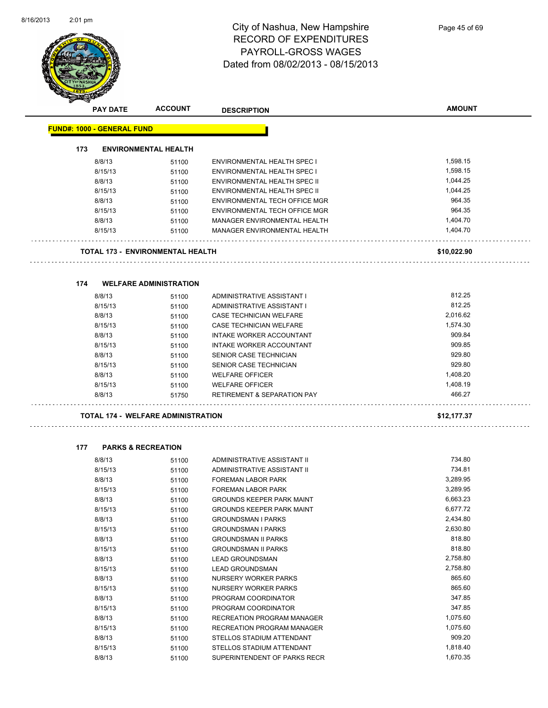$\overline{\phantom{0}}$ 



# City of Nashua, New Hampshire RECORD OF EXPENDITURES PAYROLL-GROSS WAGES Dated from 08/02/2013 - 08/15/2013

|     | <b>PAY DATE</b>                   | <b>ACCOUNT</b>                            | <b>DESCRIPTION</b>                                            | <b>AMOUNT</b>        |
|-----|-----------------------------------|-------------------------------------------|---------------------------------------------------------------|----------------------|
|     | <b>FUND#: 1000 - GENERAL FUND</b> |                                           |                                                               |                      |
|     |                                   |                                           |                                                               |                      |
| 173 |                                   | <b>ENVIRONMENTAL HEALTH</b>               |                                                               |                      |
|     | 8/8/13                            | 51100                                     | <b>ENVIRONMENTAL HEALTH SPEC I</b>                            | 1,598.15             |
|     | 8/15/13                           | 51100                                     | <b>ENVIRONMENTAL HEALTH SPEC I</b>                            | 1,598.15             |
|     | 8/8/13                            | 51100                                     | ENVIRONMENTAL HEALTH SPEC II                                  | 1,044.25             |
|     | 8/15/13                           | 51100                                     | ENVIRONMENTAL HEALTH SPEC II                                  | 1,044.25             |
|     | 8/8/13                            | 51100                                     | ENVIRONMENTAL TECH OFFICE MGR                                 | 964.35               |
|     | 8/15/13                           | 51100                                     | ENVIRONMENTAL TECH OFFICE MGR                                 | 964.35               |
|     | 8/8/13                            | 51100                                     | MANAGER ENVIRONMENTAL HEALTH                                  | 1,404.70             |
|     | 8/15/13                           | 51100                                     | MANAGER ENVIRONMENTAL HEALTH                                  | 1,404.70             |
|     |                                   | TOTAL 173 - ENVIRONMENTAL HEALTH          |                                                               | \$10,022.90          |
|     |                                   |                                           |                                                               |                      |
| 174 |                                   | <b>WELFARE ADMINISTRATION</b>             |                                                               |                      |
|     | 8/8/13                            | 51100                                     | ADMINISTRATIVE ASSISTANT I                                    | 812.25               |
|     | 8/15/13                           | 51100                                     | ADMINISTRATIVE ASSISTANT I                                    | 812.25               |
|     | 8/8/13                            | 51100                                     | CASE TECHNICIAN WELFARE                                       | 2,016.62             |
|     | 8/15/13                           | 51100                                     | CASE TECHNICIAN WELFARE                                       | 1,574.30             |
|     | 8/8/13                            | 51100                                     | <b>INTAKE WORKER ACCOUNTANT</b>                               | 909.84               |
|     | 8/15/13                           | 51100                                     | <b>INTAKE WORKER ACCOUNTANT</b>                               | 909.85               |
|     | 8/8/13                            | 51100                                     | SENIOR CASE TECHNICIAN                                        | 929.80               |
|     | 8/15/13                           | 51100                                     | SENIOR CASE TECHNICIAN                                        | 929.80               |
|     | 8/8/13                            | 51100                                     | <b>WELFARE OFFICER</b>                                        | 1,408.20             |
|     | 8/15/13                           | 51100                                     | <b>WELFARE OFFICER</b>                                        | 1,408.19             |
|     | 8/8/13                            | 51750                                     | <b>RETIREMENT &amp; SEPARATION PAY</b>                        | 466.27               |
|     |                                   | <b>TOTAL 174 - WELFARE ADMINISTRATION</b> |                                                               | \$12,177.37          |
|     |                                   |                                           |                                                               |                      |
| 177 |                                   | <b>PARKS &amp; RECREATION</b>             |                                                               |                      |
|     | 8/8/13                            | 51100                                     | ADMINISTRATIVE ASSISTANT II                                   | 734.80               |
|     | 8/15/13                           | 51100                                     | ADMINISTRATIVE ASSISTANT II                                   | 734.81               |
|     | 8/8/13                            | 51100                                     | <b>FOREMAN LABOR PARK</b>                                     | 3,289.95<br>3,289.95 |
|     | 8/15/13                           | 51100                                     | <b>FOREMAN LABOR PARK</b>                                     | 6,663.23             |
|     | 8/8/13                            | 51100                                     | <b>GROUNDS KEEPER PARK MAINT</b>                              | 6,677.72             |
|     | 8/15/13                           | 51100                                     | <b>GROUNDS KEEPER PARK MAINT</b><br><b>GROUNDSMAN I PARKS</b> |                      |
|     | 8/8/13                            | 51100                                     |                                                               | 2,434.80<br>2,630.80 |
|     | 8/15/13                           | 51100                                     | <b>GROUNDSMAN I PARKS</b>                                     | 818.80               |
|     | 8/8/13                            | 51100                                     | <b>GROUNDSMAN II PARKS</b>                                    | 818.80               |
|     | 8/15/13                           | 51100                                     | <b>GROUNDSMAN II PARKS</b>                                    | 2,758.80             |
|     | 8/8/13                            | 51100                                     | <b>LEAD GROUNDSMAN</b>                                        | 2,758.80             |
|     | 8/15/13                           | 51100                                     | <b>LEAD GROUNDSMAN</b>                                        |                      |
|     | 8/8/13                            | 51100                                     | NURSERY WORKER PARKS                                          | 865.60<br>865.60     |
|     | 8/15/13                           | 51100                                     | NURSERY WORKER PARKS                                          |                      |
|     | 8/8/13                            | 51100                                     | PROGRAM COORDINATOR                                           | 347.85               |
|     | 8/15/13                           | 51100                                     | PROGRAM COORDINATOR                                           | 347.85<br>1,075.60   |
|     | 8/8/13                            | 51100                                     | RECREATION PROGRAM MANAGER                                    | 1,075.60             |
|     | 8/15/13                           | 51100                                     | RECREATION PROGRAM MANAGER                                    | 909.20               |
|     | 8/8/13                            | 51100                                     | STELLOS STADIUM ATTENDANT                                     | 1,818.40             |
|     | 8/15/13                           | 51100                                     | STELLOS STADIUM ATTENDANT                                     |                      |

8/8/13 51100 SUPERINTENDENT OF PARKS RECR 1,670.35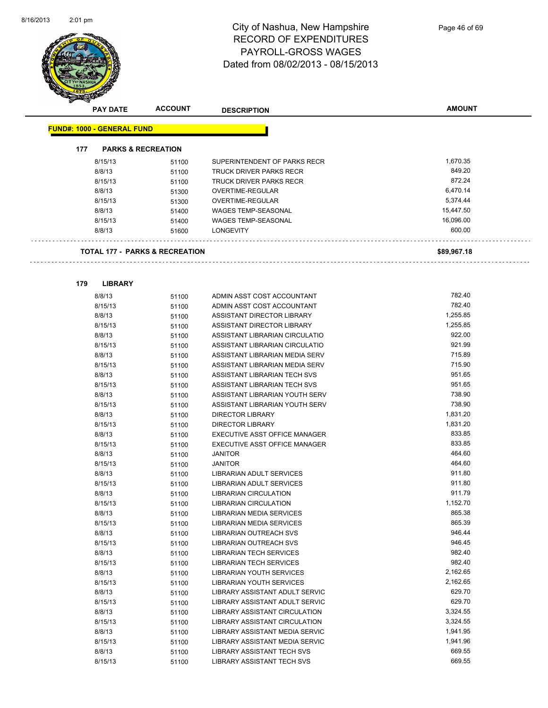

### City of Nashua, New Hampshire RECORD OF EXPENDITURES PAYROLL-GROSS WAGES Dated from 08/02/2013 - 08/15/2013

| <b>PAY DATE</b>                           | <b>ACCOUNT</b>                | <b>DESCRIPTION</b>              | <b>AMOUNT</b> |
|-------------------------------------------|-------------------------------|---------------------------------|---------------|
| <b>FUND#: 1000 - GENERAL FUND</b>         |                               |                                 |               |
|                                           |                               |                                 |               |
| 177                                       | <b>PARKS &amp; RECREATION</b> |                                 |               |
| 8/15/13                                   | 51100                         | SUPERINTENDENT OF PARKS RECR    | 1,670.35      |
| 8/8/13                                    | 51100                         | TRUCK DRIVER PARKS RECR         | 849.20        |
| 8/15/13                                   | 51100                         | <b>TRUCK DRIVER PARKS RECR</b>  | 872.24        |
| 8/8/13                                    | 51300                         | OVERTIME-REGULAR                | 6,470.14      |
| 8/15/13                                   | 51300                         | OVERTIME-REGULAR                | 5,374.44      |
| 8/8/13                                    | 51400                         | <b>WAGES TEMP-SEASONAL</b>      | 15,447.50     |
| 8/15/13                                   | 51400                         | <b>WAGES TEMP-SEASONAL</b>      | 16,096.00     |
| 8/8/13                                    | 51600                         | <b>LONGEVITY</b>                | 600.00        |
| <b>TOTAL 177 - PARKS &amp; RECREATION</b> |                               |                                 | \$89,967.18   |
|                                           |                               |                                 |               |
| 179<br><b>LIBRARY</b>                     |                               |                                 |               |
| 8/8/13                                    | 51100                         | ADMIN ASST COST ACCOUNTANT      | 782.40        |
| 8/15/13                                   | 51100                         | ADMIN ASST COST ACCOUNTANT      | 782.40        |
| 8/8/13                                    | 51100                         | ASSISTANT DIRECTOR LIBRARY      | 1,255.85      |
| 8/15/13                                   | 51100                         | ASSISTANT DIRECTOR LIBRARY      | 1,255.85      |
| 8/8/13                                    | 51100                         | ASSISTANT LIBRARIAN CIRCULATIO  | 922.00        |
| 8/15/13                                   | 51100                         | ASSISTANT LIBRARIAN CIRCULATIO  | 921.99        |
| 8/8/13                                    | 51100                         | ASSISTANT LIBRARIAN MEDIA SERV  | 715.89        |
| 8/15/13                                   | 51100                         | ASSISTANT LIBRARIAN MEDIA SERV  | 715.90        |
| 8/8/13                                    | 51100                         | ASSISTANT LIBRARIAN TECH SVS    | 951.65        |
| 8/15/13                                   | 51100                         | ASSISTANT LIBRARIAN TECH SVS    | 951.65        |
| 8/8/13                                    | 51100                         | ASSISTANT LIBRARIAN YOUTH SERV  | 738.90        |
| 8/15/13                                   | 51100                         | ASSISTANT LIBRARIAN YOUTH SERV  | 738.90        |
| 8/8/13                                    | 51100                         | <b>DIRECTOR LIBRARY</b>         | 1,831.20      |
| 8/15/13                                   | 51100                         | <b>DIRECTOR LIBRARY</b>         | 1,831.20      |
| 8/8/13                                    | 51100                         | EXECUTIVE ASST OFFICE MANAGER   | 833.85        |
| 8/15/13                                   | 51100                         | EXECUTIVE ASST OFFICE MANAGER   | 833.85        |
| 8/8/13                                    | 51100                         | <b>JANITOR</b>                  | 464.60        |
| 8/15/13                                   | 51100                         | <b>JANITOR</b>                  | 464.60        |
| 8/8/13                                    | 51100                         | LIBRARIAN ADULT SERVICES        | 911.80        |
| 8/15/13                                   | 51100                         | <b>LIBRARIAN ADULT SERVICES</b> | 911.80        |
| 8/8/13                                    | 51100                         | LIBRARIAN CIRCULATION           | 911.79        |
| 8/15/13                                   | 51100                         | <b>LIBRARIAN CIRCULATION</b>    | 1,152.70      |
| 8/8/13                                    | 51100                         | LIBRARIAN MEDIA SERVICES        | 865.38        |

| 8/15/13 | 51100 | LIBRARIAN OUTREACH SVS               | 946.45   |
|---------|-------|--------------------------------------|----------|
| 8/8/13  | 51100 | LIBRARIAN TECH SERVICES              | 982.40   |
| 8/15/13 | 51100 | LIBRARIAN TECH SERVICES              | 982.40   |
| 8/8/13  | 51100 | LIBRARIAN YOUTH SERVICES             | 2,162.65 |
| 8/15/13 | 51100 | LIBRARIAN YOUTH SERVICES             | 2,162.65 |
| 8/8/13  | 51100 | LIBRARY ASSISTANT ADULT SERVIC       | 629.70   |
| 8/15/13 | 51100 | LIBRARY ASSISTANT ADULT SERVIC       | 629.70   |
| 8/8/13  | 51100 | <b>LIBRARY ASSISTANT CIRCULATION</b> | 3,324.55 |
| 8/15/13 | 51100 | LIBRARY ASSISTANT CIRCULATION        | 3,324.55 |
| 8/8/13  | 51100 | LIBRARY ASSISTANT MEDIA SERVIC       | 1.941.95 |
| 8/15/13 | 51100 | LIBRARY ASSISTANT MEDIA SERVIC       | 1,941.96 |
| 8/8/13  | 51100 | <b>LIBRARY ASSISTANT TECH SVS</b>    | 669.55   |
| 8/15/13 | 51100 | LIBRARY ASSISTANT TECH SVS           | 669.55   |
|         |       |                                      |          |

8/15/13 51100 LIBRARIAN MEDIA SERVICES 665.39 8/8/13 51100 LIBRARIAN OUTREACH SVS 56/6/8/8/8/13 51100

8/8/13 51100 LIBRARIAN MEDIA SERVICES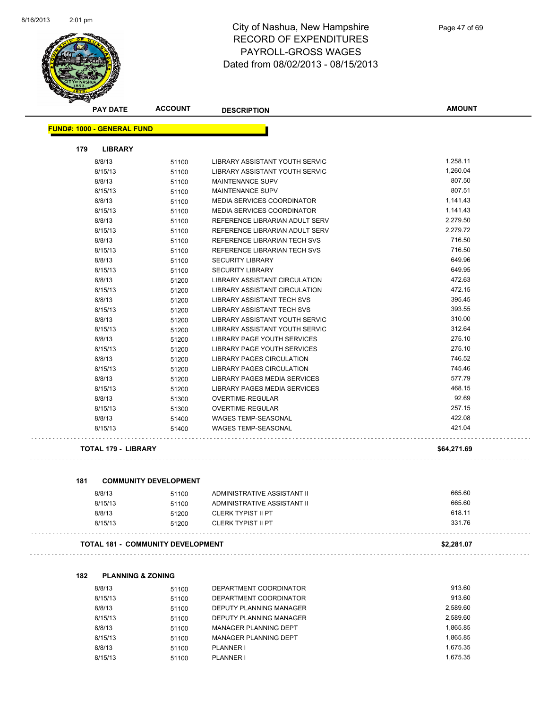

|     | <b>PAY DATE</b>                   | <b>ACCOUNT</b>                    | <b>DESCRIPTION</b>                   | <b>AMOUNT</b> |
|-----|-----------------------------------|-----------------------------------|--------------------------------------|---------------|
|     | <b>FUND#: 1000 - GENERAL FUND</b> |                                   |                                      |               |
| 179 | <b>LIBRARY</b>                    |                                   |                                      |               |
|     | 8/8/13                            | 51100                             | LIBRARY ASSISTANT YOUTH SERVIC       | 1,258.11      |
|     | 8/15/13                           | 51100                             | LIBRARY ASSISTANT YOUTH SERVIC       | 1,260.04      |
|     | 8/8/13                            | 51100                             | <b>MAINTENANCE SUPV</b>              | 807.50        |
|     | 8/15/13                           | 51100                             | <b>MAINTENANCE SUPV</b>              | 807.51        |
|     | 8/8/13                            | 51100                             | MEDIA SERVICES COORDINATOR           | 1,141.43      |
|     | 8/15/13                           | 51100                             | <b>MEDIA SERVICES COORDINATOR</b>    | 1,141.43      |
|     | 8/8/13                            | 51100                             | REFERENCE LIBRARIAN ADULT SERV       | 2,279.50      |
|     | 8/15/13                           | 51100                             | REFERENCE LIBRARIAN ADULT SERV       | 2,279.72      |
|     | 8/8/13                            | 51100                             | REFERENCE LIBRARIAN TECH SVS         | 716.50        |
|     | 8/15/13                           | 51100                             | REFERENCE LIBRARIAN TECH SVS         | 716.50        |
|     | 8/8/13                            | 51100                             | <b>SECURITY LIBRARY</b>              | 649.96        |
|     | 8/15/13                           | 51100                             | <b>SECURITY LIBRARY</b>              | 649.95        |
|     | 8/8/13                            | 51200                             | LIBRARY ASSISTANT CIRCULATION        | 472.63        |
|     | 8/15/13                           | 51200                             | <b>LIBRARY ASSISTANT CIRCULATION</b> | 472.15        |
|     | 8/8/13                            | 51200                             | <b>LIBRARY ASSISTANT TECH SVS</b>    | 395.45        |
|     | 8/15/13                           | 51200                             | LIBRARY ASSISTANT TECH SVS           | 393.55        |
|     | 8/8/13                            | 51200                             | LIBRARY ASSISTANT YOUTH SERVIC       | 310.00        |
|     | 8/15/13                           | 51200                             | LIBRARY ASSISTANT YOUTH SERVIC       | 312.64        |
|     | 8/8/13                            | 51200                             | LIBRARY PAGE YOUTH SERVICES          | 275.10        |
|     | 8/15/13                           | 51200                             | LIBRARY PAGE YOUTH SERVICES          | 275.10        |
|     | 8/8/13                            | 51200                             | LIBRARY PAGES CIRCULATION            | 746.52        |
|     | 8/15/13                           | 51200                             | <b>LIBRARY PAGES CIRCULATION</b>     | 745.46        |
|     | 8/8/13                            | 51200                             | LIBRARY PAGES MEDIA SERVICES         | 577.79        |
|     | 8/15/13                           | 51200                             | LIBRARY PAGES MEDIA SERVICES         | 468.15        |
|     | 8/8/13                            | 51300                             | OVERTIME-REGULAR                     | 92.69         |
|     | 8/15/13                           | 51300                             | OVERTIME-REGULAR                     | 257.15        |
|     | 8/8/13                            | 51400                             | <b>WAGES TEMP-SEASONAL</b>           | 422.08        |
|     | 8/15/13                           | 51400                             | <b>WAGES TEMP-SEASONAL</b>           | 421.04        |
|     | <b>TOTAL 179 - LIBRARY</b>        |                                   |                                      | \$64,271.69   |
| 181 |                                   | <b>COMMUNITY DEVELOPMENT</b>      |                                      |               |
|     | 8/8/13                            | 51100                             | ADMINISTRATIVE ASSISTANT II          | 665.60        |
|     | 8/15/13                           | 51100                             | ADMINISTRATIVE ASSISTANT II          | 665.60        |
|     | 8/8/13                            | 51200                             | <b>CLERK TYPIST II PT</b>            | 618.11        |
|     | 8/15/13                           | 51200                             | <b>CLERK TYPIST II PT</b>            | 331.76        |
|     |                                   | TOTAL 181 - COMMUNITY DEVELOPMENT |                                      | \$2,281.07    |
| 182 | <b>PLANNING &amp; ZONING</b>      |                                   |                                      |               |
|     |                                   |                                   | DEPARTMENT COORDINATOR               | 913.60        |
|     | 8/8/13<br>8/15/13                 | 51100                             | DEPARTMENT COORDINATOR               | 913.60        |
|     |                                   | 51100                             | DEPUTY PLANNING MANAGER              | 2,589.60      |
|     | 8/8/13                            | 51100                             |                                      |               |

| 8/8/13  | 51100 | DEPUTY PLANNING MANAGER | 2.589.60 |
|---------|-------|-------------------------|----------|
| 8/15/13 | 51100 | DEPUTY PLANNING MANAGER | 2,589.60 |
| 8/8/13  | 51100 | MANAGER PLANNING DEPT   | 1.865.85 |
| 8/15/13 | 51100 | MANAGER PLANNING DEPT   | 1.865.85 |
| 8/8/13  | 51100 | PLANNER I               | 1.675.35 |
| 8/15/13 | 51100 | PI ANNER I              | 1.675.35 |
|         |       |                         |          |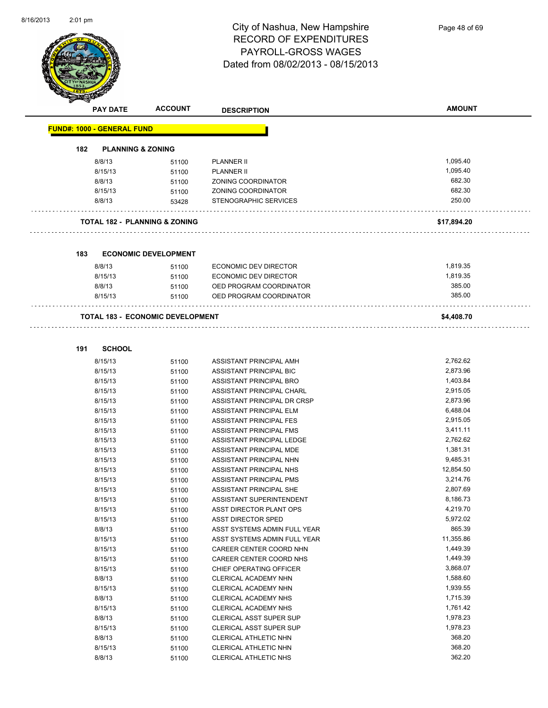

|     | <b>PAY DATE</b>                   | <b>ACCOUNT</b>                           | <b>DESCRIPTION</b>           | <b>AMOUNT</b> |
|-----|-----------------------------------|------------------------------------------|------------------------------|---------------|
|     | <b>FUND#: 1000 - GENERAL FUND</b> |                                          |                              |               |
| 182 | <b>PLANNING &amp; ZONING</b>      |                                          |                              |               |
|     | 8/8/13                            | 51100                                    | <b>PLANNER II</b>            | 1,095.40      |
|     | 8/15/13                           | 51100                                    | <b>PLANNER II</b>            | 1,095.40      |
|     | 8/8/13                            | 51100                                    | ZONING COORDINATOR           | 682.30        |
|     | 8/15/13                           | 51100                                    | ZONING COORDINATOR           | 682.30        |
|     | 8/8/13                            | 53428                                    | STENOGRAPHIC SERVICES        | 250.00        |
|     |                                   | <b>TOTAL 182 - PLANNING &amp; ZONING</b> |                              | \$17,894.20   |
|     |                                   |                                          |                              |               |
| 183 |                                   | <b>ECONOMIC DEVELOPMENT</b>              |                              |               |
|     | 8/8/13                            | 51100                                    | ECONOMIC DEV DIRECTOR        | 1,819.35      |
|     | 8/15/13                           | 51100                                    | ECONOMIC DEV DIRECTOR        | 1,819.35      |
|     | 8/8/13                            | 51100                                    | OED PROGRAM COORDINATOR      | 385.00        |
|     | 8/15/13                           | 51100                                    | OED PROGRAM COORDINATOR      | 385.00        |
|     |                                   | <b>TOTAL 183 - ECONOMIC DEVELOPMENT</b>  |                              | \$4,408.70    |
|     |                                   |                                          |                              |               |
| 191 | <b>SCHOOL</b>                     |                                          |                              |               |
|     | 8/15/13                           | 51100                                    | ASSISTANT PRINCIPAL AMH      | 2,762.62      |
|     | 8/15/13                           | 51100                                    | ASSISTANT PRINCIPAL BIC      | 2,873.96      |
|     | 8/15/13                           | 51100                                    | ASSISTANT PRINCIPAL BRO      | 1,403.84      |
|     | 8/15/13                           | 51100                                    | ASSISTANT PRINCIPAL CHARL    | 2,915.05      |
|     | 8/15/13                           | 51100                                    | ASSISTANT PRINCIPAL DR CRSP  | 2,873.96      |
|     | 8/15/13                           | 51100                                    | ASSISTANT PRINCIPAL ELM      | 6,488.04      |
|     | 8/15/13                           | 51100                                    | ASSISTANT PRINCIPAL FES      | 2,915.05      |
|     | 8/15/13                           | 51100                                    | ASSISTANT PRINCIPAL FMS      | 3,411.11      |
|     | 8/15/13                           | 51100                                    | ASSISTANT PRINCIPAL LEDGE    | 2,762.62      |
|     | 8/15/13                           | 51100                                    | ASSISTANT PRINCIPAL MDE      | 1,381.31      |
|     | 8/15/13                           | 51100                                    | ASSISTANT PRINCIPAL NHN      | 9,485.31      |
|     | 8/15/13                           | 51100                                    | ASSISTANT PRINCIPAL NHS      | 12,854.50     |
|     | 8/15/13                           | 51100                                    | ASSISTANT PRINCIPAL PMS      | 3,214.76      |
|     | 8/15/13                           | 51100                                    | ASSISTANT PRINCIPAL SHE      | 2,807.69      |
|     | 8/15/13                           | 51100                                    | ASSISTANT SUPERINTENDENT     | 8,186.73      |
|     | 8/15/13                           | 51100                                    | ASST DIRECTOR PLANT OPS      | 4,219.70      |
|     | 8/15/13                           | 51100                                    | <b>ASST DIRECTOR SPED</b>    | 5,972.02      |
|     | 8/8/13                            | 51100                                    | ASST SYSTEMS ADMIN FULL YEAR | 865.39        |
|     | 8/15/13                           | 51100                                    | ASST SYSTEMS ADMIN FULL YEAR | 11,355.86     |
|     | 8/15/13                           | 51100                                    | CAREER CENTER COORD NHN      | 1,449.39      |
|     | 8/15/13                           | 51100                                    | CAREER CENTER COORD NHS      | 1,449.39      |
|     | 8/15/13                           | 51100                                    | CHIEF OPERATING OFFICER      | 3,868.07      |
|     | 8/8/13                            | 51100                                    | CLERICAL ACADEMY NHN         | 1,588.60      |
|     | 8/15/13                           | 51100                                    | CLERICAL ACADEMY NHN         | 1,939.55      |
|     | 8/8/13                            | 51100                                    | CLERICAL ACADEMY NHS         | 1,715.39      |
|     | 8/15/13                           | 51100                                    | CLERICAL ACADEMY NHS         | 1,761.42      |
|     | 8/8/13                            | 51100                                    | CLERICAL ASST SUPER SUP      | 1,978.23      |
|     | 8/15/13                           | 51100                                    | CLERICAL ASST SUPER SUP      | 1,978.23      |
|     | 8/8/13                            | 51100                                    | CLERICAL ATHLETIC NHN        | 368.20        |
|     | 8/15/13                           | 51100                                    | CLERICAL ATHLETIC NHN        | 368.20        |

8/8/13 51100 CLERICAL ATHLETIC NHS 362.20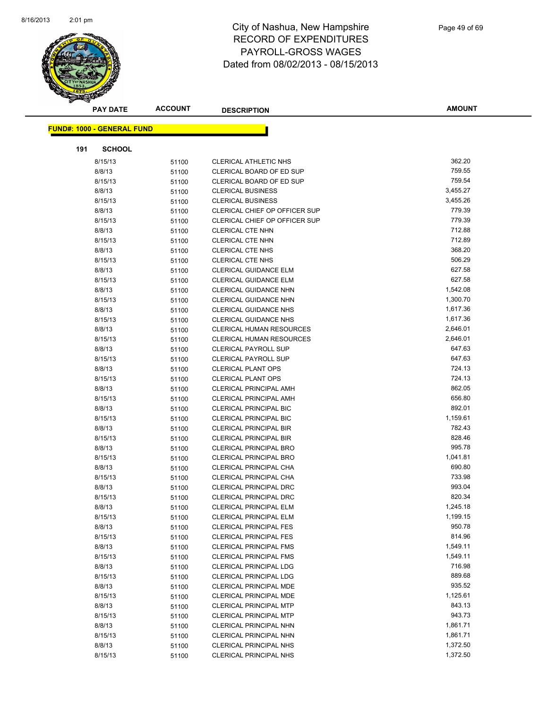

| <b>PAY DATE</b>                   | <b>ACCOUNT</b> | <b>DESCRIPTION</b>                                             | <b>AMOUNT</b>    |
|-----------------------------------|----------------|----------------------------------------------------------------|------------------|
|                                   |                |                                                                |                  |
| <b>FUND#: 1000 - GENERAL FUND</b> |                |                                                                |                  |
| 191<br><b>SCHOOL</b>              |                |                                                                |                  |
| 8/15/13                           | 51100          | <b>CLERICAL ATHLETIC NHS</b>                                   | 362.20           |
| 8/8/13                            | 51100          | CLERICAL BOARD OF ED SUP                                       | 759.55           |
| 8/15/13                           | 51100          | CLERICAL BOARD OF ED SUP                                       | 759.54           |
| 8/8/13                            | 51100          | <b>CLERICAL BUSINESS</b>                                       | 3,455.27         |
| 8/15/13                           | 51100          | <b>CLERICAL BUSINESS</b>                                       | 3,455.26         |
| 8/8/13                            | 51100          | CLERICAL CHIEF OP OFFICER SUP                                  | 779.39           |
| 8/15/13                           | 51100          | CLERICAL CHIEF OP OFFICER SUP                                  | 779.39           |
| 8/8/13                            | 51100          | <b>CLERICAL CTE NHN</b>                                        | 712.88           |
| 8/15/13                           | 51100          | <b>CLERICAL CTE NHN</b>                                        | 712.89           |
| 8/8/13                            | 51100          | <b>CLERICAL CTE NHS</b>                                        | 368.20           |
| 8/15/13                           | 51100          | <b>CLERICAL CTE NHS</b>                                        | 506.29           |
| 8/8/13                            | 51100          | <b>CLERICAL GUIDANCE ELM</b>                                   | 627.58           |
| 8/15/13                           | 51100          | <b>CLERICAL GUIDANCE ELM</b>                                   | 627.58           |
| 8/8/13                            | 51100          | <b>CLERICAL GUIDANCE NHN</b>                                   | 1,542.08         |
| 8/15/13                           | 51100          | CLERICAL GUIDANCE NHN                                          | 1,300.70         |
| 8/8/13                            | 51100          | <b>CLERICAL GUIDANCE NHS</b>                                   | 1,617.36         |
| 8/15/13                           | 51100          | <b>CLERICAL GUIDANCE NHS</b>                                   | 1,617.36         |
| 8/8/13                            | 51100          | CLERICAL HUMAN RESOURCES                                       | 2,646.01         |
| 8/15/13                           | 51100          | CLERICAL HUMAN RESOURCES                                       | 2,646.01         |
| 8/8/13                            | 51100          | <b>CLERICAL PAYROLL SUP</b>                                    | 647.63           |
| 8/15/13                           | 51100          | <b>CLERICAL PAYROLL SUP</b>                                    | 647.63           |
| 8/8/13                            | 51100          | <b>CLERICAL PLANT OPS</b>                                      | 724.13           |
| 8/15/13                           | 51100          | <b>CLERICAL PLANT OPS</b>                                      | 724.13           |
| 8/8/13                            | 51100          | <b>CLERICAL PRINCIPAL AMH</b>                                  | 862.05           |
| 8/15/13                           | 51100          | CLERICAL PRINCIPAL AMH                                         | 656.80           |
| 8/8/13                            | 51100          | <b>CLERICAL PRINCIPAL BIC</b>                                  | 892.01           |
| 8/15/13                           | 51100          | <b>CLERICAL PRINCIPAL BIC</b>                                  | 1,159.61         |
| 8/8/13                            | 51100          | <b>CLERICAL PRINCIPAL BIR</b>                                  | 782.43           |
| 8/15/13                           | 51100          | <b>CLERICAL PRINCIPAL BIR</b>                                  | 828.46           |
| 8/8/13                            | 51100          | <b>CLERICAL PRINCIPAL BRO</b>                                  | 995.78           |
| 8/15/13                           | 51100          | <b>CLERICAL PRINCIPAL BRO</b>                                  | 1,041.81         |
| 8/8/13                            | 51100          | CLERICAL PRINCIPAL CHA                                         | 690.80           |
| 8/15/13                           | 51100          | CLERICAL PRINCIPAL CHA                                         | 733.98           |
| 8/8/13                            | 51100          | <b>CLERICAL PRINCIPAL DRC</b>                                  | 993.04           |
| 8/15/13                           | 51100          | <b>CLERICAL PRINCIPAL DRC</b>                                  | 820.34           |
| 8/8/13                            | 51100          | CLERICAL PRINCIPAL ELM                                         | 1,245.18         |
| 8/15/13                           | 51100          | <b>CLERICAL PRINCIPAL ELM</b>                                  | 1,199.15         |
| 8/8/13                            | 51100          | <b>CLERICAL PRINCIPAL FES</b>                                  | 950.78           |
| 8/15/13                           | 51100          | <b>CLERICAL PRINCIPAL FES</b>                                  | 814.96           |
| 8/8/13                            | 51100          | <b>CLERICAL PRINCIPAL FMS</b>                                  | 1,549.11         |
| 8/15/13                           | 51100          | <b>CLERICAL PRINCIPAL FMS</b>                                  | 1,549.11         |
| 8/8/13                            | 51100          | <b>CLERICAL PRINCIPAL LDG</b>                                  | 716.98           |
| 8/15/13                           | 51100          | <b>CLERICAL PRINCIPAL LDG</b>                                  | 889.68<br>935.52 |
| 8/8/13<br>8/15/13                 | 51100          | CLERICAL PRINCIPAL MDE<br>CLERICAL PRINCIPAL MDE               | 1,125.61         |
|                                   | 51100          |                                                                | 843.13           |
| 8/8/13<br>8/15/13                 | 51100          | <b>CLERICAL PRINCIPAL MTP</b><br><b>CLERICAL PRINCIPAL MTP</b> | 943.73           |
| 8/8/13                            | 51100          | CLERICAL PRINCIPAL NHN                                         | 1,861.71         |
| 8/15/13                           | 51100          | CLERICAL PRINCIPAL NHN                                         | 1,861.71         |
| 8/8/13                            | 51100<br>51100 | <b>CLERICAL PRINCIPAL NHS</b>                                  | 1,372.50         |
| 8/15/13                           | 51100          | <b>CLERICAL PRINCIPAL NHS</b>                                  | 1,372.50         |
|                                   |                |                                                                |                  |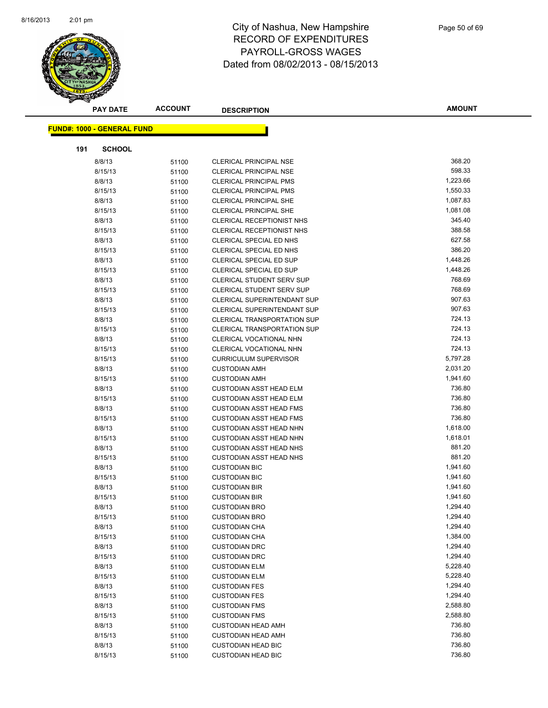

|     | <b>PAY DATE</b>                   | <b>ACCOUNT</b> | <b>DESCRIPTION</b>                           | <b>AMOUNT</b>        |
|-----|-----------------------------------|----------------|----------------------------------------------|----------------------|
|     |                                   |                |                                              |                      |
|     | <b>FUND#: 1000 - GENERAL FUND</b> |                |                                              |                      |
| 191 | <b>SCHOOL</b>                     |                |                                              |                      |
|     | 8/8/13                            | 51100          | <b>CLERICAL PRINCIPAL NSE</b>                | 368.20               |
|     | 8/15/13                           | 51100          | <b>CLERICAL PRINCIPAL NSE</b>                | 598.33               |
|     | 8/8/13                            | 51100          | <b>CLERICAL PRINCIPAL PMS</b>                | 1,223.66             |
|     | 8/15/13                           | 51100          | <b>CLERICAL PRINCIPAL PMS</b>                | 1,550.33             |
|     | 8/8/13                            | 51100          | <b>CLERICAL PRINCIPAL SHE</b>                | 1,087.83             |
|     | 8/15/13                           | 51100          | <b>CLERICAL PRINCIPAL SHE</b>                | 1,081.08             |
|     | 8/8/13                            | 51100          | CLERICAL RECEPTIONIST NHS                    | 345.40               |
|     | 8/15/13                           | 51100          | CLERICAL RECEPTIONIST NHS                    | 388.58               |
|     | 8/8/13                            | 51100          | CLERICAL SPECIAL ED NHS                      | 627.58               |
|     | 8/15/13                           | 51100          | CLERICAL SPECIAL ED NHS                      | 386.20               |
|     | 8/8/13                            | 51100          | CLERICAL SPECIAL ED SUP                      | 1,448.26             |
|     | 8/15/13                           | 51100          | CLERICAL SPECIAL ED SUP                      | 1,448.26             |
|     | 8/8/13                            | 51100          | CLERICAL STUDENT SERV SUP                    | 768.69               |
|     | 8/15/13                           | 51100          | <b>CLERICAL STUDENT SERV SUP</b>             | 768.69               |
|     | 8/8/13                            | 51100          | CLERICAL SUPERINTENDANT SUP                  | 907.63               |
|     | 8/15/13                           | 51100          | CLERICAL SUPERINTENDANT SUP                  | 907.63               |
|     | 8/8/13                            | 51100          | CLERICAL TRANSPORTATION SUP                  | 724.13               |
|     | 8/15/13                           | 51100          | <b>CLERICAL TRANSPORTATION SUP</b>           | 724.13               |
|     | 8/8/13                            | 51100          | CLERICAL VOCATIONAL NHN                      | 724.13               |
|     | 8/15/13                           | 51100          | CLERICAL VOCATIONAL NHN                      | 724.13               |
|     | 8/15/13                           | 51100          | <b>CURRICULUM SUPERVISOR</b>                 | 5,797.28             |
|     | 8/8/13                            | 51100          | <b>CUSTODIAN AMH</b>                         | 2,031.20             |
|     | 8/15/13                           | 51100          | <b>CUSTODIAN AMH</b>                         | 1,941.60             |
|     | 8/8/13                            | 51100          | <b>CUSTODIAN ASST HEAD ELM</b>               | 736.80               |
|     | 8/15/13                           | 51100          | <b>CUSTODIAN ASST HEAD ELM</b>               | 736.80               |
|     | 8/8/13                            | 51100          | <b>CUSTODIAN ASST HEAD FMS</b>               | 736.80               |
|     | 8/15/13                           | 51100          | <b>CUSTODIAN ASST HEAD FMS</b>               | 736.80               |
|     | 8/8/13                            | 51100          | <b>CUSTODIAN ASST HEAD NHN</b>               | 1,618.00             |
|     | 8/15/13                           | 51100          | <b>CUSTODIAN ASST HEAD NHN</b>               | 1,618.01             |
|     | 8/8/13                            | 51100          | <b>CUSTODIAN ASST HEAD NHS</b>               | 881.20               |
|     | 8/15/13                           | 51100          | <b>CUSTODIAN ASST HEAD NHS</b>               | 881.20               |
|     | 8/8/13                            | 51100          | <b>CUSTODIAN BIC</b>                         | 1,941.60             |
|     | 8/15/13                           | 51100          | <b>CUSTODIAN BIC</b>                         | 1,941.60             |
|     | 8/8/13                            | 51100          | <b>CUSTODIAN BIR</b>                         | 1,941.60             |
|     | 8/15/13                           | 51100          | <b>CUSTODIAN BIR</b>                         | 1,941.60             |
|     | 8/8/13                            | 51100          | <b>CUSTODIAN BRO</b>                         | 1,294.40             |
|     | 8/15/13                           | 51100          | <b>CUSTODIAN BRO</b>                         | 1,294.40             |
|     | 8/8/13                            | 51100          | <b>CUSTODIAN CHA</b>                         | 1,294.40             |
|     | 8/15/13                           | 51100          | <b>CUSTODIAN CHA</b>                         | 1,384.00             |
|     | 8/8/13                            | 51100          | <b>CUSTODIAN DRC</b>                         | 1,294.40             |
|     | 8/15/13                           | 51100          | <b>CUSTODIAN DRC</b>                         | 1,294.40             |
|     | 8/8/13                            | 51100          | <b>CUSTODIAN ELM</b>                         | 5,228.40             |
|     | 8/15/13                           | 51100          | <b>CUSTODIAN ELM</b>                         | 5,228.40             |
|     | 8/8/13<br>8/15/13                 | 51100          | <b>CUSTODIAN FES</b><br><b>CUSTODIAN FES</b> | 1,294.40<br>1,294.40 |
|     | 8/8/13                            | 51100          | <b>CUSTODIAN FMS</b>                         | 2,588.80             |
|     | 8/15/13                           | 51100          | <b>CUSTODIAN FMS</b>                         | 2,588.80             |
|     | 8/8/13                            | 51100<br>51100 | <b>CUSTODIAN HEAD AMH</b>                    | 736.80               |
|     | 8/15/13                           | 51100          | <b>CUSTODIAN HEAD AMH</b>                    | 736.80               |
|     | 8/8/13                            | 51100          | <b>CUSTODIAN HEAD BIC</b>                    | 736.80               |
|     | 8/15/13                           | 51100          | <b>CUSTODIAN HEAD BIC</b>                    | 736.80               |
|     |                                   |                |                                              |                      |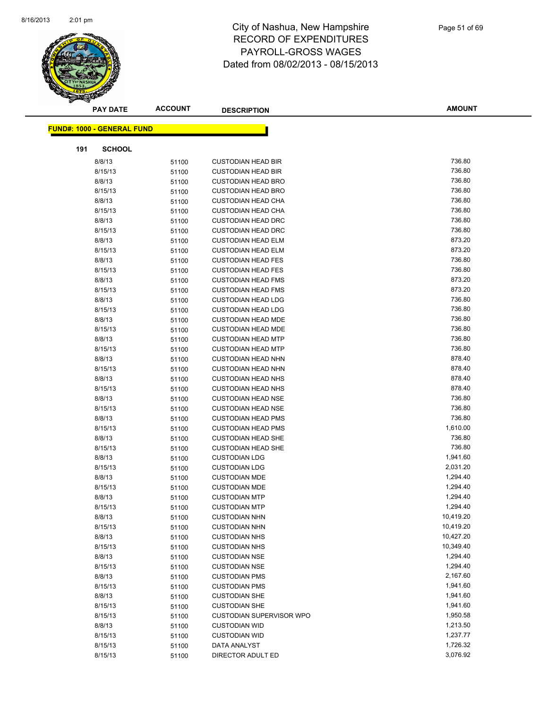

|     | <b>PAY DATE</b>                   | <b>ACCOUNT</b> | <b>DESCRIPTION</b>              | <b>AMOUNT</b> |
|-----|-----------------------------------|----------------|---------------------------------|---------------|
|     |                                   |                |                                 |               |
|     | <b>FUND#: 1000 - GENERAL FUND</b> |                |                                 |               |
| 191 | <b>SCHOOL</b>                     |                |                                 |               |
|     | 8/8/13                            | 51100          | <b>CUSTODIAN HEAD BIR</b>       | 736.80        |
|     | 8/15/13                           | 51100          | <b>CUSTODIAN HEAD BIR</b>       | 736.80        |
|     | 8/8/13                            | 51100          | <b>CUSTODIAN HEAD BRO</b>       | 736.80        |
|     | 8/15/13                           | 51100          | <b>CUSTODIAN HEAD BRO</b>       | 736.80        |
|     | 8/8/13                            | 51100          | <b>CUSTODIAN HEAD CHA</b>       | 736.80        |
|     | 8/15/13                           | 51100          | <b>CUSTODIAN HEAD CHA</b>       | 736.80        |
|     | 8/8/13                            | 51100          | <b>CUSTODIAN HEAD DRC</b>       | 736.80        |
|     | 8/15/13                           | 51100          | <b>CUSTODIAN HEAD DRC</b>       | 736.80        |
|     | 8/8/13                            | 51100          | <b>CUSTODIAN HEAD ELM</b>       | 873.20        |
|     | 8/15/13                           | 51100          | <b>CUSTODIAN HEAD ELM</b>       | 873.20        |
|     | 8/8/13                            | 51100          | <b>CUSTODIAN HEAD FES</b>       | 736.80        |
|     | 8/15/13                           | 51100          | <b>CUSTODIAN HEAD FES</b>       | 736.80        |
|     | 8/8/13                            | 51100          | <b>CUSTODIAN HEAD FMS</b>       | 873.20        |
|     | 8/15/13                           | 51100          | <b>CUSTODIAN HEAD FMS</b>       | 873.20        |
|     | 8/8/13                            | 51100          | <b>CUSTODIAN HEAD LDG</b>       | 736.80        |
|     | 8/15/13                           | 51100          | <b>CUSTODIAN HEAD LDG</b>       | 736.80        |
|     | 8/8/13                            | 51100          | <b>CUSTODIAN HEAD MDE</b>       | 736.80        |
|     | 8/15/13                           | 51100          | <b>CUSTODIAN HEAD MDE</b>       | 736.80        |
|     | 8/8/13                            | 51100          | <b>CUSTODIAN HEAD MTP</b>       | 736.80        |
|     | 8/15/13                           | 51100          | <b>CUSTODIAN HEAD MTP</b>       | 736.80        |
|     | 8/8/13                            | 51100          | <b>CUSTODIAN HEAD NHN</b>       | 878.40        |
|     | 8/15/13                           | 51100          | <b>CUSTODIAN HEAD NHN</b>       | 878.40        |
|     | 8/8/13                            | 51100          | <b>CUSTODIAN HEAD NHS</b>       | 878.40        |
|     | 8/15/13                           | 51100          | <b>CUSTODIAN HEAD NHS</b>       | 878.40        |
|     | 8/8/13                            | 51100          | <b>CUSTODIAN HEAD NSE</b>       | 736.80        |
|     | 8/15/13                           | 51100          | <b>CUSTODIAN HEAD NSE</b>       | 736.80        |
|     | 8/8/13                            | 51100          | <b>CUSTODIAN HEAD PMS</b>       | 736.80        |
|     | 8/15/13                           | 51100          | <b>CUSTODIAN HEAD PMS</b>       | 1,610.00      |
|     | 8/8/13                            | 51100          | <b>CUSTODIAN HEAD SHE</b>       | 736.80        |
|     | 8/15/13                           | 51100          | <b>CUSTODIAN HEAD SHE</b>       | 736.80        |
|     | 8/8/13                            | 51100          | <b>CUSTODIAN LDG</b>            | 1,941.60      |
|     | 8/15/13                           | 51100          | <b>CUSTODIAN LDG</b>            | 2,031.20      |
|     | 8/8/13                            | 51100          | <b>CUSTODIAN MDE</b>            | 1,294.40      |
|     | 8/15/13                           | 51100          | <b>CUSTODIAN MDE</b>            | 1,294.40      |
|     | 8/8/13                            | 51100          | <b>CUSTODIAN MTP</b>            | 1,294.40      |
|     | 8/15/13                           | 51100          | <b>CUSTODIAN MTP</b>            | 1,294.40      |
|     | 8/8/13                            | 51100          | <b>CUSTODIAN NHN</b>            | 10,419.20     |
|     | 8/15/13                           | 51100          | <b>CUSTODIAN NHN</b>            | 10,419.20     |
|     | 8/8/13                            | 51100          | <b>CUSTODIAN NHS</b>            | 10,427.20     |
|     | 8/15/13                           | 51100          | <b>CUSTODIAN NHS</b>            | 10,349.40     |
|     | 8/8/13                            | 51100          | <b>CUSTODIAN NSE</b>            | 1,294.40      |
|     | 8/15/13                           | 51100          | <b>CUSTODIAN NSE</b>            | 1,294.40      |
|     | 8/8/13                            | 51100          | <b>CUSTODIAN PMS</b>            | 2,167.60      |
|     | 8/15/13                           | 51100          | <b>CUSTODIAN PMS</b>            | 1,941.60      |
|     | 8/8/13                            | 51100          | <b>CUSTODIAN SHE</b>            | 1,941.60      |
|     | 8/15/13                           | 51100          | <b>CUSTODIAN SHE</b>            | 1,941.60      |
|     | 8/15/13                           | 51100          | <b>CUSTODIAN SUPERVISOR WPO</b> | 1,950.58      |
|     | 8/8/13                            | 51100          | <b>CUSTODIAN WID</b>            | 1,213.50      |
|     | 8/15/13                           | 51100          | <b>CUSTODIAN WID</b>            | 1,237.77      |
|     | 8/15/13                           | 51100          | DATA ANALYST                    | 1,726.32      |
|     | 8/15/13                           | 51100          | DIRECTOR ADULT ED               | 3,076.92      |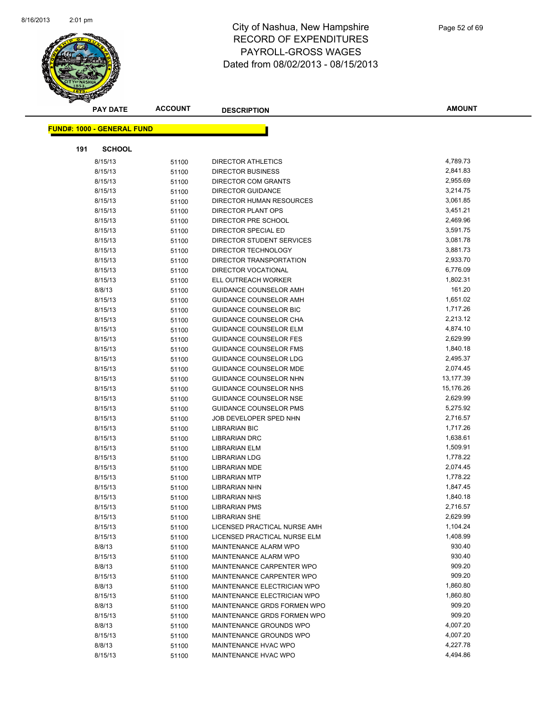

|     | <b>PAY DATE</b>                   | ACCOUNT        | <b>DESCRIPTION</b>                           | <b>AMOUNT</b>        |
|-----|-----------------------------------|----------------|----------------------------------------------|----------------------|
|     | <b>FUND#: 1000 - GENERAL FUND</b> |                |                                              |                      |
|     |                                   |                |                                              |                      |
| 191 | <b>SCHOOL</b>                     |                |                                              |                      |
|     | 8/15/13                           | 51100          | <b>DIRECTOR ATHLETICS</b>                    | 4,789.73             |
|     | 8/15/13                           | 51100          | <b>DIRECTOR BUSINESS</b>                     | 2,841.83             |
|     | 8/15/13                           | 51100          | <b>DIRECTOR COM GRANTS</b>                   | 2,955.69             |
|     | 8/15/13                           | 51100          | <b>DIRECTOR GUIDANCE</b>                     | 3,214.75             |
|     | 8/15/13                           | 51100          | DIRECTOR HUMAN RESOURCES                     | 3,061.85             |
|     | 8/15/13                           | 51100          | DIRECTOR PLANT OPS                           | 3,451.21             |
|     | 8/15/13                           | 51100          | DIRECTOR PRE SCHOOL                          | 2,469.96             |
|     | 8/15/13                           | 51100          | DIRECTOR SPECIAL ED                          | 3,591.75             |
|     | 8/15/13                           | 51100          | DIRECTOR STUDENT SERVICES                    | 3,081.78             |
|     | 8/15/13                           | 51100          | DIRECTOR TECHNOLOGY                          | 3,881.73             |
|     | 8/15/13                           | 51100          | DIRECTOR TRANSPORTATION                      | 2,933.70             |
|     | 8/15/13                           | 51100          | <b>DIRECTOR VOCATIONAL</b>                   | 6,776.09             |
|     | 8/15/13                           | 51100          | ELL OUTREACH WORKER                          | 1,802.31             |
|     | 8/8/13                            | 51100          | <b>GUIDANCE COUNSELOR AMH</b>                | 161.20               |
|     | 8/15/13                           | 51100          | GUIDANCE COUNSELOR AMH                       | 1,651.02             |
|     | 8/15/13                           | 51100          | <b>GUIDANCE COUNSELOR BIC</b>                | 1,717.26             |
|     | 8/15/13                           | 51100          | <b>GUIDANCE COUNSELOR CHA</b>                | 2,213.12             |
|     | 8/15/13                           | 51100          | GUIDANCE COUNSELOR ELM                       | 4,874.10             |
|     | 8/15/13                           | 51100          | <b>GUIDANCE COUNSELOR FES</b>                | 2,629.99             |
|     | 8/15/13                           | 51100          | GUIDANCE COUNSELOR FMS                       | 1,840.18             |
|     | 8/15/13                           | 51100          | <b>GUIDANCE COUNSELOR LDG</b>                | 2,495.37             |
|     | 8/15/13                           | 51100          | <b>GUIDANCE COUNSELOR MDE</b>                | 2,074.45             |
|     | 8/15/13                           | 51100          | GUIDANCE COUNSELOR NHN                       | 13,177.39            |
|     | 8/15/13                           | 51100          | <b>GUIDANCE COUNSELOR NHS</b>                | 15,176.26            |
|     | 8/15/13                           | 51100          | GUIDANCE COUNSELOR NSE                       | 2,629.99             |
|     | 8/15/13                           | 51100          | <b>GUIDANCE COUNSELOR PMS</b>                | 5,275.92             |
|     | 8/15/13                           | 51100          | JOB DEVELOPER SPED NHN                       | 2,716.57             |
|     | 8/15/13                           | 51100          | <b>LIBRARIAN BIC</b>                         | 1,717.26<br>1,638.61 |
|     | 8/15/13<br>8/15/13                | 51100          | <b>LIBRARIAN DRC</b><br><b>LIBRARIAN ELM</b> | 1,509.91             |
|     | 8/15/13                           | 51100          | <b>LIBRARIAN LDG</b>                         | 1,778.22             |
|     | 8/15/13                           | 51100<br>51100 | LIBRARIAN MDE                                | 2,074.45             |
|     | 8/15/13                           | 51100          | <b>LIBRARIAN MTP</b>                         | 1,778.22             |
|     | 8/15/13                           | 51100          | <b>LIBRARIAN NHN</b>                         | 1,847.45             |
|     | 8/15/13                           | 51100          | <b>LIBRARIAN NHS</b>                         | 1,840.18             |
|     | 8/15/13                           | 51100          | <b>LIBRARIAN PMS</b>                         | 2,716.57             |
|     | 8/15/13                           | 51100          | <b>LIBRARIAN SHE</b>                         | 2,629.99             |
|     | 8/15/13                           | 51100          | LICENSED PRACTICAL NURSE AMH                 | 1,104.24             |
|     | 8/15/13                           | 51100          | LICENSED PRACTICAL NURSE ELM                 | 1,408.99             |
|     | 8/8/13                            | 51100          | MAINTENANCE ALARM WPO                        | 930.40               |
|     | 8/15/13                           | 51100          | MAINTENANCE ALARM WPO                        | 930.40               |
|     | 8/8/13                            | 51100          | MAINTENANCE CARPENTER WPO                    | 909.20               |
|     | 8/15/13                           | 51100          | MAINTENANCE CARPENTER WPO                    | 909.20               |
|     | 8/8/13                            | 51100          | MAINTENANCE ELECTRICIAN WPO                  | 1,860.80             |
|     | 8/15/13                           | 51100          | MAINTENANCE ELECTRICIAN WPO                  | 1,860.80             |
|     | 8/8/13                            | 51100          | MAINTENANCE GRDS FORMEN WPO                  | 909.20               |
|     | 8/15/13                           | 51100          | MAINTENANCE GRDS FORMEN WPO                  | 909.20               |
|     | 8/8/13                            | 51100          | MAINTENANCE GROUNDS WPO                      | 4,007.20             |
|     | 8/15/13                           | 51100          | MAINTENANCE GROUNDS WPO                      | 4,007.20             |
|     | 8/8/13                            | 51100          | MAINTENANCE HVAC WPO                         | 4,227.78             |
|     | 8/15/13                           | 51100          | MAINTENANCE HVAC WPO                         | 4,494.86             |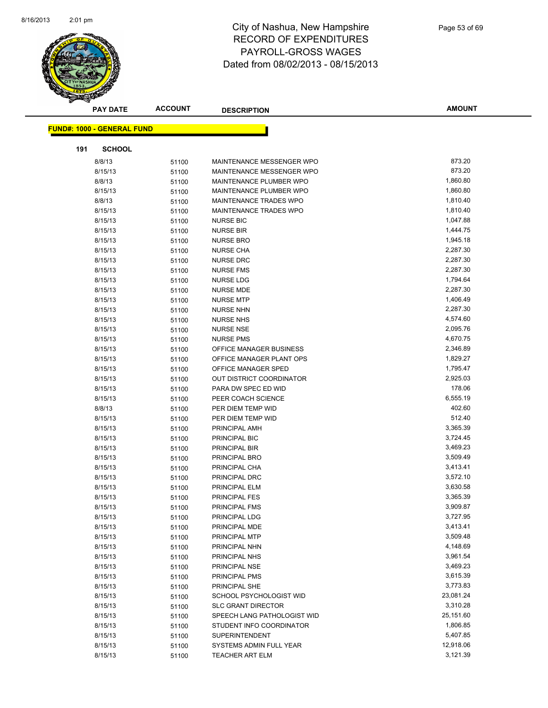

|     | <b>PAY DATE</b>                   | <b>ACCOUNT</b> | <b>DESCRIPTION</b>          | <b>AMOUNT</b> |  |
|-----|-----------------------------------|----------------|-----------------------------|---------------|--|
|     | <b>FUND#: 1000 - GENERAL FUND</b> |                |                             |               |  |
|     |                                   |                |                             |               |  |
| 191 | <b>SCHOOL</b>                     |                |                             |               |  |
|     | 8/8/13                            | 51100          | MAINTENANCE MESSENGER WPO   | 873.20        |  |
|     | 8/15/13                           | 51100          | MAINTENANCE MESSENGER WPO   | 873.20        |  |
|     | 8/8/13                            | 51100          | MAINTENANCE PLUMBER WPO     | 1,860.80      |  |
|     | 8/15/13                           | 51100          | MAINTENANCE PLUMBER WPO     | 1,860.80      |  |
|     | 8/8/13                            | 51100          | MAINTENANCE TRADES WPO      | 1,810.40      |  |
|     | 8/15/13                           | 51100          | MAINTENANCE TRADES WPO      | 1,810.40      |  |
|     | 8/15/13                           | 51100          | <b>NURSE BIC</b>            | 1,047.88      |  |
|     | 8/15/13                           | 51100          | <b>NURSE BIR</b>            | 1,444.75      |  |
|     | 8/15/13                           | 51100          | <b>NURSE BRO</b>            | 1,945.18      |  |
|     | 8/15/13                           | 51100          | <b>NURSE CHA</b>            | 2,287.30      |  |
|     | 8/15/13                           | 51100          | <b>NURSE DRC</b>            | 2,287.30      |  |
|     | 8/15/13                           | 51100          | <b>NURSE FMS</b>            | 2,287.30      |  |
|     | 8/15/13                           | 51100          | NURSE LDG                   | 1,794.64      |  |
|     | 8/15/13                           | 51100          | <b>NURSE MDE</b>            | 2,287.30      |  |
|     | 8/15/13                           | 51100          | <b>NURSE MTP</b>            | 1,406.49      |  |
|     | 8/15/13                           | 51100          | <b>NURSE NHN</b>            | 2,287.30      |  |
|     | 8/15/13                           | 51100          | <b>NURSE NHS</b>            | 4,574.60      |  |
|     | 8/15/13                           | 51100          | <b>NURSE NSE</b>            | 2,095.76      |  |
|     | 8/15/13                           | 51100          | <b>NURSE PMS</b>            | 4,670.75      |  |
|     | 8/15/13                           | 51100          | OFFICE MANAGER BUSINESS     | 2,346.89      |  |
|     | 8/15/13                           | 51100          | OFFICE MANAGER PLANT OPS    | 1,829.27      |  |
|     | 8/15/13                           | 51100          | OFFICE MANAGER SPED         | 1,795.47      |  |
|     | 8/15/13                           | 51100          | OUT DISTRICT COORDINATOR    | 2,925.03      |  |
|     | 8/15/13                           | 51100          | PARA DW SPEC ED WID         | 178.06        |  |
|     | 8/15/13                           | 51100          | PEER COACH SCIENCE          | 6,555.19      |  |
|     | 8/8/13                            | 51100          | PER DIEM TEMP WID           | 402.60        |  |
|     | 8/15/13                           | 51100          | PER DIEM TEMP WID           | 512.40        |  |
|     | 8/15/13                           | 51100          | PRINCIPAL AMH               | 3,365.39      |  |
|     | 8/15/13                           | 51100          | PRINCIPAL BIC               | 3,724.45      |  |
|     | 8/15/13                           | 51100          | PRINCIPAL BIR               | 3,469.23      |  |
|     | 8/15/13                           | 51100          | PRINCIPAL BRO               | 3,509.49      |  |
|     | 8/15/13                           | 51100          | PRINCIPAL CHA               | 3,413.41      |  |
|     | 8/15/13                           | 51100          | PRINCIPAL DRC               | 3,572.10      |  |
|     | 8/15/13                           | 51100          | PRINCIPAL ELM               | 3,630.58      |  |
|     | 8/15/13                           | 51100          | PRINCIPAL FES               | 3,365.39      |  |
|     | 8/15/13                           | 51100          | PRINCIPAL FMS               | 3,909.87      |  |
|     | 8/15/13                           | 51100          | PRINCIPAL LDG               | 3,727.95      |  |
|     | 8/15/13                           | 51100          | PRINCIPAL MDE               | 3,413.41      |  |
|     | 8/15/13                           | 51100          | PRINCIPAL MTP               | 3,509.48      |  |
|     | 8/15/13                           | 51100          | PRINCIPAL NHN               | 4,148.69      |  |
|     | 8/15/13                           | 51100          | PRINCIPAL NHS               | 3,961.54      |  |
|     | 8/15/13                           | 51100          | PRINCIPAL NSE               | 3,469.23      |  |
|     | 8/15/13                           | 51100          | PRINCIPAL PMS               | 3,615.39      |  |
|     | 8/15/13                           | 51100          | PRINCIPAL SHE               | 3,773.83      |  |
|     | 8/15/13                           | 51100          | SCHOOL PSYCHOLOGIST WID     | 23,081.24     |  |
|     | 8/15/13                           | 51100          | <b>SLC GRANT DIRECTOR</b>   | 3,310.28      |  |
|     | 8/15/13                           | 51100          | SPEECH LANG PATHOLOGIST WID | 25,151.60     |  |
|     | 8/15/13                           | 51100          | STUDENT INFO COORDINATOR    | 1,806.85      |  |
|     | 8/15/13                           | 51100          | SUPERINTENDENT              | 5,407.85      |  |
|     | 8/15/13                           | 51100          | SYSTEMS ADMIN FULL YEAR     | 12,918.06     |  |
|     | 8/15/13                           | 51100          | TEACHER ART ELM             | 3,121.39      |  |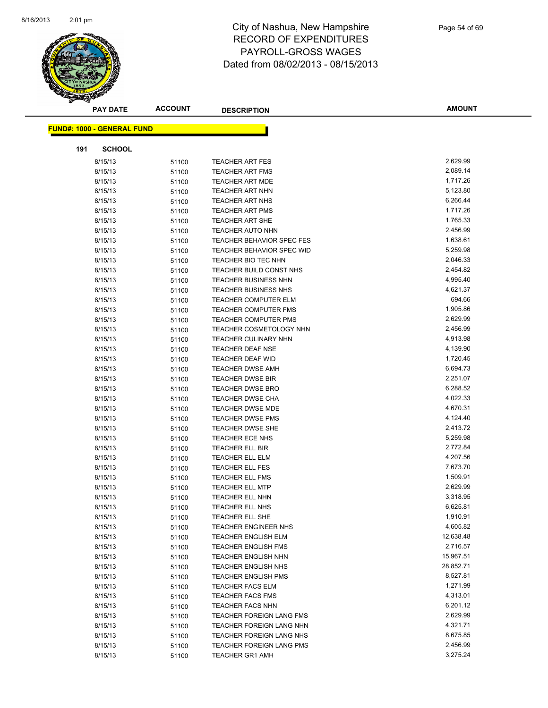

|     | <b>PAY DATE</b>                   | <b>ACCOUNT</b> | <b>DESCRIPTION</b>                                    | <b>AMOUNT</b>          |
|-----|-----------------------------------|----------------|-------------------------------------------------------|------------------------|
|     | <b>FUND#: 1000 - GENERAL FUND</b> |                |                                                       |                        |
|     |                                   |                |                                                       |                        |
| 191 | <b>SCHOOL</b>                     |                |                                                       |                        |
|     | 8/15/13                           | 51100          | <b>TEACHER ART FES</b>                                | 2,629.99               |
|     | 8/15/13                           | 51100          | <b>TEACHER ART FMS</b>                                | 2,089.14               |
|     | 8/15/13                           | 51100          | <b>TEACHER ART MDE</b>                                | 1,717.26               |
|     | 8/15/13                           | 51100          | TEACHER ART NHN                                       | 5,123.80               |
|     | 8/15/13                           | 51100          | <b>TEACHER ART NHS</b>                                | 6,266.44               |
|     | 8/15/13                           | 51100          | <b>TEACHER ART PMS</b>                                | 1,717.26               |
|     | 8/15/13                           | 51100          | <b>TEACHER ART SHE</b>                                | 1,765.33               |
|     | 8/15/13                           | 51100          | <b>TEACHER AUTO NHN</b>                               | 2,456.99               |
|     | 8/15/13                           | 51100          | TEACHER BEHAVIOR SPEC FES                             | 1,638.61               |
|     | 8/15/13                           | 51100          | TEACHER BEHAVIOR SPEC WID                             | 5,259.98               |
|     | 8/15/13                           | 51100          | TEACHER BIO TEC NHN                                   | 2,046.33               |
|     | 8/15/13                           | 51100          | TEACHER BUILD CONST NHS                               | 2,454.82               |
|     | 8/15/13                           | 51100          | <b>TEACHER BUSINESS NHN</b>                           | 4,995.40               |
|     | 8/15/13                           | 51100          | <b>TEACHER BUSINESS NHS</b>                           | 4,621.37               |
|     | 8/15/13                           | 51100          | <b>TEACHER COMPUTER ELM</b>                           | 694.66                 |
|     | 8/15/13                           | 51100          | TEACHER COMPUTER FMS                                  | 1,905.86               |
|     | 8/15/13                           | 51100          | <b>TEACHER COMPUTER PMS</b>                           | 2,629.99               |
|     | 8/15/13                           | 51100          | <b>TEACHER COSMETOLOGY NHN</b>                        | 2,456.99               |
|     | 8/15/13                           | 51100          | <b>TEACHER CULINARY NHN</b>                           | 4,913.98               |
|     | 8/15/13                           | 51100          | <b>TEACHER DEAF NSE</b>                               | 4,139.90               |
|     | 8/15/13                           | 51100          | TEACHER DEAF WID                                      | 1,720.45               |
|     | 8/15/13                           | 51100          | <b>TEACHER DWSE AMH</b>                               | 6,694.73               |
|     | 8/15/13                           | 51100          | <b>TEACHER DWSE BIR</b>                               | 2,251.07               |
|     | 8/15/13                           | 51100          | TEACHER DWSE BRO                                      | 6,288.52               |
|     | 8/15/13                           | 51100          | <b>TEACHER DWSE CHA</b>                               | 4,022.33               |
|     | 8/15/13                           | 51100          | <b>TEACHER DWSE MDE</b>                               | 4,670.31               |
|     | 8/15/13                           | 51100          | <b>TEACHER DWSE PMS</b>                               | 4,124.40               |
|     | 8/15/13                           | 51100          | TEACHER DWSE SHE                                      | 2,413.72               |
|     | 8/15/13                           | 51100          | <b>TEACHER ECE NHS</b>                                | 5,259.98               |
|     | 8/15/13                           | 51100          | <b>TEACHER ELL BIR</b>                                | 2,772.84               |
|     | 8/15/13                           | 51100          | <b>TEACHER ELL ELM</b>                                | 4,207.56               |
|     | 8/15/13                           | 51100          | <b>TEACHER ELL FES</b>                                | 7,673.70               |
|     | 8/15/13                           | 51100          | <b>TEACHER ELL FMS</b>                                | 1,509.91               |
|     | 8/15/13                           | 51100          | <b>TEACHER ELL MTP</b>                                | 2,629.99               |
|     | 8/15/13                           | 51100          | TEACHER ELL NHN                                       | 3,318.95               |
|     | 8/15/13                           | 51100          | TEACHER ELL NHS                                       | 6,625.81               |
|     | 8/15/13                           | 51100          | TEACHER ELL SHE                                       | 1,910.91               |
|     | 8/15/13                           | 51100          | TEACHER ENGINEER NHS                                  | 4,605.82               |
|     | 8/15/13                           | 51100          | <b>TEACHER ENGLISH ELM</b>                            | 12,638.48<br>2,716.57  |
|     | 8/15/13                           | 51100          | <b>TEACHER ENGLISH FMS</b><br>TEACHER ENGLISH NHN     |                        |
|     | 8/15/13                           | 51100          |                                                       | 15,967.51<br>28,852.71 |
|     | 8/15/13                           | 51100          | <b>TEACHER ENGLISH NHS</b>                            | 8,527.81               |
|     | 8/15/13<br>8/15/13                | 51100          | <b>TEACHER ENGLISH PMS</b><br><b>TEACHER FACS ELM</b> | 1,271.99               |
|     | 8/15/13                           | 51100          | <b>TEACHER FACS FMS</b>                               | 4,313.01               |
|     | 8/15/13                           | 51100          | <b>TEACHER FACS NHN</b>                               | 6,201.12               |
|     | 8/15/13                           | 51100          | TEACHER FOREIGN LANG FMS                              | 2,629.99               |
|     | 8/15/13                           | 51100          | TEACHER FOREIGN LANG NHN                              | 4,321.71               |
|     | 8/15/13                           | 51100<br>51100 | TEACHER FOREIGN LANG NHS                              | 8,675.85               |
|     | 8/15/13                           | 51100          | TEACHER FOREIGN LANG PMS                              | 2,456.99               |
|     | 8/15/13                           | 51100          | <b>TEACHER GR1 AMH</b>                                | 3,275.24               |
|     |                                   |                |                                                       |                        |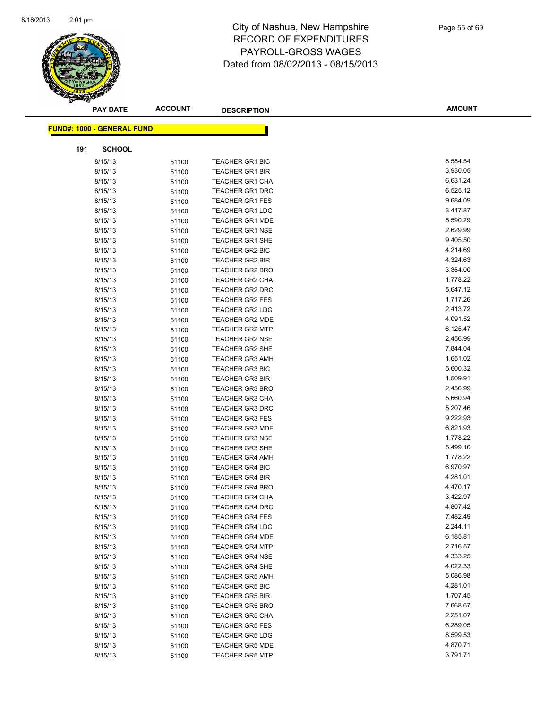

| <b>PAY DATE</b>                   | <b>ACCOUNT</b> | <b>DESCRIPTION</b>                               | <b>AMOUNT</b>        |
|-----------------------------------|----------------|--------------------------------------------------|----------------------|
| <b>FUND#: 1000 - GENERAL FUND</b> |                |                                                  |                      |
|                                   |                |                                                  |                      |
| 191<br><b>SCHOOL</b>              |                |                                                  |                      |
| 8/15/13                           | 51100          | <b>TEACHER GR1 BIC</b>                           | 8,584.54             |
| 8/15/13                           | 51100          | <b>TEACHER GR1 BIR</b>                           | 3,930.05             |
| 8/15/13                           | 51100          | <b>TEACHER GR1 CHA</b>                           | 6,631.24             |
| 8/15/13                           | 51100          | <b>TEACHER GR1 DRC</b>                           | 6,525.12             |
| 8/15/13                           | 51100          | <b>TEACHER GR1 FES</b>                           | 9,684.09             |
| 8/15/13                           | 51100          | <b>TEACHER GR1 LDG</b>                           | 3,417.87             |
| 8/15/13                           | 51100          | <b>TEACHER GR1 MDE</b>                           | 5,590.29             |
| 8/15/13                           | 51100          | <b>TEACHER GR1 NSE</b>                           | 2,629.99             |
| 8/15/13                           | 51100          | <b>TEACHER GR1 SHE</b>                           | 9,405.50             |
| 8/15/13                           | 51100          | <b>TEACHER GR2 BIC</b>                           | 4,214.69             |
| 8/15/13                           | 51100          | <b>TEACHER GR2 BIR</b>                           | 4,324.63             |
| 8/15/13                           | 51100          | <b>TEACHER GR2 BRO</b>                           | 3,354.00             |
| 8/15/13                           | 51100          | TEACHER GR2 CHA                                  | 1,778.22             |
| 8/15/13                           | 51100          | <b>TEACHER GR2 DRC</b>                           | 5,647.12             |
| 8/15/13                           | 51100          | <b>TEACHER GR2 FES</b>                           | 1,717.26             |
| 8/15/13                           | 51100          | <b>TEACHER GR2 LDG</b>                           | 2,413.72             |
| 8/15/13                           | 51100          | TEACHER GR2 MDE                                  | 4,091.52             |
| 8/15/13                           | 51100          | <b>TEACHER GR2 MTP</b>                           | 6,125.47             |
| 8/15/13                           | 51100          | <b>TEACHER GR2 NSE</b>                           | 2,456.99             |
| 8/15/13                           | 51100          | <b>TEACHER GR2 SHE</b>                           | 7,844.04             |
| 8/15/13                           | 51100          | <b>TEACHER GR3 AMH</b>                           | 1,651.02             |
| 8/15/13                           | 51100          | <b>TEACHER GR3 BIC</b>                           | 5,600.32             |
| 8/15/13                           | 51100          | <b>TEACHER GR3 BIR</b>                           | 1,509.91             |
| 8/15/13                           | 51100          | <b>TEACHER GR3 BRO</b>                           | 2,456.99             |
| 8/15/13                           | 51100          | TEACHER GR3 CHA                                  | 5,660.94             |
| 8/15/13                           | 51100          | <b>TEACHER GR3 DRC</b>                           | 5,207.46             |
| 8/15/13                           | 51100          | <b>TEACHER GR3 FES</b>                           | 9,222.93             |
| 8/15/13                           | 51100          | <b>TEACHER GR3 MDE</b>                           | 6,821.93             |
| 8/15/13                           | 51100          | <b>TEACHER GR3 NSE</b>                           | 1,778.22             |
| 8/15/13                           | 51100          | TEACHER GR3 SHE                                  | 5,499.16             |
| 8/15/13                           | 51100          | <b>TEACHER GR4 AMH</b>                           | 1,778.22             |
| 8/15/13                           | 51100          | <b>TEACHER GR4 BIC</b>                           | 6,970.97             |
| 8/15/13                           | 51100          | <b>TEACHER GR4 BIR</b>                           | 4,281.01             |
| 8/15/13                           | 51100          | <b>TEACHER GR4 BRO</b>                           | 4,470.17             |
| 8/15/13                           | 51100          | <b>TEACHER GR4 CHA</b>                           | 3,422.97             |
| 8/15/13                           | 51100          | <b>TEACHER GR4 DRC</b>                           | 4,807.42             |
| 8/15/13                           | 51100          | <b>TEACHER GR4 FES</b>                           | 7,482.49             |
| 8/15/13                           | 51100          | <b>TEACHER GR4 LDG</b>                           | 2,244.11             |
| 8/15/13                           | 51100          | <b>TEACHER GR4 MDE</b>                           | 6,185.81             |
| 8/15/13                           | 51100          | <b>TEACHER GR4 MTP</b>                           | 2,716.57             |
| 8/15/13                           | 51100          | <b>TEACHER GR4 NSE</b>                           | 4,333.25             |
| 8/15/13                           | 51100          | <b>TEACHER GR4 SHE</b>                           | 4,022.33             |
| 8/15/13                           | 51100          | <b>TEACHER GR5 AMH</b>                           | 5,086.98<br>4,281.01 |
| 8/15/13<br>8/15/13                | 51100          | <b>TEACHER GR5 BIC</b>                           | 1,707.45             |
|                                   | 51100          | <b>TEACHER GR5 BIR</b>                           | 7,668.67             |
| 8/15/13                           | 51100          | <b>TEACHER GR5 BRO</b>                           |                      |
| 8/15/13                           | 51100          | <b>TEACHER GR5 CHA</b>                           | 2,251.07<br>6,289.05 |
| 8/15/13<br>8/15/13                | 51100          | <b>TEACHER GR5 FES</b><br><b>TEACHER GR5 LDG</b> | 8,599.53             |
|                                   | 51100          |                                                  | 4,870.71             |
| 8/15/13                           | 51100          | <b>TEACHER GR5 MDE</b><br><b>TEACHER GR5 MTP</b> | 3,791.71             |
| 8/15/13                           | 51100          |                                                  |                      |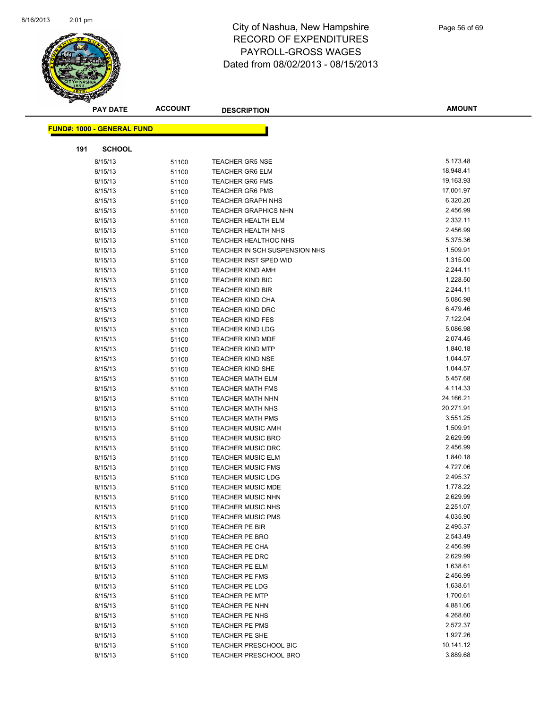

| <b>PAY DATE</b>                   | <b>ACCOUNT</b> | <b>DESCRIPTION</b>                                    | <b>AMOUNT</b>        |
|-----------------------------------|----------------|-------------------------------------------------------|----------------------|
|                                   |                |                                                       |                      |
| <b>FUND#: 1000 - GENERAL FUND</b> |                |                                                       |                      |
| 191<br><b>SCHOOL</b>              |                |                                                       |                      |
| 8/15/13                           | 51100          | <b>TEACHER GR5 NSE</b>                                | 5,173.48             |
| 8/15/13                           | 51100          | <b>TEACHER GR6 ELM</b>                                | 18,948.41            |
| 8/15/13                           | 51100          | <b>TEACHER GR6 FMS</b>                                | 19,163.93            |
| 8/15/13                           | 51100          | <b>TEACHER GR6 PMS</b>                                | 17,001.97            |
| 8/15/13                           | 51100          | <b>TEACHER GRAPH NHS</b>                              | 6,320.20             |
| 8/15/13                           | 51100          | <b>TEACHER GRAPHICS NHN</b>                           | 2,456.99             |
| 8/15/13                           | 51100          | <b>TEACHER HEALTH ELM</b>                             | 2,332.11             |
| 8/15/13                           | 51100          | <b>TEACHER HEALTH NHS</b>                             | 2,456.99             |
| 8/15/13                           | 51100          | <b>TEACHER HEALTHOC NHS</b>                           | 5,375.36             |
| 8/15/13                           | 51100          | TEACHER IN SCH SUSPENSION NHS                         | 1,509.91             |
| 8/15/13                           | 51100          | <b>TEACHER INST SPED WID</b>                          | 1,315.00             |
| 8/15/13                           | 51100          | <b>TEACHER KIND AMH</b>                               | 2,244.11             |
| 8/15/13                           | 51100          | <b>TEACHER KIND BIC</b>                               | 1,228.50             |
| 8/15/13                           | 51100          | <b>TEACHER KIND BIR</b>                               | 2,244.11             |
| 8/15/13                           | 51100          | <b>TEACHER KIND CHA</b>                               | 5,086.98             |
| 8/15/13                           | 51100          | <b>TEACHER KIND DRC</b>                               | 6,479.46             |
| 8/15/13                           | 51100          | <b>TEACHER KIND FES</b>                               | 7,122.04             |
| 8/15/13                           | 51100          | <b>TEACHER KIND LDG</b>                               | 5,086.98             |
| 8/15/13                           | 51100          | TEACHER KIND MDE                                      | 2,074.45             |
| 8/15/13                           | 51100          | <b>TEACHER KIND MTP</b>                               | 1,840.18             |
| 8/15/13                           | 51100          | <b>TEACHER KIND NSE</b>                               | 1,044.57             |
| 8/15/13                           | 51100          | <b>TEACHER KIND SHE</b>                               | 1,044.57             |
| 8/15/13                           | 51100          | <b>TEACHER MATH ELM</b>                               | 5,457.68             |
| 8/15/13                           | 51100          | <b>TEACHER MATH FMS</b>                               | 4,114.33             |
| 8/15/13                           | 51100          | <b>TEACHER MATH NHN</b>                               | 24,166.21            |
| 8/15/13                           | 51100          | <b>TEACHER MATH NHS</b>                               | 20,271.91            |
| 8/15/13                           | 51100          | <b>TEACHER MATH PMS</b>                               | 3,551.25             |
| 8/15/13                           | 51100          | <b>TEACHER MUSIC AMH</b>                              | 1,509.91             |
| 8/15/13                           | 51100          | <b>TEACHER MUSIC BRO</b>                              | 2,629.99             |
| 8/15/13                           | 51100          | <b>TEACHER MUSIC DRC</b>                              | 2,456.99             |
| 8/15/13                           | 51100          | <b>TEACHER MUSIC ELM</b>                              | 1,840.18             |
| 8/15/13                           | 51100          | <b>TEACHER MUSIC FMS</b>                              | 4,727.06             |
| 8/15/13                           | 51100          | <b>TEACHER MUSIC LDG</b>                              | 2,495.37             |
| 8/15/13                           | 51100          | <b>TEACHER MUSIC MDE</b>                              | 1,778.22             |
| 8/15/13                           | 51100          | <b>TEACHER MUSIC NHN</b>                              | 2,629.99             |
| 8/15/13                           | 51100          | <b>TEACHER MUSIC NHS</b>                              | 2,251.07             |
| 8/15/13                           | 51100          | <b>TEACHER MUSIC PMS</b>                              | 4,035.90             |
| 8/15/13                           | 51100          | TEACHER PE BIR                                        | 2,495.37             |
| 8/15/13                           | 51100          | TEACHER PE BRO                                        | 2,543.49             |
| 8/15/13                           | 51100          | TEACHER PE CHA                                        | 2,456.99             |
| 8/15/13                           | 51100          | TEACHER PE DRC                                        | 2,629.99             |
| 8/15/13                           | 51100          | TEACHER PE ELM                                        | 1,638.61             |
| 8/15/13                           | 51100          | TEACHER PE FMS                                        | 2,456.99             |
| 8/15/13                           | 51100          | TEACHER PE LDG                                        | 1,638.61             |
| 8/15/13                           | 51100          | <b>TEACHER PE MTP</b>                                 | 1,700.61<br>4,881.06 |
| 8/15/13                           | 51100          | TEACHER PE NHN                                        |                      |
| 8/15/13                           | 51100          | TEACHER PE NHS                                        | 4,268.60<br>2,572.37 |
| 8/15/13                           | 51100          | TEACHER PE PMS                                        | 1,927.26             |
| 8/15/13                           | 51100          | TEACHER PE SHE                                        | 10,141.12            |
| 8/15/13<br>8/15/13                | 51100<br>51100 | <b>TEACHER PRESCHOOL BIC</b><br>TEACHER PRESCHOOL BRO | 3,889.68             |
|                                   |                |                                                       |                      |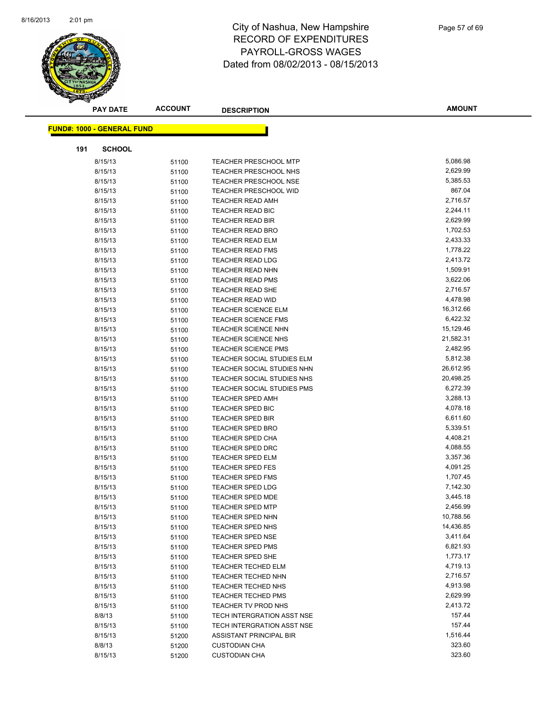

| <b>PAY DATE</b>                   | <b>ACCOUNT</b> | <b>DESCRIPTION</b>                                     | <b>AMOUNT</b>        |
|-----------------------------------|----------------|--------------------------------------------------------|----------------------|
| <b>FUND#: 1000 - GENERAL FUND</b> |                |                                                        |                      |
|                                   |                |                                                        |                      |
| 191<br><b>SCHOOL</b>              |                |                                                        |                      |
| 8/15/13                           | 51100          | <b>TEACHER PRESCHOOL MTP</b>                           | 5,086.98             |
| 8/15/13                           | 51100          | <b>TEACHER PRESCHOOL NHS</b>                           | 2,629.99             |
| 8/15/13                           | 51100          | <b>TEACHER PRESCHOOL NSE</b>                           | 5,385.53             |
| 8/15/13                           | 51100          | <b>TEACHER PRESCHOOL WID</b>                           | 867.04               |
| 8/15/13                           | 51100          | <b>TEACHER READ AMH</b>                                | 2,716.57             |
| 8/15/13                           | 51100          | TEACHER READ BIC                                       | 2,244.11             |
| 8/15/13                           | 51100          | TEACHER READ BIR                                       | 2,629.99             |
| 8/15/13                           | 51100          | <b>TEACHER READ BRO</b>                                | 1,702.53             |
| 8/15/13                           | 51100          | <b>TEACHER READ ELM</b>                                | 2,433.33             |
| 8/15/13                           | 51100          | <b>TEACHER READ FMS</b>                                | 1,778.22             |
| 8/15/13                           | 51100          | <b>TEACHER READ LDG</b>                                | 2,413.72             |
| 8/15/13                           | 51100          | <b>TEACHER READ NHN</b>                                | 1,509.91             |
| 8/15/13                           | 51100          | <b>TEACHER READ PMS</b>                                | 3,622.06             |
| 8/15/13                           | 51100          | TEACHER READ SHE                                       | 2,716.57             |
| 8/15/13                           | 51100          | <b>TEACHER READ WID</b>                                | 4,478.98             |
| 8/15/13                           | 51100          | <b>TEACHER SCIENCE ELM</b>                             | 16,312.66            |
| 8/15/13                           | 51100          | <b>TEACHER SCIENCE FMS</b>                             | 6,422.32             |
| 8/15/13                           | 51100          | <b>TEACHER SCIENCE NHN</b>                             | 15,129.46            |
| 8/15/13                           | 51100          | <b>TEACHER SCIENCE NHS</b>                             | 21,582.31            |
| 8/15/13                           | 51100          | <b>TEACHER SCIENCE PMS</b>                             | 2,482.95             |
| 8/15/13                           | 51100          | TEACHER SOCIAL STUDIES ELM                             | 5,812.38             |
| 8/15/13                           | 51100          | TEACHER SOCIAL STUDIES NHN                             | 26,612.95            |
| 8/15/13                           | 51100          | TEACHER SOCIAL STUDIES NHS                             | 20,498.25            |
| 8/15/13                           | 51100          | <b>TEACHER SOCIAL STUDIES PMS</b>                      | 6,272.39             |
| 8/15/13                           | 51100          | <b>TEACHER SPED AMH</b>                                | 3,288.13             |
| 8/15/13                           | 51100          | TEACHER SPED BIC                                       | 4,078.18             |
| 8/15/13                           | 51100          | TEACHER SPED BIR                                       | 6,611.60             |
| 8/15/13                           | 51100          | <b>TEACHER SPED BRO</b>                                | 5,339.51             |
| 8/15/13                           | 51100          | TEACHER SPED CHA                                       | 4,408.21             |
| 8/15/13                           | 51100          | <b>TEACHER SPED DRC</b>                                | 4,088.55             |
| 8/15/13                           | 51100          | <b>TEACHER SPED ELM</b>                                | 3,357.36             |
| 8/15/13                           | 51100          | <b>TEACHER SPED FES</b>                                | 4,091.25             |
| 8/15/13                           | 51100          | <b>TEACHER SPED FMS</b>                                | 1,707.45             |
| 8/15/13                           | 51100          | <b>TEACHER SPED LDG</b>                                | 7,142.30             |
| 8/15/13                           | 51100          | <b>TEACHER SPED MDE</b>                                | 3,445.18             |
| 8/15/13                           | 51100          | <b>TEACHER SPED MTP</b>                                | 2,456.99             |
| 8/15/13                           | 51100          | <b>TEACHER SPED NHN</b>                                | 10,788.56            |
| 8/15/13                           | 51100          | <b>TEACHER SPED NHS</b>                                | 14,436.85            |
| 8/15/13                           | 51100          | <b>TEACHER SPED NSE</b>                                | 3,411.64<br>6,821.93 |
| 8/15/13                           | 51100          | <b>TEACHER SPED PMS</b>                                | 1,773.17             |
| 8/15/13                           | 51100          | TEACHER SPED SHE                                       | 4,719.13             |
| 8/15/13<br>8/15/13                | 51100          | <b>TEACHER TECHED ELM</b><br><b>TEACHER TECHED NHN</b> | 2,716.57             |
| 8/15/13                           | 51100          | TEACHER TECHED NHS                                     | 4,913.98             |
| 8/15/13                           | 51100          | <b>TEACHER TECHED PMS</b>                              | 2,629.99             |
| 8/15/13                           | 51100<br>51100 | TEACHER TV PROD NHS                                    | 2,413.72             |
| 8/8/13                            |                | TECH INTERGRATION ASST NSE                             | 157.44               |
| 8/15/13                           | 51100<br>51100 | TECH INTERGRATION ASST NSE                             | 157.44               |
| 8/15/13                           | 51200          | ASSISTANT PRINCIPAL BIR                                | 1,516.44             |
| 8/8/13                            | 51200          | <b>CUSTODIAN CHA</b>                                   | 323.60               |
| 8/15/13                           | 51200          | <b>CUSTODIAN CHA</b>                                   | 323.60               |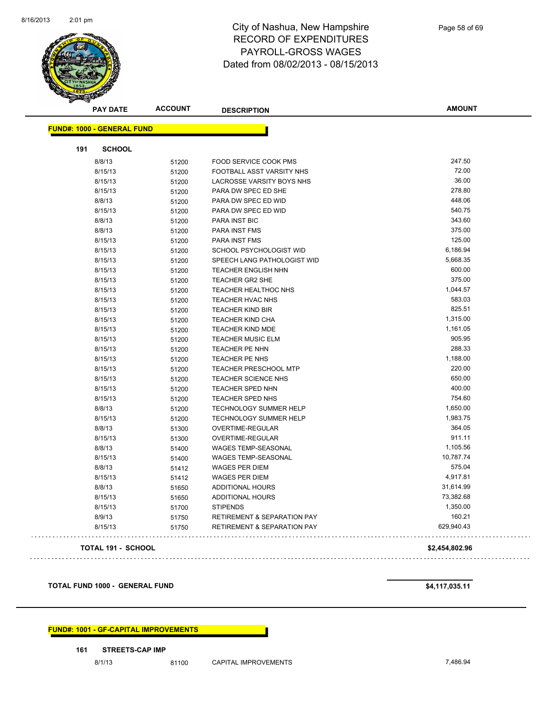

| <b>PAY DATE</b>                   | <b>ACCOUNT</b> | <b>DESCRIPTION</b>                     | <b>AMOUNT</b>  |
|-----------------------------------|----------------|----------------------------------------|----------------|
| <b>FUND#: 1000 - GENERAL FUND</b> |                |                                        |                |
| 191<br><b>SCHOOL</b>              |                |                                        |                |
| 8/8/13                            | 51200          | FOOD SERVICE COOK PMS                  | 247.50         |
| 8/15/13                           | 51200          | FOOTBALL ASST VARSITY NHS              | 72.00          |
| 8/15/13                           |                | LACROSSE VARSITY BOYS NHS              | 36.00          |
| 8/15/13                           | 51200          | PARA DW SPEC ED SHE                    | 278.80         |
|                                   | 51200          |                                        | 448.06         |
| 8/8/13<br>8/15/13                 | 51200          | PARA DW SPEC ED WID                    | 540.75         |
|                                   | 51200          | PARA DW SPEC ED WID                    | 343.60         |
| 8/8/13                            | 51200          | PARA INST BIC                          | 375.00         |
| 8/8/13                            | 51200          | <b>PARA INST FMS</b>                   | 125.00         |
| 8/15/13                           | 51200          | PARA INST FMS                          |                |
| 8/15/13                           | 51200          | SCHOOL PSYCHOLOGIST WID                | 6,186.94       |
| 8/15/13                           | 51200          | SPEECH LANG PATHOLOGIST WID            | 5,668.35       |
| 8/15/13                           | 51200          | <b>TEACHER ENGLISH NHN</b>             | 600.00         |
| 8/15/13                           | 51200          | TEACHER GR2 SHE                        | 375.00         |
| 8/15/13                           | 51200          | TEACHER HEALTHOC NHS                   | 1,044.57       |
| 8/15/13                           | 51200          | TEACHER HVAC NHS                       | 583.03         |
| 8/15/13                           | 51200          | <b>TEACHER KIND BIR</b>                | 825.51         |
| 8/15/13                           | 51200          | <b>TEACHER KIND CHA</b>                | 1,315.00       |
| 8/15/13                           | 51200          | <b>TEACHER KIND MDE</b>                | 1,161.05       |
| 8/15/13                           | 51200          | <b>TEACHER MUSIC ELM</b>               | 905.95         |
| 8/15/13                           | 51200          | <b>TEACHER PE NHN</b>                  | 288.33         |
| 8/15/13                           | 51200          | TEACHER PE NHS                         | 1,188.00       |
| 8/15/13                           | 51200          | <b>TEACHER PRESCHOOL MTP</b>           | 220.00         |
| 8/15/13                           | 51200          | TEACHER SCIENCE NHS                    | 650.00         |
| 8/15/13                           | 51200          | <b>TEACHER SPED NHN</b>                | 400.00         |
| 8/15/13                           | 51200          | TEACHER SPED NHS                       | 754.60         |
| 8/8/13                            | 51200          | <b>TECHNOLOGY SUMMER HELP</b>          | 1,650.00       |
| 8/15/13                           | 51200          | TECHNOLOGY SUMMER HELP                 | 1,983.75       |
| 8/8/13                            | 51300          | OVERTIME-REGULAR                       | 364.05         |
| 8/15/13                           | 51300          | OVERTIME-REGULAR                       | 911.11         |
| 8/8/13                            | 51400          | WAGES TEMP-SEASONAL                    | 1,105.56       |
| 8/15/13                           | 51400          | <b>WAGES TEMP-SEASONAL</b>             | 10,787.74      |
| 8/8/13                            | 51412          | <b>WAGES PER DIEM</b>                  | 575.04         |
| 8/15/13                           | 51412          | <b>WAGES PER DIEM</b>                  | 4,917.81       |
| 8/8/13                            | 51650          | ADDITIONAL HOURS                       | 31,614.99      |
| 8/15/13                           | 51650          | ADDITIONAL HOURS                       | 73,382.68      |
| 8/15/13                           | 51700          | <b>STIPENDS</b>                        | 1,350.00       |
| 8/9/13                            | 51750          | <b>RETIREMENT &amp; SEPARATION PAY</b> | 160.21         |
| 8/15/13                           | 51750          | <b>RETIREMENT &amp; SEPARATION PAY</b> | 629,940.43     |
| <b>TOTAL 191 - SCHOOL</b>         |                |                                        | \$2,454,802.96 |

**TOTAL FUND 1000 - GENERAL FUND \$4,117,035.11** 

**FUND#: 1001 - GF-CAPITAL IMPROVEMENTS**

#### **161 STREETS-CAP IMP**

8/1/13 81100 CAPITAL IMPROVEMENTS 7,486.94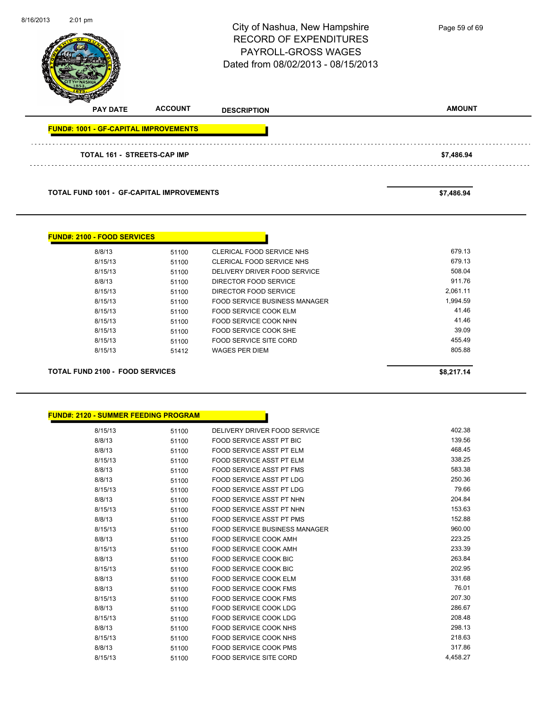| 8/16/2013 | $2:01$ pm                                        |                | City of Nashua, New Hampshire<br><b>RECORD OF EXPENDITURES</b><br><b>PAYROLL-GROSS WAGES</b><br>Dated from 08/02/2013 - 08/15/2013 | Page 59 of 69 |
|-----------|--------------------------------------------------|----------------|------------------------------------------------------------------------------------------------------------------------------------|---------------|
|           | <b>PAY DATE</b>                                  | <b>ACCOUNT</b> | <b>DESCRIPTION</b>                                                                                                                 | <b>AMOUNT</b> |
|           | <b>FUND#: 1001 - GF-CAPITAL IMPROVEMENTS</b>     |                |                                                                                                                                    |               |
|           | <b>TOTAL 161 - STREETS-CAP IMP</b>               |                |                                                                                                                                    | \$7,486.94    |
|           | <b>TOTAL FUND 1001 - GF-CAPITAL IMPROVEMENTS</b> |                |                                                                                                                                    | \$7,486.94    |

| <b>FUND#: 2100 - FOOD SERVICES</b>     |       |                               |            |
|----------------------------------------|-------|-------------------------------|------------|
| 8/8/13                                 | 51100 | CLERICAL FOOD SERVICE NHS     | 679.13     |
| 8/15/13                                | 51100 | CLERICAL FOOD SERVICE NHS     | 679.13     |
| 8/15/13                                | 51100 | DELIVERY DRIVER FOOD SERVICE  | 508.04     |
| 8/8/13                                 | 51100 | DIRECTOR FOOD SERVICE         | 911.76     |
| 8/15/13                                | 51100 | DIRECTOR FOOD SERVICE         | 2.061.11   |
| 8/15/13                                | 51100 | FOOD SERVICE BUSINESS MANAGER | 1,994.59   |
| 8/15/13                                | 51100 | FOOD SERVICE COOK ELM         | 41.46      |
| 8/15/13                                | 51100 | FOOD SERVICE COOK NHN         | 41.46      |
| 8/15/13                                | 51100 | FOOD SERVICE COOK SHE         | 39.09      |
| 8/15/13                                | 51100 | FOOD SERVICE SITE CORD        | 455.49     |
| 8/15/13                                | 51412 | <b>WAGES PER DIEM</b>         | 805.88     |
| <b>TOTAL FUND 2100 - FOOD SERVICES</b> |       |                               | \$8,217.14 |

| <b>FUND#: 2120 - SUMMER FEEDING PROGRAM</b> |       |                                      |          |
|---------------------------------------------|-------|--------------------------------------|----------|
| 8/15/13                                     | 51100 | DELIVERY DRIVER FOOD SERVICE         | 402.38   |
| 8/8/13                                      | 51100 | FOOD SERVICE ASST PT BIC             | 139.56   |
| 8/8/13                                      | 51100 | FOOD SERVICE ASST PT ELM             | 468.45   |
| 8/15/13                                     | 51100 | FOOD SERVICE ASST PT ELM             | 338.25   |
| 8/8/13                                      | 51100 | FOOD SERVICE ASST PT FMS             | 583.38   |
| 8/8/13                                      | 51100 | FOOD SERVICE ASST PT LDG             | 250.36   |
| 8/15/13                                     | 51100 | FOOD SERVICE ASST PT LDG             | 79.66    |
| 8/8/13                                      | 51100 | FOOD SERVICE ASST PT NHN             | 204.84   |
| 8/15/13                                     | 51100 | FOOD SERVICE ASST PT NHN             | 153.63   |
| 8/8/13                                      | 51100 | <b>FOOD SERVICE ASST PT PMS</b>      | 152.88   |
| 8/15/13                                     | 51100 | <b>FOOD SERVICE BUSINESS MANAGER</b> | 960.00   |
| 8/8/13                                      | 51100 | FOOD SERVICE COOK AMH                | 223.25   |
| 8/15/13                                     | 51100 | <b>FOOD SERVICE COOK AMH</b>         | 233.39   |
| 8/8/13                                      | 51100 | FOOD SERVICE COOK BIC                | 263.84   |
| 8/15/13                                     | 51100 | <b>FOOD SERVICE COOK BIC</b>         | 202.95   |
| 8/8/13                                      | 51100 | <b>FOOD SERVICE COOK ELM</b>         | 331.68   |
| 8/8/13                                      | 51100 | FOOD SERVICE COOK FMS                | 76.01    |
| 8/15/13                                     | 51100 | <b>FOOD SERVICE COOK FMS</b>         | 207.30   |
| 8/8/13                                      | 51100 | FOOD SERVICE COOK LDG                | 286.67   |
| 8/15/13                                     | 51100 | <b>FOOD SERVICE COOK LDG</b>         | 208.48   |
| 8/8/13                                      | 51100 | <b>FOOD SERVICE COOK NHS</b>         | 298.13   |
| 8/15/13                                     | 51100 | <b>FOOD SERVICE COOK NHS</b>         | 218.63   |
| 8/8/13                                      | 51100 | FOOD SERVICE COOK PMS                | 317.86   |
| 8/15/13                                     | 51100 | <b>FOOD SERVICE SITE CORD</b>        | 4,458.27 |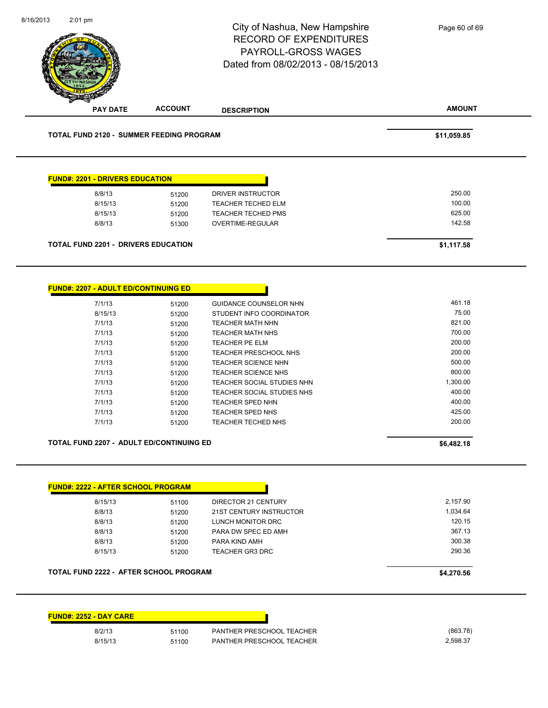| 2:01 pm                                               |                | City of Nashua, New Hampshire<br><b>RECORD OF EXPENDITURES</b><br>PAYROLL-GROSS WAGES<br>Dated from 08/02/2013 - 08/15/2013 | Page 60 of 69      |
|-------------------------------------------------------|----------------|-----------------------------------------------------------------------------------------------------------------------------|--------------------|
| <b>PAY DATE</b>                                       | <b>ACCOUNT</b> | <b>DESCRIPTION</b>                                                                                                          | <b>AMOUNT</b>      |
| TOTAL FUND 2120 - SUMMER FEEDING PROGRAM              |                |                                                                                                                             | \$11,059.85        |
| <b>FUND#: 2201 - DRIVERS EDUCATION</b>                |                |                                                                                                                             |                    |
| 8/8/13                                                | 51200          | <b>DRIVER INSTRUCTOR</b>                                                                                                    | 250.00             |
| 8/15/13                                               | 51200          | TEACHER TECHED ELM                                                                                                          | 100.00             |
| 8/15/13                                               | 51200          | <b>TEACHER TECHED PMS</b>                                                                                                   | 625.00             |
| 8/8/13                                                | 51300          | OVERTIME-REGULAR                                                                                                            | 142.58             |
| <b>TOTAL FUND 2201 - DRIVERS EDUCATION</b>            |                |                                                                                                                             | \$1,117.58         |
| <b>FUND#: 2207 - ADULT ED/CONTINUING ED</b><br>7/1/13 | 51200          | GUIDANCE COUNSELOR NHN                                                                                                      | 461.18             |
| 8/15/13                                               | 51200          | STUDENT INFO COORDINATOR                                                                                                    | 75.00              |
| 7/1/13                                                | 51200          | <b>TEACHER MATH NHN</b>                                                                                                     | 821.00             |
| 7/1/13                                                | 51200          | <b>TEACHER MATH NHS</b>                                                                                                     | 700.00             |
| 7/1/13                                                | 51200          | TEACHER PE ELM                                                                                                              | 200.00             |
| 7/1/13                                                | 51200          | TEACHER PRESCHOOL NHS                                                                                                       | 200.00             |
| 7/1/13                                                | 51200          | TEACHER SCIENCE NHN                                                                                                         | 500.00             |
| 7/1/13                                                | 51200          | TEACHER SCIENCE NHS                                                                                                         | 800.00             |
| 7/1/13                                                | 51200          | TEACHER SOCIAL STUDIES NHN                                                                                                  | 1,300.00<br>400.00 |
| 7/1/13<br>7/1/13                                      | 51200<br>51200 | TEACHER SOCIAL STUDIES NHS<br>TEACHER SPED NHN                                                                              | 400.00             |
| 7/1/13                                                | 51200          | TEACHER SPED NHS                                                                                                            | 425.00             |
| 7/1/13                                                | 51200          | TEACHER TECHED NHS                                                                                                          | 200.00             |
| TOTAL FUND 2207 - ADULT ED/CONTINUING ED              |                |                                                                                                                             | \$6,482.18         |
|                                                       |                |                                                                                                                             |                    |
| <b>FUND#: 2222 - AFTER SCHOOL PROGRAM</b>             |                |                                                                                                                             |                    |
| 8/15/13                                               | 51100          | DIRECTOR 21 CENTURY                                                                                                         | 2,157.90           |
| 8/8/13                                                | 51200          | 21ST CENTURY INSTRUCTOR                                                                                                     | 1,034.64           |
| 8/8/13<br>8/8/13                                      | 51200          | LUNCH MONITOR DRC<br>PARA DW SPEC ED AMH                                                                                    | 120.15<br>367.13   |
| 8/8/13                                                | 51200<br>51200 | PARA KIND AMH                                                                                                               | 300.38             |
| 8/15/13                                               | 51200          | TEACHER GR3 DRC                                                                                                             | 290.36             |
|                                                       |                |                                                                                                                             |                    |
| <b>TOTAL FUND 2222 - AFTER SCHOOL PROGRAM</b>         |                |                                                                                                                             | \$4,270.56         |
| <b>FUND#: 2252 - DAY CARE</b>                         |                |                                                                                                                             |                    |
|                                                       |                |                                                                                                                             |                    |
| 8/2/13                                                | 51100          | PANTHER PRESCHOOL TEACHER                                                                                                   | (863.78)           |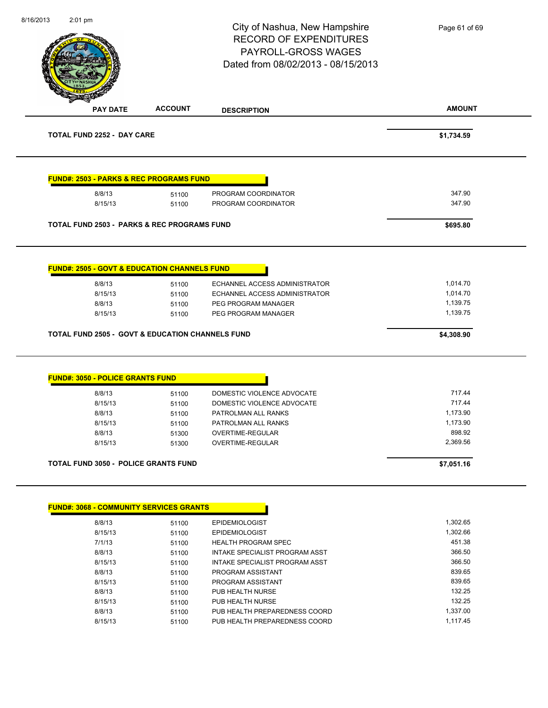|                                                                   |                | City of Nashua, New Hampshire<br><b>RECORD OF EXPENDITURES</b><br><b>PAYROLL-GROSS WAGES</b><br>Dated from 08/02/2013 - 08/15/2013 | Page 61 of 69        |
|-------------------------------------------------------------------|----------------|------------------------------------------------------------------------------------------------------------------------------------|----------------------|
| <b>PAY DATE</b>                                                   | <b>ACCOUNT</b> | <b>DESCRIPTION</b>                                                                                                                 | <b>AMOUNT</b>        |
| <b>TOTAL FUND 2252 - DAY CARE</b>                                 |                |                                                                                                                                    | \$1,734.59           |
| <b>FUND#: 2503 - PARKS &amp; REC PROGRAMS FUND</b>                |                |                                                                                                                                    |                      |
| 8/8/13                                                            | 51100          | PROGRAM COORDINATOR                                                                                                                | 347.90               |
| 8/15/13                                                           | 51100          | PROGRAM COORDINATOR                                                                                                                | 347.90               |
| <b>TOTAL FUND 2503 - PARKS &amp; REC PROGRAMS FUND</b>            |                |                                                                                                                                    | \$695.80             |
| <b>FUND#: 2505 - GOVT &amp; EDUCATION CHANNELS FUND</b><br>8/8/13 | 51100<br>51100 | ECHANNEL ACCESS ADMINISTRATOR<br>ECHANNEL ACCESS ADMINISTRATOR                                                                     | 1,014.70<br>1,014.70 |
| 8/15/13<br>8/8/13<br>8/15/13                                      | 51100<br>51100 | PEG PROGRAM MANAGER<br>PEG PROGRAM MANAGER                                                                                         | 1,139.75<br>1,139.75 |
| <b>TOTAL FUND 2505 - GOVT &amp; EDUCATION CHANNELS FUND</b>       |                |                                                                                                                                    | \$4,308.90           |
| <b>FUND#: 3050 - POLICE GRANTS FUND</b>                           |                |                                                                                                                                    |                      |
| 8/8/13                                                            | 51100          | DOMESTIC VIOLENCE ADVOCATE                                                                                                         | 717.44               |
| 8/15/13                                                           | 51100          | DOMESTIC VIOLENCE ADVOCATE                                                                                                         | 717.44               |
| 8/8/13                                                            | 51100          | PATROLMAN ALL RANKS                                                                                                                | 1,173.90             |
| 8/15/13                                                           | 51100          | PATROLMAN ALL RANKS                                                                                                                | 1,173.90             |
| 8/8/13<br>8/15/13                                                 | 51300<br>51300 | OVERTIME-REGULAR<br><b>OVERTIME-REGULAR</b>                                                                                        | 898.92<br>2,369.56   |
| <b>TOTAL FUND 3050 - POLICE GRANTS FUND</b>                       |                |                                                                                                                                    | \$7,051.16           |
|                                                                   |                |                                                                                                                                    |                      |
|                                                                   |                |                                                                                                                                    |                      |
| 8/8/13<br>8/15/13                                                 | 51100          | <b>EPIDEMIOLOGIST</b><br><b>EPIDEMIOLOGIST</b>                                                                                     | 1,302.65<br>1,302.66 |
| 7/1/13                                                            | 51100          | <b>HEALTH PROGRAM SPEC</b>                                                                                                         | 451.38               |
| 8/8/13                                                            | 51100<br>51100 | INTAKE SPECIALIST PROGRAM ASST                                                                                                     | 366.50               |
| 8/15/13                                                           | 51100          | INTAKE SPECIALIST PROGRAM ASST                                                                                                     | 366.50               |
| 8/8/13                                                            | 51100          | PROGRAM ASSISTANT                                                                                                                  | 839.65               |
| 8/15/13                                                           | 51100          | PROGRAM ASSISTANT                                                                                                                  | 839.65               |
| 8/8/13                                                            | 51100          | PUB HEALTH NURSE                                                                                                                   | 132.25               |
| 8/15/13                                                           | 51100          | PUB HEALTH NURSE                                                                                                                   | 132.25               |
| <b>FUND#: 3068 - COMMUNITY SERVICES GRANTS</b><br>8/8/13          | 51100          | PUB HEALTH PREPAREDNESS COORD                                                                                                      | 1,337.00             |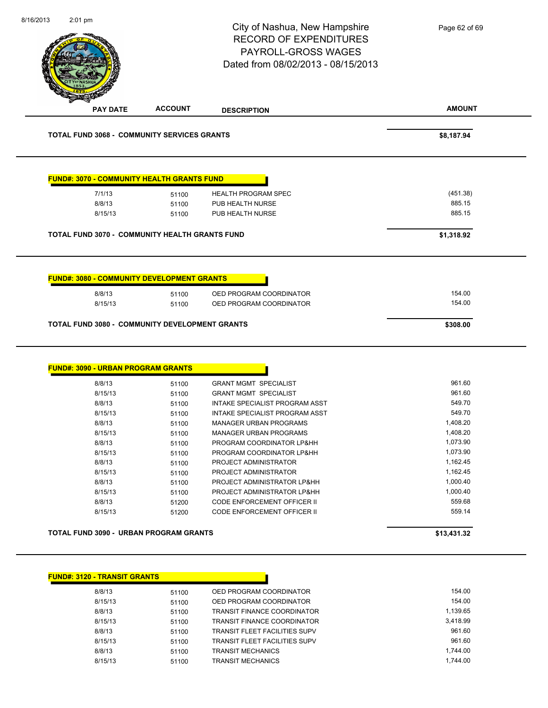| 8/16/2013<br>$2:01$ pm                             |                | City of Nashua, New Hampshire<br><b>RECORD OF EXPENDITURES</b><br><b>PAYROLL-GROSS WAGES</b><br>Dated from 08/02/2013 - 08/15/2013 | Page 62 of 69      |
|----------------------------------------------------|----------------|------------------------------------------------------------------------------------------------------------------------------------|--------------------|
| <b>PAY DATE</b>                                    | <b>ACCOUNT</b> | <b>DESCRIPTION</b>                                                                                                                 | <b>AMOUNT</b>      |
| <b>TOTAL FUND 3068 - COMMUNITY SERVICES GRANTS</b> |                |                                                                                                                                    | \$8,187.94         |
| <u> FUND#: 3070 - COMMUNITY HEALTH GRANTS FUND</u> |                |                                                                                                                                    |                    |
| 7/1/13                                             | 51100          | <b>HEALTH PROGRAM SPEC</b>                                                                                                         | (451.38)           |
| 8/8/13                                             | 51100          | PUB HEALTH NURSE                                                                                                                   | 885.15             |
| 8/15/13                                            | 51100          | PUB HEALTH NURSE                                                                                                                   | 885.15             |
| TOTAL FUND 3070 - COMMUNITY HEALTH GRANTS FUND     |                |                                                                                                                                    | \$1,318.92         |
| <b>FUND#: 3090 - URBAN PROGRAM GRANTS</b>          |                |                                                                                                                                    |                    |
| 8/8/13                                             | 51100          | <b>GRANT MGMT SPECIALIST</b>                                                                                                       | 961.60             |
| 8/15/13                                            | 51100          | <b>GRANT MGMT SPECIALIST</b>                                                                                                       | 961.60             |
| 8/8/13                                             | 51100          | INTAKE SPECIALIST PROGRAM ASST                                                                                                     | 549.70             |
| 8/15/13<br>8/8/13                                  | 51100          | INTAKE SPECIALIST PROGRAM ASST<br>MANAGER URBAN PROGRAMS                                                                           | 549.70<br>1,408.20 |
| 8/15/13                                            | 51100<br>51100 | <b>MANAGER URBAN PROGRAMS</b>                                                                                                      | 1,408.20           |
| 8/8/13                                             |                | PROGRAM COORDINATOR LP&HH                                                                                                          | 1,073.90           |
|                                                    | 51100          |                                                                                                                                    |                    |
| 8/15/13                                            | 51100          | PROGRAM COORDINATOR LP&HH                                                                                                          | 1,073.90           |
| 8/8/13                                             | 51100          | PROJECT ADMINISTRATOR                                                                                                              | 1,162.45           |
| 8/15/13                                            | 51100          | PROJECT ADMINISTRATOR                                                                                                              | 1,162.45           |
| 8/8/13                                             | 51100          | PROJECT ADMINISTRATOR LP&HH                                                                                                        | 1,000.40           |
| 8/15/13                                            | 51100          | PROJECT ADMINISTRATOR LP&HH                                                                                                        | 1,000.40           |
| 8/8/13<br>8/15/13                                  | 51200<br>51200 | CODE ENFORCEMENT OFFICER II<br>CODE ENFORCEMENT OFFICER II                                                                         | 559.68<br>559.14   |
| TOTAL FUND 3090 - URBAN PROGRAM GRANTS             |                |                                                                                                                                    | \$13,431.32        |
|                                                    |                |                                                                                                                                    |                    |
| <b>FUND#: 3120 - TRANSIT GRANTS</b><br>8/8/13      | 51100          | OED PROGRAM COORDINATOR                                                                                                            | 154.00             |

| 8/15/13 | 51100 | OED PROGRAM COORDINATOR              | 154.00   |
|---------|-------|--------------------------------------|----------|
| 8/8/13  | 51100 | <b>TRANSIT FINANCE COORDINATOR</b>   | 1.139.65 |
| 8/15/13 | 51100 | <b>TRANSIT FINANCE COORDINATOR</b>   | 3.418.99 |
| 8/8/13  | 51100 | <b>TRANSIT FLEET FACILITIES SUPV</b> | 961.60   |
| 8/15/13 | 51100 | <b>TRANSIT FLEET FACILITIES SUPV</b> | 961.60   |
| 8/8/13  | 51100 | <b>TRANSIT MECHANICS</b>             | 1.744.00 |
| 8/15/13 | 51100 | <b>TRANSIT MECHANICS</b>             | 1.744.00 |
|         |       |                                      |          |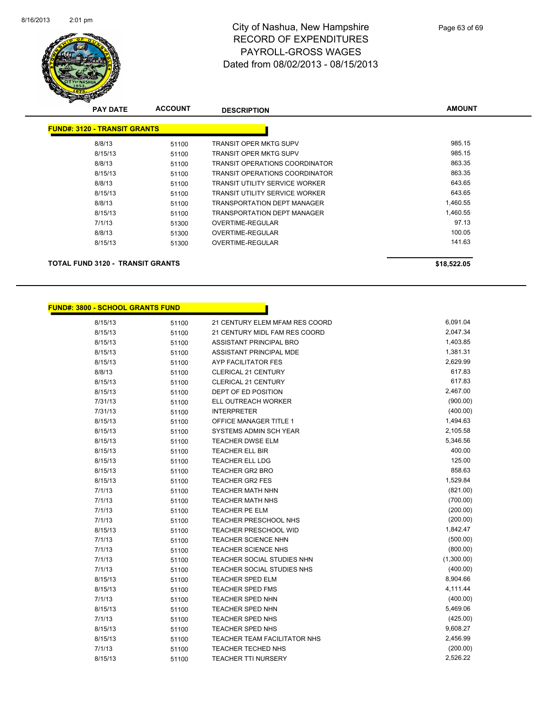

| <b>PAY DATE</b>                         | <b>ACCOUNT</b> | <b>DESCRIPTION</b>                    | <b>AMOUNT</b> |
|-----------------------------------------|----------------|---------------------------------------|---------------|
| <b>FUND#: 3120 - TRANSIT GRANTS</b>     |                |                                       |               |
| 8/8/13                                  | 51100          | <b>TRANSIT OPER MKTG SUPV</b>         | 985.15        |
| 8/15/13                                 | 51100          | <b>TRANSIT OPER MKTG SUPV</b>         | 985.15        |
| 8/8/13                                  | 51100          | <b>TRANSIT OPERATIONS COORDINATOR</b> | 863.35        |
| 8/15/13                                 | 51100          | <b>TRANSIT OPERATIONS COORDINATOR</b> | 863.35        |
| 8/8/13                                  | 51100          | TRANSIT UTILITY SERVICE WORKER        | 643.65        |
| 8/15/13                                 | 51100          | <b>TRANSIT UTILITY SERVICE WORKER</b> | 643.65        |
| 8/8/13                                  | 51100          | <b>TRANSPORTATION DEPT MANAGER</b>    | 1,460.55      |
| 8/15/13                                 | 51100          | <b>TRANSPORTATION DEPT MANAGER</b>    | 1,460.55      |
| 7/1/13                                  | 51300          | OVERTIME-REGULAR                      | 97.13         |
| 8/8/13                                  | 51300          | OVERTIME-REGULAR                      | 100.05        |
| 8/15/13                                 | 51300          | <b>OVERTIME-REGULAR</b>               | 141.63        |
| <b>TOTAL FUND 3120 - TRANSIT GRANTS</b> |                |                                       | \$18,522.05   |

Π

#### **FUND#: 3800 - SCHOOL GRANTS FUND**

| 8/15/13 | 51100 | 21 CENTURY ELEM MFAM RES COORD    | 6,091.04   |
|---------|-------|-----------------------------------|------------|
| 8/15/13 | 51100 | 21 CENTURY MIDL FAM RES COORD     | 2,047.34   |
| 8/15/13 | 51100 | ASSISTANT PRINCIPAL BRO           | 1,403.85   |
| 8/15/13 | 51100 | ASSISTANT PRINCIPAL MDE           | 1,381.31   |
| 8/15/13 | 51100 | AYP FACILITATOR FES               | 2,629.99   |
| 8/8/13  | 51100 | CLERICAL 21 CENTURY               | 617.83     |
| 8/15/13 | 51100 | CLERICAL 21 CENTURY               | 617.83     |
| 8/15/13 | 51100 | DEPT OF ED POSITION               | 2,467.00   |
| 7/31/13 | 51100 | ELL OUTREACH WORKER               | (900.00)   |
| 7/31/13 | 51100 | <b>INTERPRETER</b>                | (400.00)   |
| 8/15/13 | 51100 | <b>OFFICE MANAGER TITLE 1</b>     | 1,494.63   |
| 8/15/13 | 51100 | SYSTEMS ADMIN SCH YEAR            | 2,105.58   |
| 8/15/13 | 51100 | <b>TEACHER DWSE ELM</b>           | 5,346.56   |
| 8/15/13 | 51100 | <b>TEACHER ELL BIR</b>            | 400.00     |
| 8/15/13 | 51100 | <b>TEACHER ELL LDG</b>            | 125.00     |
| 8/15/13 | 51100 | <b>TEACHER GR2 BRO</b>            | 858.63     |
| 8/15/13 | 51100 | <b>TEACHER GR2 FES</b>            | 1,529.84   |
| 7/1/13  | 51100 | <b>TEACHER MATH NHN</b>           | (821.00)   |
| 7/1/13  | 51100 | <b>TEACHER MATH NHS</b>           | (700.00)   |
| 7/1/13  | 51100 | <b>TEACHER PE ELM</b>             | (200.00)   |
| 7/1/13  | 51100 | TEACHER PRESCHOOL NHS             | (200.00)   |
| 8/15/13 | 51100 | <b>TEACHER PRESCHOOL WID</b>      | 1,842.47   |
| 7/1/13  | 51100 | <b>TEACHER SCIENCE NHN</b>        | (500.00)   |
| 7/1/13  | 51100 | TEACHER SCIENCE NHS               | (800.00)   |
| 7/1/13  | 51100 | <b>TEACHER SOCIAL STUDIES NHN</b> | (1,300.00) |
| 7/1/13  | 51100 | TEACHER SOCIAL STUDIES NHS        | (400.00)   |
| 8/15/13 | 51100 | <b>TEACHER SPED ELM</b>           | 8,904.66   |
| 8/15/13 | 51100 | <b>TEACHER SPED FMS</b>           | 4,111.44   |
| 7/1/13  | 51100 | TEACHER SPED NHN                  | (400.00)   |
| 8/15/13 | 51100 | <b>TEACHER SPED NHN</b>           | 5,469.06   |
| 7/1/13  | 51100 | TEACHER SPED NHS                  | (425.00)   |
| 8/15/13 | 51100 | <b>TEACHER SPED NHS</b>           | 9,608.27   |
| 8/15/13 | 51100 | TEACHER TEAM FACILITATOR NHS      | 2,456.99   |
| 7/1/13  | 51100 | <b>TEACHER TECHED NHS</b>         | (200.00)   |
| 8/15/13 | 51100 | <b>TEACHER TTI NURSERY</b>        | 2,526.22   |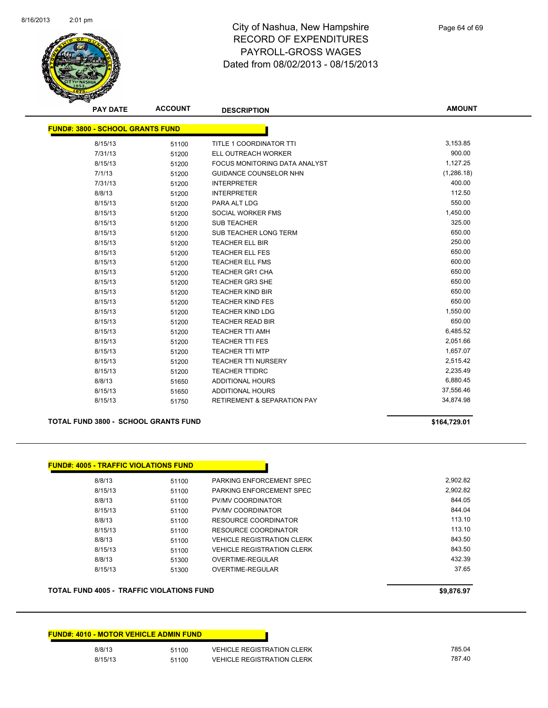

**AMOUNT**

| <b>FUND#: 3800 - SCHOOL GRANTS FUND</b> |       |                                        |            |
|-----------------------------------------|-------|----------------------------------------|------------|
| 8/15/13                                 | 51100 | TITLE 1 COORDINATOR TTI                | 3,153.85   |
| 7/31/13                                 | 51200 | ELL OUTREACH WORKER                    | 900.00     |
| 8/15/13                                 | 51200 | FOCUS MONITORING DATA ANALYST          | 1,127.25   |
| 7/1/13                                  | 51200 | <b>GUIDANCE COUNSELOR NHN</b>          | (1,286.18) |
| 7/31/13                                 | 51200 | <b>INTERPRETER</b>                     | 400.00     |
| 8/8/13                                  | 51200 | <b>INTERPRETER</b>                     | 112.50     |
| 8/15/13                                 | 51200 | PARA ALT LDG                           | 550.00     |
| 8/15/13                                 | 51200 | SOCIAL WORKER FMS                      | 1,450.00   |
| 8/15/13                                 | 51200 | <b>SUB TEACHER</b>                     | 325.00     |
| 8/15/13                                 | 51200 | <b>SUB TEACHER LONG TERM</b>           | 650.00     |
| 8/15/13                                 | 51200 | <b>TEACHER ELL BIR</b>                 | 250.00     |
| 8/15/13                                 | 51200 | <b>TEACHER ELL FES</b>                 | 650.00     |
| 8/15/13                                 | 51200 | <b>TEACHER ELL FMS</b>                 | 600.00     |
| 8/15/13                                 | 51200 | <b>TEACHER GR1 CHA</b>                 | 650.00     |
| 8/15/13                                 | 51200 | <b>TEACHER GR3 SHE</b>                 | 650.00     |
| 8/15/13                                 | 51200 | <b>TEACHER KIND BIR</b>                | 650.00     |
| 8/15/13                                 | 51200 | <b>TEACHER KIND FES</b>                | 650.00     |
| 8/15/13                                 | 51200 | <b>TEACHER KIND LDG</b>                | 1,550.00   |
| 8/15/13                                 | 51200 | <b>TEACHER READ BIR</b>                | 650.00     |
| 8/15/13                                 | 51200 | <b>TEACHER TTI AMH</b>                 | 6,485.52   |
| 8/15/13                                 | 51200 | <b>TEACHER TTI FES</b>                 | 2,051.66   |
| 8/15/13                                 | 51200 | <b>TEACHER TTI MTP</b>                 | 1,657.07   |
| 8/15/13                                 | 51200 | <b>TEACHER TTI NURSERY</b>             | 2,515.42   |
| 8/15/13                                 | 51200 | <b>TEACHER TTIDRC</b>                  | 2,235.49   |
| 8/8/13                                  | 51650 | <b>ADDITIONAL HOURS</b>                | 6,880.45   |
| 8/15/13                                 | 51650 | <b>ADDITIONAL HOURS</b>                | 37,556.46  |
| 8/15/13                                 | 51750 | <b>RETIREMENT &amp; SEPARATION PAY</b> | 34,874.98  |

**TOTAL FUND 3800 - SCHOOL GRANTS FUND \$164,729.01** 

| 8/8/13  | 51100 | PARKING ENFORCEMENT SPEC          | 2.902.82 |
|---------|-------|-----------------------------------|----------|
| 8/15/13 | 51100 | PARKING ENFORCEMENT SPEC          | 2.902.82 |
| 8/8/13  | 51100 | <b>PV/MV COORDINATOR</b>          | 844.05   |
| 8/15/13 | 51100 | <b>PV/MV COORDINATOR</b>          | 844.04   |
| 8/8/13  | 51100 | RESOURCE COORDINATOR              | 113.10   |
| 8/15/13 | 51100 | RESOURCE COORDINATOR              | 113.10   |
| 8/8/13  | 51100 | <b>VEHICLE REGISTRATION CLERK</b> | 843.50   |
| 8/15/13 | 51100 | <b>VEHICLE REGISTRATION CLERK</b> | 843.50   |
| 8/8/13  | 51300 | OVERTIME-REGULAR                  | 432.39   |
| 8/15/13 | 51300 | OVERTIME-REGULAR                  | 37.65    |

#### **TOTAL FUND 4005 - TRAFFIC VIOLATIONS FUND \$9,876.97**

| <b>FUND#: 4010 - MOTOR VEHICLE ADMIN FUND</b> |       |                                   |
|-----------------------------------------------|-------|-----------------------------------|
| 8/8/13                                        | 51100 | <b>VEHICLE REGISTRATION CLERK</b> |
| 8/15/13                                       | 51100 | <b>VEHICLE REGISTRATION CLERK</b> |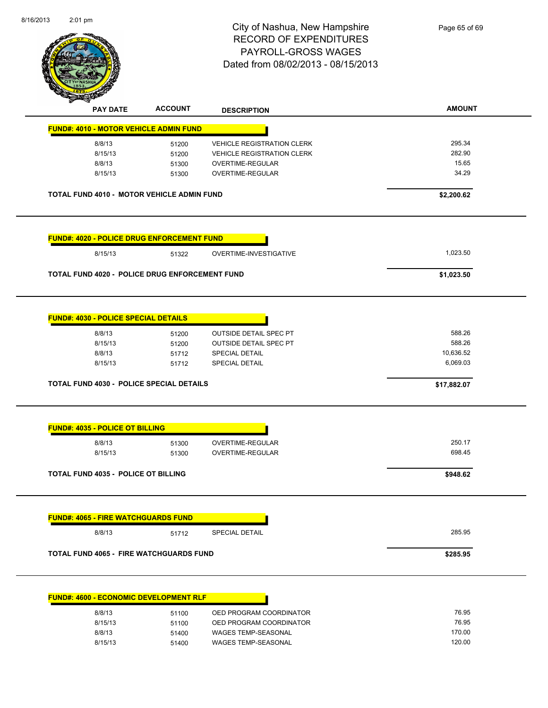| 8/16/2013<br>2:01 pm |                                             |                                                       | City of Nashua, New Hampshire<br><b>RECORD OF EXPENDITURES</b><br>PAYROLL-GROSS WAGES<br>Dated from 08/02/2013 - 08/15/2013 | Page 65 of 69  |
|----------------------|---------------------------------------------|-------------------------------------------------------|-----------------------------------------------------------------------------------------------------------------------------|----------------|
|                      |                                             |                                                       |                                                                                                                             |                |
|                      | <b>PAY DATE</b>                             | <b>ACCOUNT</b>                                        | <b>DESCRIPTION</b>                                                                                                          | <b>AMOUNT</b>  |
|                      |                                             | <b>FUND#: 4010 - MOTOR VEHICLE ADMIN FUND</b>         |                                                                                                                             |                |
|                      | 8/8/13                                      | 51200                                                 | <b>VEHICLE REGISTRATION CLERK</b>                                                                                           | 295.34         |
|                      | 8/15/13                                     | 51200                                                 | <b>VEHICLE REGISTRATION CLERK</b>                                                                                           | 282.90         |
|                      | 8/8/13                                      | 51300                                                 | OVERTIME-REGULAR                                                                                                            | 15.65          |
|                      | 8/15/13                                     | 51300                                                 | OVERTIME-REGULAR                                                                                                            | 34.29          |
|                      |                                             | TOTAL FUND 4010 - MOTOR VEHICLE ADMIN FUND            |                                                                                                                             | \$2,200.62     |
|                      |                                             | FUND#: 4020 - POLICE DRUG ENFORCEMENT FUND            |                                                                                                                             |                |
|                      | 8/15/13                                     | 51322                                                 | OVERTIME-INVESTIGATIVE                                                                                                      | 1,023.50       |
|                      |                                             | <b>TOTAL FUND 4020 - POLICE DRUG ENFORCEMENT FUND</b> |                                                                                                                             | \$1,023.50     |
|                      |                                             |                                                       |                                                                                                                             |                |
|                      | <b>FUND#: 4030 - POLICE SPECIAL DETAILS</b> |                                                       |                                                                                                                             |                |
|                      | 8/8/13                                      | 51200                                                 | <b>OUTSIDE DETAIL SPEC PT</b>                                                                                               | 588.26         |
|                      | 8/15/13                                     | 51200                                                 | OUTSIDE DETAIL SPEC PT                                                                                                      | 588.26         |
|                      | 8/8/13                                      | 51712                                                 | SPECIAL DETAIL                                                                                                              | 10,636.52      |
|                      | 8/15/13                                     | 51712                                                 | <b>SPECIAL DETAIL</b>                                                                                                       | 6,069.03       |
|                      |                                             | TOTAL FUND 4030 - POLICE SPECIAL DETAILS              |                                                                                                                             | \$17,882.07    |
|                      | <b>FUND#: 4035 - POLICE OT BILLING</b>      |                                                       |                                                                                                                             |                |
|                      | 8/8/13                                      | 51300                                                 | <b>OVERTIME-REGULAR</b>                                                                                                     | 250.17         |
|                      | 8/15/13                                     | 51300                                                 | OVERTIME-REGULAR                                                                                                            | 698.45         |
|                      | <b>TOTAL FUND 4035 - POLICE OT BILLING</b>  |                                                       |                                                                                                                             | \$948.62       |
|                      |                                             |                                                       |                                                                                                                             |                |
|                      | <b>FUND#: 4065 - FIRE WATCHGUARDS FUND</b>  |                                                       |                                                                                                                             |                |
|                      | 8/8/13                                      | 51712                                                 | <b>SPECIAL DETAIL</b>                                                                                                       | 285.95         |
|                      |                                             | <b>TOTAL FUND 4065 - FIRE WATCHGUARDS FUND</b>        |                                                                                                                             | \$285.95       |
|                      |                                             | <b>FUND#: 4600 - ECONOMIC DEVELOPMENT RLF</b>         |                                                                                                                             |                |
|                      |                                             |                                                       |                                                                                                                             |                |
|                      | 8/8/13<br>8/15/13                           | 51100                                                 | OED PROGRAM COORDINATOR                                                                                                     | 76.95<br>76.95 |
|                      | 8/8/13                                      | 51100<br>51400                                        | OED PROGRAM COORDINATOR<br>WAGES TEMP-SEASONAL                                                                              | 170.00         |
|                      |                                             |                                                       |                                                                                                                             |                |

8/15/13 51400 WAGES TEMP-SEASONAL 120.00

8/16/2013

2:01 pm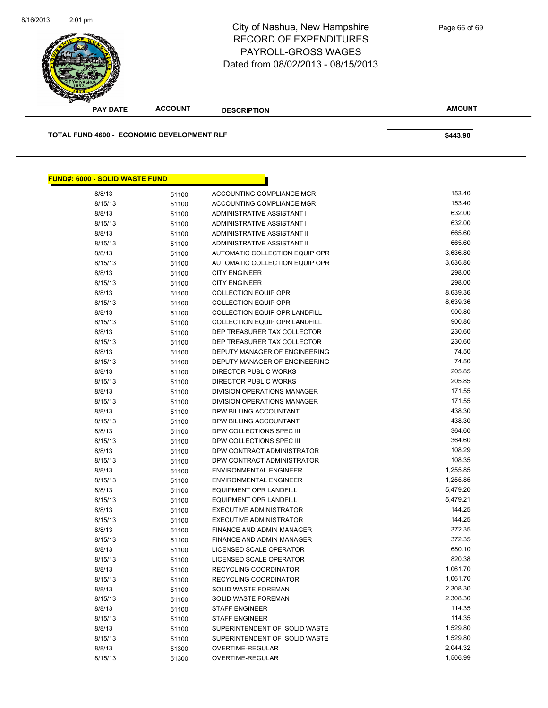| <u> FUND#: 6000 - SOLID WASTE FUND</u> |       |                                    |          |
|----------------------------------------|-------|------------------------------------|----------|
| 8/8/13                                 | 51100 | ACCOUNTING COMPLIANCE MGR          | 153.40   |
| 8/15/13                                | 51100 | ACCOUNTING COMPLIANCE MGR          | 153.40   |
| 8/8/13                                 | 51100 | ADMINISTRATIVE ASSISTANT I         | 632.00   |
| 8/15/13                                | 51100 | ADMINISTRATIVE ASSISTANT I         | 632.00   |
| 8/8/13                                 | 51100 | ADMINISTRATIVE ASSISTANT II        | 665.60   |
| 8/15/13                                | 51100 | ADMINISTRATIVE ASSISTANT II        | 665.60   |
| 8/8/13                                 | 51100 | AUTOMATIC COLLECTION EQUIP OPR     | 3,636.80 |
| 8/15/13                                | 51100 | AUTOMATIC COLLECTION EQUIP OPR     | 3,636.80 |
| 8/8/13                                 | 51100 | <b>CITY ENGINEER</b>               | 298.00   |
| 8/15/13                                | 51100 | <b>CITY ENGINEER</b>               | 298.00   |
| 8/8/13                                 | 51100 | <b>COLLECTION EQUIP OPR</b>        | 8,639.36 |
| 8/15/13                                | 51100 | <b>COLLECTION EQUIP OPR</b>        | 8,639.36 |
| 8/8/13                                 | 51100 | COLLECTION EQUIP OPR LANDFILL      | 900.80   |
| 8/15/13                                | 51100 | COLLECTION EQUIP OPR LANDFILL      | 900.80   |
| 8/8/13                                 | 51100 | DEP TREASURER TAX COLLECTOR        | 230.60   |
| 8/15/13                                | 51100 | DEP TREASURER TAX COLLECTOR        | 230.60   |
| 8/8/13                                 | 51100 | DEPUTY MANAGER OF ENGINEERING      | 74.50    |
| 8/15/13                                | 51100 | DEPUTY MANAGER OF ENGINEERING      | 74.50    |
| 8/8/13                                 | 51100 | <b>DIRECTOR PUBLIC WORKS</b>       | 205.85   |
| 8/15/13                                | 51100 | DIRECTOR PUBLIC WORKS              | 205.85   |
| 8/8/13                                 | 51100 | DIVISION OPERATIONS MANAGER        | 171.55   |
| 8/15/13                                | 51100 | <b>DIVISION OPERATIONS MANAGER</b> | 171.55   |
| 8/8/13                                 | 51100 | DPW BILLING ACCOUNTANT             | 438.30   |
| 8/15/13                                | 51100 | DPW BILLING ACCOUNTANT             | 438.30   |
| 8/8/13                                 | 51100 | DPW COLLECTIONS SPEC III           | 364.60   |
| 8/15/13                                | 51100 | DPW COLLECTIONS SPEC III           | 364.60   |
| 8/8/13                                 | 51100 | DPW CONTRACT ADMINISTRATOR         | 108.29   |
| 8/15/13                                | 51100 | DPW CONTRACT ADMINISTRATOR         | 108.35   |
| 8/8/13                                 | 51100 | <b>ENVIRONMENTAL ENGINEER</b>      | 1,255.85 |
| 8/15/13                                | 51100 | <b>ENVIRONMENTAL ENGINEER</b>      | 1,255.85 |
| 8/8/13                                 | 51100 | EQUIPMENT OPR LANDFILL             | 5,479.20 |
| 8/15/13                                | 51100 | <b>EQUIPMENT OPR LANDFILL</b>      | 5,479.21 |
| 8/8/13                                 | 51100 | <b>EXECUTIVE ADMINISTRATOR</b>     | 144.25   |
| 8/15/13                                | 51100 | <b>EXECUTIVE ADMINISTRATOR</b>     | 144.25   |
| 8/8/13                                 | 51100 | FINANCE AND ADMIN MANAGER          | 372.35   |
| 8/15/13                                | 51100 | FINANCE AND ADMIN MANAGER          | 372.35   |
| 8/8/13                                 | 51100 | LICENSED SCALE OPERATOR            | 680.10   |
| 8/15/13                                | 51100 | LICENSED SCALE OPERATOR            | 820.38   |
| 8/8/13                                 | 51100 | RECYCLING COORDINATOR              | 1,061.70 |
| 8/15/13                                | 51100 | RECYCLING COORDINATOR              | 1,061.70 |
| 8/8/13                                 | 51100 | SOLID WASTE FOREMAN                | 2,308.30 |
| 8/15/13                                | 51100 | SOLID WASTE FOREMAN                | 2,308.30 |
| 8/8/13                                 | 51100 | <b>STAFF ENGINEER</b>              | 114.35   |
| 8/15/13                                | 51100 | <b>STAFF ENGINEER</b>              | 114.35   |
| 8/8/13                                 | 51100 | SUPERINTENDENT OF SOLID WASTE      | 1,529.80 |
| 8/15/13                                | 51100 | SUPERINTENDENT OF SOLID WASTE      | 1,529.80 |
| 8/8/13                                 | 51300 | OVERTIME-REGULAR                   | 2,044.32 |
| 8/15/13                                | 51300 | OVERTIME-REGULAR                   | 1,506.99 |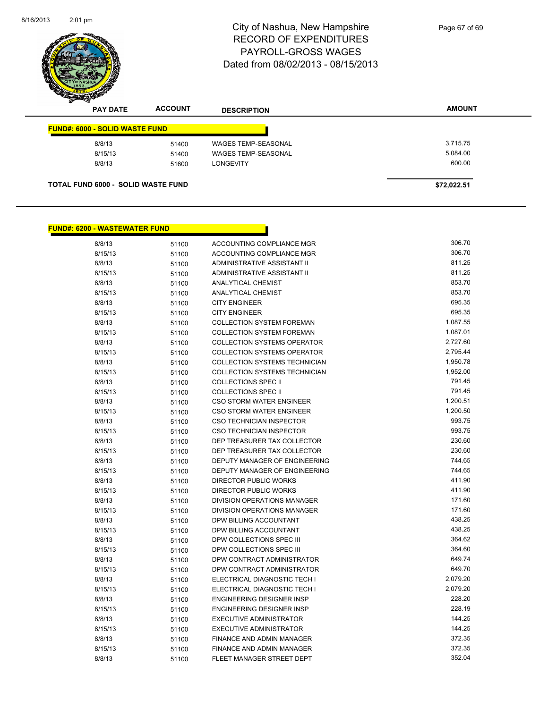

| <b>PAY DATE</b>                           | <b>ACCOUNT</b> | <b>DESCRIPTION</b>         | <b>AMOUNT</b> |
|-------------------------------------------|----------------|----------------------------|---------------|
| <b>FUND#: 6000 - SOLID WASTE FUND</b>     |                |                            |               |
| 8/8/13                                    | 51400          | <b>WAGES TEMP-SEASONAL</b> | 3,715.75      |
| 8/15/13                                   | 51400          | <b>WAGES TEMP-SEASONAL</b> | 5,084.00      |
| 8/8/13                                    | 51600          | <b>LONGEVITY</b>           | 600.00        |
| <b>TOTAL FUND 6000 - SOLID WASTE FUND</b> |                |                            | \$72,022.51   |

#### **FUND#: 6200 - WASTEWATER FUND**

| 8/8/13  | 51100 | ACCOUNTING COMPLIANCE MGR            | 306.70   |
|---------|-------|--------------------------------------|----------|
| 8/15/13 | 51100 | <b>ACCOUNTING COMPLIANCE MGR</b>     | 306.70   |
| 8/8/13  | 51100 | ADMINISTRATIVE ASSISTANT II          | 811.25   |
| 8/15/13 | 51100 | ADMINISTRATIVE ASSISTANT II          | 811.25   |
| 8/8/13  | 51100 | ANALYTICAL CHEMIST                   | 853.70   |
| 8/15/13 | 51100 | ANALYTICAL CHEMIST                   | 853.70   |
| 8/8/13  | 51100 | <b>CITY ENGINEER</b>                 | 695.35   |
| 8/15/13 | 51100 | <b>CITY ENGINEER</b>                 | 695.35   |
| 8/8/13  | 51100 | COLLECTION SYSTEM FOREMAN            | 1,087.55 |
| 8/15/13 | 51100 | <b>COLLECTION SYSTEM FOREMAN</b>     | 1,087.01 |
| 8/8/13  | 51100 | <b>COLLECTION SYSTEMS OPERATOR</b>   | 2,727.60 |
| 8/15/13 | 51100 | <b>COLLECTION SYSTEMS OPERATOR</b>   | 2,795.44 |
| 8/8/13  | 51100 | COLLECTION SYSTEMS TECHNICIAN        | 1,950.78 |
| 8/15/13 | 51100 | <b>COLLECTION SYSTEMS TECHNICIAN</b> | 1,952.00 |
| 8/8/13  | 51100 | <b>COLLECTIONS SPEC II</b>           | 791.45   |
| 8/15/13 | 51100 | <b>COLLECTIONS SPEC II</b>           | 791.45   |
| 8/8/13  | 51100 | CSO STORM WATER ENGINEER             | 1,200.51 |
| 8/15/13 | 51100 | <b>CSO STORM WATER ENGINEER</b>      | 1,200.50 |
| 8/8/13  | 51100 | <b>CSO TECHNICIAN INSPECTOR</b>      | 993.75   |
| 8/15/13 | 51100 | CSO TECHNICIAN INSPECTOR             | 993.75   |
| 8/8/13  | 51100 | DEP TREASURER TAX COLLECTOR          | 230.60   |
| 8/15/13 | 51100 | DEP TREASURER TAX COLLECTOR          | 230.60   |
| 8/8/13  | 51100 | DEPUTY MANAGER OF ENGINEERING        | 744.65   |
| 8/15/13 | 51100 | DEPUTY MANAGER OF ENGINEERING        | 744.65   |
| 8/8/13  | 51100 | <b>DIRECTOR PUBLIC WORKS</b>         | 411.90   |
| 8/15/13 | 51100 | <b>DIRECTOR PUBLIC WORKS</b>         | 411.90   |
| 8/8/13  | 51100 | <b>DIVISION OPERATIONS MANAGER</b>   | 171.60   |
| 8/15/13 | 51100 | DIVISION OPERATIONS MANAGER          | 171.60   |
| 8/8/13  | 51100 | DPW BILLING ACCOUNTANT               | 438.25   |
| 8/15/13 | 51100 | DPW BILLING ACCOUNTANT               | 438.25   |
| 8/8/13  | 51100 | DPW COLLECTIONS SPEC III             | 364.62   |
| 8/15/13 | 51100 | DPW COLLECTIONS SPEC III             | 364.60   |
| 8/8/13  | 51100 | DPW CONTRACT ADMINISTRATOR           | 649.74   |
| 8/15/13 | 51100 | DPW CONTRACT ADMINISTRATOR           | 649.70   |
| 8/8/13  | 51100 | ELECTRICAL DIAGNOSTIC TECH I         | 2,079.20 |
| 8/15/13 | 51100 | ELECTRICAL DIAGNOSTIC TECH I         | 2,079.20 |
| 8/8/13  | 51100 | ENGINEERING DESIGNER INSP            | 228.20   |
| 8/15/13 | 51100 | <b>ENGINEERING DESIGNER INSP</b>     | 228.19   |
| 8/8/13  | 51100 | <b>EXECUTIVE ADMINISTRATOR</b>       | 144.25   |
| 8/15/13 | 51100 | <b>EXECUTIVE ADMINISTRATOR</b>       | 144.25   |
| 8/8/13  | 51100 | FINANCE AND ADMIN MANAGER            | 372.35   |
| 8/15/13 | 51100 | FINANCE AND ADMIN MANAGER            | 372.35   |
| 8/8/13  | 51100 | FLEET MANAGER STREET DEPT            | 352.04   |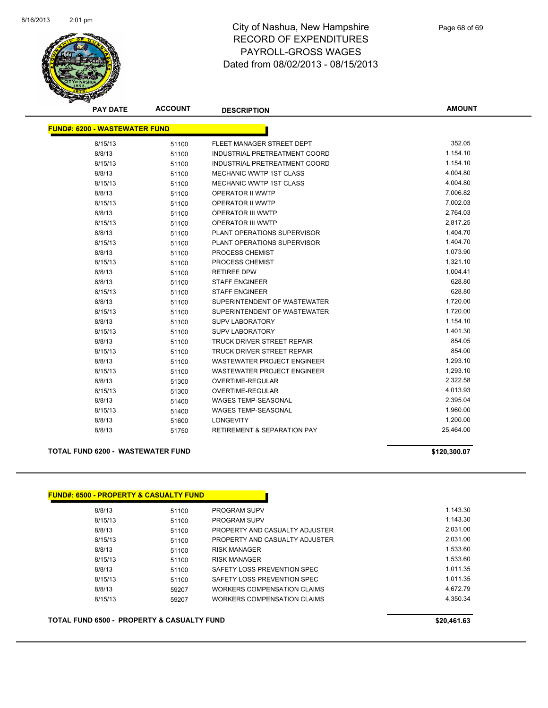

| <b>PAY DATE</b>                      | <b>ACCOUNT</b> | <b>DESCRIPTION</b>                     | <b>AMOUNT</b> |
|--------------------------------------|----------------|----------------------------------------|---------------|
| <b>FUND#: 6200 - WASTEWATER FUND</b> |                |                                        |               |
| 8/15/13                              | 51100          | FLEET MANAGER STREET DEPT              | 352.05        |
| 8/8/13                               | 51100          | INDUSTRIAL PRETREATMENT COORD          | 1,154.10      |
| 8/15/13                              | 51100          | INDUSTRIAL PRETREATMENT COORD          | 1,154.10      |
| 8/8/13                               | 51100          | <b>MECHANIC WWTP 1ST CLASS</b>         | 4,004.80      |
| 8/15/13                              | 51100          | MECHANIC WWTP 1ST CLASS                | 4,004.80      |
| 8/8/13                               | 51100          | <b>OPERATOR II WWTP</b>                | 7,006.82      |
| 8/15/13                              | 51100          | OPERATOR II WWTP                       | 7,002.03      |
| 8/8/13                               | 51100          | <b>OPERATOR III WWTP</b>               | 2,764.03      |
| 8/15/13                              | 51100          | <b>OPERATOR III WWTP</b>               | 2,817.25      |
| 8/8/13                               | 51100          | PLANT OPERATIONS SUPERVISOR            | 1,404.70      |
| 8/15/13                              | 51100          | <b>PLANT OPERATIONS SUPERVISOR</b>     | 1,404.70      |
| 8/8/13                               | 51100          | PROCESS CHEMIST                        | 1,073.90      |
| 8/15/13                              | 51100          | <b>PROCESS CHEMIST</b>                 | 1,321.10      |
| 8/8/13                               | 51100          | <b>RETIREE DPW</b>                     | 1,004.41      |
| 8/8/13                               | 51100          | <b>STAFF ENGINEER</b>                  | 628.80        |
| 8/15/13                              | 51100          | <b>STAFF ENGINEER</b>                  | 628.80        |
| 8/8/13                               | 51100          | SUPERINTENDENT OF WASTEWATER           | 1,720.00      |
| 8/15/13                              | 51100          | SUPERINTENDENT OF WASTEWATER           | 1,720.00      |
| 8/8/13                               | 51100          | <b>SUPV LABORATORY</b>                 | 1,154.10      |
| 8/15/13                              | 51100          | SUPV LABORATORY                        | 1,401.30      |
| 8/8/13                               | 51100          | <b>TRUCK DRIVER STREET REPAIR</b>      | 854.05        |
| 8/15/13                              | 51100          | TRUCK DRIVER STREET REPAIR             | 854.00        |
| 8/8/13                               | 51100          | <b>WASTEWATER PROJECT ENGINEER</b>     | 1,293.10      |
| 8/15/13                              | 51100          | <b>WASTEWATER PROJECT ENGINEER</b>     | 1,293.10      |
| 8/8/13                               | 51300          | <b>OVERTIME-REGULAR</b>                | 2,322.58      |
| 8/15/13                              | 51300          | <b>OVERTIME-REGULAR</b>                | 4,013.93      |
| 8/8/13                               | 51400          | <b>WAGES TEMP-SEASONAL</b>             | 2,395.04      |
| 8/15/13                              | 51400          | <b>WAGES TEMP-SEASONAL</b>             | 1,960.00      |
| 8/8/13                               | 51600          | <b>LONGEVITY</b>                       | 1,200.00      |
| 8/8/13                               | 51750          | <b>RETIREMENT &amp; SEPARATION PAY</b> | 25,464.00     |

#### **TOTAL FUND 6200 - WASTEWATER FUND \$120,300.07**

| 8/8/13  | 51100 | <b>PROGRAM SUPV</b>            | 1.143.30 |
|---------|-------|--------------------------------|----------|
| 8/15/13 | 51100 | <b>PROGRAM SUPV</b>            | 1,143.30 |
| 8/8/13  | 51100 | PROPERTY AND CASUALTY ADJUSTER | 2.031.00 |
| 8/15/13 | 51100 | PROPERTY AND CASUALTY ADJUSTER | 2.031.00 |
| 8/8/13  | 51100 | <b>RISK MANAGER</b>            | 1,533.60 |
| 8/15/13 | 51100 | <b>RISK MANAGER</b>            | 1,533.60 |
| 8/8/13  | 51100 | SAFETY LOSS PREVENTION SPEC    | 1.011.35 |
| 8/15/13 | 51100 | SAFETY LOSS PREVENTION SPEC    | 1.011.35 |
| 8/8/13  | 59207 | WORKERS COMPENSATION CLAIMS    | 4.672.79 |
| 8/15/13 | 59207 | WORKERS COMPENSATION CLAIMS    | 4,350.34 |

**TOTAL FUND 6500 - PROPERTY & CASUALTY FUND \$20,461.63**